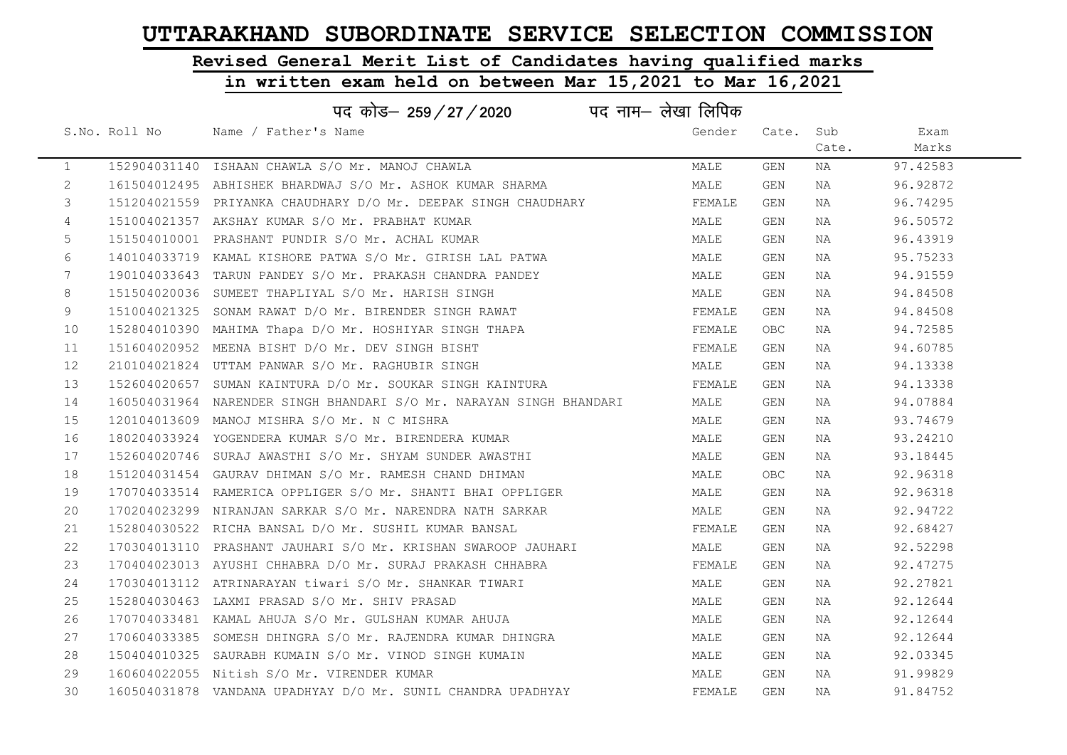# Revised General Merit List of Candidates having qualified marks

| पद नाम– लेखा लिपिक<br>पद कोड– 259/27/2020 |               |                                                                     |        |            |       |          |  |
|-------------------------------------------|---------------|---------------------------------------------------------------------|--------|------------|-------|----------|--|
|                                           | S.No. Roll No | Name / Father's Name                                                | Gender | Cate.      | Sub   | Exam     |  |
|                                           |               |                                                                     |        |            | Cate. | Marks    |  |
| $\mathbf{1}$                              |               | 152904031140 ISHAAN CHAWLA S/O Mr. MANOJ CHAWLA                     | MALE   | GEN        | NA    | 97.42583 |  |
| $\overline{2}$                            |               | 161504012495 ABHISHEK BHARDWAJ S/O Mr. ASHOK KUMAR SHARMA           | MALE   | GEN        | NA    | 96.92872 |  |
| 3                                         |               | 151204021559 PRIYANKA CHAUDHARY D/O Mr. DEEPAK SINGH CHAUDHARY      | FEMALE | GEN        | NA    | 96.74295 |  |
| 4                                         |               | 151004021357 AKSHAY KUMAR S/O Mr. PRABHAT KUMAR                     | MALE   | GEN        | NA    | 96.50572 |  |
| 5                                         |               | 151504010001 PRASHANT PUNDIR S/O Mr. ACHAL KUMAR                    | MALE   | GEN        | NA    | 96.43919 |  |
| 6                                         |               | 140104033719 KAMAL KISHORE PATWA S/O Mr. GIRISH LAL PATWA           | MALE   | GEN        | NA    | 95.75233 |  |
| 7 <sup>7</sup>                            |               | 190104033643 TARUN PANDEY S/O Mr. PRAKASH CHANDRA PANDEY            | MALE   | GEN        | NA    | 94.91559 |  |
| 8                                         |               | 151504020036 SUMEET THAPLIYAL S/O Mr. HARISH SINGH                  | MALE   | GEN        | NA    | 94.84508 |  |
| 9                                         | 151004021325  | SONAM RAWAT D/O Mr. BIRENDER SINGH RAWAT                            | FEMALE | GEN        | NA    | 94.84508 |  |
| 10                                        |               | 152804010390 MAHIMA Thapa D/O Mr. HOSHIYAR SINGH THAPA              | FEMALE | <b>OBC</b> | NA    | 94.72585 |  |
| 11                                        |               | 151604020952 MEENA BISHT D/O Mr. DEV SINGH BISHT                    | FEMALE | GEN        | NA    | 94.60785 |  |
| 12                                        |               | 210104021824 UTTAM PANWAR S/O Mr. RAGHUBIR SINGH                    | MALE   | GEN        | NA    | 94.13338 |  |
| 13                                        |               | 152604020657 SUMAN KAINTURA D/O Mr. SOUKAR SINGH KAINTURA           | FEMALE | GEN        | NA    | 94.13338 |  |
| 14                                        |               | 160504031964 NARENDER SINGH BHANDARI S/O Mr. NARAYAN SINGH BHANDARI | MALE   | GEN        | NA    | 94.07884 |  |
| 15                                        |               | 120104013609 MANOJ MISHRA S/O Mr. N C MISHRA                        | MALE   | GEN        | NA    | 93.74679 |  |
| 16                                        |               | 180204033924 YOGENDERA KUMAR S/O Mr. BIRENDERA KUMAR                | MALE   | GEN        | NA    | 93.24210 |  |
| 17                                        |               | 152604020746 SURAJ AWASTHI S/O Mr. SHYAM SUNDER AWASTHI             | MALE   | GEN        | NA    | 93.18445 |  |
| 18                                        |               | 151204031454 GAURAV DHIMAN S/O Mr. RAMESH CHAND DHIMAN              | MALE   | <b>OBC</b> | NA    | 92.96318 |  |
| 19                                        |               | 170704033514 RAMERICA OPPLIGER S/O Mr. SHANTI BHAI OPPLIGER         | MALE   | GEN        | NA    | 92.96318 |  |
| 20                                        |               | 170204023299 NIRANJAN SARKAR S/O Mr. NARENDRA NATH SARKAR           | MALE   | GEN        | NA    | 92.94722 |  |
| 21                                        |               | 152804030522 RICHA BANSAL D/O Mr. SUSHIL KUMAR BANSAL               | FEMALE | GEN        | NA    | 92.68427 |  |
| 22                                        |               | 170304013110 PRASHANT JAUHARI S/O Mr. KRISHAN SWAROOP JAUHARI       | MALE   | GEN        | NA    | 92.52298 |  |
| 23                                        |               | 170404023013 AYUSHI CHHABRA D/O Mr. SURAJ PRAKASH CHHABRA           | FEMALE | GEN        | NA    | 92.47275 |  |
| 24                                        |               | 170304013112 ATRINARAYAN tiwari S/O Mr. SHANKAR TIWARI              | MALE   | GEN        | NA    | 92.27821 |  |
| 25                                        |               | 152804030463 LAXMI PRASAD S/O Mr. SHIV PRASAD                       | MALE   | GEN        | NA    | 92.12644 |  |
| 26                                        |               | 170704033481 KAMAL AHUJA S/O Mr. GULSHAN KUMAR AHUJA                | MALE   | GEN        | NA    | 92.12644 |  |
| 27                                        |               | 170604033385 SOMESH DHINGRA S/O Mr. RAJENDRA KUMAR DHINGRA          | MALE   | GEN        | NA    | 92.12644 |  |
| 28                                        |               | 150404010325 SAURABH KUMAIN S/O Mr. VINOD SINGH KUMAIN              | MALE   | GEN        | NA    | 92.03345 |  |
| 29                                        |               | 160604022055 Nitish S/O Mr. VIRENDER KUMAR                          | MALE   | GEN        | NA    | 91.99829 |  |
| 30                                        |               | 160504031878 VANDANA UPADHYAY D/O Mr. SUNIL CHANDRA UPADHYAY        | FEMALE | GEN        | NA    | 91.84752 |  |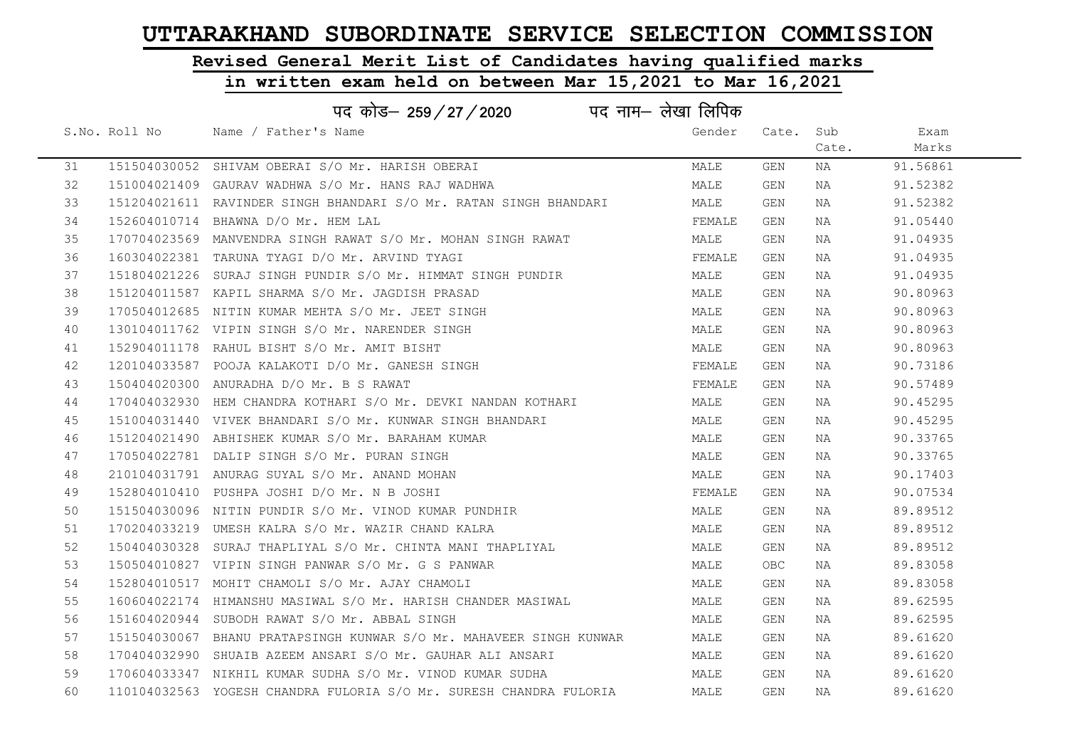# Revised General Merit List of Candidates having qualified marks

| पद नाम— लेखा लिपिक<br>पद कोड़- 259/27/2020 |               |                                                                     |        |            |       |          |  |
|--------------------------------------------|---------------|---------------------------------------------------------------------|--------|------------|-------|----------|--|
|                                            | S.No. Roll No | Name / Father's Name                                                | Gender | Cate. Sub  |       | Exam     |  |
|                                            |               |                                                                     |        |            | Cate. | Marks    |  |
| 31                                         |               | 151504030052 SHIVAM OBERAI S/O Mr. HARISH OBERAI                    | MALE   | GEN        | ΝA    | 91.56861 |  |
| 32                                         |               | 151004021409 GAURAV WADHWA S/O Mr. HANS RAJ WADHWA                  | MALE   | GEN        | NA    | 91.52382 |  |
| 33                                         |               | 151204021611 RAVINDER SINGH BHANDARI S/O Mr. RATAN SINGH BHANDARI   | MALE   | GEN        | ΝA    | 91.52382 |  |
| 34                                         |               | 152604010714 BHAWNA D/O Mr. HEM LAL                                 | FEMALE | GEN        | NA    | 91.05440 |  |
| 35                                         |               | 170704023569 MANVENDRA SINGH RAWAT S/O Mr. MOHAN SINGH RAWAT        | MALE   | GEN        | NA    | 91.04935 |  |
| 36                                         |               | 160304022381 TARUNA TYAGI D/O Mr. ARVIND TYAGI                      | FEMALE | GEN        | NA    | 91.04935 |  |
| 37                                         |               | 151804021226 SURAJ SINGH PUNDIR S/O Mr. HIMMAT SINGH PUNDIR         | MALE   | GEN        | NA    | 91.04935 |  |
| 38                                         |               | 151204011587 KAPIL SHARMA S/O Mr. JAGDISH PRASAD                    | MALE   | GEN        | NA    | 90.80963 |  |
| 39                                         |               | 170504012685 NITIN KUMAR MEHTA S/O Mr. JEET SINGH                   | MALE   | GEN        | NA    | 90.80963 |  |
| 40                                         |               | 130104011762 VIPIN SINGH S/O Mr. NARENDER SINGH                     | MALE   | GEN        | NA    | 90.80963 |  |
| 41                                         |               | 152904011178 RAHUL BISHT S/O Mr. AMIT BISHT                         | MALE   | GEN        | NA    | 90.80963 |  |
| 42                                         |               | 120104033587 POOJA KALAKOTI D/O Mr. GANESH SINGH                    | FEMALE | GEN        | NA    | 90.73186 |  |
| 43                                         |               | 150404020300 ANURADHA D/O Mr. B S RAWAT                             | FEMALE | GEN        | NA    | 90.57489 |  |
| 44                                         |               | 170404032930 HEM CHANDRA KOTHARI S/O Mr. DEVKI NANDAN KOTHARI       | MALE   | GEN        | NA    | 90.45295 |  |
| 45                                         |               | 151004031440   VIVEK BHANDARI  S/O  Mr.  KUNWAR  SINGH  BHANDARI    | MALE   | GEN        | NA    | 90.45295 |  |
| 46                                         |               | 151204021490 ABHISHEK KUMAR S/O Mr. BARAHAM KUMAR                   | MALE   | GEN        | NA    | 90.33765 |  |
| 47                                         |               | 170504022781 DALIP SINGH S/O Mr. PURAN SINGH                        | MALE   | GEN        | NA    | 90.33765 |  |
| 48                                         |               | 210104031791 ANURAG SUYAL S/O Mr. ANAND MOHAN                       | MALE   | GEN        | NA    | 90.17403 |  |
| 49                                         |               | 152804010410 PUSHPA JOSHI D/O Mr. N B JOSHI                         | FEMALE | GEN        | NA    | 90.07534 |  |
| 50                                         |               | 151504030096 NITIN PUNDIR S/O Mr. VINOD KUMAR PUNDHIR               | MALE   | GEN        | NA    | 89.89512 |  |
| 51                                         |               | 170204033219 UMESH KALRA S/O Mr. WAZIR CHAND KALRA                  | MALE   | GEN        | NA    | 89.89512 |  |
| 52                                         |               | 150404030328 SURAJ THAPLIYAL S/O Mr. CHINTA MANI THAPLIYAL          | MALE   | GEN        | NA    | 89.89512 |  |
| 53                                         |               | 150504010827 VIPIN SINGH PANWAR S/O Mr. G S PANWAR                  | MALE   | <b>OBC</b> | NA    | 89.83058 |  |
| 54                                         |               | 152804010517 MOHIT CHAMOLI S/O Mr. AJAY CHAMOLI                     | MALE   | GEN        | NA    | 89.83058 |  |
| 55                                         |               | 160604022174 HIMANSHU MASIWAL S/O Mr. HARISH CHANDER MASIWAL        | MALE   | GEN        | NA    | 89.62595 |  |
| 56                                         |               | 151604020944 SUBODH RAWAT S/O Mr. ABBAL SINGH                       | MALE   | GEN        | NA    | 89.62595 |  |
| 57                                         |               | 151504030067 BHANU PRATAPSINGH KUNWAR S/O Mr. MAHAVEER SINGH KUNWAR | MALE   | GEN        | NA    | 89.61620 |  |
| 58                                         |               | 170404032990 SHUAIB AZEEM ANSARI S/O Mr. GAUHAR ALI ANSARI          | MALE   | GEN        | NA    | 89.61620 |  |
| 59                                         |               | 170604033347 NIKHIL KUMAR SUDHA S/O Mr. VINOD KUMAR SUDHA           | MALE   | GEN        | NA    | 89.61620 |  |
| 60                                         |               | 110104032563 YOGESH CHANDRA FULORIA S/O Mr. SURESH CHANDRA FULORIA  | MALE   | GEN        | NA    | 89.61620 |  |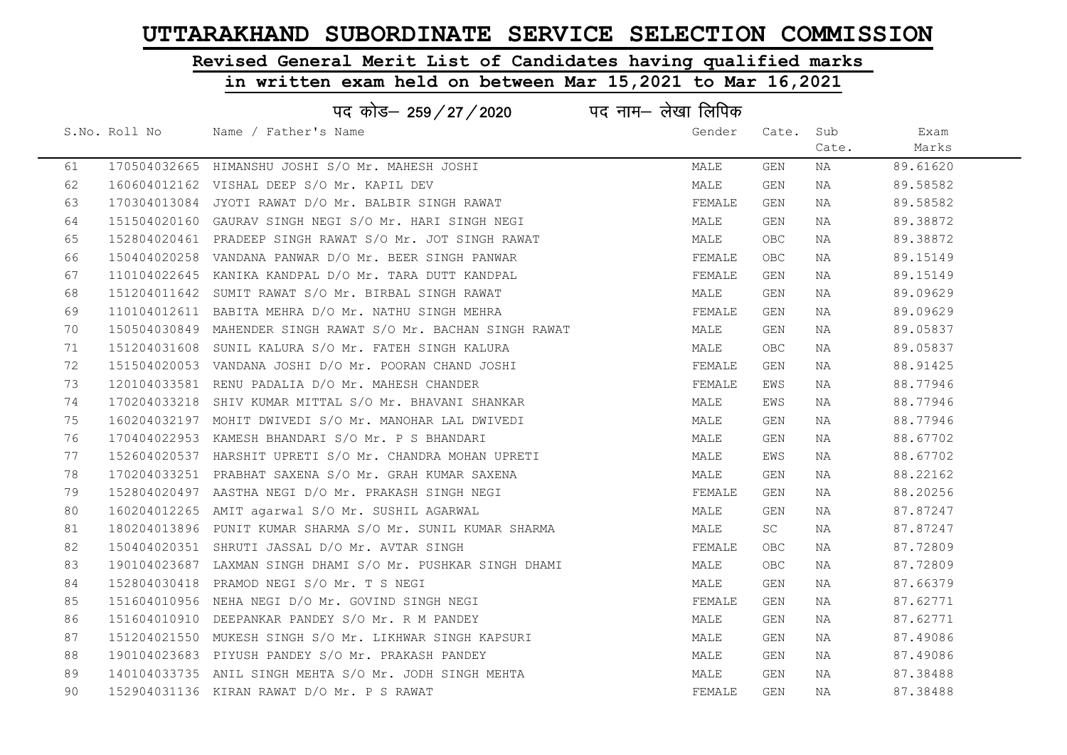# Revised General Merit List of Candidates having qualified marks

|    |               | पद कोड– 259/27/2020                                          | पद नाम– लेखा लिपिक |            |       |          |
|----|---------------|--------------------------------------------------------------|--------------------|------------|-------|----------|
|    | S.No. Roll No | Name / Father's Name                                         | Gender             | Cate.      | Sub   | Exam     |
|    |               |                                                              |                    |            | Cate. | Marks    |
| 61 |               | 170504032665 HIMANSHU JOSHI S/O Mr. MAHESH JOSHI             | MALE               | GEN        | NA    | 89.61620 |
| 62 |               | 160604012162 VISHAL DEEP S/O Mr. KAPIL DEV                   | MALE               | GEN        | NA    | 89.58582 |
| 63 |               | 170304013084 JYOTI RAWAT D/O Mr. BALBIR SINGH RAWAT          | FEMALE             | GEN        | NA    | 89.58582 |
| 64 |               | 151504020160 GAURAV SINGH NEGI S/O Mr. HARI SINGH NEGI       | MALE               | GEN        | NA    | 89.38872 |
| 65 |               | 152804020461 PRADEEP SINGH RAWAT S/O Mr. JOT SINGH RAWAT     | MALE               | OBC        | NA    | 89.38872 |
| 66 |               | 150404020258 VANDANA PANWAR D/O Mr. BEER SINGH PANWAR        | FEMALE             | <b>OBC</b> | NA    | 89.15149 |
| 67 |               | 110104022645 KANIKA KANDPAL D/O Mr. TARA DUTT KANDPAL        | FEMALE             | GEN        | NA    | 89.15149 |
| 68 |               | 151204011642 SUMIT RAWAT S/O Mr. BIRBAL SINGH RAWAT          | MALE               | GEN        | NA    | 89.09629 |
| 69 |               | 110104012611 BABITA MEHRA D/O Mr. NATHU SINGH MEHRA          | FEMALE             | GEN        | NA    | 89.09629 |
| 70 |               | 150504030849 MAHENDER SINGH RAWAT S/O Mr. BACHAN SINGH RAWAT | MALE               | GEN        | NA    | 89.05837 |
| 71 |               | 151204031608 SUNIL KALURA S/O Mr. FATEH SINGH KALURA         | MALE               | OBC        | NA    | 89.05837 |
| 72 |               | 151504020053 VANDANA JOSHI D/O Mr. POORAN CHAND JOSHI        | FEMALE             | GEN        | NA    | 88.91425 |
| 73 |               | 120104033581 RENU PADALIA D/O Mr. MAHESH CHANDER             | FEMALE             | EWS        | NA    | 88.77946 |
| 74 |               | 170204033218 SHIV KUMAR MITTAL S/O Mr. BHAVANI SHANKAR       | MALE               | EWS        | NA    | 88.77946 |
| 75 |               | 160204032197 MOHIT DWIVEDI S/O Mr. MANOHAR LAL DWIVEDI       | MALE               | GEN        | NA    | 88.77946 |
| 76 |               | 170404022953 KAMESH BHANDARI S/O Mr. P S BHANDARI            | MALE               | GEN        | NA    | 88.67702 |
| 77 |               | 152604020537 HARSHIT UPRETI S/O Mr. CHANDRA MOHAN UPRETI     | MALE               | EWS        | NA    | 88.67702 |
| 78 |               | 170204033251 PRABHAT SAXENA S/O Mr. GRAH KUMAR SAXENA        | MALE               | GEN        | NA    | 88.22162 |
| 79 |               | 152804020497 AASTHA NEGI D/O Mr. PRAKASH SINGH NEGI          | FEMALE             | GEN        | NA    | 88.20256 |
| 80 |               | 160204012265 AMIT agarwal S/O Mr. SUSHIL AGARWAL             | MALE               | GEN        | NA    | 87.87247 |
| 81 |               | 180204013896 PUNIT KUMAR SHARMA S/O Mr. SUNIL KUMAR SHARMA   | MALE               | <b>SC</b>  | NA    | 87.87247 |
| 82 |               | 150404020351 SHRUTI JASSAL D/O Mr. AVTAR SINGH               | FEMALE             | <b>OBC</b> | NA    | 87.72809 |
| 83 |               | 190104023687 LAXMAN SINGH DHAMI S/O Mr. PUSHKAR SINGH DHAMI  | MALE               | OBC.       | NA    | 87.72809 |
| 84 |               | 152804030418 PRAMOD NEGI S/O Mr. T S NEGI                    | MALE               | GEN        | NA    | 87.66379 |
| 85 |               | 151604010956 NEHA NEGI D/O Mr. GOVIND SINGH NEGI             | FEMALE             | GEN        | NA    | 87.62771 |
| 86 |               | 151604010910 DEEPANKAR PANDEY S/O Mr. R M PANDEY             | MALE               | GEN        | NA    | 87.62771 |
| 87 |               | 151204021550 MUKESH SINGH S/O Mr. LIKHWAR SINGH KAPSURI      | MALE               | GEN        | NA    | 87.49086 |
| 88 |               | 190104023683 PIYUSH PANDEY S/O Mr. PRAKASH PANDEY            | MALE               | GEN        | NA    | 87.49086 |
| 89 |               | 140104033735 ANIL SINGH MEHTA S/O Mr. JODH SINGH MEHTA       | MALE               | GEN        | NA    | 87.38488 |
| 90 |               | 152904031136 KIRAN RAWAT D/O Mr. P S RAWAT                   | FEMALE             | GEN        | ΝA    | 87.38488 |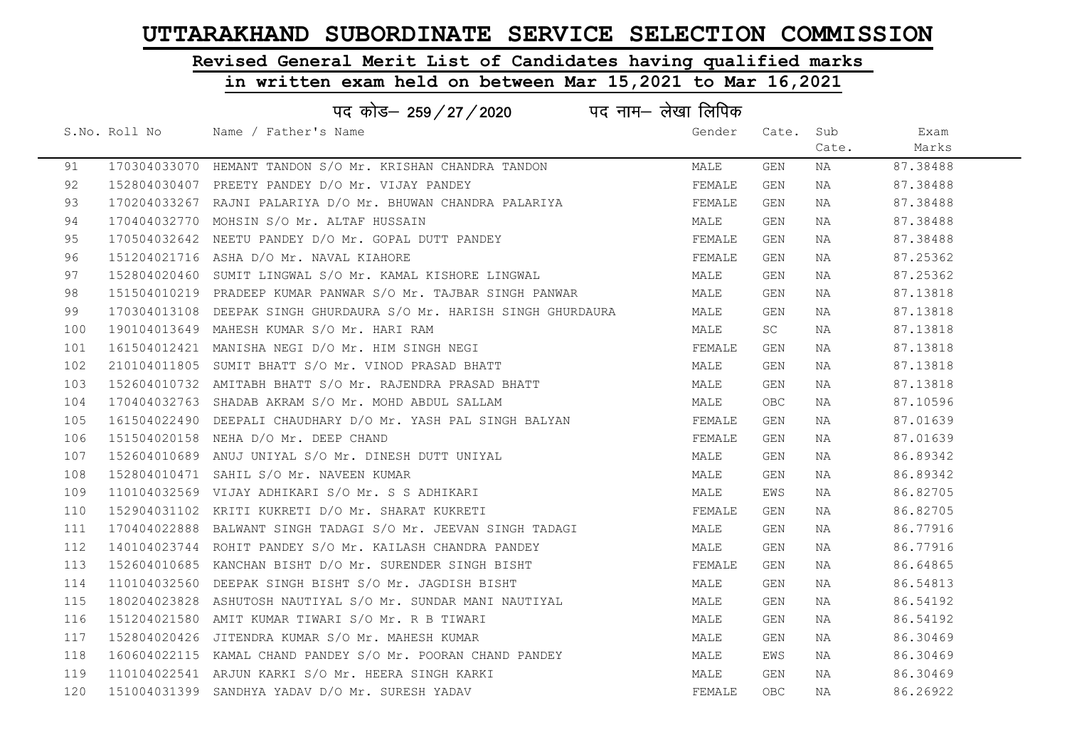# Revised General Merit List of Candidates having qualified marks

| पद नाम— लेखा लिपिक<br>पद कोड– 259/27/2020 |  |                                                                    |        |            |       |          |  |
|-------------------------------------------|--|--------------------------------------------------------------------|--------|------------|-------|----------|--|
|                                           |  | S.No. Roll No Mame / Father's Name                                 | Gender | Cate. Sub  |       | Exam     |  |
|                                           |  |                                                                    |        |            | Cate. | Marks    |  |
| 91                                        |  | 170304033070 HEMANT TANDON S/O Mr. KRISHAN CHANDRA TANDON          | MALE   | GEN        | ΝA    | 87.38488 |  |
| 92                                        |  | 152804030407 PREETY PANDEY D/O Mr. VIJAY PANDEY                    | FEMALE | GEN        | NA    | 87.38488 |  |
| 93                                        |  | 170204033267 RAJNI PALARIYA D/O Mr. BHUWAN CHANDRA PALARIYA        | FEMALE | GEN        | NA    | 87.38488 |  |
| 94                                        |  | 170404032770 MOHSIN S/O Mr. ALTAF HUSSAIN                          | MALE   | GEN        | NA    | 87.38488 |  |
| 95                                        |  | 170504032642 NEETU PANDEY D/O Mr. GOPAL DUTT PANDEY                | FEMALE | GEN        | NA    | 87.38488 |  |
| 96                                        |  | 151204021716 ASHA D/O Mr. NAVAL KIAHORE                            | FEMALE | GEN        | NA    | 87.25362 |  |
| 97                                        |  | 152804020460 SUMIT LINGWAL S/O Mr. KAMAL KISHORE LINGWAL           | MALE   | GEN        | NA    | 87.25362 |  |
| 98                                        |  | 151504010219 PRADEEP KUMAR PANWAR S/O Mr. TAJBAR SINGH PANWAR      | MALE   | GEN        | NA    | 87.13818 |  |
| 99                                        |  | 170304013108 DEEPAK SINGH GHURDAURA S/O Mr. HARISH SINGH GHURDAURA | MALE   | GEN        | NA    | 87.13818 |  |
| 100                                       |  | 190104013649 MAHESH KUMAR S/O Mr. HARI RAM                         | MALE   | SC         | NA    | 87.13818 |  |
| 101                                       |  | 161504012421 MANISHA NEGI D/O Mr. HIM SINGH NEGI                   | FEMALE | GEN        | NA    | 87.13818 |  |
| 102                                       |  | 210104011805 SUMIT BHATT S/O Mr. VINOD PRASAD BHATT                | MALE   | GEN        | NA    | 87.13818 |  |
| 103                                       |  | 152604010732 AMITABH BHATT S/O Mr. RAJENDRA PRASAD BHATT           | MALE   | GEN        | NA    | 87.13818 |  |
| 104                                       |  | 170404032763 SHADAB AKRAM S/O Mr. MOHD ABDUL SALLAM                | MALE   | OBC        | NA    | 87.10596 |  |
| 105                                       |  | 161504022490 DEEPALI CHAUDHARY D/O Mr. YASH PAL SINGH BALYAN       | FEMALE | GEN        | NA    | 87.01639 |  |
| 106                                       |  | 151504020158 NEHA D/O Mr. DEEP CHAND                               | FEMALE | GEN        | NA    | 87.01639 |  |
| 107                                       |  | 152604010689 ANUJ UNIYAL S/O Mr. DINESH DUTT UNIYAL                | MALE   | GEN        | NA    | 86.89342 |  |
| 108                                       |  | 152804010471 SAHIL S/O Mr. NAVEEN KUMAR                            | MALE   | GEN        | NA    | 86.89342 |  |
| 109                                       |  | 110104032569 VIJAY ADHIKARI S/O Mr. S S ADHIKARI                   | MALE   | EWS        | NA    | 86.82705 |  |
| 110                                       |  | 152904031102 KRITI KUKRETI D/O Mr. SHARAT KUKRETI                  | FEMALE | GEN        | NA    | 86.82705 |  |
| 111                                       |  | 170404022888 BALWANT SINGH TADAGI S/O Mr. JEEVAN SINGH TADAGI      | MALE   | GEN        | NA    | 86.77916 |  |
| 112                                       |  | 140104023744 ROHIT PANDEY S/O Mr. KAILASH CHANDRA PANDEY           | MALE   | GEN        | NA    | 86.77916 |  |
| 113                                       |  | 152604010685 KANCHAN BISHT D/O Mr. SURENDER SINGH BISHT            | FEMALE | GEN        | NA    | 86.64865 |  |
| 114                                       |  | 110104032560 DEEPAK SINGH BISHT S/O Mr. JAGDISH BISHT              | MALE   | GEN        | NA    | 86.54813 |  |
| 115                                       |  | 180204023828 ASHUTOSH NAUTIYAL S/O Mr. SUNDAR MANI NAUTIYAL        | MALE   | GEN        | NA    | 86.54192 |  |
| 116                                       |  | 151204021580 AMIT KUMAR TIWARI S/O Mr. R B TIWARI                  | MALE   | GEN        | NA    | 86.54192 |  |
| 117                                       |  | 152804020426 JITENDRA KUMAR S/O Mr. MAHESH KUMAR                   | MALE   | GEN        | NA    | 86.30469 |  |
| 118                                       |  | 160604022115 KAMAL CHAND PANDEY S/O Mr. POORAN CHAND PANDEY        | MALE   | EWS        | NA    | 86.30469 |  |
| 119                                       |  | 110104022541 ARJUN KARKI S/O Mr. HEERA SINGH KARKI                 | MALE   | GEN        | NA    | 86.30469 |  |
| 120                                       |  | 151004031399 SANDHYA YADAV D/O Mr. SURESH YADAV                    | FEMALE | <b>OBC</b> | NA    | 86.26922 |  |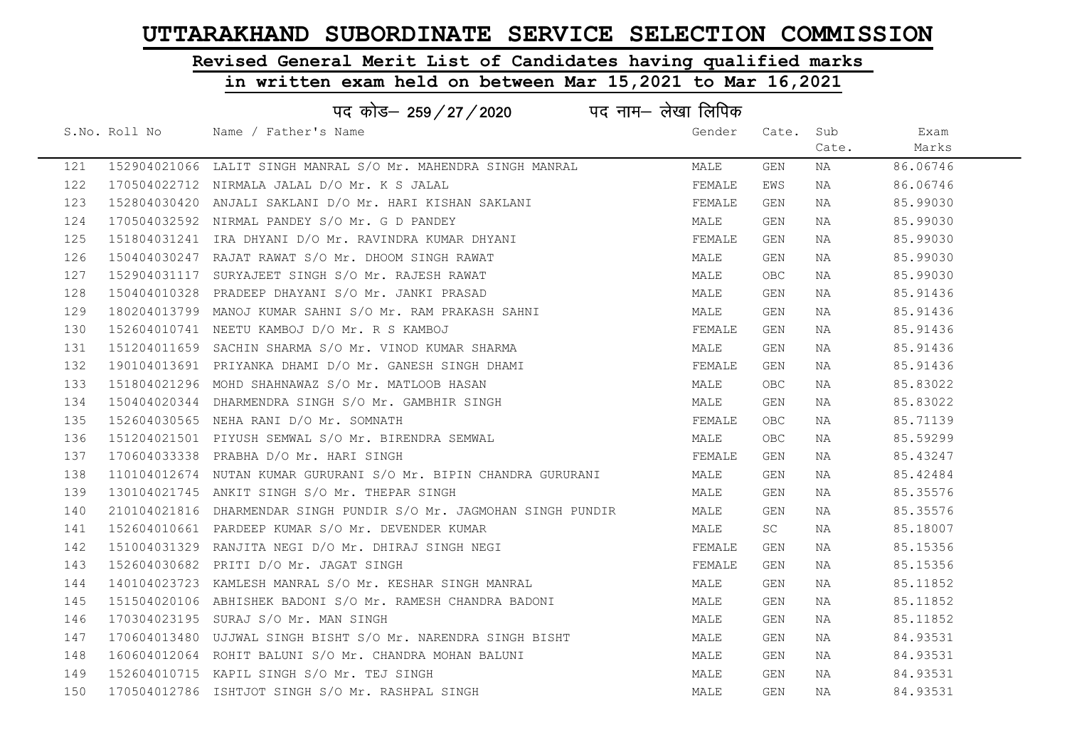# Revised General Merit List of Candidates having qualified marks

|     | पद कोड– 259/27/2020 पद नाम– लेखा लिपिक                             |        |                         |       |          |  |
|-----|--------------------------------------------------------------------|--------|-------------------------|-------|----------|--|
|     | S.No. Roll No Mame / Father's Name                                 | Gender | Cate.                   | Sub   | Exam     |  |
|     |                                                                    |        |                         | Cate. | Marks    |  |
| 121 | 152904021066 LALIT SINGH MANRAL S/O Mr. MAHENDRA SINGH MANRAL      | MALE   | GEN                     | NA    | 86.06746 |  |
| 122 | 170504022712 NIRMALA JALAL D/O Mr. K S JALAL                       | FEMALE | EWS                     | NA    | 86.06746 |  |
| 123 | 152804030420 ANJALI SAKLANI D/O Mr. HARI KISHAN SAKLANI            | FEMALE | GEN                     | NA    | 85.99030 |  |
| 124 | 170504032592 NIRMAL PANDEY S/O Mr. G D PANDEY                      | MALE   | GEN                     | NA    | 85.99030 |  |
| 125 | 151804031241 IRA DHYANI D/O Mr. RAVINDRA KUMAR DHYANI              | FEMALE | GEN                     | ΝA    | 85.99030 |  |
| 126 | 150404030247 RAJAT RAWAT S/O Mr. DHOOM SINGH RAWAT                 | MALE   | GEN                     | ΝA    | 85.99030 |  |
| 127 | 152904031117 SURYAJEET SINGH S/O Mr. RAJESH RAWAT                  | MALE   | <b>OBC</b>              | NA    | 85.99030 |  |
| 128 | 150404010328 PRADEEP DHAYANI S/O Mr. JANKI PRASAD                  | MALE   | $\mathop{\mathsf{GEN}}$ | NA    | 85.91436 |  |
| 129 | 180204013799 MANOJ KUMAR SAHNI S/O Mr. RAM PRAKASH SAHNI           | MALE   | GEN                     | NA    | 85.91436 |  |
| 130 | 152604010741 NEETU KAMBOJ D/O Mr. R S KAMBOJ                       | FEMALE | GEN                     | NA    | 85.91436 |  |
| 131 | 151204011659 SACHIN SHARMA S/O Mr. VINOD KUMAR SHARMA              | MALE   | GEN                     | NA    | 85.91436 |  |
| 132 | 190104013691 PRIYANKA DHAMI D/O Mr. GANESH SINGH DHAMI             | FEMALE | GEN                     | NA    | 85.91436 |  |
| 133 | 151804021296 MOHD SHAHNAWAZ S/O Mr. MATLOOB HASAN                  | MALE   | <b>OBC</b>              | NA    | 85.83022 |  |
| 134 | 150404020344 DHARMENDRA SINGH S/O Mr. GAMBHIR SINGH                | MALE   | GEN                     | NA    | 85.83022 |  |
| 135 | 152604030565 NEHA RANI D/O Mr. SOMNATH                             | FEMALE | OBC                     | NA    | 85.71139 |  |
| 136 | 151204021501 PIYUSH SEMWAL S/O Mr. BIRENDRA SEMWAL                 | MALE   | <b>OBC</b>              | NA    | 85.59299 |  |
| 137 | 170604033338 PRABHA D/O Mr. HARI SINGH                             | FEMALE | GEN                     | NA    | 85.43247 |  |
| 138 | 110104012674 NUTAN KUMAR GURURANI S/O Mr. BIPIN CHANDRA GURURANI   | MALE   | GEN                     | NA    | 85.42484 |  |
| 139 | 130104021745 ANKIT SINGH S/O Mr. THEPAR SINGH                      | MALE   | GEN                     | NA    | 85.35576 |  |
| 140 | 210104021816 DHARMENDAR SINGH PUNDIR S/O Mr. JAGMOHAN SINGH PUNDIR | MALE   | GEN                     | NA    | 85.35576 |  |
| 141 | 152604010661 PARDEEP KUMAR S/O Mr. DEVENDER KUMAR                  | MALE   | SC                      | NA    | 85.18007 |  |
| 142 | 151004031329 RANJITA NEGI D/O Mr. DHIRAJ SINGH NEGI                | FEMALE | GEN                     | NA    | 85.15356 |  |
| 143 | 152604030682 PRITI D/O Mr. JAGAT SINGH                             | FEMALE | GEN                     | NA    | 85.15356 |  |
| 144 | 140104023723 KAMLESH MANRAL S/O Mr. KESHAR SINGH MANRAL            | MALE   | GEN                     | ΝA    | 85.11852 |  |
| 145 | 151504020106 ABHISHEK BADONI S/O Mr. RAMESH CHANDRA BADONI         | MALE   | GEN                     | NA    | 85.11852 |  |
| 146 | 170304023195 SURAJ S/O Mr. MAN SINGH                               | MALE   | GEN                     | NA    | 85.11852 |  |
| 147 | 170604013480 UJJWAL SINGH BISHT S/O Mr. NARENDRA SINGH BISHT       | MALE   | GEN                     | NA    | 84.93531 |  |
| 148 | 160604012064 ROHIT BALUNI S/O Mr. CHANDRA MOHAN BALUNI             | MALE   | GEN                     | NA    | 84.93531 |  |
| 149 | 152604010715 KAPIL SINGH S/O Mr. TEJ SINGH                         | MALE   | GEN                     | NA    | 84.93531 |  |
| 150 | 170504012786 ISHTJOT SINGH S/O Mr. RASHPAL SINGH                   | MALE   | GEN                     | NA    | 84.93531 |  |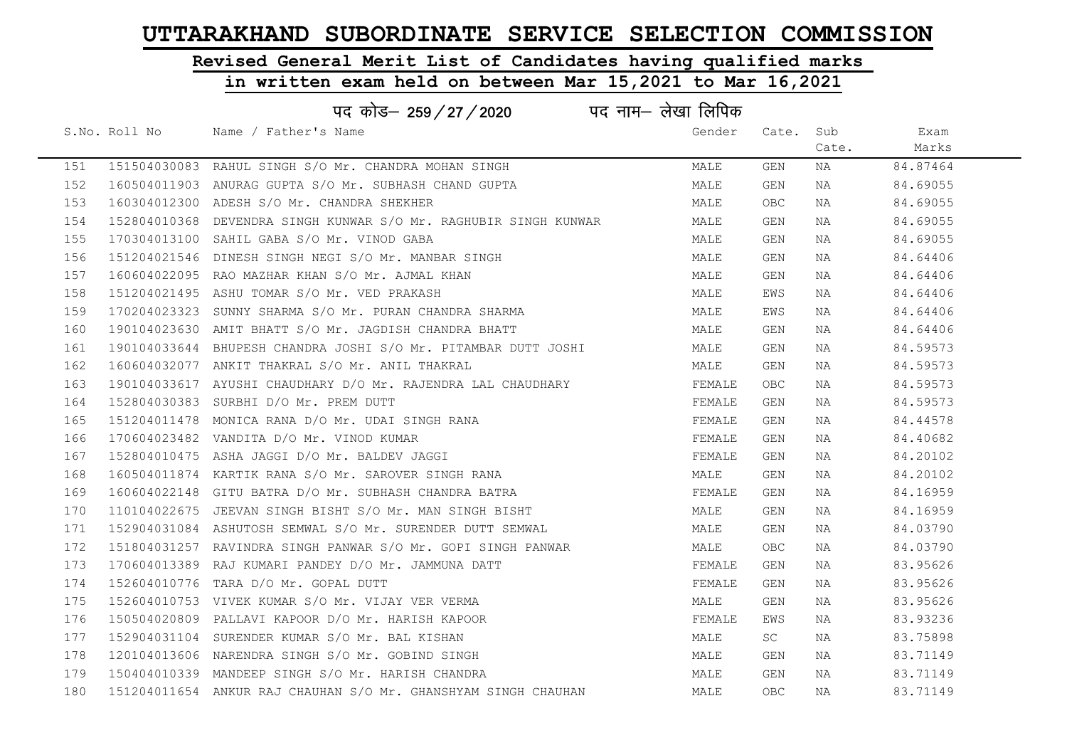# Revised General Merit List of Candidates having qualified marks

| पद नाम— लेखा लिपिक<br>पद कोड– 259/27/2020 |               |                                                                  |        |            |       |          |  |
|-------------------------------------------|---------------|------------------------------------------------------------------|--------|------------|-------|----------|--|
|                                           | S.No. Roll No | Name / Father's Name                                             | Gender | Cate.      | Sub   | Exam     |  |
|                                           |               |                                                                  |        |            | Cate. | Marks    |  |
| 151                                       |               | 151504030083 RAHUL SINGH S/O Mr. CHANDRA MOHAN SINGH             | MALE   | GEN        | NA    | 84.87464 |  |
| 152                                       |               | 160504011903 ANURAG GUPTA S/O Mr. SUBHASH CHAND GUPTA            | MALE   | GEN        | NA    | 84.69055 |  |
| 153                                       |               | 160304012300 ADESH S/O Mr. CHANDRA SHEKHER                       | MALE   | <b>OBC</b> | NA    | 84.69055 |  |
| 154                                       |               | 152804010368 DEVENDRA SINGH KUNWAR S/O Mr. RAGHUBIR SINGH KUNWAR | MALE   | GEN        | NA    | 84.69055 |  |
| 155                                       |               | 170304013100 SAHIL GABA S/O Mr. VINOD GABA                       | MALE   | GEN        | NA    | 84.69055 |  |
| 156                                       |               | 151204021546 DINESH SINGH NEGI S/O Mr. MANBAR SINGH              | MALE   | GEN        | NA    | 84.64406 |  |
| 157                                       |               | 160604022095 RAO MAZHAR KHAN S/O Mr. AJMAL KHAN                  | MALE   | GEN        | NA    | 84.64406 |  |
| 158                                       |               | 151204021495 ASHU TOMAR S/O Mr. VED PRAKASH                      | MALE   | EWS        | NA    | 84.64406 |  |
| 159                                       |               | 170204023323 SUNNY SHARMA S/O Mr. PURAN CHANDRA SHARMA           | MALE   | EWS        | NA    | 84.64406 |  |
| 160                                       |               | 190104023630 AMIT BHATT S/O Mr. JAGDISH CHANDRA BHATT            | MALE   | GEN        | NA    | 84.64406 |  |
| 161                                       |               | 190104033644 BHUPESH CHANDRA JOSHI S/O Mr. PITAMBAR DUTT JOSHI   | MALE   | GEN        | NA    | 84.59573 |  |
| 162                                       |               | 160604032077 ANKIT THAKRAL S/O Mr. ANIL THAKRAL                  | MALE   | GEN        | NA    | 84.59573 |  |
| 163                                       |               | 190104033617 AYUSHI CHAUDHARY D/O Mr. RAJENDRA LAL CHAUDHARY     | FEMALE | OBC.       | NA    | 84.59573 |  |
| 164                                       |               | 152804030383 SURBHI D/O Mr. PREM DUTT                            | FEMALE | GEN        | NA    | 84.59573 |  |
| 165                                       |               | 151204011478 MONICA RANA D/O Mr. UDAI SINGH RANA                 | FEMALE | GEN        | NA    | 84.44578 |  |
| 166                                       |               | 170604023482 VANDITA D/O Mr. VINOD KUMAR                         | FEMALE | GEN        | NA    | 84.40682 |  |
| 167                                       |               | 152804010475 ASHA JAGGI D/O Mr. BALDEV JAGGI                     | FEMALE | GEN        | NA    | 84.20102 |  |
| 168                                       |               | 160504011874 KARTIK RANA S/O Mr. SAROVER SINGH RANA              | MALE   | GEN        | NA    | 84.20102 |  |
| 169                                       |               | 160604022148 GITU BATRA D/O Mr. SUBHASH CHANDRA BATRA            | FEMALE | GEN        | NA    | 84.16959 |  |
| 170                                       |               | 110104022675 JEEVAN SINGH BISHT S/O Mr. MAN SINGH BISHT          | MALE   | GEN        | NA    | 84.16959 |  |
| 171                                       |               | 152904031084 ASHUTOSH SEMWAL S/O Mr. SURENDER DUTT SEMWAL        | MALE   | GEN        | NA    | 84.03790 |  |
| 172                                       |               | 151804031257 RAVINDRA SINGH PANWAR S/O Mr. GOPI SINGH PANWAR     | MALE   | OBC.       | NA    | 84.03790 |  |
| 173                                       |               | 170604013389 RAJ KUMARI PANDEY D/O Mr. JAMMUNA DATT              | FEMALE | GEN        | ΝA    | 83.95626 |  |
| 174                                       |               | 152604010776 TARA D/O Mr. GOPAL DUTT                             | FEMALE | GEN        | NA    | 83.95626 |  |
| 175                                       |               | 152604010753 VIVEK KUMAR S/O Mr. VIJAY VER VERMA                 | MALE   | GEN        | NA    | 83.95626 |  |
| 176                                       |               | 150504020809 PALLAVI KAPOOR D/O Mr. HARISH KAPOOR                | FEMALE | EWS        | ΝA    | 83.93236 |  |
| 177                                       |               | 152904031104 SURENDER KUMAR S/O Mr. BAL KISHAN                   | MALE   | SC         | NA    | 83.75898 |  |
| 178                                       |               | 120104013606 NARENDRA SINGH S/O Mr. GOBIND SINGH                 | MALE   | GEN        | NA    | 83.71149 |  |
| 179                                       |               | 150404010339 MANDEEP SINGH S/O Mr. HARISH CHANDRA                | MALE   | GEN        | NA    | 83.71149 |  |
| 180                                       |               | 151204011654 ANKUR RAJ CHAUHAN S/O Mr. GHANSHYAM SINGH CHAUHAN   | MALE   | <b>OBC</b> | NA    | 83.71149 |  |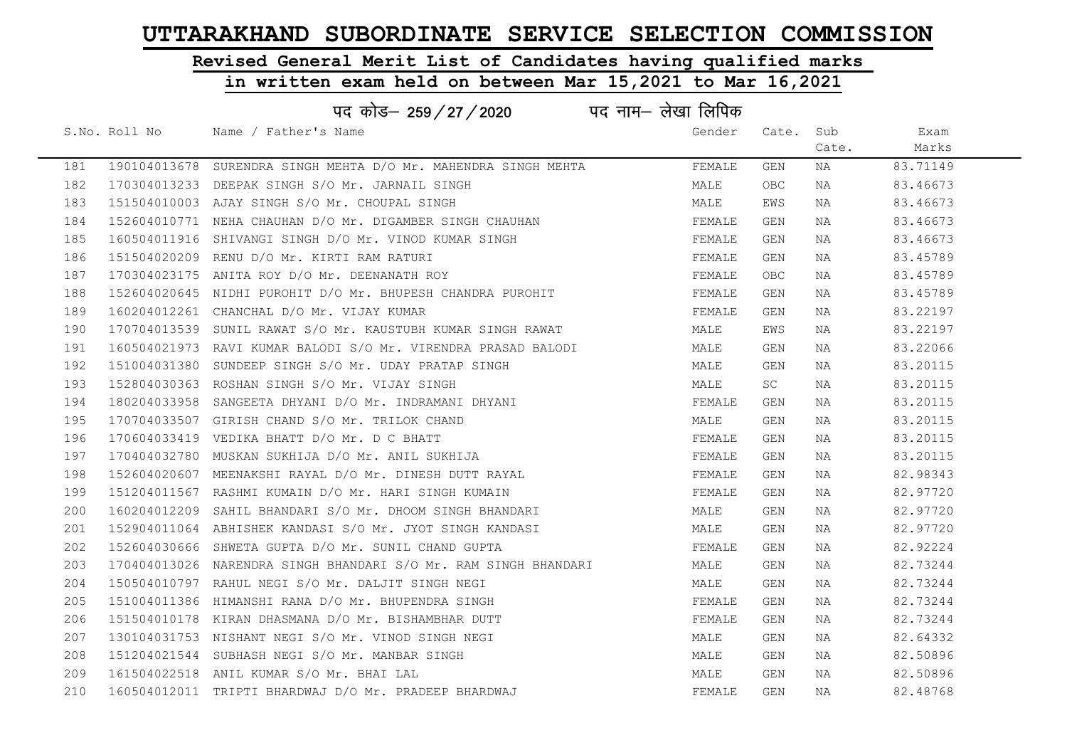# Revised General Merit List of Candidates having qualified marks

|     |               | पद कोड— 259 / 27 / 2020                                         | पद नाम– लेखा लिपिक |            |       |          |
|-----|---------------|-----------------------------------------------------------------|--------------------|------------|-------|----------|
|     | S.No. Roll No | Name / Father's Name                                            | Gender             | Cate.      | Sub   | Exam     |
|     |               |                                                                 |                    |            | Cate. | Marks    |
| 181 |               | 190104013678 SURENDRA SINGH MEHTA D/O Mr. MAHENDRA SINGH MEHTA  | FEMALE             | GEN        | NA    | 83.71149 |
| 182 |               | 170304013233 DEEPAK SINGH S/O Mr. JARNAIL SINGH                 | MALE               | <b>OBC</b> | NA    | 83.46673 |
| 183 |               | 151504010003 AJAY SINGH S/O Mr. CHOUPAL SINGH                   | MALE               | EWS        | NA    | 83.46673 |
| 184 |               | 152604010771 NEHA CHAUHAN D/O Mr. DIGAMBER SINGH CHAUHAN        | FEMALE             | GEN        | NA    | 83.46673 |
| 185 |               | 160504011916 SHIVANGI SINGH D/O Mr. VINOD KUMAR SINGH           | FEMALE             | GEN        | NA    | 83.46673 |
| 186 |               | 151504020209 RENU D/O Mr. KIRTI RAM RATURI                      | FEMALE             | GEN        | NA    | 83.45789 |
| 187 |               | 170304023175 ANITA ROY D/O Mr. DEENANATH ROY                    | FEMALE             | <b>OBC</b> | NA    | 83.45789 |
| 188 |               | 152604020645 NIDHI PUROHIT D/O Mr. BHUPESH CHANDRA PUROHIT      | FEMALE             | GEN        | NA    | 83.45789 |
| 189 |               | 160204012261 CHANCHAL D/O Mr. VIJAY KUMAR                       | FEMALE             | GEN        | ΝA    | 83.22197 |
| 190 |               | 170704013539 SUNIL RAWAT S/O Mr. KAUSTUBH KUMAR SINGH RAWAT     | MALE               | EWS        | NA    | 83.22197 |
| 191 |               | 160504021973 RAVI KUMAR BALODI S/O Mr. VIRENDRA PRASAD BALODI   | MALE               | GEN        | NA    | 83.22066 |
| 192 |               | 151004031380 SUNDEEP SINGH S/O Mr. UDAY PRATAP SINGH            | MALE               | GEN        | NA    | 83.20115 |
| 193 |               | 152804030363 ROSHAN SINGH S/O Mr. VIJAY SINGH                   | MALE               | SC         | NA    | 83.20115 |
| 194 |               | 180204033958 SANGEETA DHYANI D/O Mr. INDRAMANI DHYANI           | FEMALE             | GEN        | NA    | 83.20115 |
| 195 |               | 170704033507 GIRISH CHAND S/O Mr. TRILOK CHAND                  | MALE               | GEN        | NA    | 83.20115 |
| 196 |               | 170604033419 VEDIKA BHATT D/O Mr. D C BHATT                     | FEMALE             | GEN        | NA    | 83.20115 |
| 197 |               | 170404032780 MUSKAN SUKHIJA D/O Mr. ANIL SUKHIJA                | FEMALE             | GEN        | NA    | 83.20115 |
| 198 |               | 152604020607 MEENAKSHI RAYAL D/O Mr. DINESH DUTT RAYAL          | FEMALE             | GEN        | NA    | 82.98343 |
| 199 |               | 151204011567 RASHMI KUMAIN D/O Mr. HARI SINGH KUMAIN            | FEMALE             | GEN        | NA    | 82.97720 |
| 200 |               | 160204012209 SAHIL BHANDARI S/O Mr. DHOOM SINGH BHANDARI        | MALE               | GEN        | NA    | 82.97720 |
| 201 |               | 152904011064 ABHISHEK KANDASI S/O Mr. JYOT SINGH KANDASI        | MALE               | GEN        | NA    | 82.97720 |
| 202 |               | 152604030666 SHWETA GUPTA D/O Mr. SUNIL CHAND GUPTA             | FEMALE             | GEN        | NA    | 82.92224 |
| 203 |               | 170404013026 NARENDRA SINGH BHANDARI S/O Mr. RAM SINGH BHANDARI | MALE               | GEN        | NA    | 82.73244 |
| 204 |               | 150504010797 RAHUL NEGI S/O Mr. DALJIT SINGH NEGI               | MALE               | GEN        | ΝA    | 82.73244 |
| 205 |               | 151004011386 HIMANSHI RANA D/O Mr. BHUPENDRA SINGH              | FEMALE             | GEN        | NA    | 82.73244 |
| 206 |               | 151504010178 KIRAN DHASMANA D/O Mr. BISHAMBHAR DUTT             | FEMALE             | GEN        | NA    | 82.73244 |
| 207 |               | 130104031753 NISHANT NEGI S/O Mr. VINOD SINGH NEGI              | MALE               | GEN        | NA    | 82.64332 |
| 208 |               | 151204021544 SUBHASH NEGI S/O Mr. MANBAR SINGH                  | MALE               | GEN        | NA    | 82.50896 |
| 209 |               | 161504022518 ANIL KUMAR S/O Mr. BHAI LAL                        | MALE               | GEN        | NA    | 82.50896 |
| 210 |               | 160504012011 TRIPTI BHARDWAJ D/O Mr. PRADEEP BHARDWAJ           | FEMALE             | <b>GEN</b> | ΝA    | 82.48768 |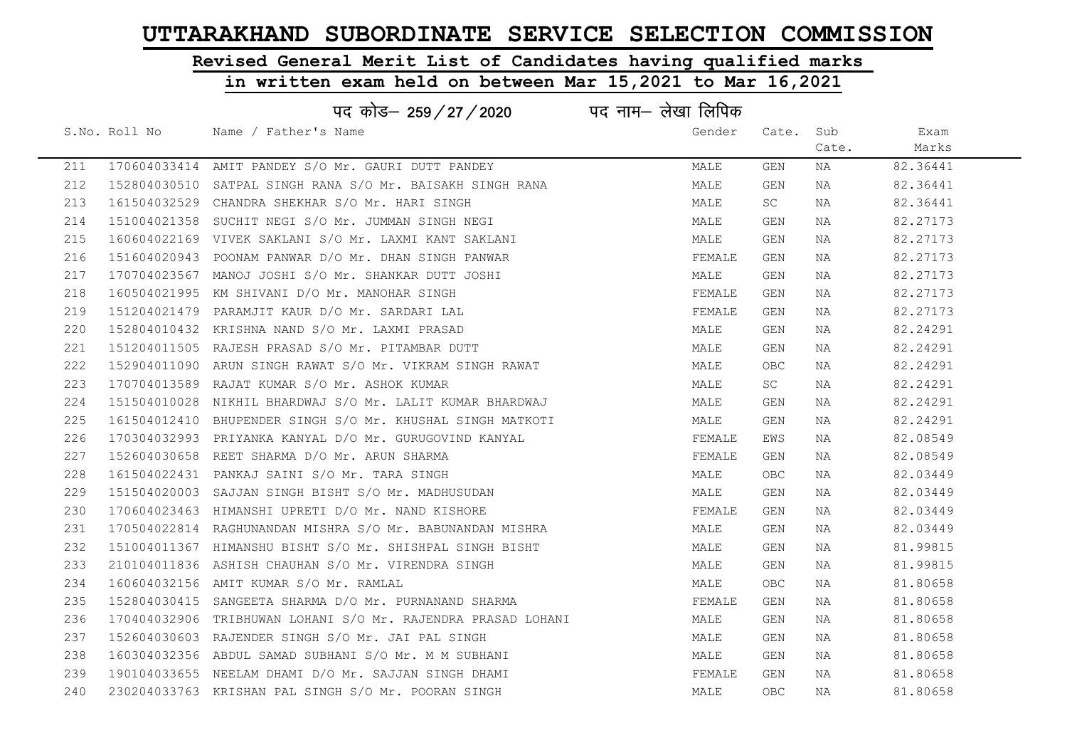# Revised General Merit List of Candidates having qualified marks

|     |               | पद कोड– 259/27/2020                                          | पद नाम– लेखा लिपिक |            |       |          |
|-----|---------------|--------------------------------------------------------------|--------------------|------------|-------|----------|
|     | S.No. Roll No | Name / Father's Name                                         | Gender             | Cate. Sub  |       | Exam     |
|     |               |                                                              |                    |            | Cate. | Marks    |
| 211 |               | 170604033414 AMIT PANDEY S/O Mr. GAURI DUTT PANDEY           | MALE               | GEN        | NA    | 82.36441 |
| 212 |               | 152804030510 SATPAL SINGH RANA S/O Mr. BAISAKH SINGH RANA    | MALE               | GEN        | NA    | 82.36441 |
| 213 |               | 161504032529 CHANDRA SHEKHAR S/O Mr. HARI SINGH              | MALE               | SC         | NA    | 82.36441 |
| 214 |               | 151004021358 SUCHIT NEGI S/O Mr. JUMMAN SINGH NEGI           | MALE               | GEN        | NA    | 82.27173 |
| 215 |               | 160604022169 VIVEK SAKLANI S/O Mr. LAXMI KANT SAKLANI        | MALE               | GEN        | NA    | 82.27173 |
| 216 |               | 151604020943 POONAM PANWAR D/O Mr. DHAN SINGH PANWAR         | FEMALE             | GEN        | NA    | 82.27173 |
| 217 |               | 170704023567 MANOJ JOSHI S/O Mr. SHANKAR DUTT JOSHI          | MALE               | GEN        | NA    | 82.27173 |
| 218 |               | 160504021995 KM SHIVANI D/O Mr. MANOHAR SINGH                | FEMALE             | GEN        | NA    | 82.27173 |
| 219 |               | 151204021479 PARAMJIT KAUR D/O Mr. SARDARI LAL               | FEMALE             | GEN        | NA    | 82.27173 |
| 220 |               | 152804010432 KRISHNA NAND S/O Mr. LAXMI PRASAD               | MALE               | GEN        | NA    | 82.24291 |
| 221 |               | 151204011505 RAJESH PRASAD S/O Mr. PITAMBAR DUTT             | MALE               | GEN        | NA    | 82.24291 |
| 222 |               | 152904011090 ARUN SINGH RAWAT S/O Mr. VIKRAM SINGH RAWAT     | MALE               | <b>OBC</b> | NA    | 82.24291 |
| 223 |               | 170704013589 RAJAT KUMAR S/O Mr. ASHOK KUMAR                 | MALE               | <b>SC</b>  | NA    | 82.24291 |
| 224 |               | 151504010028 NIKHIL BHARDWAJ S/O Mr. LALIT KUMAR BHARDWAJ    | MALE               | GEN        | NA    | 82.24291 |
| 225 |               | 161504012410 BHUPENDER SINGH S/O Mr. KHUSHAL SINGH MATKOTI   | MALE               | GEN        | NA    | 82.24291 |
| 226 |               | 170304032993 PRIYANKA KANYAL D/O Mr. GURUGOVIND KANYAL       | FEMALE             | EWS        | NA    | 82.08549 |
| 227 |               | 152604030658 REET SHARMA D/O Mr. ARUN SHARMA                 | FEMALE             | GEN        | NA    | 82.08549 |
| 228 |               | 161504022431 PANKAJ SAINI S/O Mr. TARA SINGH                 | MALE               | <b>OBC</b> | NA    | 82.03449 |
| 229 |               | 151504020003 SAJJAN SINGH BISHT S/O Mr. MADHUSUDAN           | MALE               | GEN        | NA    | 82.03449 |
| 230 |               | 170604023463 HIMANSHI UPRETI D/O Mr. NAND KISHORE            | FEMALE             | GEN        | NA    | 82.03449 |
| 231 |               | 170504022814 RAGHUNANDAN MISHRA S/O Mr. BABUNANDAN MISHRA    | MALE               | GEN        | NA    | 82.03449 |
| 232 |               | 151004011367 HIMANSHU BISHT S/O Mr. SHISHPAL SINGH BISHT     | MALE               | GEN        | NA    | 81.99815 |
| 233 |               | 210104011836 ASHISH CHAUHAN S/O Mr. VIRENDRA SINGH           | MALE               | GEN        | NA    | 81.99815 |
| 234 |               | 160604032156 AMIT KUMAR S/O Mr. RAMLAL                       | MALE               | OBC        | NA    | 81.80658 |
| 235 |               | 152804030415 SANGEETA SHARMA D/O Mr. PURNANAND SHARMA        | FEMALE             | GEN        | NA    | 81.80658 |
| 236 |               | 170404032906 TRIBHUWAN LOHANI S/O Mr. RAJENDRA PRASAD LOHANI | MALE               | GEN        | NA    | 81.80658 |
| 237 |               | 152604030603 RAJENDER SINGH S/O Mr. JAI PAL SINGH            | MALE               | GEN        | NA    | 81.80658 |
| 238 |               | 160304032356 ABDUL SAMAD SUBHANI S/O Mr. M M SUBHANI         | MALE               | GEN        | NA    | 81.80658 |
| 239 |               | 190104033655 NEELAM DHAMI D/O Mr. SAJJAN SINGH DHAMI         | FEMALE             | GEN        | NA    | 81.80658 |
| 240 |               | 230204033763 KRISHAN PAL SINGH S/O Mr. POORAN SINGH          | MALE               | <b>OBC</b> | ΝA    | 81.80658 |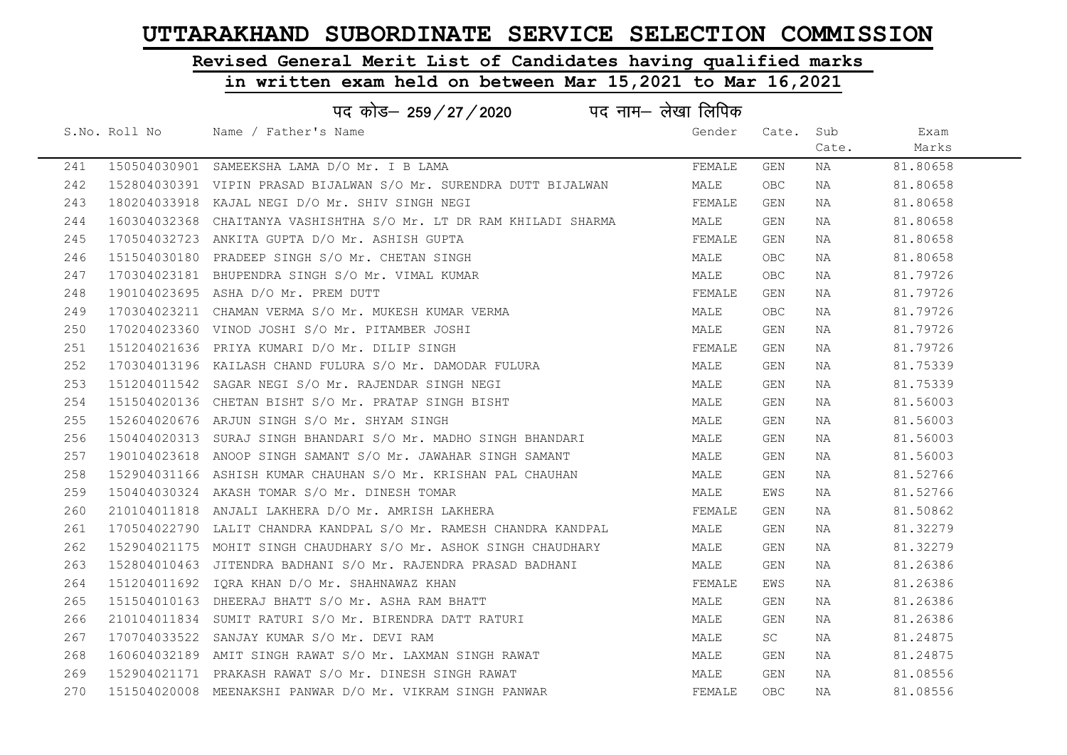# Revised General Merit List of Candidates having qualified marks

# in written exam held on between Mar 15,2021 to Mar 16,2021

|     | पद कोड– 259/27/2020 पद नाम– लेखा लिपिक |                                                                    |        |            |       |          |  |  |  |
|-----|----------------------------------------|--------------------------------------------------------------------|--------|------------|-------|----------|--|--|--|
|     | S.No. Roll No                          | Name / Father's Name                                               | Gender | Cate. Sub  |       | Exam     |  |  |  |
|     |                                        |                                                                    |        |            | Cate. | Marks    |  |  |  |
| 241 |                                        | 150504030901 SAMEEKSHA LAMA D/O Mr. I B LAMA                       | FEMALE | GEN        | NA    | 81.80658 |  |  |  |
| 242 |                                        | 152804030391 VIPIN PRASAD BIJALWAN S/O Mr. SURENDRA DUTT BIJALWAN  | MALE   | <b>OBC</b> | NA    | 81.80658 |  |  |  |
| 243 |                                        | 180204033918 KAJAL NEGI D/O Mr. SHIV SINGH NEGI                    | FEMALE | GEN        | NA    | 81.80658 |  |  |  |
| 244 |                                        | 160304032368 CHAITANYA VASHISHTHA S/O Mr. LT DR RAM KHILADI SHARMA | MALE   | GEN        | NA    | 81.80658 |  |  |  |
| 245 |                                        | 170504032723 ANKITA GUPTA D/O Mr. ASHISH GUPTA                     | FEMALE | GEN        | NA    | 81.80658 |  |  |  |
| 246 |                                        | 151504030180 PRADEEP SINGH S/O Mr. CHETAN SINGH                    | MALE   | <b>OBC</b> | NA    | 81.80658 |  |  |  |
| 247 |                                        | 170304023181 BHUPENDRA SINGH S/O Mr. VIMAL KUMAR                   | MALE   | OBC        | NA    | 81.79726 |  |  |  |
| 248 |                                        | 190104023695 ASHA D/O Mr. PREM DUTT                                | FEMALE | GEN        | NA    | 81.79726 |  |  |  |
| 249 |                                        | 170304023211 CHAMAN VERMA S/O Mr. MUKESH KUMAR VERMA               | MALE   | <b>OBC</b> | NA    | 81.79726 |  |  |  |
| 250 |                                        | 170204023360 VINOD JOSHI S/O Mr. PITAMBER JOSHI                    | MALE   | GEN        | NA    | 81.79726 |  |  |  |
| 251 |                                        | 151204021636 PRIYA KUMARI D/O Mr. DILIP SINGH                      | FEMALE | GEN        | NA    | 81.79726 |  |  |  |
| 252 |                                        |                                                                    | MALE   | GEN        | NA    | 81.75339 |  |  |  |
| 253 |                                        | 151204011542 SAGAR NEGI S/O Mr. RAJENDAR SINGH NEGI                | MALE   | GEN        | NA    | 81.75339 |  |  |  |
| 254 |                                        | 151504020136 CHETAN BISHT S/O Mr. PRATAP SINGH BISHT               | MALE   | GEN        | NA    | 81.56003 |  |  |  |
| 255 |                                        | 152604020676 ARJUN SINGH S/O Mr. SHYAM SINGH                       | MALE   | GEN        | NA    | 81.56003 |  |  |  |
| 256 |                                        | 150404020313 SURAJ SINGH BHANDARI S/O Mr. MADHO SINGH BHANDARI     | MALE   | GEN        | NA    | 81.56003 |  |  |  |
| 257 |                                        | 190104023618 ANOOP SINGH SAMANT S/O Mr. JAWAHAR SINGH SAMANT       | MALE   | GEN        | NA    | 81.56003 |  |  |  |
| 258 |                                        | 152904031166 ASHISH KUMAR CHAUHAN S/O Mr. KRISHAN PAL CHAUHAN      | MALE   | GEN        | NA    | 81.52766 |  |  |  |
| 259 |                                        | 150404030324 AKASH TOMAR S/O Mr. DINESH TOMAR                      | MALE   | EWS        | NA    | 81.52766 |  |  |  |
| 260 |                                        | 210104011818 ANJALI LAKHERA D/O Mr. AMRISH LAKHERA                 | FEMALE | GEN        | NA    | 81.50862 |  |  |  |
| 261 |                                        | 170504022790 LALIT CHANDRA KANDPAL S/O Mr. RAMESH CHANDRA KANDPAL  | MALE   | GEN        | NA    | 81.32279 |  |  |  |
| 262 |                                        | 152904021175 MOHIT SINGH CHAUDHARY S/O Mr. ASHOK SINGH CHAUDHARY   | MALE   | GEN        | NA    | 81.32279 |  |  |  |
| 263 |                                        | 152804010463 JITENDRA BADHANI S/O Mr. RAJENDRA PRASAD BADHANI      | MALE   | GEN        | NA    | 81.26386 |  |  |  |
| 264 |                                        | 151204011692 IORA KHAN D/O Mr. SHAHNAWAZ KHAN                      | FEMALE | EWS        | NA    | 81.26386 |  |  |  |
| 265 |                                        | 151504010163 DHEERAJ BHATT S/O Mr. ASHA RAM BHATT                  | MALE   | GEN        | NA    | 81.26386 |  |  |  |
| 266 |                                        | 210104011834 SUMIT RATURI S/O Mr. BIRENDRA DATT RATURI             | MALE   | GEN        | NA    | 81.26386 |  |  |  |
| 267 |                                        | 170704033522 SANJAY KUMAR S/O Mr. DEVI RAM                         | MALE   | SC         | NA    | 81.24875 |  |  |  |
| 268 |                                        | 160604032189 AMIT SINGH RAWAT S/O Mr. LAXMAN SINGH RAWAT           | MALE   | GEN        | NA    | 81.24875 |  |  |  |
| 269 |                                        | 152904021171 PRAKASH RAWAT S/O Mr. DINESH SINGH RAWAT              | MALE   | GEN        | NA    | 81.08556 |  |  |  |
| 270 |                                        | 151504020008 MEENAKSHI PANWAR D/O Mr. VIKRAM SINGH PANWAR          | FEMALE | <b>OBC</b> | NA    | 81.08556 |  |  |  |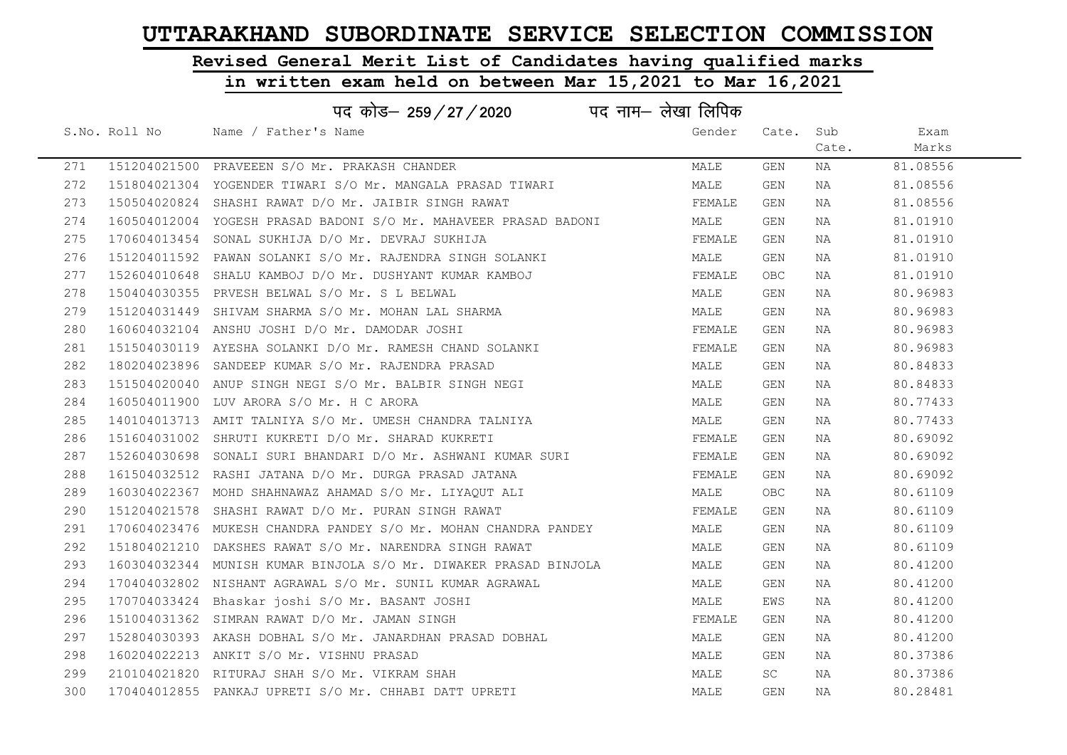# Revised General Merit List of Candidates having qualified marks

| पद कोड़- 259 / 27 / 2020 पद नाम- लेखा लिपिक |  |                                                                   |        |           |       |          |
|---------------------------------------------|--|-------------------------------------------------------------------|--------|-----------|-------|----------|
|                                             |  | S.No. Roll No Name / Father's Name                                | Gender | Cate. Sub |       | Exam     |
|                                             |  |                                                                   |        |           | Cate. | Marks    |
| 271                                         |  | 151204021500 PRAVEEEN S/O Mr. PRAKASH CHANDER                     | MALE   | GEN       | NA    | 81.08556 |
| 272                                         |  | 151804021304 YOGENDER TIWARI S/O Mr. MANGALA PRASAD TIWARI        | MALE   | GEN       | NA    | 81.08556 |
| 273                                         |  | 150504020824 SHASHI RAWAT D/O Mr. JAIBIR SINGH RAWAT              | FEMALE | GEN       | NA    | 81.08556 |
| 274                                         |  | 160504012004 YOGESH PRASAD BADONI S/O Mr. MAHAVEER PRASAD BADONI  | MALE   | GEN       | NA    | 81.01910 |
| 275                                         |  | 170604013454 SONAL SUKHIJA D/O Mr. DEVRAJ SUKHIJA                 | FEMALE | GEN       | NA    | 81.01910 |
| 276                                         |  | 151204011592 PAWAN SOLANKI S/O Mr. RAJENDRA SINGH SOLANKI         | MALE   | GEN       | NA    | 81.01910 |
| 277                                         |  | 152604010648 SHALU KAMBOJ D/O Mr. DUSHYANT KUMAR KAMBOJ           | FEMALE | OBC       | NA    | 81.01910 |
| 278                                         |  | 150404030355 PRVESH BELWAL S/O Mr. S L BELWAL                     | MALE   | GEN       | NA    | 80.96983 |
| 279                                         |  | 151204031449 SHIVAM SHARMA S/O Mr. MOHAN LAL SHARMA               | MALE   | GEN       | NA    | 80.96983 |
| 280                                         |  | 160604032104 ANSHU JOSHI D/O Mr. DAMODAR JOSHI                    | FEMALE | GEN       | NA    | 80.96983 |
| 281                                         |  | 151504030119 AYESHA SOLANKI D/O Mr. RAMESH CHAND SOLANKI          | FEMALE | GEN       | NA    | 80.96983 |
| 282                                         |  | 180204023896 SANDEEP KUMAR S/O Mr. RAJENDRA PRASAD                | MALE   | GEN       | NA    | 80.84833 |
| 283                                         |  | 151504020040 ANUP SINGH NEGI S/O Mr. BALBIR SINGH NEGI            | MALE   | GEN       | NA    | 80.84833 |
| 284                                         |  | 160504011900 LUV ARORA S/O Mr. H C ARORA                          | MALE   | GEN       | NA    | 80.77433 |
| 285                                         |  | 140104013713 AMIT TALNIYA S/O Mr. UMESH CHANDRA TALNIYA           | MALE   | GEN       | NA    | 80.77433 |
| 286                                         |  | 151604031002 SHRUTI KUKRETI D/O Mr. SHARAD KUKRETI                | FEMALE | GEN       | NA    | 80.69092 |
| 287                                         |  | 152604030698 SONALI SURI BHANDARI D/O Mr. ASHWANI KUMAR SURI      | FEMALE | GEN       | NA    | 80.69092 |
| 288                                         |  | 161504032512 RASHI JATANA D/O Mr. DURGA PRASAD JATANA             | FEMALE | GEN       | NA    | 80.69092 |
| 289                                         |  | 160304022367 MOHD SHAHNAWAZ AHAMAD S/O Mr. LIYAQUT ALI            | MALE   | OBC       | NA    | 80.61109 |
| 290                                         |  | 151204021578 SHASHI RAWAT D/O Mr. PURAN SINGH RAWAT               | FEMALE | GEN       | NA    | 80.61109 |
| 291                                         |  | 170604023476 MUKESH CHANDRA PANDEY S/O Mr. MOHAN CHANDRA PANDEY   | MALE   | GEN       | NA    | 80.61109 |
| 292                                         |  | 151804021210 DAKSHES RAWAT S/O Mr. NARENDRA SINGH RAWAT           | MALE   | GEN       | NA    | 80.61109 |
| 293                                         |  | 160304032344  MUNISH KUMAR BINJOLA S/O Mr. DIWAKER PRASAD BINJOLA | MALE   | GEN       | NA    | 80.41200 |
| 294                                         |  | 170404032802 NISHANT AGRAWAL S/O Mr. SUNIL KUMAR AGRAWAL          | MALE   | GEN       | NA    | 80.41200 |
| 295                                         |  | 170704033424 Bhaskar joshi S/O Mr. BASANT JOSHI                   | MALE   | EWS       | NA    | 80.41200 |
| 296                                         |  | 151004031362 SIMRAN RAWAT D/O Mr. JAMAN SINGH                     | FEMALE | GEN       | NA    | 80.41200 |
| 297                                         |  | 152804030393 AKASH DOBHAL S/O Mr. JANARDHAN PRASAD DOBHAL         | MALE   | GEN       | NA    | 80.41200 |
| 298                                         |  | 160204022213 ANKIT S/O Mr. VISHNU PRASAD                          | MALE   | GEN       | NA    | 80.37386 |
| 299                                         |  | 210104021820 RITURAJ SHAH S/O Mr. VIKRAM SHAH                     | MALE   | SC        | NA    | 80.37386 |
| 300                                         |  | 170404012855 PANKAJ UPRETI S/O Mr. CHHABI DATT UPRETI             | MALE   | GEN       | NA    | 80.28481 |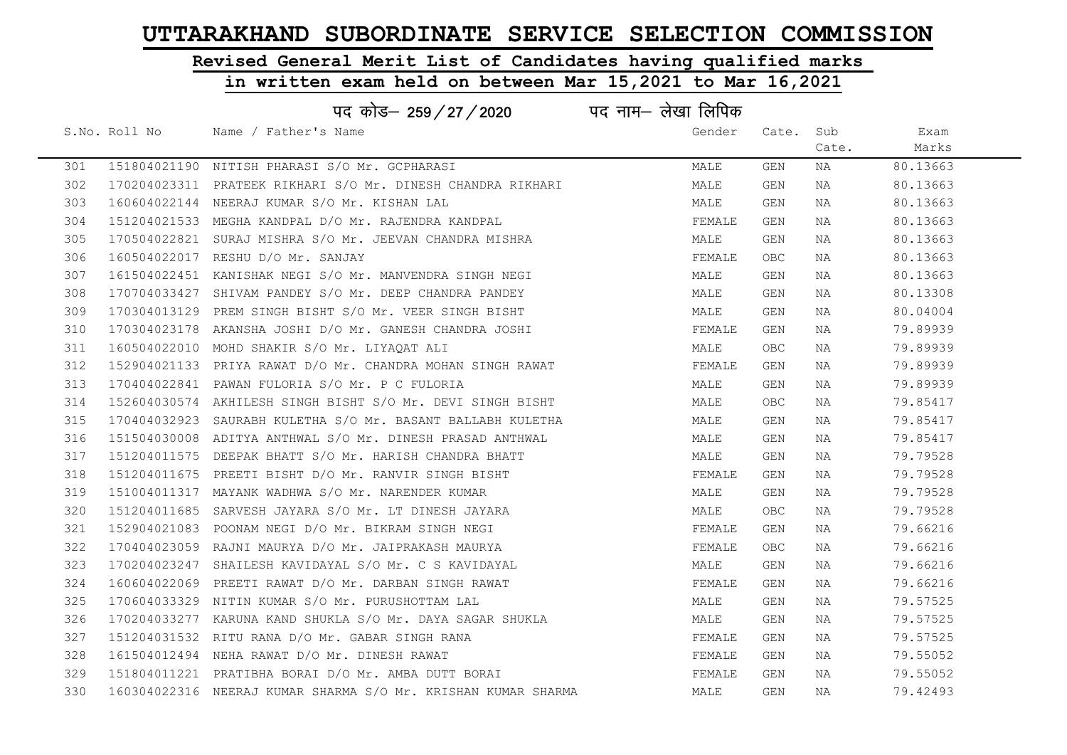# Revised General Merit List of Candidates having qualified marks

|     |               | पद कोड– 259/27/2020 पद नाम– लेखा लिपिक                        |        |            |       |          |
|-----|---------------|---------------------------------------------------------------|--------|------------|-------|----------|
|     | S.No. Roll No | Name / Father's Name                                          | Gender | Cate. Sub  |       | Exam     |
|     |               |                                                               |        |            | Cate. | Marks    |
| 301 |               | 151804021190 NITISH PHARASI S/O Mr. GCPHARASI                 | MALE   | GEN        | NA    | 80.13663 |
| 302 |               | 170204023311 PRATEEK RIKHARI S/O Mr. DINESH CHANDRA RIKHARI   | MALE   | GEN        | NA    | 80.13663 |
| 303 |               | 160604022144 NEERAJ KUMAR S/O Mr. KISHAN LAL                  | MALE   | GEN        | NA    | 80.13663 |
| 304 |               | 151204021533 MEGHA KANDPAL D/O Mr. RAJENDRA KANDPAL           | FEMALE | GEN        | NA    | 80.13663 |
| 305 |               | 170504022821 SURAJ MISHRA S/O Mr. JEEVAN CHANDRA MISHRA       | MALE   | GEN        | NA    | 80.13663 |
| 306 |               | 160504022017 RESHU D/O Mr. SANJAY                             | FEMALE | <b>OBC</b> | NA    | 80.13663 |
| 307 |               | 161504022451 KANISHAK NEGI S/O Mr. MANVENDRA SINGH NEGI       | MALE   | GEN        | NA    | 80.13663 |
| 308 |               | 170704033427 SHIVAM PANDEY S/O Mr. DEEP CHANDRA PANDEY        | MALE   | GEN        | NA    | 80.13308 |
| 309 |               | 170304013129 PREM SINGH BISHT S/O Mr. VEER SINGH BISHT        | MALE   | GEN        | NA    | 80.04004 |
| 310 |               | 170304023178 AKANSHA JOSHI D/O Mr. GANESH CHANDRA JOSHI       | FEMALE | GEN        | NA    | 79.89939 |
| 311 |               | 160504022010 MOHD SHAKIR S/O Mr. LIYAOAT ALI                  | MALE   | <b>OBC</b> | NA    | 79.89939 |
| 312 |               | 152904021133 PRIYA RAWAT D/O Mr. CHANDRA MOHAN SINGH RAWAT    | FEMALE | GEN        | NA    | 79.89939 |
| 313 |               | 170404022841 PAWAN FULORIA S/O Mr. P C FULORIA                | MALE   | GEN        | NA    | 79.89939 |
| 314 |               | 152604030574 AKHILESH SINGH BISHT S/O Mr. DEVI SINGH BISHT    | MALE   | OBC        | NA    | 79.85417 |
| 315 |               | 170404032923 SAURABH KULETHA S/O Mr. BASANT BALLABH KULETHA   | MALE   | GEN        | NA    | 79.85417 |
| 316 |               | 151504030008 ADITYA ANTHWAL S/O Mr. DINESH PRASAD ANTHWAL     | MALE   | GEN        | NA    | 79.85417 |
| 317 |               | 151204011575 DEEPAK BHATT S/O Mr. HARISH CHANDRA BHATT        | MALE   | GEN        | NA    | 79.79528 |
| 318 |               | 151204011675 PREETI BISHT D/O Mr. RANVIR SINGH BISHT          | FEMALE | GEN        | NA    | 79.79528 |
| 319 |               | 151004011317 MAYANK WADHWA S/O Mr. NARENDER KUMAR             | MALE   | GEN        | NA    | 79.79528 |
| 320 |               | 151204011685 SARVESH JAYARA S/O Mr. LT DINESH JAYARA          | MALE   | OBC        | NA    | 79.79528 |
| 321 |               | 152904021083 POONAM NEGI D/O Mr. BIKRAM SINGH NEGI            | FEMALE | GEN        | NA    | 79.66216 |
| 322 |               | 170404023059 RAJNI MAURYA D/O Mr. JAIPRAKASH MAURYA           | FEMALE | OBC        | NA    | 79.66216 |
| 323 |               | 170204023247 SHAILESH KAVIDAYAL S/O Mr. C S KAVIDAYAL         | MALE   | GEN        | NA    | 79.66216 |
| 324 |               | 160604022069 PREETI RAWAT D/O Mr. DARBAN SINGH RAWAT          | FEMALE | GEN        | NA    | 79.66216 |
| 325 |               | 170604033329 NITIN KUMAR S/O Mr. PURUSHOTTAM LAL              | MALE   | GEN        | NA    | 79.57525 |
| 326 |               | 170204033277 KARUNA KAND SHUKLA S/O Mr. DAYA SAGAR SHUKLA     | MALE   | GEN        | NA    | 79.57525 |
| 327 |               | 151204031532 RITU RANA D/O Mr. GABAR SINGH RANA               | FEMALE | GEN        | NA    | 79.57525 |
| 328 |               | 161504012494 NEHA RAWAT D/O Mr. DINESH RAWAT                  | FEMALE | GEN        | NA    | 79.55052 |
| 329 |               | 151804011221 PRATIBHA BORAI D/O Mr. AMBA DUTT BORAI           | FEMALE | GEN        | NA    | 79.55052 |
| 330 |               | 160304022316 NEERAJ KUMAR SHARMA S/O Mr. KRISHAN KUMAR SHARMA | MALE   | GEN        | NA    | 79.42493 |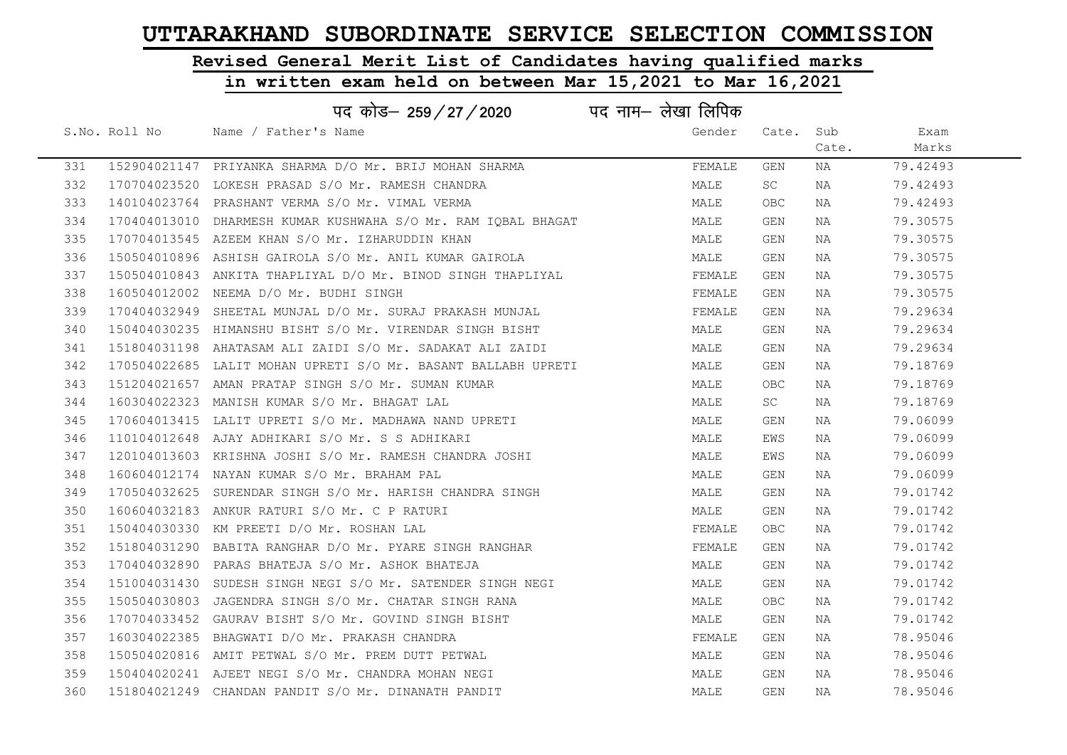# Revised General Merit List of Candidates having qualified marks

|     |               | पद कोड– 259/27/2020 पद नाम– लेखा लिपिक                        |        |            |       |          |  |
|-----|---------------|---------------------------------------------------------------|--------|------------|-------|----------|--|
|     | S.No. Roll No | Name / Father's Name                                          | Gender | Cate.      | Sub   | Exam     |  |
|     |               |                                                               |        |            | Cate. | Marks    |  |
| 331 |               | 152904021147 PRIYANKA SHARMA D/O Mr. BRIJ MOHAN SHARMA        | FEMALE | GEN        | NA    | 79.42493 |  |
| 332 |               | 170704023520 LOKESH PRASAD S/O Mr. RAMESH CHANDRA             | MALE   | SC         | NA    | 79.42493 |  |
| 333 |               | 140104023764 PRASHANT VERMA S/O Mr. VIMAL VERMA               | MALE   | OBC        | NA    | 79.42493 |  |
| 334 |               | 170404013010 DHARMESH KUMAR KUSHWAHA S/O Mr. RAM IOBAL BHAGAT | MALE   | GEN        | NA    | 79.30575 |  |
| 335 |               | 170704013545 AZEEM KHAN S/O Mr. IZHARUDDIN KHAN               | MALE   | GEN        | NA    | 79.30575 |  |
| 336 |               | 150504010896 ASHISH GAIROLA S/O Mr. ANIL KUMAR GAIROLA        | MALE   | GEN        | NA    | 79.30575 |  |
| 337 |               | 150504010843 ANKITA THAPLIYAL D/O Mr. BINOD SINGH THAPLIYAL   | FEMALE | GEN        | NA    | 79.30575 |  |
| 338 |               | 160504012002 NEEMA D/O Mr. BUDHI SINGH                        | FEMALE | GEN        | NA    | 79.30575 |  |
| 339 |               | 170404032949 SHEETAL MUNJAL D/O Mr. SURAJ PRAKASH MUNJAL      | FEMALE | GEN        | NA    | 79.29634 |  |
| 340 |               | 150404030235 HIMANSHU BISHT S/O Mr. VIRENDAR SINGH BISHT      | MALE   | GEN        | NA    | 79.29634 |  |
| 341 |               | 151804031198 AHATASAM ALI ZAIDI S/O Mr. SADAKAT ALI ZAIDI     | MALE   | GEN        | NA    | 79.29634 |  |
| 342 |               | 170504022685 LALIT MOHAN UPRETI S/O Mr. BASANT BALLABH UPRETI | MALE   | GEN        | NA    | 79.18769 |  |
| 343 |               | 151204021657 AMAN PRATAP SINGH S/O Mr. SUMAN KUMAR            | MALE   | <b>OBC</b> | NA    | 79.18769 |  |
| 344 |               | 160304022323 MANISH KUMAR S/O Mr. BHAGAT LAL                  | MALE   | <b>SC</b>  | NA    | 79.18769 |  |
| 345 |               | 170604013415 LALIT UPRETI S/O Mr. MADHAWA NAND UPRETI         | MALE   | GEN        | NA    | 79.06099 |  |
| 346 |               | 110104012648 AJAY ADHIKARI S/O Mr. S S ADHIKARI               | MALE   | EWS        | NA    | 79.06099 |  |
| 347 |               | 120104013603 KRISHNA JOSHI S/O Mr. RAMESH CHANDRA JOSHI       | MALE   | EWS        | NA    | 79.06099 |  |
| 348 |               | 160604012174 NAYAN KUMAR S/O Mr. BRAHAM PAL                   | MALE   | GEN        | NA    | 79.06099 |  |
| 349 |               | 170504032625 SURENDAR SINGH S/O Mr. HARISH CHANDRA SINGH      | MALE   | GEN        | NA    | 79.01742 |  |
| 350 |               | 160604032183 ANKUR RATURI S/O Mr. C P RATURI                  | MALE   | GEN        | NA    | 79.01742 |  |
| 351 |               | 150404030330 KM PREETI D/O Mr. ROSHAN LAL                     | FEMALE | OBC        | NA    | 79.01742 |  |
| 352 |               | 151804031290 BABITA RANGHAR D/O Mr. PYARE SINGH RANGHAR       | FEMALE | GEN        | NA    | 79.01742 |  |
| 353 |               | 170404032890 PARAS BHATEJA S/O Mr. ASHOK BHATEJA              | MALE   | GEN        | NA    | 79.01742 |  |
| 354 |               | 151004031430 SUDESH SINGH NEGI S/O Mr. SATENDER SINGH NEGI    | MALE   | GEN        | NA    | 79.01742 |  |
| 355 |               | 150504030803 JAGENDRA SINGH S/O Mr. CHATAR SINGH RANA         | MALE   | <b>OBC</b> | NA    | 79.01742 |  |
| 356 |               | 170704033452 GAURAV BISHT S/O Mr. GOVIND SINGH BISHT          | MALE   | GEN        | NA    | 79.01742 |  |
| 357 |               | 160304022385 BHAGWATI D/O Mr. PRAKASH CHANDRA                 | FEMALE | GEN        | NA    | 78.95046 |  |
| 358 |               | 150504020816 AMIT PETWAL S/O Mr. PREM DUTT PETWAL             | MALE   | GEN        | NA    | 78.95046 |  |
| 359 |               | 150404020241 AJEET NEGI S/O Mr. CHANDRA MOHAN NEGI            | MALE   | GEN        | NA    | 78.95046 |  |
| 360 |               | 151804021249 CHANDAN PANDIT S/O Mr. DINANATH PANDIT           | MALE   | GEN        | ΝA    | 78.95046 |  |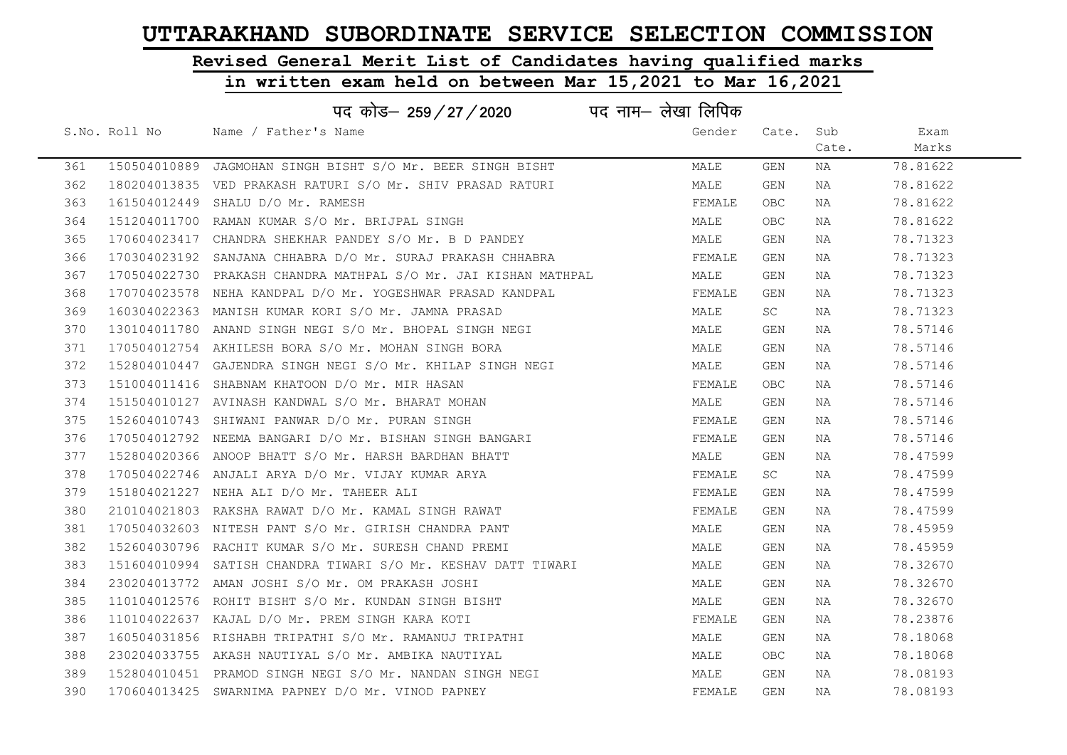# Revised General Merit List of Candidates having qualified marks

|     | पद कोड़– 259 / 27 / 2020 पद नाम– लेखा लिपिक |                                                                 |        |            |       |          |  |  |
|-----|---------------------------------------------|-----------------------------------------------------------------|--------|------------|-------|----------|--|--|
|     | S.No. Roll No                               | Name / Father's Name                                            | Gender | Cate. Sub  |       | Exam     |  |  |
|     |                                             |                                                                 |        |            | Cate. | Marks    |  |  |
| 361 |                                             | 150504010889 JAGMOHAN SINGH BISHT S/O Mr. BEER SINGH BISHT      | MALE   | GEN        | NA    | 78.81622 |  |  |
| 362 |                                             | 180204013835 VED PRAKASH RATURI S/O Mr. SHIV PRASAD RATURI      | MALE   | GEN        | NA    | 78.81622 |  |  |
| 363 |                                             | 161504012449 SHALU D/O Mr. RAMESH                               | FEMALE | OBC        | NA    | 78.81622 |  |  |
| 364 |                                             | 151204011700 RAMAN KUMAR S/O Mr. BRIJPAL SINGH                  | MALE   | OBC        | NA    | 78.81622 |  |  |
| 365 |                                             | 170604023417 CHANDRA SHEKHAR PANDEY S/O Mr. B D PANDEY          | MALE   | GEN        | NA    | 78.71323 |  |  |
| 366 |                                             | 170304023192 SANJANA CHHABRA D/O Mr. SURAJ PRAKASH CHHABRA      | FEMALE | GEN        | NA    | 78.71323 |  |  |
| 367 |                                             | 170504022730 PRAKASH CHANDRA MATHPAL S/O Mr. JAI KISHAN MATHPAL | MALE   | GEN        | NA    | 78.71323 |  |  |
| 368 |                                             | 170704023578 NEHA KANDPAL D/O Mr. YOGESHWAR PRASAD KANDPAL      | FEMALE | GEN        | NA    | 78.71323 |  |  |
| 369 |                                             | 160304022363 MANISH KUMAR KORI S/O Mr. JAMNA PRASAD             | MALE   | SC         | NA    | 78.71323 |  |  |
| 370 |                                             | 130104011780 ANAND SINGH NEGI S/O Mr. BHOPAL SINGH NEGI         | MALE   | GEN        | NA    | 78.57146 |  |  |
| 371 |                                             | 170504012754 AKHILESH BORA S/O Mr. MOHAN SINGH BORA             | MALE   | GEN        | NA    | 78.57146 |  |  |
| 372 |                                             | 152804010447 GAJENDRA SINGH NEGI S/O Mr. KHILAP SINGH NEGI      | MALE   | GEN        | NA    | 78.57146 |  |  |
| 373 |                                             | 151004011416 SHABNAM KHATOON D/O Mr. MIR HASAN                  | FEMALE | OBC        | NA    | 78.57146 |  |  |
| 374 |                                             | 151504010127 AVINASH KANDWAL S/O Mr. BHARAT MOHAN               | MALE   | GEN        | NA    | 78.57146 |  |  |
| 375 |                                             | 152604010743 SHIWANI PANWAR D/O Mr. PURAN SINGH                 | FEMALE | GEN        | NA    | 78.57146 |  |  |
| 376 |                                             | 170504012792 NEEMA BANGARI D/O Mr. BISHAN SINGH BANGARI         | FEMALE | GEN        | NA    | 78.57146 |  |  |
| 377 |                                             | 152804020366 ANOOP BHATT S/O Mr. HARSH BARDHAN BHATT            | MALE   | GEN        | NA    | 78.47599 |  |  |
| 378 |                                             | 170504022746 ANJALI ARYA D/O Mr. VIJAY KUMAR ARYA               | FEMALE | SC         | NA    | 78.47599 |  |  |
| 379 |                                             | 151804021227 NEHA ALI D/O Mr. TAHEER ALI                        | FEMALE | GEN        | NA    | 78.47599 |  |  |
| 380 |                                             | 210104021803 RAKSHA RAWAT D/O Mr. KAMAL SINGH RAWAT             | FEMALE | GEN        | NA    | 78.47599 |  |  |
| 381 |                                             | 170504032603 NITESH PANT S/O Mr. GIRISH CHANDRA PANT            | MALE   | GEN        | NA    | 78.45959 |  |  |
| 382 |                                             | 152604030796 RACHIT KUMAR S/O Mr. SURESH CHAND PREMI            | MALE   | GEN        | NA    | 78.45959 |  |  |
| 383 |                                             | 151604010994 SATISH CHANDRA TIWARI S/O Mr. KESHAV DATT TIWARI   | MALE   | GEN        | NA    | 78.32670 |  |  |
| 384 |                                             | 230204013772 AMAN JOSHI S/O Mr. OM PRAKASH JOSHI                | MALE   | GEN        | NA    | 78.32670 |  |  |
| 385 |                                             | 110104012576 ROHIT BISHT S/O Mr. KUNDAN SINGH BISHT             | MALE   | GEN        | NA    | 78.32670 |  |  |
| 386 |                                             | 110104022637 KAJAL D/O Mr. PREM SINGH KARA KOTI                 | FEMALE | GEN        | NA    | 78.23876 |  |  |
| 387 |                                             | 160504031856 RISHABH TRIPATHI S/O Mr. RAMANUJ TRIPATHI          | MALE   | GEN        | NA    | 78.18068 |  |  |
| 388 |                                             | 230204033755 AKASH NAUTIYAL S/O Mr. AMBIKA NAUTIYAL             | MALE   | <b>OBC</b> | NA    | 78.18068 |  |  |
| 389 |                                             | 152804010451 PRAMOD SINGH NEGI S/O Mr. NANDAN SINGH NEGI        | MALE   | GEN        | NA    | 78.08193 |  |  |
| 390 |                                             | 170604013425 SWARNIMA PAPNEY D/O Mr. VINOD PAPNEY               | FEMALE | GEN        | ΝA    | 78.08193 |  |  |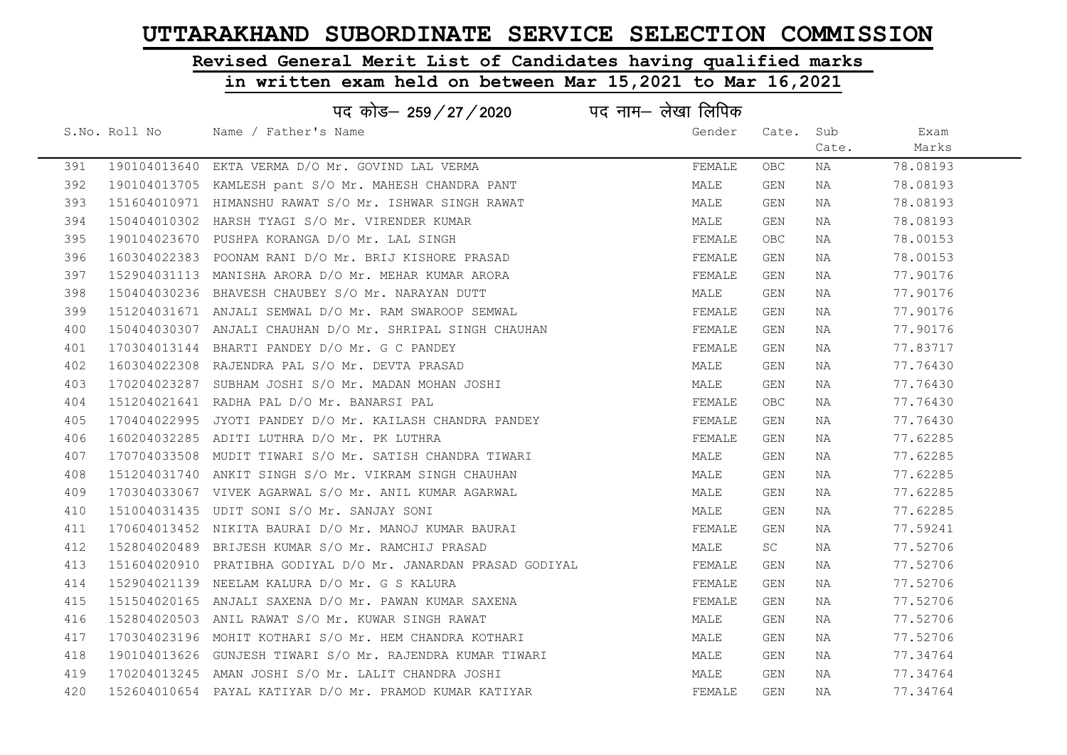# Revised General Merit List of Candidates having qualified marks

|     |               | पद कोड़- 259 / 27 / 2020 पद नाम- लेखा लिपिक                   |        |       |       |          |
|-----|---------------|---------------------------------------------------------------|--------|-------|-------|----------|
|     | S.No. Roll No | Name / Father's Name                                          | Gender | Cate. | Sub   | Exam     |
|     |               |                                                               |        |       | Cate. | Marks    |
| 391 |               | 190104013640 EKTA VERMA D/O Mr. GOVIND LAL VERMA              | FEMALE | OBC.  | ΝA    | 78.08193 |
| 392 |               | 190104013705 KAMLESH pant S/O Mr. MAHESH CHANDRA PANT         | MALE   | GEN   | NA    | 78.08193 |
| 393 |               | 151604010971 HIMANSHU RAWAT S/O Mr. ISHWAR SINGH RAWAT        | MALE   | GEN   | ΝA    | 78.08193 |
| 394 |               | 150404010302 HARSH TYAGI S/O Mr. VIRENDER KUMAR               | MALE   | GEN   | NA    | 78.08193 |
| 395 |               | 190104023670 PUSHPA KORANGA D/O Mr. LAL SINGH                 | FEMALE | OBC.  | NA    | 78.00153 |
| 396 |               | 160304022383 POONAM RANI D/O Mr. BRIJ KISHORE PRASAD          | FEMALE | GEN   | NA    | 78.00153 |
| 397 |               | 152904031113 MANISHA ARORA D/O Mr. MEHAR KUMAR ARORA          | FEMALE | GEN   | NA    | 77.90176 |
| 398 |               | 150404030236 BHAVESH CHAUBEY S/O Mr. NARAYAN DUTT             | MALE   | GEN   | NA    | 77.90176 |
| 399 |               | 151204031671 ANJALI SEMWAL D/O Mr. RAM SWAROOP SEMWAL         | FEMALE | GEN   | NA    | 77.90176 |
| 400 |               | 150404030307 ANJALI CHAUHAN D/O Mr. SHRIPAL SINGH CHAUHAN     | FEMALE | GEN   | NA    | 77.90176 |
| 401 |               | 170304013144 BHARTI PANDEY D/O Mr. G C PANDEY                 | FEMALE | GEN   | NA    | 77.83717 |
| 402 |               | 160304022308 RAJENDRA PAL S/O Mr. DEVTA PRASAD                | MALE   | GEN   | NA    | 77.76430 |
| 403 |               | 170204023287 SUBHAM JOSHI S/O Mr. MADAN MOHAN JOSHI           | MALE   | GEN   | NA    | 77.76430 |
| 404 |               | 151204021641 RADHA PAL D/O Mr. BANARSI PAL                    | FEMALE | OBC.  | NA    | 77.76430 |
| 405 |               | 170404022995 JYOTI PANDEY D/O Mr. KAILASH CHANDRA PANDEY      | FEMALE | GEN   | NA    | 77.76430 |
| 406 |               | 160204032285 ADITI LUTHRA D/O Mr. PK LUTHRA                   | FEMALE | GEN   | NA    | 77.62285 |
| 407 |               | 170704033508 MUDIT TIWARI S/O Mr. SATISH CHANDRA TIWARI       | MALE   | GEN   | NA    | 77.62285 |
| 408 |               | 151204031740 ANKIT SINGH S/O Mr. VIKRAM SINGH CHAUHAN         | MALE   | GEN   | NA    | 77.62285 |
| 409 |               | 170304033067 VIVEK AGARWAL S/O Mr. ANIL KUMAR AGARWAL         | MALE   | GEN   | NA    | 77.62285 |
| 410 |               | 151004031435 UDIT SONI S/O Mr. SANJAY SONI                    | MALE   | GEN   | NA    | 77.62285 |
| 411 |               | 170604013452 NIKITA BAURAI D/O Mr. MANOJ KUMAR BAURAI         | FEMALE | GEN   | NA    | 77.59241 |
| 412 |               | 152804020489 BRIJESH KUMAR S/O Mr. RAMCHIJ PRASAD             | MALE   | SC    | NA    | 77.52706 |
| 413 |               | 151604020910 PRATIBHA GODIYAL D/O Mr. JANARDAN PRASAD GODIYAL | FEMALE | GEN   | ΝA    | 77.52706 |
| 414 |               | 152904021139 NEELAM KALURA D/O Mr. G S KALURA                 | FEMALE | GEN   | NA    | 77.52706 |
| 415 |               | 151504020165 ANJALI SAXENA D/O Mr. PAWAN KUMAR SAXENA         | FEMALE | GEN   | ΝA    | 77.52706 |
| 416 |               | 152804020503 ANIL RAWAT S/O Mr. KUWAR SINGH RAWAT             | MALE   | GEN   | NA    | 77.52706 |
| 417 |               | 170304023196 MOHIT KOTHARI S/O Mr. HEM CHANDRA KOTHARI        | MALE   | GEN   | ΝA    | 77.52706 |
| 418 |               | 190104013626 GUNJESH TIWARI S/O Mr. RAJENDRA KUMAR TIWARI     | MALE   | GEN   | NA    | 77.34764 |
| 419 |               | 170204013245 AMAN JOSHI S/O Mr. LALIT CHANDRA JOSHI           | MALE   | GEN   | NA    | 77.34764 |
| 420 |               | 152604010654 PAYAL KATIYAR D/O Mr. PRAMOD KUMAR KATIYAR       | FEMALE | GEN   | NA    | 77.34764 |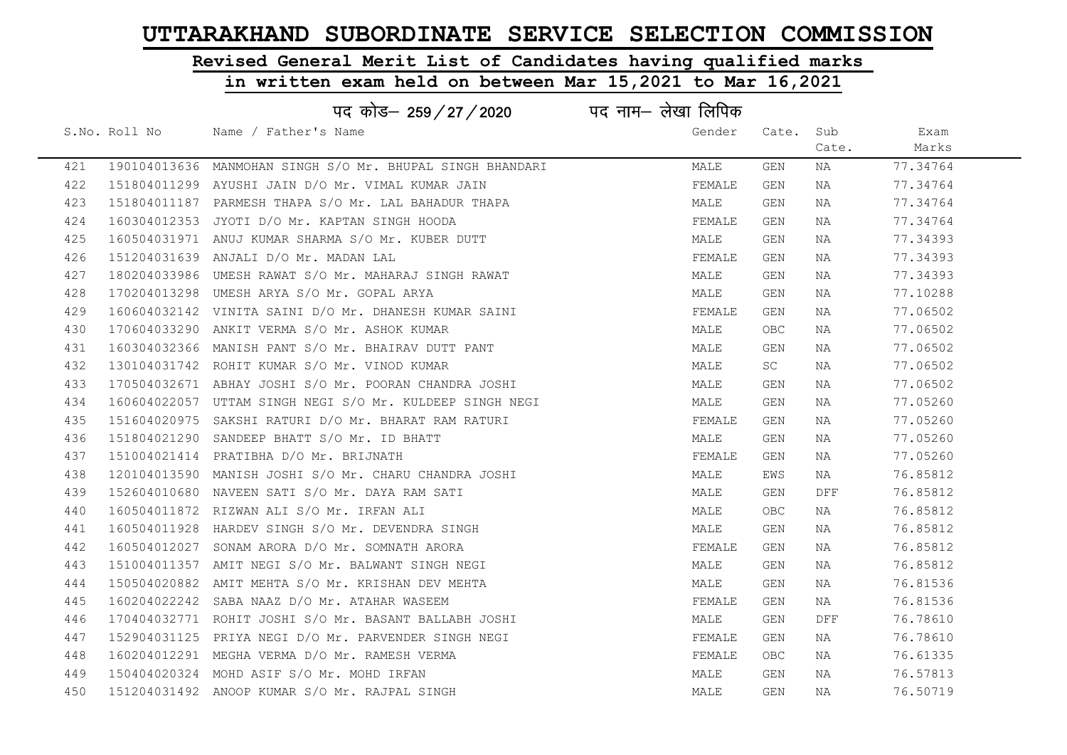# Revised General Merit List of Candidates having qualified marks

### in written exam held on between Mar 15,2021 to Mar 16,2021

|     |               | पद कोड– 259/27/2020 पद नाम– लेखा लिपिक                    |        |           |       |          |
|-----|---------------|-----------------------------------------------------------|--------|-----------|-------|----------|
|     | S.No. Roll No | Name / Father's Name                                      | Gender | Cate. Sub |       | Exam     |
|     |               |                                                           |        |           | Cate. | Marks    |
| 421 |               | 190104013636 MANMOHAN SINGH S/O Mr. BHUPAL SINGH BHANDARI | MALE   | GEN       | ΝA    | 77.34764 |
| 422 |               | 151804011299 AYUSHI JAIN D/O Mr. VIMAL KUMAR JAIN         | FEMALE | GEN       | NA    | 77.34764 |
| 423 |               | 151804011187 PARMESH THAPA S/O Mr. LAL BAHADUR THAPA      | MALE   | GEN       | NA    | 77.34764 |
| 424 |               | 160304012353 JYOTI D/O Mr. KAPTAN SINGH HOODA             | FEMALE | GEN       | NA    | 77.34764 |
| 425 |               | 160504031971 ANUJ KUMAR SHARMA S/O Mr. KUBER DUTT         | MALE   | GEN       | NA    | 77.34393 |
| 426 |               | 151204031639 ANJALI D/O Mr. MADAN LAL                     | FEMALE | GEN       | NA    | 77.34393 |
| 427 |               | 180204033986 UMESH RAWAT S/O Mr. MAHARAJ SINGH RAWAT      | MALE   | GEN       | NA    | 77.34393 |
| 428 |               | 170204013298 UMESH ARYA S/O Mr. GOPAL ARYA                | MALE   | GEN       | NA    | 77.10288 |
| 429 |               | 160604032142 VINITA SAINI D/O Mr. DHANESH KUMAR SAINI     | FEMALE | GEN       | NA    | 77.06502 |
| 430 |               | 170604033290 ANKIT VERMA S/O Mr. ASHOK KUMAR              | MALE   | OBC.      | NA    | 77.06502 |
| 431 |               | 160304032366 MANISH PANT S/O Mr. BHAIRAV DUTT PANT        | MALE   | GEN       | NA    | 77.06502 |
| 432 |               | 130104031742 ROHIT KUMAR S/O Mr. VINOD KUMAR              | MALE   | <b>SC</b> | NA    | 77.06502 |
| 433 |               | 170504032671 ABHAY JOSHI S/O Mr. POORAN CHANDRA JOSHI     | MALE   | GEN       | NA    | 77.06502 |
| 434 |               | 160604022057 UTTAM SINGH NEGI S/O Mr. KULDEEP SINGH NEGI  | MALE   | GEN       | NA    | 77.05260 |
| 435 |               | 151604020975 SAKSHI RATURI D/O Mr. BHARAT RAM RATURI      | FEMALE | GEN       | NA    | 77.05260 |
| 436 |               | 151804021290 SANDEEP BHATT S/O Mr. ID BHATT               | MALE   | GEN       | NA    | 77.05260 |
| 437 |               | 151004021414 PRATIBHA D/O Mr. BRIJNATH                    | FEMALE | GEN       | NA    | 77.05260 |
| 438 |               | 120104013590 MANISH JOSHI S/O Mr. CHARU CHANDRA JOSHI     | MALE   | EWS       | NA    | 76.85812 |
| 439 |               | 152604010680 NAVEEN SATI S/O Mr. DAYA RAM SATI            | MALE   | GEN       | DFF   | 76.85812 |
| 440 |               | 160504011872 RIZWAN ALI S/O Mr. IRFAN ALI                 | MALE   | OBC.      | NA    | 76.85812 |
| 441 |               | 160504011928 HARDEV SINGH S/O Mr. DEVENDRA SINGH          | MALE   | GEN       | NA    | 76.85812 |
| 442 |               | 160504012027 SONAM ARORA D/O Mr. SOMNATH ARORA            | FEMALE | GEN       | NA    | 76.85812 |
| 443 |               | 151004011357 AMIT NEGI S/O Mr. BALWANT SINGH NEGI         | MALE   | GEN       | NA    | 76.85812 |
| 444 |               | 150504020882 AMIT MEHTA S/O Mr. KRISHAN DEV MEHTA         | MALE   | GEN       | NA    | 76.81536 |
| 445 | 160204022242  | SABA NAAZ D/O Mr. ATAHAR WASEEM                           | FEMALE | GEN       | NA    | 76.81536 |
| 446 |               | 170404032771 ROHIT JOSHI S/O Mr. BASANT BALLABH JOSHI     | MALE   | GEN       | DFF   | 76.78610 |
| 447 |               | 152904031125 PRIYA NEGI D/O Mr. PARVENDER SINGH NEGI      | FEMALE | GEN       | NA    | 76.78610 |
| 448 |               | 160204012291 MEGHA VERMA D/O Mr. RAMESH VERMA             | FEMALE | OBC.      | NA    | 76.61335 |
| 449 |               | 150404020324 MOHD ASIF S/O Mr. MOHD IRFAN                 | MALE   | GEN       | NA    | 76.57813 |
| 450 |               | 151204031492 ANOOP KUMAR S/O Mr. RAJPAL SINGH             | MALE   | GEN       | NA    | 76.50719 |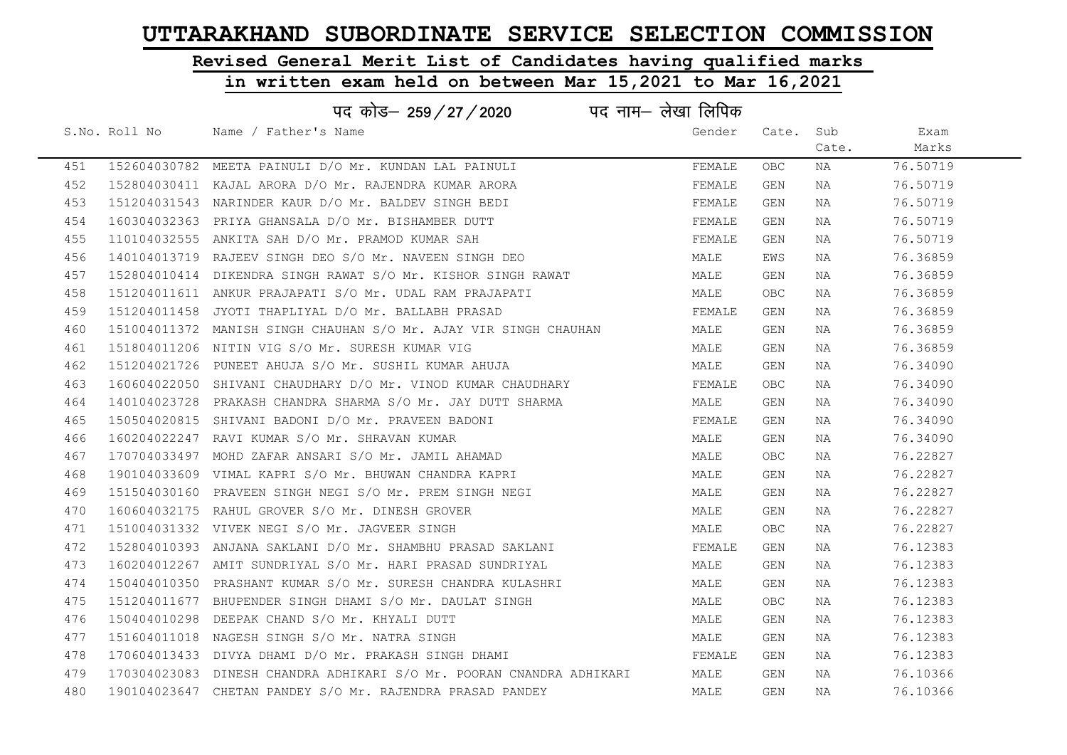# Revised General Merit List of Candidates having qualified marks

### in written exam held on between Mar 15,2021 to Mar 16,2021

| पद कोड़- 259 / 27 / 2020 पद नाम- लेखा लिपिक |               |                                                                      |        |       |       |          |  |
|---------------------------------------------|---------------|----------------------------------------------------------------------|--------|-------|-------|----------|--|
|                                             | S.No. Roll No | Name / Father's Name                                                 | Gender | Cate. | Sub   | Exam     |  |
|                                             |               |                                                                      |        |       | Cate. | Marks    |  |
| 451                                         |               | 152604030782 MEETA PAINULI D/O Mr. KUNDAN LAL PAINULI                | FEMALE | OBC.  | NA    | 76.50719 |  |
| 452                                         |               | 152804030411 KAJAL ARORA D/O Mr. RAJENDRA KUMAR ARORA                | FEMALE | GEN   | NA    | 76.50719 |  |
| 453                                         |               | 151204031543 NARINDER KAUR D/O Mr. BALDEV SINGH BEDI                 | FEMALE | GEN   | NA    | 76.50719 |  |
| 454                                         |               | 160304032363 PRIYA GHANSALA D/O Mr. BISHAMBER DUTT                   | FEMALE | GEN   | NA    | 76.50719 |  |
| 455                                         |               | 110104032555 ANKITA SAH D/O Mr. PRAMOD KUMAR SAH                     | FEMALE | GEN   | NA    | 76.50719 |  |
| 456                                         |               | 140104013719 RAJEEV SINGH DEO S/O Mr. NAVEEN SINGH DEO               | MALE   | EWS   | NA    | 76.36859 |  |
| 457                                         |               | 152804010414 DIKENDRA SINGH RAWAT S/O Mr. KISHOR SINGH RAWAT         | MALE   | GEN   | NA    | 76.36859 |  |
| 458                                         |               | 151204011611 ANKUR PRAJAPATI S/O Mr. UDAL RAM PRAJAPATI              | MALE   | OBC.  | NA    | 76.36859 |  |
| 459                                         |               | 151204011458 JYOTI THAPLIYAL D/O Mr. BALLABH PRASAD                  | FEMALE | GEN   | NA    | 76.36859 |  |
| 460                                         |               | 151004011372 MANISH SINGH CHAUHAN S/O Mr. AJAY VIR SINGH CHAUHAN     | MALE   | GEN   | NA    | 76.36859 |  |
| 461                                         |               | 151804011206 NITIN VIG S/O Mr. SURESH KUMAR VIG                      | MALE   | GEN   | NA    | 76.36859 |  |
| 462                                         |               | 151204021726 PUNEET AHUJA S/O Mr. SUSHIL KUMAR AHUJA                 | MALE   | GEN   | NA    | 76.34090 |  |
| 463                                         |               | 160604022050 SHIVANI CHAUDHARY D/O Mr. VINOD KUMAR CHAUDHARY         | FEMALE | OBC.  | NA    | 76.34090 |  |
| 464                                         |               | 140104023728 PRAKASH CHANDRA SHARMA S/O Mr. JAY DUTT SHARMA          | MALE   | GEN   | NA    | 76.34090 |  |
| 465                                         |               | 150504020815 SHIVANI BADONI D/O Mr. PRAVEEN BADONI                   | FEMALE | GEN   | NA    | 76.34090 |  |
| 466                                         |               | 160204022247 RAVI KUMAR S/O Mr. SHRAVAN KUMAR                        | MALE   | GEN   | NA    | 76.34090 |  |
| 467                                         |               | 170704033497 MOHD ZAFAR ANSARI S/O Mr. JAMIL AHAMAD                  | MALE   | OBC.  | NA    | 76.22827 |  |
| 468                                         |               | 190104033609 VIMAL KAPRI S/O Mr. BHUWAN CHANDRA KAPRI                | MALE   | GEN   | NA    | 76.22827 |  |
| 469                                         |               | 151504030160 PRAVEEN SINGH NEGI S/O Mr. PREM SINGH NEGI              | MALE   | GEN   | NA    | 76.22827 |  |
| 470                                         |               | 160604032175 RAHUL GROVER S/O Mr. DINESH GROVER                      | MALE   | GEN   | NA    | 76.22827 |  |
| 471                                         |               | 151004031332 VIVEK NEGI S/O Mr. JAGVEER SINGH                        | MALE   | OBC.  | NA    | 76.22827 |  |
| 472                                         |               | 152804010393 ANJANA SAKLANI D/O Mr. SHAMBHU PRASAD SAKLANI           | FEMALE | GEN   | NA    | 76.12383 |  |
| 473                                         |               | 160204012267 AMIT SUNDRIYAL S/O Mr. HARI PRASAD SUNDRIYAL            | MALE   | GEN   | NA    | 76.12383 |  |
| 474                                         | 150404010350  | PRASHANT KUMAR S/O Mr. SURESH CHANDRA KULASHRI                       | MALE   | GEN   | NA    | 76.12383 |  |
| 475                                         |               | 151204011677 BHUPENDER SINGH DHAMI S/O Mr. DAULAT SINGH              | MALE   | OBC.  | NA    | 76.12383 |  |
| 476                                         | 150404010298  | DEEPAK CHAND S/O Mr. KHYALI DUTT                                     | MALE   | GEN   | NA    | 76.12383 |  |
| 477                                         |               | 151604011018 NAGESH SINGH S/O Mr. NATRA SINGH                        | MALE   | GEN   | NA    | 76.12383 |  |
| 478                                         |               | 170604013433 DIVYA DHAMI D/O Mr. PRAKASH SINGH DHAMI                 | FEMALE | GEN   | NA    | 76.12383 |  |
| 479                                         |               | 170304023083 DINESH CHANDRA ADHIKARI S/O Mr. POORAN CNANDRA ADHIKARI | MALE   | GEN   | NA    | 76.10366 |  |
| 480                                         |               | 190104023647 CHETAN PANDEY S/O Mr. RAJENDRA PRASAD PANDEY            | MALE   | GEN   | NA    | 76.10366 |  |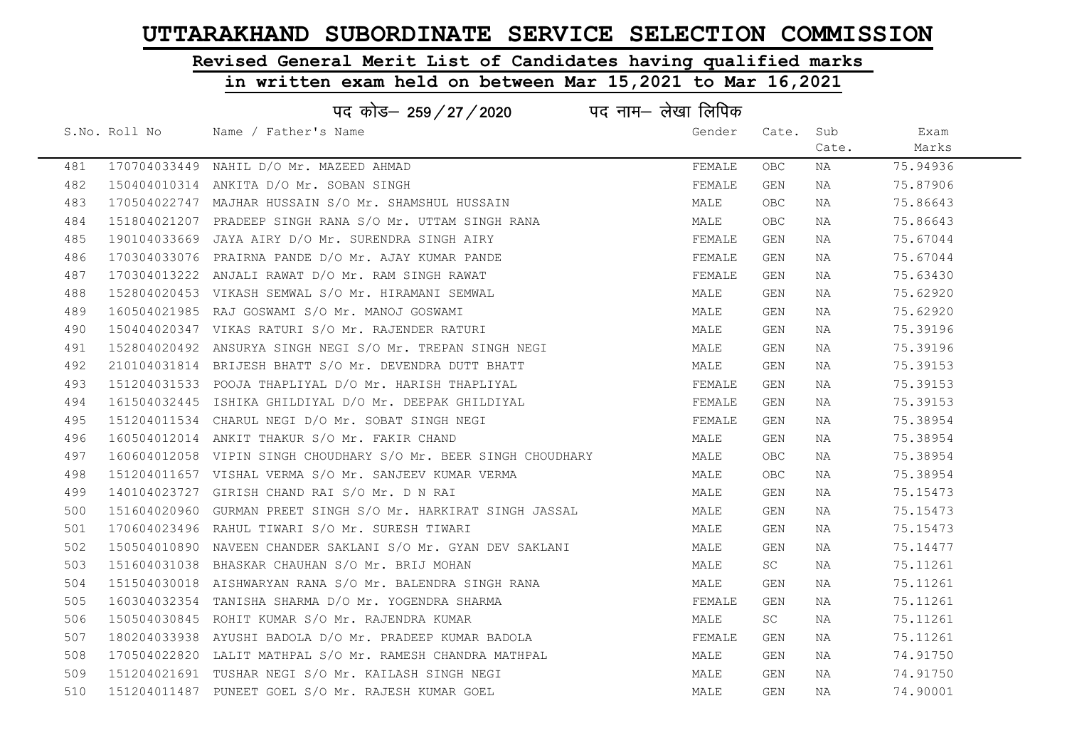# Revised General Merit List of Candidates having qualified marks

### in written exam held on between Mar 15,2021 to Mar 16,2021

|     | पद कोड़- 259 / 27 / 2020 पद नाम- लेखा लिपिक |                                                                 |        |           |       |          |  |  |  |
|-----|---------------------------------------------|-----------------------------------------------------------------|--------|-----------|-------|----------|--|--|--|
|     | S.No. Roll No                               | Name / Father's Name                                            | Gender | Cate.     | Sub   | Exam     |  |  |  |
|     |                                             |                                                                 |        |           | Cate. | Marks    |  |  |  |
| 481 |                                             | 170704033449 NAHIL D/O Mr. MAZEED AHMAD                         | FEMALE | OBC.      | ΝA    | 75.94936 |  |  |  |
| 482 |                                             | 150404010314 ANKITA D/O Mr. SOBAN SINGH                         | FEMALE | GEN       | NA    | 75.87906 |  |  |  |
| 483 |                                             | 170504022747 MAJHAR HUSSAIN S/O Mr. SHAMSHUL HUSSAIN            | MALE   | OBC.      | NA    | 75.86643 |  |  |  |
| 484 |                                             | 151804021207 PRADEEP SINGH RANA S/O Mr. UTTAM SINGH RANA        | MALE   | OBC.      | NA    | 75.86643 |  |  |  |
| 485 |                                             | 190104033669 JAYA AIRY D/O Mr. SURENDRA SINGH AIRY              | FEMALE | GEN       | NA    | 75.67044 |  |  |  |
| 486 |                                             | 170304033076 PRAIRNA PANDE D/O Mr. AJAY KUMAR PANDE             | FEMALE | GEN       | NA    | 75.67044 |  |  |  |
| 487 |                                             | 170304013222 ANJALI RAWAT D/O Mr. RAM SINGH RAWAT               | FEMALE | GEN       | NA    | 75.63430 |  |  |  |
| 488 |                                             | 152804020453 VIKASH SEMWAL S/O Mr. HIRAMANI SEMWAL              | MALE   | GEN       | NA    | 75.62920 |  |  |  |
| 489 |                                             | 160504021985 RAJ GOSWAMI S/O Mr. MANOJ GOSWAMI                  | MALE   | GEN       | NA    | 75.62920 |  |  |  |
| 490 |                                             | 150404020347 VIKAS RATURI S/O Mr. RAJENDER RATURI               | MALE   | GEN       | NA    | 75.39196 |  |  |  |
| 491 |                                             | 152804020492 ANSURYA SINGH NEGI S/O Mr. TREPAN SINGH NEGI       | MALE   | GEN       | NA    | 75.39196 |  |  |  |
| 492 |                                             | 210104031814 BRIJESH BHATT S/O Mr. DEVENDRA DUTT BHATT          | MALE   | GEN       | NA    | 75.39153 |  |  |  |
| 493 |                                             | 151204031533 POOJA THAPLIYAL D/O Mr. HARISH THAPLIYAL           | FEMALE | GEN       | NA    | 75.39153 |  |  |  |
| 494 |                                             | 161504032445 ISHIKA GHILDIYAL D/O Mr. DEEPAK GHILDIYAL          | FEMALE | GEN       | NA    | 75.39153 |  |  |  |
| 495 |                                             | 151204011534 CHARUL NEGI D/O Mr. SOBAT SINGH NEGI               | FEMALE | GEN       | NA    | 75.38954 |  |  |  |
| 496 |                                             | 160504012014 ANKIT THAKUR S/O Mr. FAKIR CHAND                   | MALE   | GEN       | NA    | 75.38954 |  |  |  |
| 497 |                                             | 160604012058 VIPIN SINGH CHOUDHARY S/O Mr. BEER SINGH CHOUDHARY | MALE   | OBC.      | NA    | 75.38954 |  |  |  |
| 498 |                                             | 151204011657 VISHAL VERMA S/O Mr. SANJEEV KUMAR VERMA           | MALE   | OBC.      | NA    | 75.38954 |  |  |  |
| 499 |                                             | 140104023727 GIRISH CHAND RAI S/O Mr. D N RAI                   | MALE   | GEN       | NA    | 75.15473 |  |  |  |
| 500 |                                             | 151604020960 GURMAN PREET SINGH S/O Mr. HARKIRAT SINGH JASSAL   | MALE   | GEN       | NA    | 75.15473 |  |  |  |
| 501 |                                             | 170604023496 RAHUL TIWARI S/O Mr. SURESH TIWARI                 | MALE   | GEN       | NA    | 75.15473 |  |  |  |
| 502 |                                             | 150504010890 NAVEEN CHANDER SAKLANI S/O Mr. GYAN DEV SAKLANI    | MALE   | GEN       | NA    | 75.14477 |  |  |  |
| 503 |                                             | 151604031038 BHASKAR CHAUHAN S/O Mr. BRIJ MOHAN                 | MALE   | <b>SC</b> | NA    | 75.11261 |  |  |  |
| 504 |                                             | 151504030018 AISHWARYAN RANA S/O Mr. BALENDRA SINGH RANA        | MALE   | GEN       | NA    | 75.11261 |  |  |  |
| 505 |                                             | 160304032354 TANISHA SHARMA D/O Mr. YOGENDRA SHARMA             | FEMALE | GEN       | NA    | 75.11261 |  |  |  |
| 506 |                                             | 150504030845 ROHIT KUMAR S/O Mr. RAJENDRA KUMAR                 | MALE   | SC        | NA    | 75.11261 |  |  |  |
| 507 |                                             | 180204033938 AYUSHI BADOLA D/O Mr. PRADEEP KUMAR BADOLA         | FEMALE | GEN       | NA    | 75.11261 |  |  |  |
| 508 |                                             | 170504022820 LALIT MATHPAL S/O Mr. RAMESH CHANDRA MATHPAL       | MALE   | GEN       | NA    | 74.91750 |  |  |  |
| 509 |                                             | 151204021691 TUSHAR NEGI S/O Mr. KAILASH SINGH NEGI             | MALE   | GEN       | NA    | 74.91750 |  |  |  |
| 510 |                                             | 151204011487 PUNEET GOEL S/O Mr. RAJESH KUMAR GOEL              | MALE   | GEN       | NA    | 74.90001 |  |  |  |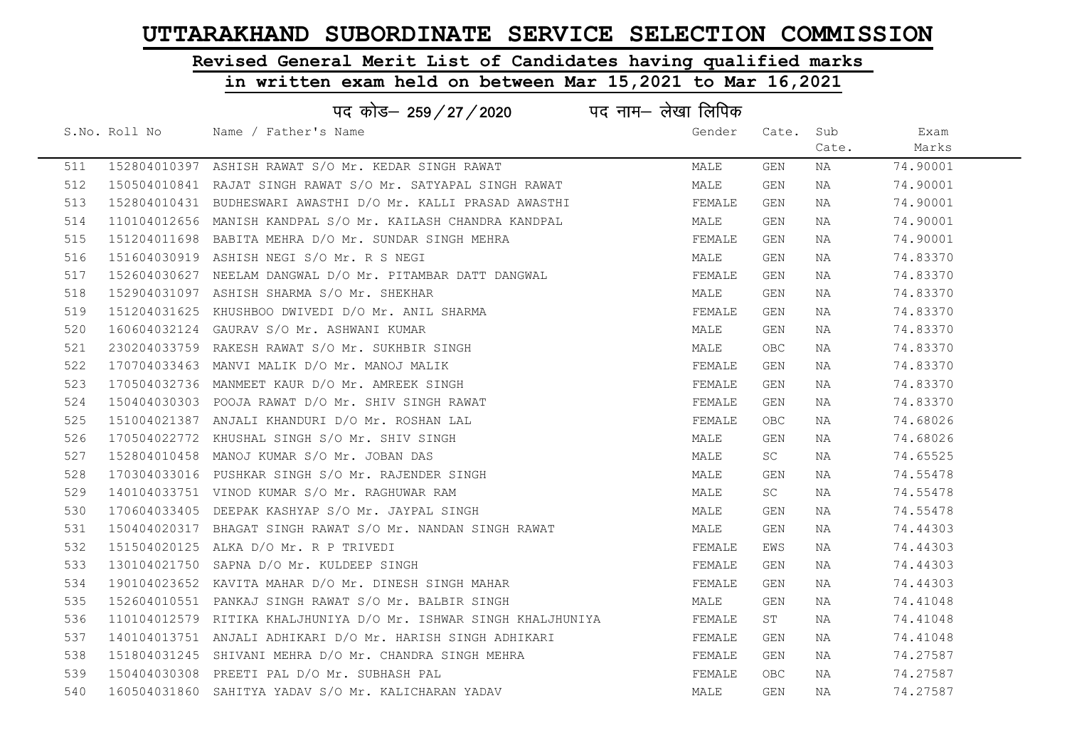# Revised General Merit List of Candidates having qualified marks

|     |               | पद कोड– 259 / 27 / 2020                                          | पद नाम– लेखा लिपिक |            |       |          |
|-----|---------------|------------------------------------------------------------------|--------------------|------------|-------|----------|
|     | S.No. Roll No | Name / Father's Name                                             | Gender             | Cate. Sub  |       | Exam     |
|     |               |                                                                  |                    |            | Cate. | Marks    |
| 511 |               | 152804010397 ASHISH RAWAT S/O Mr. KEDAR SINGH RAWAT              | MALE               | GEN        | NA    | 74.90001 |
| 512 |               | 150504010841 RAJAT SINGH RAWAT S/O Mr. SATYAPAL SINGH RAWAT      | MALE               | GEN        | NA    | 74.90001 |
| 513 |               | 152804010431 BUDHESWARI AWASTHI D/O Mr. KALLI PRASAD AWASTHI     | FEMALE             | GEN        | NA    | 74.90001 |
| 514 |               | 110104012656 MANISH KANDPAL S/O Mr. KAILASH CHANDRA KANDPAL      | MALE               | GEN        | NA    | 74.90001 |
| 515 |               | 151204011698 BABITA MEHRA D/O Mr. SUNDAR SINGH MEHRA             | FEMALE             | GEN        | NA    | 74.90001 |
| 516 |               | 151604030919 ASHISH NEGI S/O Mr. R S NEGI                        | MALE               | GEN        | NA    | 74.83370 |
| 517 |               | 152604030627 NEELAM DANGWAL D/O Mr. PITAMBAR DATT DANGWAL        | FEMALE             | GEN        | NA    | 74.83370 |
| 518 |               | 152904031097 ASHISH SHARMA S/O Mr. SHEKHAR                       | MALE               | GEN        | NA    | 74.83370 |
| 519 |               | 151204031625 KHUSHBOO DWIVEDI D/O Mr. ANIL SHARMA                | FEMALE             | GEN        | NA    | 74.83370 |
| 520 |               | 160604032124 GAURAV S/O Mr. ASHWANI KUMAR                        | MALE               | GEN        | NA    | 74.83370 |
| 521 |               | 230204033759 RAKESH RAWAT S/O Mr. SUKHBIR SINGH                  | MALE               | <b>OBC</b> | NA    | 74.83370 |
| 522 |               | 170704033463 MANVI MALIK D/O Mr. MANOJ MALIK                     | FEMALE             | GEN        | NA    | 74.83370 |
| 523 |               | 170504032736 MANMEET KAUR D/O Mr. AMREEK SINGH                   | FEMALE             | GEN        | NA    | 74.83370 |
| 524 |               | 150404030303 POOJA RAWAT D/O Mr. SHIV SINGH RAWAT                | FEMALE             | GEN        | NA    | 74.83370 |
| 525 |               | 151004021387 ANJALI KHANDURI D/O Mr. ROSHAN LAL                  | FEMALE             | <b>OBC</b> | NA    | 74.68026 |
| 526 |               | 170504022772 KHUSHAL SINGH S/O Mr. SHIV SINGH                    | MALE               | GEN        | NA    | 74.68026 |
| 527 |               | 152804010458 MANOJ KUMAR S/O Mr. JOBAN DAS                       | MALE               | SC         | NA    | 74.65525 |
| 528 |               | 170304033016 PUSHKAR SINGH S/O Mr. RAJENDER SINGH                | MALE               | GEN        | NA    | 74.55478 |
| 529 |               | 140104033751 VINOD KUMAR S/O Mr. RAGHUWAR RAM                    | MALE               | SC         | NA    | 74.55478 |
| 530 |               | 170604033405 DEEPAK KASHYAP S/O Mr. JAYPAL SINGH                 | MALE               | GEN        | NA    | 74.55478 |
| 531 |               | 150404020317 BHAGAT SINGH RAWAT S/O Mr. NANDAN SINGH RAWAT       | MALE               | GEN        | NA    | 74.44303 |
| 532 |               | 151504020125 ALKA D/O Mr. R P TRIVEDI                            | FEMALE             | EWS        | NA    | 74.44303 |
| 533 |               | 130104021750 SAPNA D/O Mr. KULDEEP SINGH                         | FEMALE             | GEN        | NA    | 74.44303 |
| 534 |               | 190104023652 KAVITA MAHAR D/O Mr. DINESH SINGH MAHAR             | FEMALE             | GEN        | NA    | 74.44303 |
| 535 |               | 152604010551 PANKAJ SINGH RAWAT S/O Mr. BALBIR SINGH             | MALE               | GEN        | NA    | 74.41048 |
| 536 |               | 110104012579 RITIKA KHALJHUNIYA D/O Mr. ISHWAR SINGH KHALJHUNIYA | FEMALE             | ST         | NA    | 74.41048 |
| 537 |               | 140104013751 ANJALI ADHIKARI D/O Mr. HARISH SINGH ADHIKARI       | FEMALE             | GEN        | NA    | 74.41048 |
| 538 |               | 151804031245 SHIVANI MEHRA D/O Mr. CHANDRA SINGH MEHRA           | FEMALE             | GEN        | NA    | 74.27587 |
| 539 |               | 150404030308 PREETI PAL D/O Mr. SUBHASH PAL                      | FEMALE             | OBC        | NA    | 74.27587 |
| 540 |               | 160504031860 SAHITYA YADAV S/O Mr. KALICHARAN YADAV              | MALE               | GEN        | NA    | 74.27587 |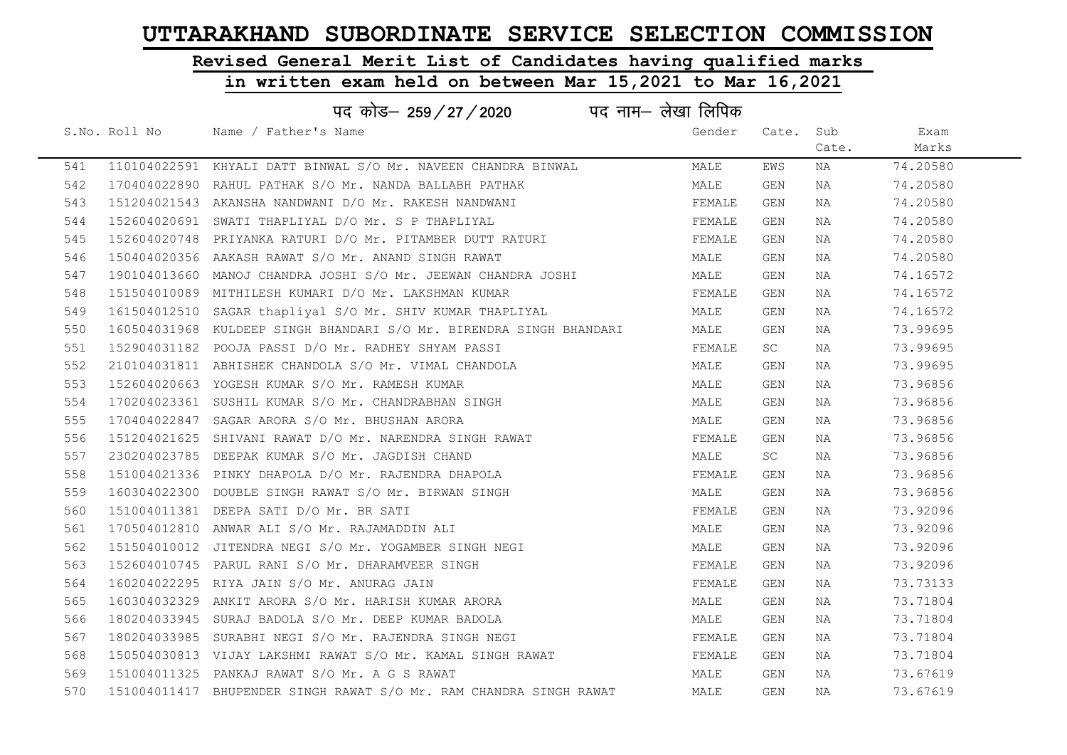# Revised General Merit List of Candidates having qualified marks

|     |               | पद कोड— 259 / 27 / 2020                                             | पद नाम– लेखा लिपिक |        |           |       |          |
|-----|---------------|---------------------------------------------------------------------|--------------------|--------|-----------|-------|----------|
|     | S.No. Roll No | Name / Father's Name                                                |                    | Gender | Cate. Sub |       | Exam     |
|     |               |                                                                     |                    |        |           | Cate. | Marks    |
| 541 |               | 110104022591 KHYALI DATT BINWAL S/O Mr. NAVEEN CHANDRA BINWAL       |                    | MALE   | EWS       | NA    | 74.20580 |
| 542 |               | 170404022890 RAHUL PATHAK S/O Mr. NANDA BALLABH PATHAK              |                    | MALE   | GEN       | NA    | 74.20580 |
| 543 |               | 151204021543 AKANSHA NANDWANI D/O Mr. RAKESH NANDWANI               |                    | FEMALE | GEN       | NA    | 74.20580 |
| 544 |               | 152604020691 SWATI THAPLIYAL D/O Mr. S P THAPLIYAL                  |                    | FEMALE | GEN       | NA    | 74.20580 |
| 545 |               | 152604020748 PRIYANKA RATURI D/O Mr. PITAMBER DUTT RATURI           |                    | FEMALE | GEN       | NA    | 74.20580 |
| 546 |               | 150404020356 AAKASH RAWAT S/O Mr. ANAND SINGH RAWAT                 |                    | MALE   | GEN       | NA    | 74.20580 |
| 547 |               | 190104013660 MANOJ CHANDRA JOSHI S/O Mr. JEEWAN CHANDRA JOSHI       |                    | MALE   | GEN       | NA    | 74.16572 |
| 548 |               | 151504010089 MITHILESH KUMARI D/O Mr. LAKSHMAN KUMAR                |                    | FEMALE | GEN       | NA    | 74.16572 |
| 549 |               | 161504012510 SAGAR thapliyal S/O Mr. SHIV KUMAR THAPLIYAL           |                    | MALE   | GEN       | NA    | 74.16572 |
| 550 |               | 160504031968 KULDEEP SINGH BHANDARI S/O Mr. BIRENDRA SINGH BHANDARI |                    | MALE   | GEN       | NA    | 73.99695 |
| 551 |               | 152904031182 POOJA PASSI D/O Mr. RADHEY SHYAM PASSI                 |                    | FEMALE | SC        | NA    | 73.99695 |
| 552 |               | 210104031811 ABHISHEK CHANDOLA S/O Mr. VIMAL CHANDOLA               |                    | MALE   | GEN       | NA    | 73.99695 |
| 553 |               | 152604020663 YOGESH KUMAR S/O Mr. RAMESH KUMAR                      |                    | MALE   | GEN       | NA    | 73.96856 |
| 554 |               | 170204023361 SUSHIL KUMAR S/O Mr. CHANDRABHAN SINGH                 |                    | MALE   | GEN       | NA    | 73.96856 |
| 555 |               | 170404022847 SAGAR ARORA S/O Mr. BHUSHAN ARORA                      |                    | MALE   | GEN       | NA    | 73.96856 |
| 556 |               | 151204021625 SHIVANI RAWAT D/O Mr. NARENDRA SINGH RAWAT             |                    | FEMALE | GEN       | NA    | 73.96856 |
| 557 |               | 230204023785 DEEPAK KUMAR S/O Mr. JAGDISH CHAND                     |                    | MALE   | SC        | NA    | 73.96856 |
| 558 |               | 151004021336 PINKY DHAPOLA D/O Mr. RAJENDRA DHAPOLA                 |                    | FEMALE | GEN       | NA    | 73.96856 |
| 559 |               | 160304022300 DOUBLE SINGH RAWAT S/O Mr. BIRWAN SINGH                |                    | MALE   | GEN       | NA    | 73.96856 |
| 560 |               | 151004011381 DEEPA SATI D/O Mr. BR SATI                             |                    | FEMALE | GEN       | NA    | 73.92096 |
| 561 |               | 170504012810 ANWAR ALI S/O Mr. RAJAMADDIN ALI                       |                    | MALE   | GEN       | NA    | 73.92096 |
| 562 |               | 151504010012 JITENDRA NEGI S/O Mr. YOGAMBER SINGH NEGI              |                    | MALE   | GEN       | NA    | 73.92096 |
| 563 |               | 152604010745 PARUL RANI S/O Mr. DHARAMVEER SINGH                    |                    | FEMALE | GEN       | NA    | 73.92096 |
| 564 |               | 160204022295 RIYA JAIN S/O Mr. ANURAG JAIN                          |                    | FEMALE | GEN       | NA    | 73.73133 |
| 565 |               | 160304032329 ANKIT ARORA S/O Mr. HARISH KUMAR ARORA                 |                    | MALE   | GEN       | NA    | 73.71804 |
| 566 |               | 180204033945 SURAJ BADOLA S/O Mr. DEEP KUMAR BADOLA                 |                    | MALE   | GEN       | NA    | 73.71804 |
| 567 |               | 180204033985 SURABHI NEGI S/O Mr. RAJENDRA SINGH NEGI               |                    | FEMALE | GEN       | NA    | 73.71804 |
| 568 |               | 150504030813 VIJAY LAKSHMI RAWAT S/O Mr. KAMAL SINGH RAWAT          |                    | FEMALE | GEN       | NA    | 73.71804 |
| 569 |               | 151004011325 PANKAJ RAWAT S/O Mr. A G S RAWAT                       |                    | MALE   | GEN       | NA    | 73.67619 |
| 570 |               | 151004011417 BHUPENDER SINGH RAWAT S/O Mr. RAM CHANDRA SINGH RAWAT  |                    | MALE   | GEN       | ΝA    | 73.67619 |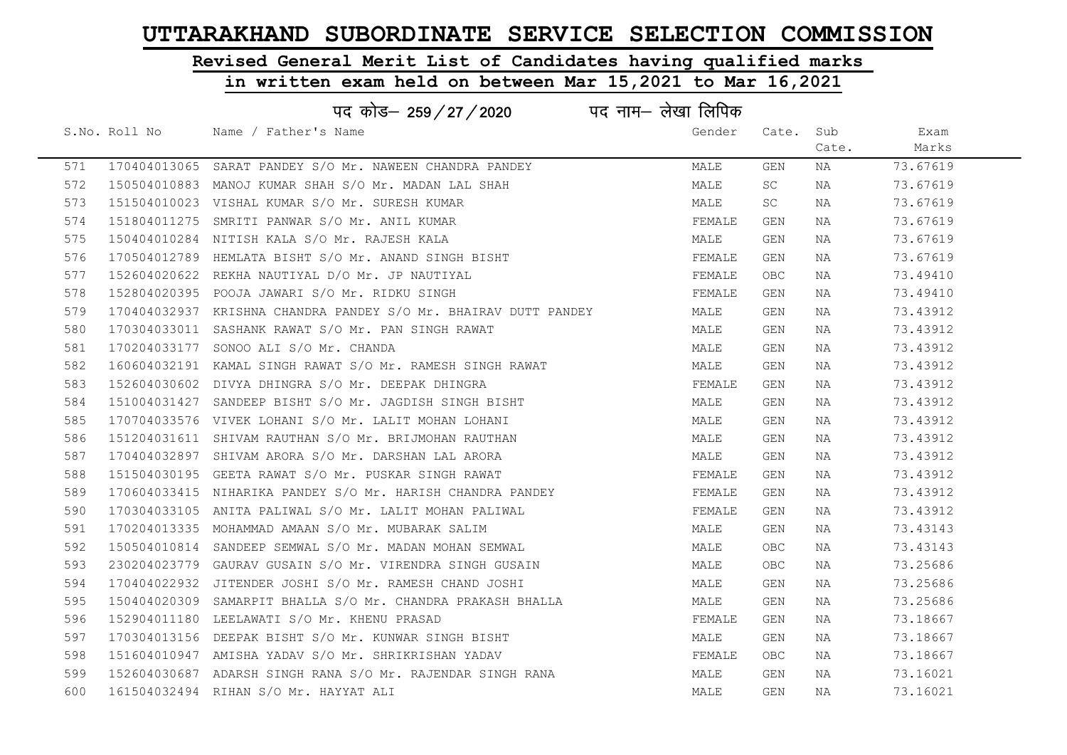# Revised General Merit List of Candidates having qualified marks

| पद नाम— लेखा लिपिक<br>पद कोड– 259 / 27 / 2020 |               |                                                                 |        |            |       |          |  |
|-----------------------------------------------|---------------|-----------------------------------------------------------------|--------|------------|-------|----------|--|
|                                               | S.No. Roll No | Name / Father's Name                                            | Gender | Cate.      | Sub   | Exam     |  |
|                                               |               |                                                                 |        |            | Cate. | Marks    |  |
| 571                                           |               | 170404013065 SARAT PANDEY S/O Mr. NAWEEN CHANDRA PANDEY         | MALE   | <b>GEN</b> | NA    | 73.67619 |  |
| 572                                           |               | 150504010883 MANOJ KUMAR SHAH S/O Mr. MADAN LAL SHAH            | MALE   | SC         | NA    | 73.67619 |  |
| 573                                           |               | 151504010023 VISHAL KUMAR S/O Mr. SURESH KUMAR                  | MALE   | SC         | NA    | 73.67619 |  |
| 574                                           |               | 151804011275 SMRITI PANWAR S/O Mr. ANIL KUMAR                   | FEMALE | GEN        | NA    | 73.67619 |  |
| 575                                           |               | 150404010284 NITISH KALA S/O Mr. RAJESH KALA                    | MALE   | GEN        | NA    | 73.67619 |  |
| 576                                           |               | 170504012789 HEMLATA BISHT S/O Mr. ANAND SINGH BISHT            | FEMALE | GEN        | NA    | 73.67619 |  |
| 577                                           |               | 152604020622 REKHA NAUTIYAL D/O Mr. JP NAUTIYAL                 | FEMALE | OBC.       | NA    | 73.49410 |  |
| 578                                           |               | 152804020395 POOJA JAWARI S/O Mr. RIDKU SINGH                   | FEMALE | GEN        | NA    | 73.49410 |  |
| 579                                           |               | 170404032937 KRISHNA CHANDRA PANDEY S/O Mr. BHAIRAV DUTT PANDEY | MALE   | GEN        | NA    | 73.43912 |  |
| 580                                           |               | 170304033011 SASHANK RAWAT S/O Mr. PAN SINGH RAWAT              | MALE   | GEN        | NA    | 73.43912 |  |
| 581                                           |               | 170204033177 SONOO ALI S/O Mr. CHANDA                           | MALE   | GEN        | NA    | 73.43912 |  |
| 582                                           |               | 160604032191 KAMAL SINGH RAWAT S/O Mr. RAMESH SINGH RAWAT       | MALE   | GEN        | ΝA    | 73.43912 |  |
| 583                                           |               | 152604030602 DIVYA DHINGRA S/O Mr. DEEPAK DHINGRA               | FEMALE | GEN        | NA    | 73.43912 |  |
| 584                                           |               | 151004031427 SANDEEP BISHT S/O Mr. JAGDISH SINGH BISHT          | MALE   | GEN        | NA    | 73.43912 |  |
| 585                                           |               | 170704033576 VIVEK LOHANI S/O Mr. LALIT MOHAN LOHANI            | MALE   | GEN        | NA    | 73.43912 |  |
| 586                                           |               | 151204031611 SHIVAM RAUTHAN S/O Mr. BRIJMOHAN RAUTHAN           | MALE   | GEN        | ΝA    | 73.43912 |  |
| 587                                           |               | 170404032897 SHIVAM ARORA S/O Mr. DARSHAN LAL ARORA             | MALE   | GEN        | ΝA    | 73.43912 |  |
| 588                                           |               | 151504030195 GEETA RAWAT S/O Mr. PUSKAR SINGH RAWAT             | FEMALE | GEN        | NA    | 73.43912 |  |
| 589                                           |               | 170604033415 NIHARIKA PANDEY S/O Mr. HARISH CHANDRA PANDEY      | FEMALE | GEN        | NA    | 73.43912 |  |
| 590                                           |               | 170304033105 ANITA PALIWAL S/O Mr. LALIT MOHAN PALIWAL          | FEMALE | GEN        | ΝA    | 73.43912 |  |
| 591                                           |               | 170204013335 MOHAMMAD AMAAN S/O Mr. MUBARAK SALIM               | MALE   | GEN        | NA    | 73.43143 |  |
| 592                                           |               | 150504010814 SANDEEP SEMWAL S/O Mr. MADAN MOHAN SEMWAL          | MALE   | <b>OBC</b> | NA    | 73.43143 |  |
| 593                                           |               | 230204023779 GAURAV GUSAIN S/O Mr. VIRENDRA SINGH GUSAIN        | MALE   | OBC        | ΝA    | 73.25686 |  |
| 594                                           |               | 170404022932 JITENDER JOSHI S/O Mr. RAMESH CHAND JOSHI          | MALE   | GEN        | ΝA    | 73.25686 |  |
| 595                                           |               | 150404020309 SAMARPIT BHALLA S/O Mr. CHANDRA PRAKASH BHALLA     | MALE   | GEN        | ΝA    | 73.25686 |  |
| 596                                           |               | 152904011180 LEELAWATI S/O Mr. KHENU PRASAD                     | FEMALE | GEN        | NA    | 73.18667 |  |
| 597                                           |               | 170304013156 DEEPAK BISHT S/O Mr. KUNWAR SINGH BISHT            | MALE   | GEN        | ΝA    | 73.18667 |  |
| 598                                           |               | 151604010947 AMISHA YADAV S/O Mr. SHRIKRISHAN YADAV             | FEMALE | OBC        | NA    | 73.18667 |  |
| 599                                           |               | 152604030687 ADARSH SINGH RANA S/O Mr. RAJENDAR SINGH RANA      | MALE   | GEN        | NA    | 73.16021 |  |
| 600                                           |               | 161504032494 RIHAN S/O Mr. HAYYAT ALI                           | MALE   | <b>GEN</b> | NA    | 73.16021 |  |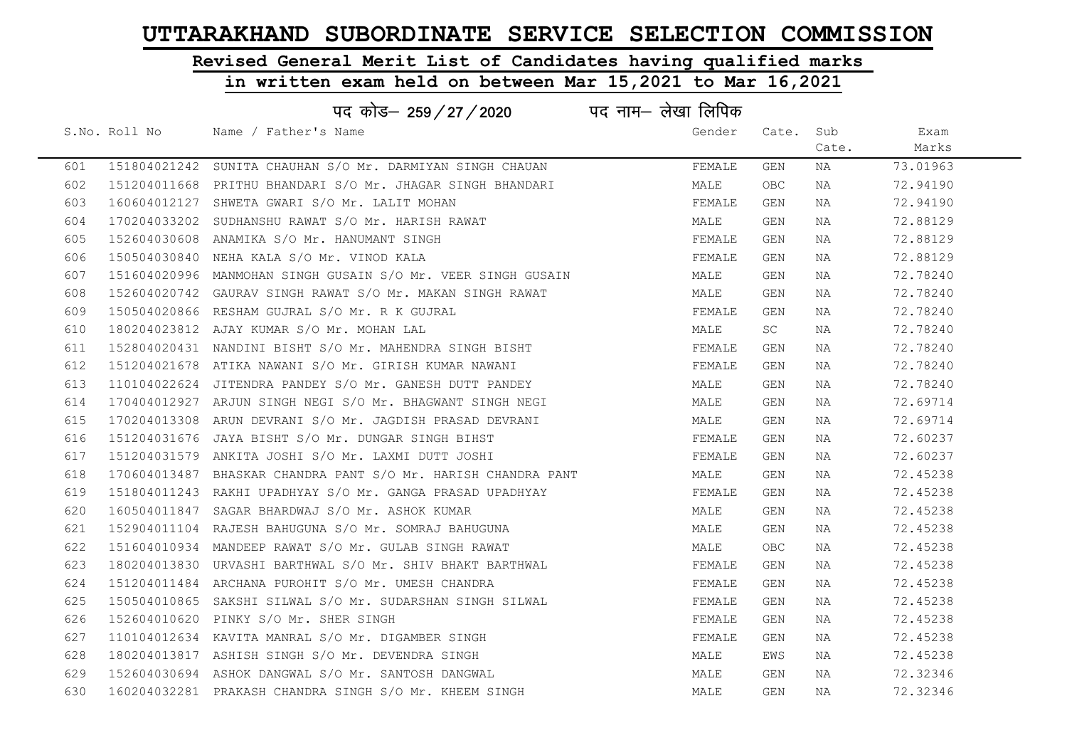# Revised General Merit List of Candidates having qualified marks

|     | पद कोड– 259/27/2020                                           | पद नाम— लेखा लिपिक |            |       |          |  |
|-----|---------------------------------------------------------------|--------------------|------------|-------|----------|--|
|     | S.No. Roll No Mame / Father's Name                            | Gender             | Cate.      | Sub   | Exam     |  |
|     |                                                               |                    |            | Cate. | Marks    |  |
| 601 | 151804021242 SUNITA CHAUHAN S/O Mr. DARMIYAN SINGH CHAUAN     | FEMALE             | GEN        | ΝA    | 73.01963 |  |
| 602 | 151204011668 PRITHU BHANDARI S/O Mr. JHAGAR SINGH BHANDARI    | MALE               | <b>OBC</b> | NA    | 72.94190 |  |
| 603 | 160604012127 SHWETA GWARI S/O Mr. LALIT MOHAN                 | FEMALE             | GEN        | NA    | 72.94190 |  |
| 604 | 170204033202 SUDHANSHU RAWAT S/O Mr. HARISH RAWAT             | MALE               | GEN        | NA    | 72.88129 |  |
| 605 | 152604030608 ANAMIKA S/O Mr. HANUMANT SINGH                   | FEMALE             | GEN        | NA    | 72.88129 |  |
| 606 | 150504030840 NEHA KALA S/O Mr. VINOD KALA                     | FEMALE             | GEN        | NA    | 72.88129 |  |
| 607 | 151604020996  MANMOHAN SINGH GUSAIN S/O Mr. VEER SINGH GUSAIN | MALE               | GEN        | NA    | 72.78240 |  |
| 608 | 152604020742 GAURAV SINGH RAWAT S/O Mr. MAKAN SINGH RAWAT     | MALE               | GEN        | NA    | 72.78240 |  |
| 609 | 150504020866 RESHAM GUJRAL S/O Mr. R K GUJRAL                 | FEMALE             | GEN        | NA    | 72.78240 |  |
| 610 | 180204023812 AJAY KUMAR S/O Mr. MOHAN LAL                     | MALE               | SC         | NA    | 72.78240 |  |
| 611 | 152804020431 NANDINI BISHT S/O Mr. MAHENDRA SINGH BISHT       | FEMALE             | GEN        | NA    | 72.78240 |  |
| 612 | 151204021678 ATIKA NAWANI S/O Mr. GIRISH KUMAR NAWANI         | FEMALE             | GEN        | NA    | 72.78240 |  |
| 613 | 110104022624 JITENDRA PANDEY S/O Mr. GANESH DUTT PANDEY       | MALE               | GEN        | NA    | 72.78240 |  |
| 614 | 170404012927 ARJUN SINGH NEGI S/O Mr. BHAGWANT SINGH NEGI     | MALE               | GEN        | NA    | 72.69714 |  |
| 615 | 170204013308 ARUN DEVRANI S/O Mr. JAGDISH PRASAD DEVRANI      | MALE               | GEN        | NA    | 72.69714 |  |
| 616 | 151204031676 JAYA BISHT S/O Mr. DUNGAR SINGH BIHST            | FEMALE             | GEN        | NA    | 72.60237 |  |
| 617 | 151204031579 ANKITA JOSHI S/O Mr. LAXMI DUTT JOSHI            | FEMALE             | GEN        | NA    | 72.60237 |  |
| 618 | 170604013487 BHASKAR CHANDRA PANT S/O Mr. HARISH CHANDRA PANT | MALE               | GEN        | NA    | 72.45238 |  |
| 619 | 151804011243 RAKHI UPADHYAY S/O Mr. GANGA PRASAD UPADHYAY     | FEMALE             | GEN        | NA    | 72.45238 |  |
| 620 | 160504011847 SAGAR BHARDWAJ S/O Mr. ASHOK KUMAR               | MALE               | GEN        | NA    | 72.45238 |  |
| 621 | 152904011104 RAJESH BAHUGUNA S/O Mr. SOMRAJ BAHUGUNA          | MALE               | GEN        | NA    | 72.45238 |  |
| 622 | 151604010934 MANDEEP RAWAT S/O Mr. GULAB SINGH RAWAT          | MALE               | <b>OBC</b> | NA    | 72.45238 |  |
| 623 | 180204013830 URVASHI BARTHWAL S/O Mr. SHIV BHAKT BARTHWAL     | FEMALE             | GEN        | NA    | 72.45238 |  |
| 624 | 151204011484 ARCHANA PUROHIT S/O Mr. UMESH CHANDRA            | FEMALE             | GEN        | NA    | 72.45238 |  |
| 625 | 150504010865 SAKSHI SILWAL S/O Mr. SUDARSHAN SINGH SILWAL     | FEMALE             | GEN        | NA    | 72.45238 |  |
| 626 | 152604010620 PINKY S/O Mr. SHER SINGH                         | FEMALE             | GEN        | NA    | 72.45238 |  |
| 627 | 110104012634 KAVITA MANRAL S/O Mr. DIGAMBER SINGH             | FEMALE             | GEN        | NA    | 72.45238 |  |
| 628 | 180204013817 ASHISH SINGH S/O Mr. DEVENDRA SINGH              | MALE               | EWS        | NA    | 72.45238 |  |
| 629 | 152604030694 ASHOK DANGWAL S/O Mr. SANTOSH DANGWAL            | MALE               | GEN        | NA    | 72.32346 |  |
| 630 | 160204032281 PRAKASH CHANDRA SINGH S/O Mr. KHEEM SINGH        | MALE               | GEN        | NA    | 72.32346 |  |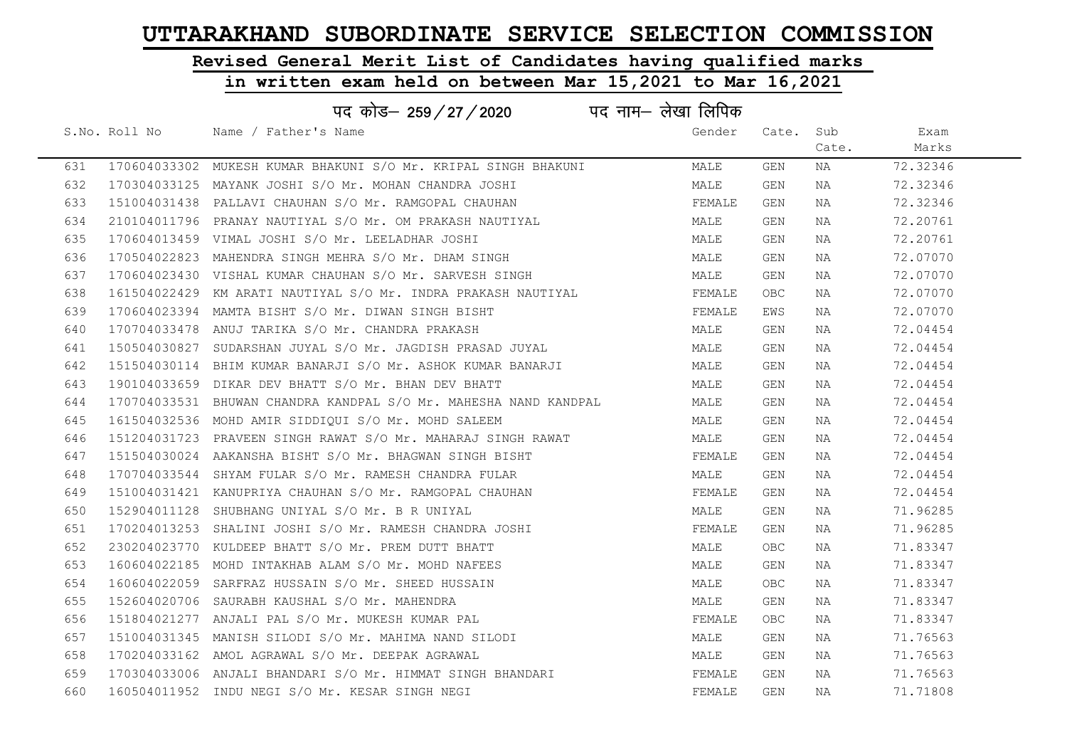# Revised General Merit List of Candidates having qualified marks

| पद नाम— लेखा लिपिक<br>पद कोड– 259 / 27 / 2020 |               |                                                                  |        |            |       |          |  |
|-----------------------------------------------|---------------|------------------------------------------------------------------|--------|------------|-------|----------|--|
|                                               | S.No. Roll No | Name / Father's Name                                             | Gender | Cate. Sub  |       | Exam     |  |
|                                               |               |                                                                  |        |            | Cate. | Marks    |  |
| 631                                           |               | 170604033302 MUKESH KUMAR BHAKUNI S/O Mr. KRIPAL SINGH BHAKUNI   | MALE   | GEN        | NA    | 72.32346 |  |
| 632                                           |               | 170304033125 MAYANK JOSHI S/O Mr. MOHAN CHANDRA JOSHI            | MALE   | GEN        | NA    | 72.32346 |  |
| 633                                           |               | 151004031438 PALLAVI CHAUHAN S/O Mr. RAMGOPAL CHAUHAN            | FEMALE | GEN        | NA    | 72.32346 |  |
| 634                                           |               | 210104011796 PRANAY NAUTIYAL S/O Mr. OM PRAKASH NAUTIYAL         | MALE   | GEN        | NA    | 72.20761 |  |
| 635                                           |               | 170604013459 VIMAL JOSHI S/O Mr. LEELADHAR JOSHI                 | MALE   | GEN        | NA    | 72.20761 |  |
| 636                                           |               | 170504022823 MAHENDRA SINGH MEHRA S/O Mr. DHAM SINGH             | MALE   | GEN        | NA    | 72.07070 |  |
| 637                                           |               | 170604023430 VISHAL KUMAR CHAUHAN S/O Mr. SARVESH SINGH          | MALE   | GEN        | NA    | 72.07070 |  |
| 638                                           |               | 161504022429 KM ARATI NAUTIYAL S/O Mr. INDRA PRAKASH NAUTIYAL    | FEMALE | <b>OBC</b> | NA    | 72.07070 |  |
| 639                                           |               | 170604023394 MAMTA BISHT S/O Mr. DIWAN SINGH BISHT               | FEMALE | EWS        | NA    | 72.07070 |  |
| 640                                           |               | 170704033478 ANUJ TARIKA S/O Mr. CHANDRA PRAKASH                 | MALE   | GEN        | NA    | 72.04454 |  |
| 641                                           |               | 150504030827 SUDARSHAN JUYAL S/O Mr. JAGDISH PRASAD JUYAL        | MALE   | GEN        | NA    | 72.04454 |  |
| 642                                           |               | 151504030114 BHIM KUMAR BANARJI S/O Mr. ASHOK KUMAR BANARJI      | MALE   | GEN        | NA    | 72.04454 |  |
| 643                                           |               | 190104033659 DIKAR DEV BHATT S/O Mr. BHAN DEV BHATT              | MALE   | GEN        | NA    | 72.04454 |  |
| 644                                           |               | 170704033531 BHUWAN CHANDRA KANDPAL S/O Mr. MAHESHA NAND KANDPAL | MALE   | GEN        | NA    | 72.04454 |  |
| 645                                           |               | 161504032536 MOHD AMIR SIDDIQUI S/O Mr. MOHD SALEEM              | MALE   | GEN        | NA    | 72.04454 |  |
| 646                                           |               | 151204031723 PRAVEEN SINGH RAWAT S/O Mr. MAHARAJ SINGH RAWAT     | MALE   | GEN        | NA    | 72.04454 |  |
| 647                                           |               | 151504030024 AAKANSHA BISHT S/O Mr. BHAGWAN SINGH BISHT          | FEMALE | GEN        | NA    | 72.04454 |  |
| 648                                           |               | 170704033544 SHYAM FULAR S/O Mr. RAMESH CHANDRA FULAR            | MALE   | GEN        | NA    | 72.04454 |  |
| 649                                           |               | 151004031421 KANUPRIYA CHAUHAN S/O Mr. RAMGOPAL CHAUHAN          | FEMALE | GEN        | NA    | 72.04454 |  |
| 650                                           |               | 152904011128 SHUBHANG UNIYAL S/O Mr. B R UNIYAL                  | MALE   | GEN        | NA    | 71.96285 |  |
| 651                                           |               | 170204013253 SHALINI JOSHI S/O Mr. RAMESH CHANDRA JOSHI          | FEMALE | GEN        | NA    | 71.96285 |  |
| 652                                           |               | 230204023770 KULDEEP BHATT S/O Mr. PREM DUTT BHATT               | MALE   | <b>OBC</b> | NA    | 71.83347 |  |
| 653                                           |               | 160604022185 MOHD INTAKHAB ALAM S/O Mr. MOHD NAFEES              | MALE   | GEN        | NA    | 71.83347 |  |
| 654                                           |               | 160604022059 SARFRAZ HUSSAIN S/O Mr. SHEED HUSSAIN               | MALE   | <b>OBC</b> | ΝA    | 71.83347 |  |
| 655                                           |               | 152604020706 SAURABH KAUSHAL S/O Mr. MAHENDRA                    | MALE   | GEN        | NA    | 71.83347 |  |
| 656                                           |               | 151804021277 ANJALI PAL S/O Mr. MUKESH KUMAR PAL                 | FEMALE | <b>OBC</b> | NA    | 71.83347 |  |
| 657                                           |               | 151004031345 MANISH SILODI S/O Mr. MAHIMA NAND SILODI            | MALE   | GEN        | NA    | 71.76563 |  |
| 658                                           |               | 170204033162 AMOL AGRAWAL S/O Mr. DEEPAK AGRAWAL                 | MALE   | GEN        | NA    | 71.76563 |  |
| 659                                           |               | 170304033006 ANJALI BHANDARI S/O Mr. HIMMAT SINGH BHANDARI       | FEMALE | GEN        | NA    | 71.76563 |  |
| 660                                           |               | 160504011952 INDU NEGI S/O Mr. KESAR SINGH NEGI                  | FEMALE | GEN        | NA    | 71.71808 |  |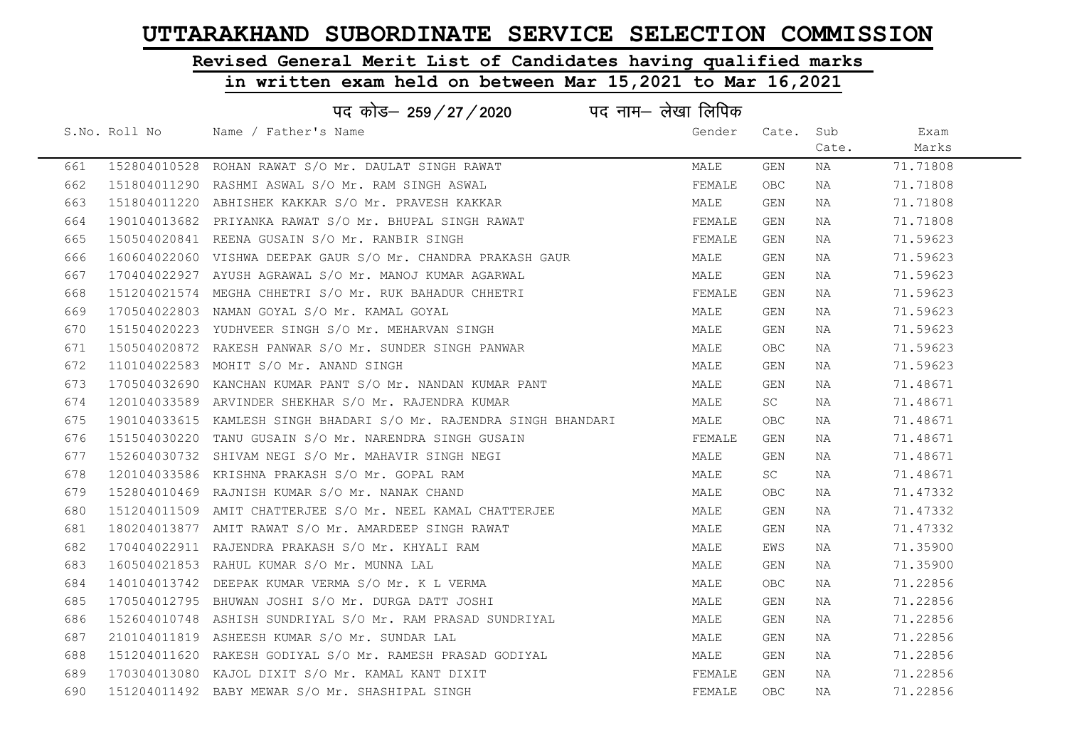# Revised General Merit List of Candidates having qualified marks

| पद नाम– लेखा लिपिक<br>पद कोड— 259 / 27 / 2020 |               |                                                                    |        |            |       |          |  |
|-----------------------------------------------|---------------|--------------------------------------------------------------------|--------|------------|-------|----------|--|
|                                               | S.No. Roll No | Name / Father's Name                                               | Gender | Cate.      | Sub   | Exam     |  |
|                                               |               |                                                                    |        |            | Cate. | Marks    |  |
| 661                                           |               | 152804010528 ROHAN RAWAT S/O Mr. DAULAT SINGH RAWAT                | MALE   | GEN        | NA    | 71.71808 |  |
| 662                                           |               | 151804011290 RASHMI ASWAL S/O Mr. RAM SINGH ASWAL                  | FEMALE | <b>OBC</b> | NA    | 71.71808 |  |
| 663                                           |               | 151804011220 ABHISHEK KAKKAR S/O Mr. PRAVESH KAKKAR                | MALE   | GEN        | NA    | 71.71808 |  |
| 664                                           |               | 190104013682 PRIYANKA RAWAT S/O Mr. BHUPAL SINGH RAWAT             | FEMALE | GEN        | NA    | 71.71808 |  |
| 665                                           |               | 150504020841 REENA GUSAIN S/O Mr. RANBIR SINGH                     | FEMALE | GEN        | NA    | 71.59623 |  |
| 666                                           |               | 160604022060 VISHWA DEEPAK GAUR S/O Mr. CHANDRA PRAKASH GAUR       | MALE   | GEN        | NA    | 71.59623 |  |
| 667                                           |               | 170404022927 AYUSH AGRAWAL S/O Mr. MANOJ KUMAR AGARWAL             | MALE   | GEN        | NA    | 71.59623 |  |
| 668                                           |               | 151204021574 MEGHA CHHETRI S/O Mr. RUK BAHADUR CHHETRI             | FEMALE | GEN        | NA    | 71.59623 |  |
| 669                                           |               | 170504022803 NAMAN GOYAL S/O Mr. KAMAL GOYAL                       | MALE   | GEN        | NA    | 71.59623 |  |
| 670                                           |               | 151504020223 YUDHVEER SINGH S/O Mr. MEHARVAN SINGH                 | MALE   | GEN        | NA    | 71.59623 |  |
| 671                                           |               | 150504020872 RAKESH PANWAR S/O Mr. SUNDER SINGH PANWAR             | MALE   | OBC.       | NA    | 71.59623 |  |
| 672                                           |               | 110104022583 MOHIT S/O Mr. ANAND SINGH                             | MALE   | GEN        | NA    | 71.59623 |  |
| 673                                           |               | 170504032690 KANCHAN KUMAR PANT S/O Mr. NANDAN KUMAR PANT          | MALE   | GEN        | NA    | 71.48671 |  |
| 674                                           |               | 120104033589 ARVINDER SHEKHAR S/O Mr. RAJENDRA KUMAR               | MALE   | <b>SC</b>  | NA    | 71.48671 |  |
| 675                                           |               | 190104033615 KAMLESH SINGH BHADARI S/O Mr. RAJENDRA SINGH BHANDARI | MALE   | <b>OBC</b> | NA    | 71.48671 |  |
| 676                                           |               | 151504030220 TANU GUSAIN S/O Mr. NARENDRA SINGH GUSAIN             | FEMALE | GEN        | NA    | 71.48671 |  |
| 677                                           |               | 152604030732 SHIVAM NEGI S/O Mr. MAHAVIR SINGH NEGI                | MALE   | GEN        | NA    | 71.48671 |  |
| 678                                           |               | 120104033586 KRISHNA PRAKASH S/O Mr. GOPAL RAM                     | MALE   | SC         | NA    | 71.48671 |  |
| 679                                           |               | 152804010469 RAJNISH KUMAR S/O Mr. NANAK CHAND                     | MALE   | OBC.       | NA    | 71.47332 |  |
| 680                                           |               | 151204011509 AMIT CHATTERJEE S/O Mr. NEEL KAMAL CHATTERJEE         | MALE   | GEN        | NA    | 71.47332 |  |
| 681                                           |               | 180204013877 AMIT RAWAT S/O Mr. AMARDEEP SINGH RAWAT               | MALE   | GEN        | NA    | 71.47332 |  |
| 682                                           |               | 170404022911 RAJENDRA PRAKASH S/O Mr. KHYALI RAM                   | MALE   | EWS        | NA    | 71.35900 |  |
| 683                                           |               | 160504021853 RAHUL KUMAR S/O Mr. MUNNA LAL                         | MALE   | GEN        | NA    | 71.35900 |  |
| 684                                           |               | 140104013742 DEEPAK KUMAR VERMA S/O Mr. K L VERMA                  | MALE   | <b>OBC</b> | NA    | 71.22856 |  |
| 685                                           |               | 170504012795 BHUWAN JOSHI S/O Mr. DURGA DATT JOSHI                 | MALE   | GEN        | NA    | 71.22856 |  |
| 686                                           |               | 152604010748 ASHISH SUNDRIYAL S/O Mr. RAM PRASAD SUNDRIYAL         | MALE   | GEN        | NA    | 71.22856 |  |
| 687                                           |               | 210104011819 ASHEESH KUMAR S/O Mr. SUNDAR LAL                      | MALE   | GEN        | NA    | 71.22856 |  |
| 688                                           |               | 151204011620 RAKESH GODIYAL S/O Mr. RAMESH PRASAD GODIYAL          | MALE   | GEN        | NA    | 71.22856 |  |
| 689                                           |               | 170304013080 KAJOL DIXIT S/O Mr. KAMAL KANT DIXIT                  | FEMALE | GEN        | NA    | 71.22856 |  |
| 690                                           |               | 151204011492 BABY MEWAR S/O Mr. SHASHIPAL SINGH                    | FEMALE | <b>OBC</b> | ΝA    | 71.22856 |  |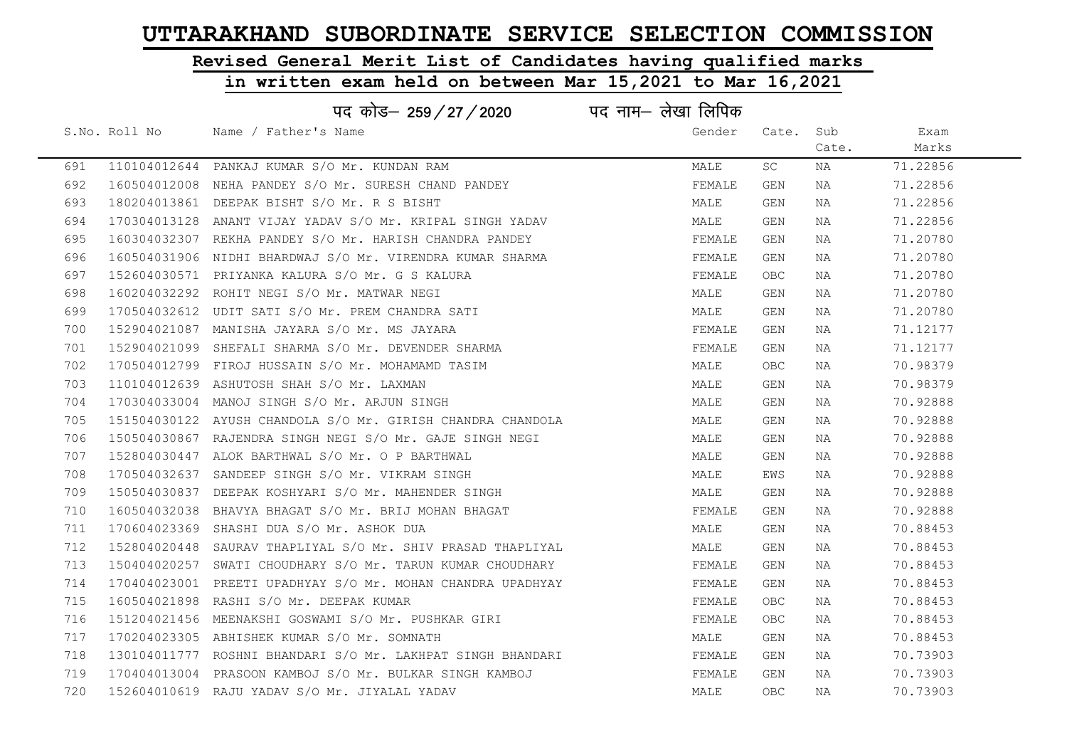# Revised General Merit List of Candidates having qualified marks

|     |               | पद कोड़- 259 / 27 / 2020 पद नाम- लेखा लिपिक                 |        |            |       |          |
|-----|---------------|-------------------------------------------------------------|--------|------------|-------|----------|
|     | S.No. Roll No | Name / Father's Name                                        | Gender | Cate. Sub  |       | Exam     |
|     |               |                                                             |        |            | Cate. | Marks    |
| 691 |               | 110104012644 PANKAJ KUMAR S/O Mr. KUNDAN RAM                | MALE   | SC         | ΝA    | 71.22856 |
| 692 |               | 160504012008 NEHA PANDEY S/O Mr. SURESH CHAND PANDEY        | FEMALE | GEN        | NA    | 71.22856 |
| 693 |               | 180204013861 DEEPAK BISHT S/O Mr. R S BISHT                 | MALE   | GEN        | NA    | 71.22856 |
| 694 |               | 170304013128 ANANT VIJAY YADAV S/O Mr. KRIPAL SINGH YADAV   | MALE   | GEN        | NA    | 71.22856 |
| 695 |               | 160304032307 REKHA PANDEY S/O Mr. HARISH CHANDRA PANDEY     | FEMALE | GEN        | NA    | 71.20780 |
| 696 |               | 160504031906 NIDHI BHARDWAJ S/O Mr. VIRENDRA KUMAR SHARMA   | FEMALE | GEN        | NA    | 71.20780 |
| 697 |               | 152604030571 PRIYANKA KALURA S/O Mr. G S KALURA             | FEMALE | OBC.       | NA    | 71.20780 |
| 698 |               | 160204032292 ROHIT NEGI S/O Mr. MATWAR NEGI                 | MALE   | GEN        | NA    | 71.20780 |
| 699 |               | 170504032612 UDIT SATI S/O Mr. PREM CHANDRA SATI            | MALE   | GEN        | NA    | 71.20780 |
| 700 |               | 152904021087 MANISHA JAYARA S/O Mr. MS JAYARA               | FEMALE | GEN        | NA    | 71.12177 |
| 701 |               | 152904021099 SHEFALI SHARMA S/O Mr. DEVENDER SHARMA         | FEMALE | GEN        | NA    | 71.12177 |
| 702 |               | 170504012799 FIROJ HUSSAIN S/O Mr. MOHAMAMD TASIM           | MALE   | OBC.       | NA    | 70.98379 |
| 703 |               | 110104012639 ASHUTOSH SHAH S/O Mr. LAXMAN                   | MALE   | GEN        | NA    | 70.98379 |
| 704 |               | 170304033004 MANOJ SINGH S/O Mr. ARJUN SINGH                | MALE   | GEN        | NA    | 70.92888 |
| 705 |               | 151504030122 AYUSH CHANDOLA S/O Mr. GIRISH CHANDRA CHANDOLA | MALE   | GEN        | NA    | 70.92888 |
| 706 |               | 150504030867 RAJENDRA SINGH NEGI S/O Mr. GAJE SINGH NEGI    | MALE   | GEN        | NA    | 70.92888 |
| 707 |               | 152804030447 ALOK BARTHWAL S/O Mr. O P BARTHWAL             | MALE   | GEN        | NA    | 70.92888 |
| 708 |               | 170504032637 SANDEEP SINGH S/O Mr. VIKRAM SINGH             | MALE   | EWS        | NA    | 70.92888 |
| 709 |               | 150504030837 DEEPAK KOSHYARI S/O Mr. MAHENDER SINGH         | MALE   | GEN        | NA    | 70.92888 |
| 710 |               | 160504032038 BHAVYA BHAGAT S/O Mr. BRIJ MOHAN BHAGAT        | FEMALE | GEN        | NA    | 70.92888 |
| 711 |               | 170604023369 SHASHI DUA S/O Mr. ASHOK DUA                   | MALE   | GEN        | NA    | 70.88453 |
| 712 |               | 152804020448 SAURAV THAPLIYAL S/O Mr. SHIV PRASAD THAPLIYAL | MALE   | GEN        | NA    | 70.88453 |
| 713 |               | 150404020257 SWATI CHOUDHARY S/O Mr. TARUN KUMAR CHOUDHARY  | FEMALE | GEN        | NA    | 70.88453 |
| 714 |               | 170404023001 PREETI UPADHYAY S/O Mr. MOHAN CHANDRA UPADHYAY | FEMALE | GEN        | NA    | 70.88453 |
| 715 |               | 160504021898 RASHI S/O Mr. DEEPAK KUMAR                     | FEMALE | OBC.       | NA    | 70.88453 |
| 716 |               | 151204021456 MEENAKSHI GOSWAMI S/O Mr. PUSHKAR GIRI         | FEMALE | OBC.       | NA    | 70.88453 |
| 717 |               | 170204023305 ABHISHEK KUMAR S/O Mr. SOMNATH                 | MALE   | GEN        | NA    | 70.88453 |
| 718 |               | 130104011777 ROSHNI BHANDARI S/O Mr. LAKHPAT SINGH BHANDARI | FEMALE | GEN        | NA    | 70.73903 |
| 719 |               | 170404013004 PRASOON KAMBOJ S/O Mr. BULKAR SINGH KAMBOJ     | FEMALE | GEN        | NA    | 70.73903 |
| 720 |               | 152604010619 RAJU YADAV S/O Mr. JIYALAL YADAV               | MALE   | <b>OBC</b> | NA    | 70.73903 |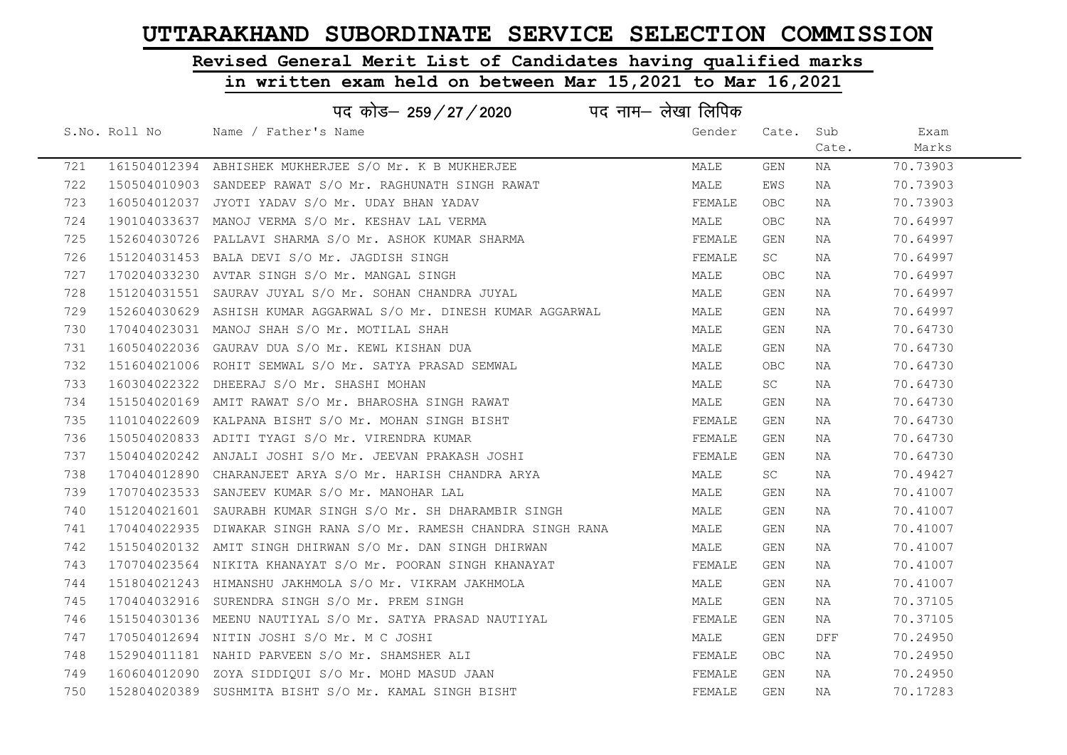# Revised General Merit List of Candidates having qualified marks

### in written exam held on between Mar 15,2021 to Mar 16,2021

| पद कोड़– 259 / 27 / 2020 पद नाम– लेखा लिपिक |               |                                                                   |        |       |       |          |  |  |
|---------------------------------------------|---------------|-------------------------------------------------------------------|--------|-------|-------|----------|--|--|
|                                             | S.No. Roll No | Name / Father's Name                                              | Gender | Cate. | Sub   | Exam     |  |  |
|                                             |               |                                                                   |        |       | Cate. | Marks    |  |  |
| 721                                         |               | 161504012394 ABHISHEK MUKHERJEE S/O Mr. K B MUKHERJEE             | MALE   | GEN   | NA    | 70.73903 |  |  |
| 722                                         |               | 150504010903 SANDEEP RAWAT S/O Mr. RAGHUNATH SINGH RAWAT          | MALE   | EWS   | NA    | 70.73903 |  |  |
| 723                                         |               | 160504012037 JYOTI YADAV S/O Mr. UDAY BHAN YADAV                  | FEMALE | OBC   | NA    | 70.73903 |  |  |
| 724                                         |               | 190104033637 MANOJ VERMA S/O Mr. KESHAV LAL VERMA                 | MALE   | OBC   | NA    | 70.64997 |  |  |
| 725                                         | 152604030726  | PALLAVI SHARMA S/O Mr. ASHOK KUMAR SHARMA                         | FEMALE | GEN   | NA    | 70.64997 |  |  |
| 726                                         |               | 151204031453 BALA DEVI S/O Mr. JAGDISH SINGH                      | FEMALE | SC    | NA    | 70.64997 |  |  |
| 727                                         |               | 170204033230 AVTAR SINGH S/O Mr. MANGAL SINGH                     | MALE   | OBC.  | NA    | 70.64997 |  |  |
| 728                                         |               | 151204031551 SAURAV JUYAL S/O Mr. SOHAN CHANDRA JUYAL             | MALE   | GEN   | NA    | 70.64997 |  |  |
| 729                                         |               | 152604030629 ASHISH KUMAR AGGARWAL S/O Mr. DINESH KUMAR AGGARWAL  | MALE   | GEN   | NA    | 70.64997 |  |  |
| 730                                         |               | 170404023031 MANOJ SHAH S/O Mr. MOTILAL SHAH                      | MALE   | GEN   | NA    | 70.64730 |  |  |
| 731                                         |               | 160504022036 GAURAV DUA S/O Mr. KEWL KISHAN DUA                   | MALE   | GEN   | NA    | 70.64730 |  |  |
| 732                                         |               | 151604021006 ROHIT SEMWAL S/O Mr. SATYA PRASAD SEMWAL             | MALE   | OBC   | NA    | 70.64730 |  |  |
| 733                                         |               | 160304022322 DHEERAJ S/O Mr. SHASHI MOHAN                         | MALE   | SC .  | NA    | 70.64730 |  |  |
| 734                                         |               | 151504020169 AMIT RAWAT S/O Mr. BHAROSHA SINGH RAWAT              | MALE   | GEN   | NA    | 70.64730 |  |  |
| 735                                         |               | 110104022609 KALPANA BISHT S/O Mr. MOHAN SINGH BISHT              | FEMALE | GEN   | NA    | 70.64730 |  |  |
| 736                                         |               | 150504020833 ADITI TYAGI S/O Mr. VIRENDRA KUMAR                   | FEMALE | GEN   | NA    | 70.64730 |  |  |
| 737                                         |               | 150404020242 ANJALI JOSHI S/O Mr. JEEVAN PRAKASH JOSHI            | FEMALE | GEN   | NA    | 70.64730 |  |  |
| 738                                         |               | 170404012890 CHARANJEET ARYA S/O Mr. HARISH CHANDRA ARYA          | MALE   | SC    | NA    | 70.49427 |  |  |
| 739                                         |               | 170704023533 SANJEEV KUMAR S/O Mr. MANOHAR LAL                    | MALE   | GEN   | NA    | 70.41007 |  |  |
| 740                                         |               | 151204021601 SAURABH KUMAR SINGH S/O Mr. SH DHARAMBIR SINGH       | MALE   | GEN   | NA    | 70.41007 |  |  |
| 741                                         |               | 170404022935 DIWAKAR SINGH RANA S/O Mr. RAMESH CHANDRA SINGH RANA | MALE   | GEN   | NA    | 70.41007 |  |  |
| 742                                         |               | 151504020132 AMIT SINGH DHIRWAN S/O Mr. DAN SINGH DHIRWAN         | MALE   | GEN   | NA    | 70.41007 |  |  |
| 743                                         |               | 170704023564 NIKITA KHANAYAT S/O Mr. POORAN SINGH KHANAYAT        | FEMALE | GEN   | NA    | 70.41007 |  |  |
| 744                                         |               | 151804021243 HIMANSHU JAKHMOLA S/O Mr. VIKRAM JAKHMOLA            | MALE   | GEN   | NA    | 70.41007 |  |  |
| 745                                         | 170404032916  | SURENDRA SINGH S/O Mr. PREM SINGH                                 | MALE   | GEN   | NA    | 70.37105 |  |  |
| 746                                         |               | 151504030136 MEENU NAUTIYAL S/O Mr. SATYA PRASAD NAUTIYAL         | FEMALE | GEN   | NA    | 70.37105 |  |  |
| 747                                         |               | 170504012694 NITIN JOSHI S/O Mr. M C JOSHI                        | MALE   | GEN   | DFF   | 70.24950 |  |  |
| 748                                         |               | 152904011181 NAHID PARVEEN S/O Mr. SHAMSHER ALI                   | FEMALE | OBC.  | NA    | 70.24950 |  |  |
| 749                                         |               | 160604012090 ZOYA SIDDIOUI S/O Mr. MOHD MASUD JAAN                | FEMALE | GEN   | NA    | 70.24950 |  |  |
| 750                                         |               | 152804020389 SUSHMITA BISHT S/O Mr. KAMAL SINGH BISHT             | FEMALE | GEN   | ΝA    | 70.17283 |  |  |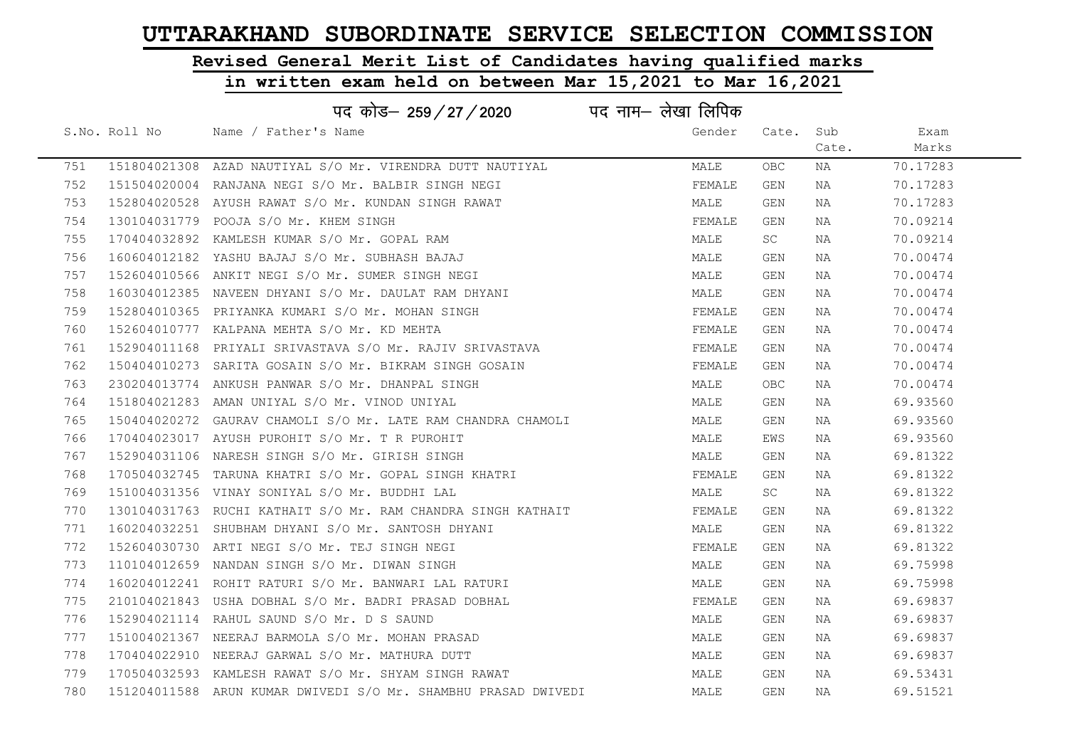# Revised General Merit List of Candidates having qualified marks

|     |               | पद कोड– 259 / 27 / 2020                                        | पद नाम— लेखा लिपिक |            |       |          |
|-----|---------------|----------------------------------------------------------------|--------------------|------------|-------|----------|
|     | S.No. Roll No | Name / Father's Name                                           | Gender             | Cate. Sub  |       | Exam     |
|     |               |                                                                |                    |            | Cate. | Marks    |
| 751 |               | 151804021308 AZAD NAUTIYAL S/O Mr. VIRENDRA DUTT NAUTIYAL      | MALE               | <b>OBC</b> | NA    | 70.17283 |
| 752 |               | 151504020004 RANJANA NEGI S/O Mr. BALBIR SINGH NEGI            | FEMALE             | GEN        | NA    | 70.17283 |
| 753 |               | 152804020528 AYUSH RAWAT S/O Mr. KUNDAN SINGH RAWAT            | MALE               | GEN        | NA    | 70.17283 |
| 754 |               | 130104031779 POOJA S/O Mr. KHEM SINGH                          | FEMALE             | GEN        | NA    | 70.09214 |
| 755 |               | 170404032892 KAMLESH KUMAR S/O Mr. GOPAL RAM                   | MALE               | SC         | NA    | 70.09214 |
| 756 |               | 160604012182 YASHU BAJAJ S/O Mr. SUBHASH BAJAJ                 | MALE               | GEN        | NA    | 70.00474 |
| 757 |               | 152604010566 ANKIT NEGI S/O Mr. SUMER SINGH NEGI               | MALE               | GEN        | NA    | 70.00474 |
| 758 |               | 160304012385 NAVEEN DHYANI S/O Mr. DAULAT RAM DHYANI           | MALE               | GEN        | NA    | 70.00474 |
| 759 |               | 152804010365 PRIYANKA KUMARI S/O Mr. MOHAN SINGH               | FEMALE             | GEN        | NA    | 70.00474 |
| 760 |               | 152604010777 KALPANA MEHTA S/O Mr. KD MEHTA                    | FEMALE             | GEN        | NA    | 70.00474 |
| 761 |               | 152904011168 PRIYALI SRIVASTAVA S/O Mr. RAJIV SRIVASTAVA       | FEMALE             | GEN        | NA    | 70.00474 |
| 762 |               | 150404010273 SARITA GOSAIN S/O Mr. BIKRAM SINGH GOSAIN         | FEMALE             | GEN        | NA    | 70.00474 |
| 763 |               | 230204013774 ANKUSH PANWAR S/O Mr. DHANPAL SINGH               | MALE               | OBC        | NA    | 70.00474 |
| 764 |               | 151804021283 AMAN UNIYAL S/O Mr. VINOD UNIYAL                  | MALE               | GEN        | NA    | 69.93560 |
| 765 |               | 150404020272 GAURAV CHAMOLI S/O Mr. LATE RAM CHANDRA CHAMOLI   | MALE               | GEN        | NA    | 69.93560 |
| 766 |               | 170404023017 AYUSH PUROHIT S/O Mr. T R PUROHIT                 | MALE               | EWS        | NA    | 69.93560 |
| 767 |               | 152904031106 NARESH SINGH S/O Mr. GIRISH SINGH                 | MALE               | GEN        | NA    | 69.81322 |
| 768 |               | 170504032745 TARUNA KHATRI S/O Mr. GOPAL SINGH KHATRI          | FEMALE             | GEN        | NA    | 69.81322 |
| 769 |               | 151004031356 VINAY SONIYAL S/O Mr. BUDDHI LAL                  | MALE               | SC.        | NA    | 69.81322 |
| 770 |               | 130104031763 RUCHI KATHAIT S/O Mr. RAM CHANDRA SINGH KATHAIT   | FEMALE             | GEN        | NA    | 69.81322 |
| 771 |               | 160204032251 SHUBHAM DHYANI S/O Mr. SANTOSH DHYANI             | MALE               | GEN        | NA    | 69.81322 |
| 772 |               | 152604030730 ARTI NEGI S/O Mr. TEJ SINGH NEGI                  | FEMALE             | GEN        | NA    | 69.81322 |
| 773 |               | 110104012659 NANDAN SINGH S/O Mr. DIWAN SINGH                  | MALE               | GEN        | NA    | 69.75998 |
| 774 |               | 160204012241 ROHIT RATURI S/O Mr. BANWARI LAL RATURI           | MALE               | GEN        | ΝA    | 69.75998 |
| 775 |               | 210104021843 USHA DOBHAL S/O Mr. BADRI PRASAD DOBHAL           | FEMALE             | GEN        | NA    | 69.69837 |
| 776 |               | 152904021114 RAHUL SAUND S/O Mr. D S SAUND                     | MALE               | GEN        | NA    | 69.69837 |
| 777 |               | 151004021367 NEERAJ BARMOLA S/O Mr. MOHAN PRASAD               | MALE               | GEN        | NA    | 69.69837 |
| 778 |               | 170404022910 NEERAJ GARWAL S/O Mr. MATHURA DUTT                | MALE               | GEN        | NA    | 69.69837 |
| 779 |               | 170504032593 KAMLESH RAWAT S/O Mr. SHYAM SINGH RAWAT           | MALE               | GEN        | NA    | 69.53431 |
| 780 |               | 151204011588 ARUN KUMAR DWIVEDI S/O Mr. SHAMBHU PRASAD DWIVEDI | MALE               | GEN        | NA    | 69.51521 |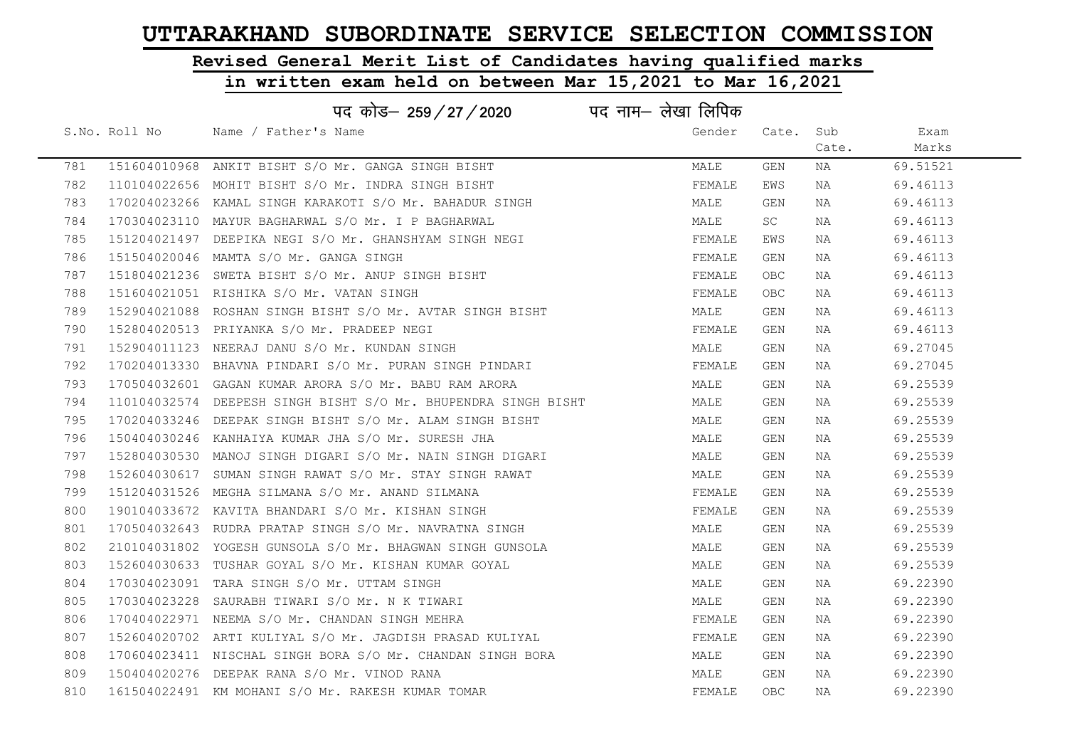# Revised General Merit List of Candidates having qualified marks

### in written exam held on between Mar 15,2021 to Mar 16,2021

|     |               | पद कोड़– 259 / 27 / 2020 पद नाम– लेखा लिपिक                |        |       |       |          |
|-----|---------------|------------------------------------------------------------|--------|-------|-------|----------|
|     | S.No. Roll No | Name / Father's Name                                       | Gender | Cate. | Sub   | Exam     |
|     |               |                                                            |        |       | Cate. | Marks    |
| 781 | 151604010968  | ANKIT BISHT S/O Mr. GANGA SINGH BISHT                      | MALE   | GEN   | NA    | 69.51521 |
| 782 | 110104022656  | MOHIT BISHT S/O Mr. INDRA SINGH BISHT                      | FEMALE | EWS   | NA    | 69.46113 |
| 783 | 170204023266  | KAMAL SINGH KARAKOTI S/O Mr. BAHADUR SINGH                 | MALE   | GEN   | NA    | 69.46113 |
| 784 |               | 170304023110 MAYUR BAGHARWAL S/O Mr. I P BAGHARWAL         | MALE   | SC    | NA    | 69.46113 |
| 785 | 151204021497  | DEEPIKA NEGI S/O Mr. GHANSHYAM SINGH NEGI                  | FEMALE | EWS   | NA    | 69.46113 |
| 786 |               | 151504020046 MAMTA S/O Mr. GANGA SINGH                     | FEMALE | GEN   | NA    | 69.46113 |
| 787 |               | 151804021236 SWETA BISHT S/O Mr. ANUP SINGH BISHT          | FEMALE | OBC   | NA    | 69.46113 |
| 788 |               | 151604021051 RISHIKA S/O Mr. VATAN SINGH                   | FEMALE | OBC   | NA    | 69.46113 |
| 789 | 152904021088  | ROSHAN SINGH BISHT S/O Mr. AVTAR SINGH BISHT               | MALE   | GEN   | NA    | 69.46113 |
| 790 | 152804020513  | PRIYANKA S/O Mr. PRADEEP NEGI                              | FEMALE | GEN   | NA    | 69.46113 |
| 791 |               | 152904011123 NEERAJ DANU S/O Mr. KUNDAN SINGH              | MALE   | GEN   | NA    | 69.27045 |
| 792 | 170204013330  | BHAVNA PINDARI S/O Mr. PURAN SINGH PINDARI                 | FEMALE | GEN   | NA    | 69.27045 |
| 793 |               | 170504032601 GAGAN KUMAR ARORA S/O Mr. BABU RAM ARORA      | MALE   | GEN   | NA    | 69.25539 |
| 794 | 110104032574  | DEEPESH SINGH BISHT S/O Mr. BHUPENDRA SINGH BISHT          | MALE   | GEN   | NA    | 69.25539 |
| 795 |               | 170204033246 DEEPAK SINGH BISHT S/O Mr. ALAM SINGH BISHT   | MALE   | GEN   | NA    | 69.25539 |
| 796 |               | 150404030246 KANHAIYA KUMAR JHA S/O Mr. SURESH JHA         | MALE   | GEN   | NA    | 69.25539 |
| 797 | 152804030530  | MANOJ SINGH DIGARI S/O Mr. NAIN SINGH DIGARI               | MALE   | GEN   | NA    | 69.25539 |
| 798 | 152604030617  | SUMAN SINGH RAWAT S/O Mr. STAY SINGH RAWAT                 | MALE   | GEN   | NA    | 69.25539 |
| 799 |               | 151204031526 MEGHA SILMANA S/O Mr. ANAND SILMANA           | FEMALE | GEN   | NA    | 69.25539 |
| 800 |               | 190104033672 KAVITA BHANDARI S/O Mr. KISHAN SINGH          | FEMALE | GEN   | NA    | 69.25539 |
| 801 |               | 170504032643 RUDRA PRATAP SINGH S/O Mr. NAVRATNA SINGH     | MALE   | GEN   | NA    | 69.25539 |
| 802 |               | 210104031802 YOGESH GUNSOLA S/O Mr. BHAGWAN SINGH GUNSOLA  | MALE   | GEN   | NA    | 69.25539 |
| 803 |               | 152604030633 TUSHAR GOYAL S/O Mr. KISHAN KUMAR GOYAL       | MALE   | GEN   | NA    | 69.25539 |
| 804 |               | 170304023091 TARA SINGH S/O Mr. UTTAM SINGH                | MALE   | GEN   | NA    | 69.22390 |
| 805 | 170304023228  | SAURABH TIWARI S/O Mr. N K TIWARI                          | MALE   | GEN   | NA    | 69.22390 |
| 806 |               | 170404022971 NEEMA S/O Mr. CHANDAN SINGH MEHRA             | FEMALE | GEN   | NA    | 69.22390 |
| 807 |               | 152604020702 ARTI KULIYAL S/O Mr. JAGDISH PRASAD KULIYAL   | FEMALE | GEN   | NA    | 69.22390 |
| 808 |               | 170604023411 NISCHAL SINGH BORA S/O Mr. CHANDAN SINGH BORA | MALE   | GEN   | NA    | 69.22390 |
| 809 |               | 150404020276 DEEPAK RANA S/O Mr. VINOD RANA                | MALE   | GEN   | NA    | 69.22390 |
| 810 |               | 161504022491 KM MOHANI S/O Mr. RAKESH KUMAR TOMAR          | FEMALE | OBC   | ΝA    | 69.22390 |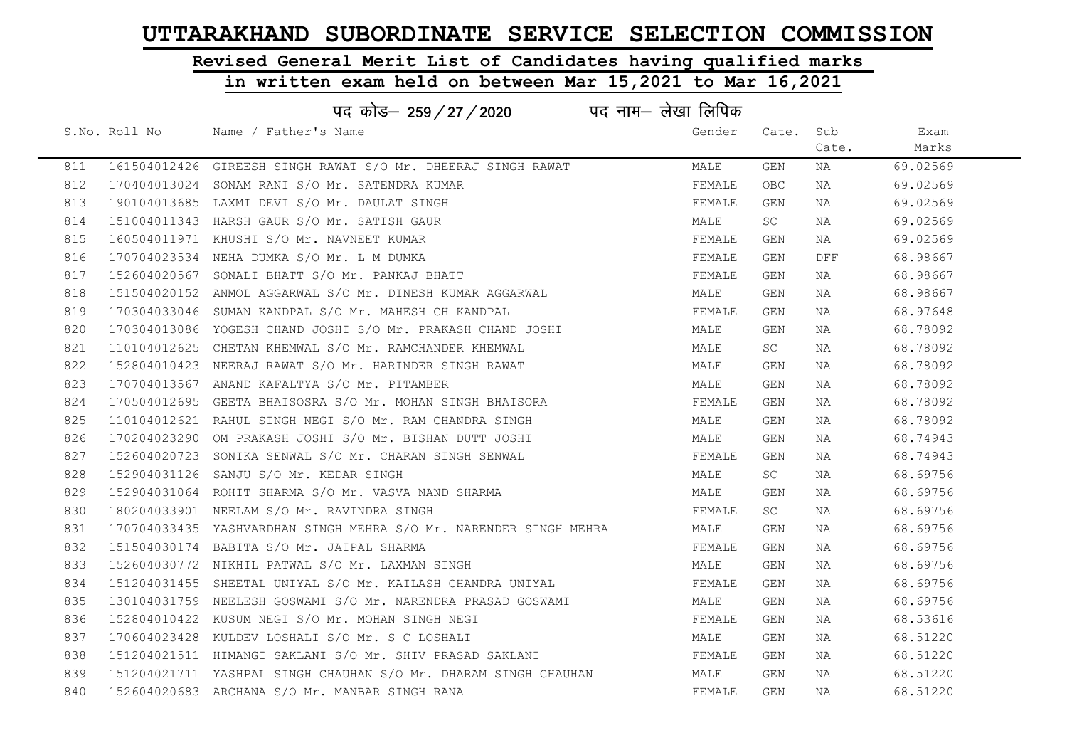# Revised General Merit List of Candidates having qualified marks

|     |               | पद कोड– 259/27/2020                                               | पद नाम– लेखा लिपिक |                     |       |          |  |
|-----|---------------|-------------------------------------------------------------------|--------------------|---------------------|-------|----------|--|
|     | S.No. Roll No | Name / Father's Name                                              | Gender             | Cate.               | Sub   | Exam     |  |
|     |               |                                                                   |                    |                     | Cate. | Marks    |  |
| 811 |               | 161504012426 GIREESH SINGH RAWAT S/O Mr. DHEERAJ SINGH RAWAT      | MALE               | GEN                 | NA    | 69.02569 |  |
| 812 |               | 170404013024 SONAM RANI S/O Mr. SATENDRA KUMAR                    | FEMALE             | OBC.                | NA    | 69.02569 |  |
| 813 |               | 190104013685 LAXMI DEVI S/O Mr. DAULAT SINGH                      | FEMALE             | GEN                 | NA    | 69.02569 |  |
| 814 |               | 151004011343 HARSH GAUR S/O Mr. SATISH GAUR                       | MALE               | SC                  | NA    | 69.02569 |  |
| 815 |               | 160504011971 KHUSHI S/O Mr. NAVNEET KUMAR                         | FEMALE             | GEN                 | NA    | 69.02569 |  |
| 816 |               | 170704023534 NEHA DUMKA S/O Mr. L M DUMKA                         | FEMALE             | GEN                 | DFF   | 68.98667 |  |
| 817 |               | 152604020567 SONALI BHATT S/O Mr. PANKAJ BHATT                    | FEMALE             | GEN                 | NA    | 68.98667 |  |
| 818 |               | 151504020152 ANMOL AGGARWAL S/O Mr. DINESH KUMAR AGGARWAL         | MALE               | GEN                 | ΝA    | 68.98667 |  |
| 819 |               | 170304033046 SUMAN KANDPAL S/O Mr. MAHESH CH KANDPAL              | FEMALE             | GEN                 | NA    | 68.97648 |  |
| 820 |               | 170304013086 YOGESH CHAND JOSHI S/O Mr. PRAKASH CHAND JOSHI       | MALE               | <b>GEN</b>          | NA    | 68.78092 |  |
| 821 |               | 110104012625 CHETAN KHEMWAL S/O Mr. RAMCHANDER KHEMWAL            | MALE               | SC                  | NA    | 68.78092 |  |
| 822 |               | 152804010423 NEERAJ RAWAT S/O Mr. HARINDER SINGH RAWAT            | MALE               | GEN                 | NA    | 68.78092 |  |
| 823 |               | 170704013567 ANAND KAFALTYA S/O Mr. PITAMBER                      | MALE               | GEN                 | NA    | 68.78092 |  |
| 824 |               | 170504012695 GEETA BHAISOSRA S/O Mr. MOHAN SINGH BHAISORA         | FEMALE             | GEN                 | NA    | 68.78092 |  |
| 825 |               | 110104012621 RAHUL SINGH NEGI S/O Mr. RAM CHANDRA SINGH           | MALE               | GEN                 | NA    | 68.78092 |  |
| 826 |               | 170204023290 OM PRAKASH JOSHI S/O Mr. BISHAN DUTT JOSHI           | MALE               | <b>GEN</b>          | NA    | 68.74943 |  |
| 827 |               | 152604020723 SONIKA SENWAL S/O Mr. CHARAN SINGH SENWAL            | FEMALE             | GEN                 | NA    | 68.74943 |  |
| 828 |               | 152904031126 SANJU S/O Mr. KEDAR SINGH                            | MALE               | SC                  | NA    | 68.69756 |  |
| 829 |               | 152904031064 ROHIT SHARMA S/O Mr. VASVA NAND SHARMA               | MALE               | GEN                 | NA    | 68.69756 |  |
| 830 |               | 180204033901 NEELAM S/O Mr. RAVINDRA SINGH                        | FEMALE             | $\operatorname{SC}$ | NA    | 68.69756 |  |
| 831 |               | 170704033435 YASHVARDHAN SINGH MEHRA S/O Mr. NARENDER SINGH MEHRA | MALE               | GEN                 | NA    | 68.69756 |  |
| 832 |               | 151504030174 BABITA S/O Mr. JAIPAL SHARMA                         | FEMALE             | GEN                 | NA    | 68.69756 |  |
| 833 |               | 152604030772 NIKHIL PATWAL S/O Mr. LAXMAN SINGH                   | MALE               | GEN                 | ΝA    | 68.69756 |  |
| 834 |               | 151204031455 SHEETAL UNIYAL S/O Mr. KAILASH CHANDRA UNIYAL        | FEMALE             | GEN                 | ΝA    | 68.69756 |  |
| 835 |               | 130104031759 NEELESH GOSWAMI S/O Mr. NARENDRA PRASAD GOSWAMI      | MALE               | GEN                 | NA    | 68.69756 |  |
| 836 |               | 152804010422 KUSUM NEGI S/O Mr. MOHAN SINGH NEGI                  | FEMALE             | GEN                 | NA    | 68.53616 |  |
| 837 |               | 170604023428 KULDEV LOSHALI S/O Mr. S C LOSHALI                   | MALE               | GEN                 | NA    | 68.51220 |  |
| 838 |               | 151204021511 HIMANGI SAKLANI S/O Mr. SHIV PRASAD SAKLANI          | FEMALE             | GEN                 | NA    | 68.51220 |  |
| 839 |               | 151204021711 YASHPAL SINGH CHAUHAN S/O Mr. DHARAM SINGH CHAUHAN   | MALE               | GEN                 | NA    | 68.51220 |  |
| 840 |               | 152604020683 ARCHANA S/O Mr. MANBAR SINGH RANA                    | FEMALE             | GEN                 | ΝA    | 68.51220 |  |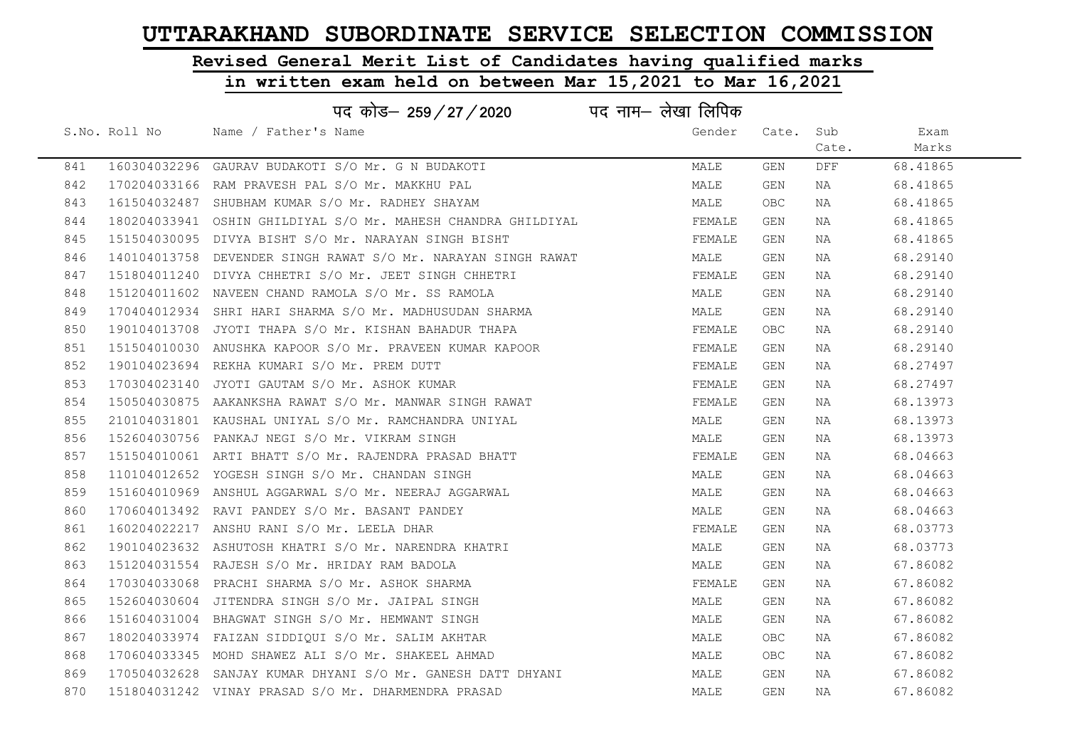# Revised General Merit List of Candidates having qualified marks

|     |               | पद कोड– 259 / 27 / 2020                                       | पद नाम– लेखा लिपिक |            |       |          |  |
|-----|---------------|---------------------------------------------------------------|--------------------|------------|-------|----------|--|
|     | S.No. Roll No | Name / Father's Name                                          | Gender             | Cate.      | Sub   | Exam     |  |
|     |               |                                                               |                    |            | Cate. | Marks    |  |
| 841 |               | 160304032296 GAURAV BUDAKOTI S/O Mr. G N BUDAKOTI             | MALE               | GEN        | DFF   | 68.41865 |  |
| 842 |               | 170204033166 RAM PRAVESH PAL S/O Mr. MAKKHU PAL               | MALE               | GEN        | NA    | 68.41865 |  |
| 843 |               | 161504032487 SHUBHAM KUMAR S/O Mr. RADHEY SHAYAM              | MALE               | OBC        | ΝA    | 68.41865 |  |
| 844 |               | 180204033941 OSHIN GHILDIYAL S/O Mr. MAHESH CHANDRA GHILDIYAL | FEMALE             | GEN        | NA    | 68.41865 |  |
| 845 |               | 151504030095 DIVYA BISHT S/O Mr. NARAYAN SINGH BISHT          | FEMALE             | GEN        | NA    | 68.41865 |  |
| 846 |               | 140104013758 DEVENDER SINGH RAWAT S/O Mr. NARAYAN SINGH RAWAT | MALE               | GEN        | NA    | 68.29140 |  |
| 847 |               | 151804011240 DIVYA CHHETRI S/O Mr. JEET SINGH CHHETRI         | FEMALE             | GEN        | NA    | 68.29140 |  |
| 848 |               | 151204011602 NAVEEN CHAND RAMOLA S/O Mr. SS RAMOLA            | MALE               | GEN        | NA    | 68.29140 |  |
| 849 |               | 170404012934 SHRI HARI SHARMA S/O Mr. MADHUSUDAN SHARMA       | MALE               | <b>GEN</b> | ΝA    | 68.29140 |  |
| 850 |               | 190104013708 JYOTI THAPA S/O Mr. KISHAN BAHADUR THAPA         | FEMALE             | OBC        | NA    | 68.29140 |  |
| 851 |               | 151504010030 ANUSHKA KAPOOR S/O Mr. PRAVEEN KUMAR KAPOOR      | FEMALE             | GEN        | NA    | 68.29140 |  |
| 852 |               | 190104023694 REKHA KUMARI S/O Mr. PREM DUTT                   | FEMALE             | GEN        | NA    | 68.27497 |  |
| 853 |               | 170304023140 JYOTI GAUTAM S/O Mr. ASHOK KUMAR                 | FEMALE             | GEN        | NA    | 68.27497 |  |
| 854 |               | 150504030875 AAKANKSHA RAWAT S/O Mr. MANWAR SINGH RAWAT       | FEMALE             | GEN        | NA    | 68.13973 |  |
| 855 |               | 210104031801 KAUSHAL UNIYAL S/O Mr. RAMCHANDRA UNIYAL         | MALE               | GEN        | NA    | 68.13973 |  |
| 856 |               | 152604030756 PANKAJ NEGI S/O Mr. VIKRAM SINGH                 | MALE               | <b>GEN</b> | NA    | 68.13973 |  |
| 857 |               | 151504010061 ARTI BHATT S/O Mr. RAJENDRA PRASAD BHATT         | FEMALE             | GEN        | NA    | 68.04663 |  |
| 858 |               | 110104012652 YOGESH SINGH S/O Mr. CHANDAN SINGH               | MALE               | GEN        | ΝA    | 68.04663 |  |
| 859 |               | 151604010969 ANSHUL AGGARWAL S/O Mr. NEERAJ AGGARWAL          | MALE               | GEN        | ΝA    | 68.04663 |  |
| 860 |               | 170604013492 RAVI PANDEY S/O Mr. BASANT PANDEY                | MALE               | GEN        | NA    | 68.04663 |  |
| 861 |               | 160204022217 ANSHU RANI S/O Mr. LEELA DHAR                    | FEMALE             | GEN        | NA    | 68.03773 |  |
| 862 |               | 190104023632 ASHUTOSH KHATRI S/O Mr. NARENDRA KHATRI          | MALE               | GEN        | ΝA    | 68.03773 |  |
| 863 |               | 151204031554 RAJESH S/O Mr. HRIDAY RAM BADOLA                 | MALE               | GEN        | ΝA    | 67.86082 |  |
| 864 |               | 170304033068 PRACHI SHARMA S/O Mr. ASHOK SHARMA               | FEMALE             | GEN        | NA    | 67.86082 |  |
| 865 |               | 152604030604 JITENDRA SINGH S/O Mr. JAIPAL SINGH              | MALE               | GEN        | NA    | 67.86082 |  |
| 866 |               | 151604031004 BHAGWAT SINGH S/O Mr. HEMWANT SINGH              | MALE               | GEN        | NA    | 67.86082 |  |
| 867 |               | 180204033974 FAIZAN SIDDIQUI S/O Mr. SALIM AKHTAR             | MALE               | <b>OBC</b> | NA    | 67.86082 |  |
| 868 |               | 170604033345 MOHD SHAWEZ ALI S/O Mr. SHAKEEL AHMAD            | MALE               | OBC        | NA    | 67.86082 |  |
| 869 |               | 170504032628 SANJAY KUMAR DHYANI S/O Mr. GANESH DATT DHYANI   | MALE               | GEN        | ΝA    | 67.86082 |  |
| 870 |               | 151804031242 VINAY PRASAD S/O Mr. DHARMENDRA PRASAD           | MALE               | <b>GEN</b> | ΝA    | 67.86082 |  |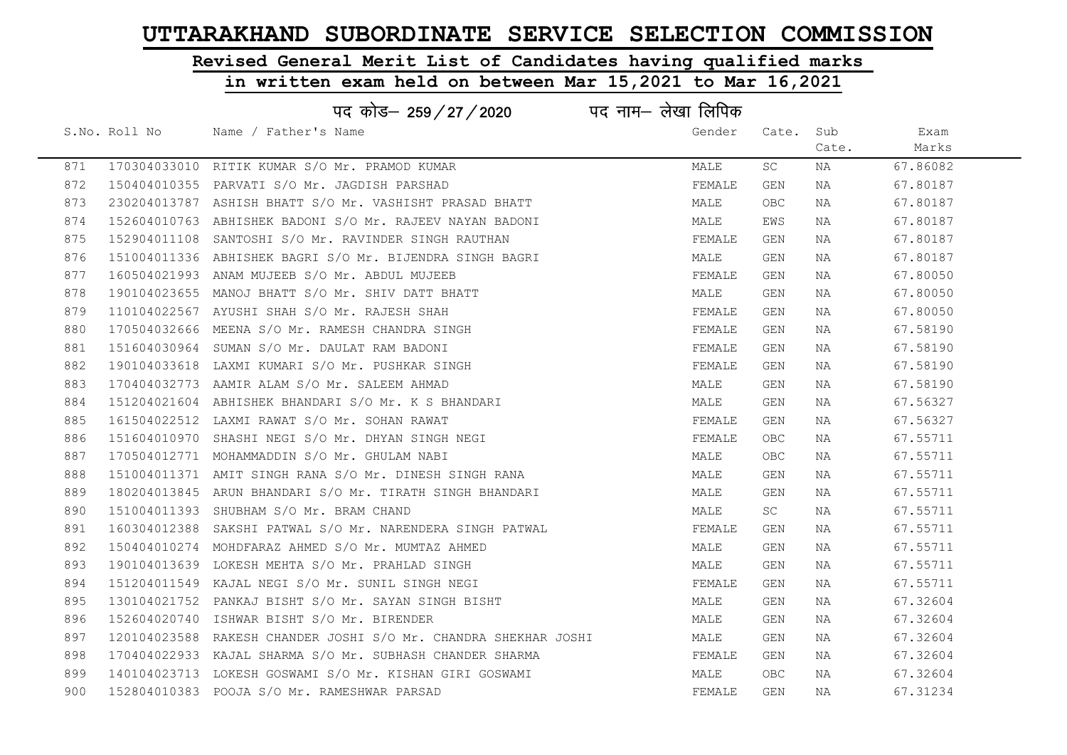# Revised General Merit List of Candidates having qualified marks

|     |               |                                              | पद कोड– 259/27/2020                                             | पद नाम— लेखा लिपिक |        |             |       |          |
|-----|---------------|----------------------------------------------|-----------------------------------------------------------------|--------------------|--------|-------------|-------|----------|
|     | S.No. Roll No | Name / Father's Name                         |                                                                 |                    | Gender | Cate.       | Sub   | Exam     |
|     |               |                                              |                                                                 |                    |        |             | Cate. | Marks    |
| 871 |               |                                              | 170304033010 RITIK KUMAR S/O Mr. PRAMOD KUMAR                   |                    | MALE   | SC          | NA    | 67.86082 |
| 872 |               |                                              | 150404010355 PARVATI S/O Mr. JAGDISH PARSHAD                    |                    | FEMALE | <b>GEN</b>  | NA    | 67.80187 |
| 873 |               |                                              | 230204013787 ASHISH BHATT S/O Mr. VASHISHT PRASAD BHATT         |                    | MALE   | <b>OBC</b>  | NA    | 67.80187 |
| 874 |               |                                              | 152604010763 ABHISHEK BADONI S/O Mr. RAJEEV NAYAN BADONI        |                    | MALE   | EWS         | NA    | 67.80187 |
| 875 |               |                                              | 152904011108 SANTOSHI S/O Mr. RAVINDER SINGH RAUTHAN            |                    | FEMALE | <b>GEN</b>  | ΝA    | 67.80187 |
| 876 |               |                                              | 151004011336 ABHISHEK BAGRI S/O Mr. BIJENDRA SINGH BAGRI        |                    | MALE   | GEN         | NA    | 67.80187 |
| 877 |               |                                              | 160504021993 ANAM MUJEEB S/O Mr. ABDUL MUJEEB                   |                    | FEMALE | GEN         | NA    | 67.80050 |
| 878 |               |                                              | 190104023655 MANOJ BHATT S/O Mr. SHIV DATT BHATT                |                    | MALE   | GEN         | NA    | 67.80050 |
| 879 |               |                                              | 110104022567 AYUSHI SHAH S/O Mr. RAJESH SHAH                    |                    | FEMALE | <b>GEN</b>  | NA    | 67.80050 |
| 880 |               |                                              | 170504032666 MEENA S/O Mr. RAMESH CHANDRA SINGH                 |                    | FEMALE | GEN         | NA    | 67.58190 |
| 881 |               | 151604030964 SUMAN S/O Mr. DAULAT RAM BADONI |                                                                 |                    | FEMALE | GEN         | NA    | 67.58190 |
| 882 |               |                                              | 190104033618 LAXMI KUMARI S/O Mr. PUSHKAR SINGH                 |                    | FEMALE | GEN         | NA    | 67.58190 |
| 883 |               |                                              | 170404032773 AAMIR ALAM S/O Mr. SALEEM AHMAD                    |                    | MALE   | GEN         | NA    | 67.58190 |
| 884 |               |                                              | 151204021604 ABHISHEK BHANDARI S/O Mr. K S BHANDARI             |                    | MALE   | <b>GEN</b>  | NA    | 67.56327 |
| 885 |               |                                              | 161504022512 LAXMI RAWAT S/O Mr. SOHAN RAWAT                    |                    | FEMALE | <b>GEN</b>  | NA    | 67.56327 |
| 886 |               |                                              | 151604010970 SHASHI NEGI S/O Mr. DHYAN SINGH NEGI               |                    | FEMALE | ${\sf OBC}$ | ΝA    | 67.55711 |
| 887 |               | 170504012771 MOHAMMADDIN S/O Mr. GHULAM NABI |                                                                 |                    | MALE   | OBC         | ΝA    | 67.55711 |
| 888 |               |                                              | 151004011371 AMIT SINGH RANA S/O Mr. DINESH SINGH RANA          |                    | MALE   | GEN         | ΝA    | 67.55711 |
| 889 |               |                                              | 180204013845 ARUN BHANDARI S/O Mr. TIRATH SINGH BHANDARI        |                    | MALE   | GEN         | ΝA    | 67.55711 |
| 890 |               | 151004011393 SHUBHAM S/O Mr. BRAM CHAND      |                                                                 |                    | MALE   | SC          | NA    | 67.55711 |
| 891 | 160304012388  |                                              | SAKSHI PATWAL S/O Mr. NARENDERA SINGH PATWAL                    |                    | FEMALE | GEN         | NA    | 67.55711 |
| 892 |               |                                              | 150404010274 MOHDFARAZ AHMED S/O Mr. MUMTAZ AHMED               |                    | MALE   | GEN         | NA    | 67.55711 |
| 893 |               |                                              | 190104013639 LOKESH MEHTA S/O Mr. PRAHLAD SINGH                 |                    | MALE   | GEN         | NA    | 67.55711 |
| 894 |               |                                              | 151204011549 KAJAL NEGI S/O Mr. SUNIL SINGH NEGI                |                    | FEMALE | GEN         | NA    | 67.55711 |
| 895 |               |                                              | 130104021752 PANKAJ BISHT S/O Mr. SAYAN SINGH BISHT             |                    | MALE   | GEN         | NA    | 67.32604 |
| 896 |               | 152604020740 ISHWAR BISHT S/O Mr. BIRENDER   |                                                                 |                    | MALE   | GEN         | NA    | 67.32604 |
| 897 |               |                                              | 120104023588 RAKESH CHANDER JOSHI S/O Mr. CHANDRA SHEKHAR JOSHI |                    | MALE   | GEN         | NA    | 67.32604 |
| 898 |               |                                              | 170404022933 KAJAL SHARMA S/O Mr. SUBHASH CHANDER SHARMA        |                    | FEMALE | GEN         | NA    | 67.32604 |
| 899 |               |                                              | 140104023713 LOKESH GOSWAMI S/O Mr. KISHAN GIRI GOSWAMI         |                    | MALE   | OBC         | NA    | 67.32604 |
| 900 |               | 152804010383 POOJA S/O Mr. RAMESHWAR PARSAD  |                                                                 |                    | FEMALE | GEN         | ΝA    | 67.31234 |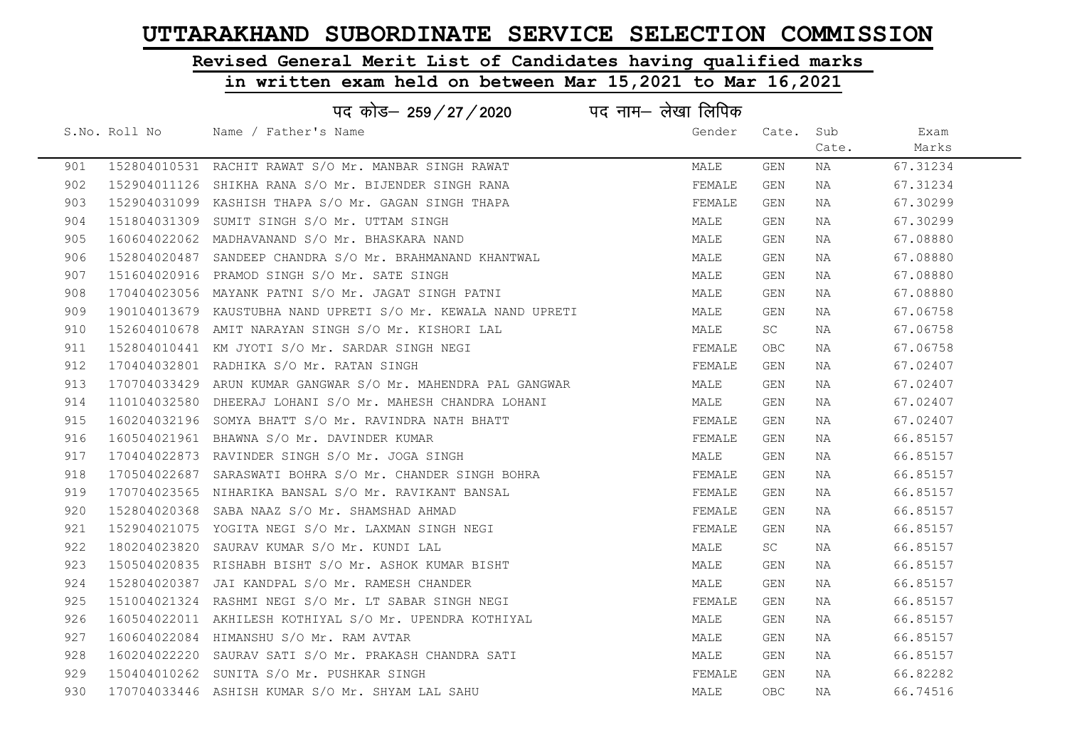# Revised General Merit List of Candidates having qualified marks

|     |               | पद कोड– 259 / 27 / 2020                                       | पद नाम– लेखा लिपिक |       |       |          |  |
|-----|---------------|---------------------------------------------------------------|--------------------|-------|-------|----------|--|
|     | S.No. Roll No | Name / Father's Name                                          | Gender             | Cate. | Sub   | Exam     |  |
|     |               |                                                               |                    |       | Cate. | Marks    |  |
| 901 |               | 152804010531 RACHIT RAWAT S/O Mr. MANBAR SINGH RAWAT          | MALE               | GEN   | NA    | 67.31234 |  |
| 902 |               | 152904011126 SHIKHA RANA S/O Mr. BIJENDER SINGH RANA          | FEMALE             | GEN   | NA    | 67.31234 |  |
| 903 |               | 152904031099 KASHISH THAPA S/O Mr. GAGAN SINGH THAPA          | FEMALE             | GEN   | NA    | 67.30299 |  |
| 904 |               | 151804031309 SUMIT SINGH S/O Mr. UTTAM SINGH                  | MALE               | GEN   | ΝA    | 67.30299 |  |
| 905 |               | 160604022062 MADHAVANAND S/O Mr. BHASKARA NAND                | MALE               | GEN   | NA    | 67.08880 |  |
| 906 |               | 152804020487 SANDEEP CHANDRA S/O Mr. BRAHMANAND KHANTWAL      | MALE               | GEN   | NA    | 67.08880 |  |
| 907 |               | 151604020916 PRAMOD SINGH S/O Mr. SATE SINGH                  | MALE               | GEN   | NA    | 67.08880 |  |
| 908 |               | 170404023056 MAYANK PATNI S/O Mr. JAGAT SINGH PATNI           | MALE               | GEN   | NA    | 67.08880 |  |
| 909 |               | 190104013679 KAUSTUBHA NAND UPRETI S/O Mr. KEWALA NAND UPRETI | MALE               | GEN   | NA    | 67.06758 |  |
| 910 |               | 152604010678 AMIT NARAYAN SINGH S/O Mr. KISHORI LAL           | MALE               | SC    | NA    | 67.06758 |  |
| 911 |               | 152804010441 KM JYOTI S/O Mr. SARDAR SINGH NEGI               | FEMALE             | OBC.  | NA    | 67.06758 |  |
| 912 |               | 170404032801 RADHIKA S/O Mr. RATAN SINGH                      | FEMALE             | GEN   | NA    | 67.02407 |  |
| 913 |               | 170704033429 ARUN KUMAR GANGWAR S/O Mr. MAHENDRA PAL GANGWAR  | MALE               | GEN   | NA    | 67.02407 |  |
| 914 |               | 110104032580 DHEERAJ LOHANI S/O Mr. MAHESH CHANDRA LOHANI     | MALE               | GEN   | NA    | 67.02407 |  |
| 915 |               | 160204032196 SOMYA BHATT S/O Mr. RAVINDRA NATH BHATT          | FEMALE             | GEN   | NA    | 67.02407 |  |
| 916 |               | 160504021961 BHAWNA S/O Mr. DAVINDER KUMAR                    | FEMALE             | GEN   | NA    | 66.85157 |  |
| 917 |               | 170404022873 RAVINDER SINGH S/O Mr. JOGA SINGH                | MALE               | GEN   | ΝA    | 66.85157 |  |
| 918 |               | 170504022687 SARASWATI BOHRA S/O Mr. CHANDER SINGH BOHRA      | FEMALE             | GEN   | NA    | 66.85157 |  |
| 919 |               | 170704023565 NIHARIKA BANSAL S/O Mr. RAVIKANT BANSAL          | FEMALE             | GEN   | NA    | 66.85157 |  |
| 920 |               | 152804020368 SABA NAAZ S/O Mr. SHAMSHAD AHMAD                 | FEMALE             | GEN   | ΝA    | 66.85157 |  |
| 921 |               | 152904021075 YOGITA NEGI S/O Mr. LAXMAN SINGH NEGI            | FEMALE             | GEN   | NA    | 66.85157 |  |
| 922 |               | 180204023820 SAURAV KUMAR S/O Mr. KUNDI LAL                   | MALE               | SC    | NA    | 66.85157 |  |
| 923 |               | 150504020835 RISHABH BISHT S/O Mr. ASHOK KUMAR BISHT          | MALE               | GEN   | NA    | 66.85157 |  |
| 924 |               | 152804020387 JAI KANDPAL S/O Mr. RAMESH CHANDER               | MALE               | GEN   | ΝA    | 66.85157 |  |
| 925 |               | 151004021324 RASHMI NEGI S/O Mr. LT SABAR SINGH NEGI          | FEMALE             | GEN   | NA    | 66.85157 |  |
| 926 |               | 160504022011 AKHILESH KOTHIYAL S/O Mr. UPENDRA KOTHIYAL       | MALE               | GEN   | NA    | 66.85157 |  |
| 927 |               | 160604022084 HIMANSHU S/O Mr. RAM AVTAR                       | MALE               | GEN   | NA    | 66.85157 |  |
| 928 |               | 160204022220 SAURAV SATI S/O Mr. PRAKASH CHANDRA SATI         | MALE               | GEN   | NA    | 66.85157 |  |
| 929 |               | 150404010262 SUNITA S/O Mr. PUSHKAR SINGH                     | FEMALE             | GEN   | NA    | 66.82282 |  |
| 930 |               | 170704033446 ASHISH KUMAR S/O Mr. SHYAM LAL SAHU              | MALE               | OBC   | NA    | 66.74516 |  |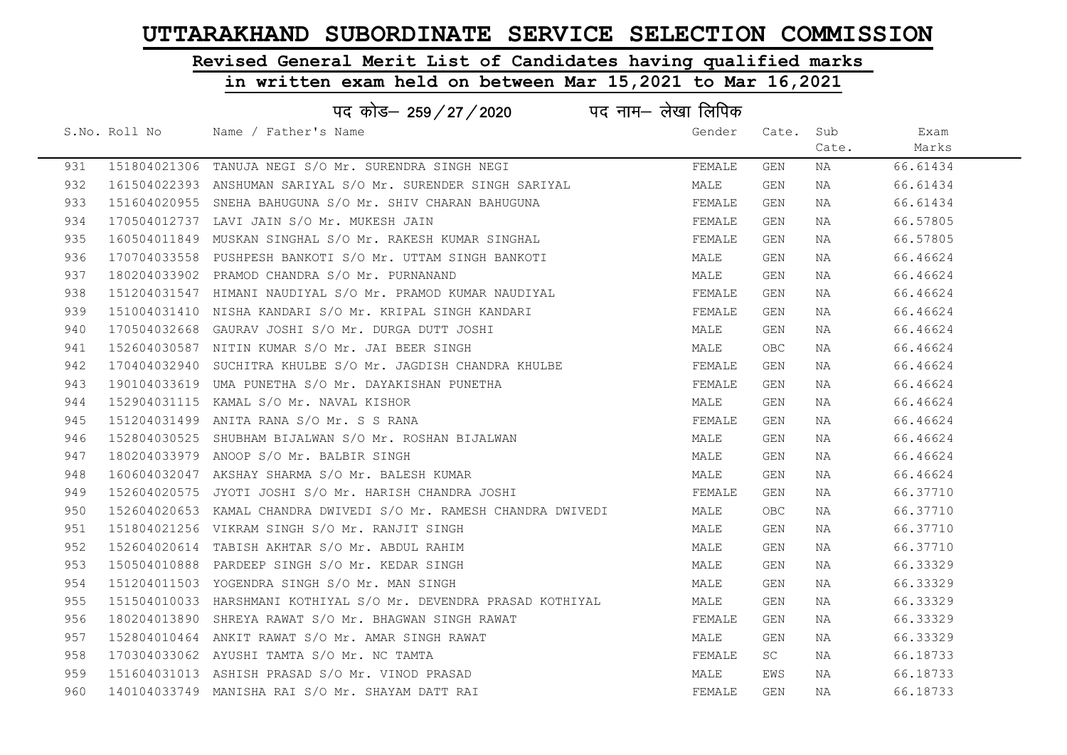# Revised General Merit List of Candidates having qualified marks

### in written exam held on between Mar 15,2021 to Mar 16,2021

|     |               | पद कोड़- 259 / 27 / 2020 पद नाम- लेखा लिपिक                       |        |           |       |          |
|-----|---------------|-------------------------------------------------------------------|--------|-----------|-------|----------|
|     | S.No. Roll No | Name / Father's Name                                              | Gender | Cate. Sub |       | Exam     |
|     |               |                                                                   |        |           | Cate. | Marks    |
| 931 |               | 151804021306 TANUJA NEGI S/O Mr. SURENDRA SINGH NEGI              | FEMALE | GEN       | NA    | 66.61434 |
| 932 |               | 161504022393 ANSHUMAN SARIYAL S/O Mr. SURENDER SINGH SARIYAL      | MALE   | GEN       | NA    | 66.61434 |
| 933 |               | 151604020955 SNEHA BAHUGUNA S/O Mr. SHIV CHARAN BAHUGUNA          | FEMALE | GEN       | NA    | 66.61434 |
| 934 |               | 170504012737 LAVI JAIN S/O Mr. MUKESH JAIN                        | FEMALE | GEN       | NA    | 66.57805 |
| 935 |               | 160504011849  MUSKAN SINGHAL S/O Mr. RAKESH KUMAR SINGHAL         | FEMALE | GEN       | NA    | 66.57805 |
| 936 |               | 170704033558 PUSHPESH BANKOTI S/O Mr. UTTAM SINGH BANKOTI         | MALE   | GEN       | NA    | 66.46624 |
| 937 |               | 180204033902 PRAMOD CHANDRA S/O Mr. PURNANAND                     | MALE   | GEN       | NA    | 66.46624 |
| 938 |               | 151204031547 HIMANI NAUDIYAL S/O Mr. PRAMOD KUMAR NAUDIYAL        | FEMALE | GEN       | NA    | 66.46624 |
| 939 |               | 151004031410 NISHA KANDARI S/O Mr. KRIPAL SINGH KANDARI           | FEMALE | GEN       | NA    | 66.46624 |
| 940 |               | 170504032668 GAURAV JOSHI S/O Mr. DURGA DUTT JOSHI                | MALE   | GEN       | NA    | 66.46624 |
| 941 |               | 152604030587 NITIN KUMAR S/O Mr. JAI BEER SINGH                   | MALE   | OBC.      | NA    | 66.46624 |
| 942 |               | 170404032940 SUCHITRA KHULBE S/O Mr. JAGDISH CHANDRA KHULBE       | FEMALE | GEN       | NA    | 66.46624 |
| 943 |               | 190104033619 UMA PUNETHA S/O Mr. DAYAKISHAN PUNETHA               | FEMALE | GEN       | NA    | 66.46624 |
| 944 |               | 152904031115 KAMAL S/O Mr. NAVAL KISHOR                           | MALE   | GEN       | NA    | 66.46624 |
| 945 |               | 151204031499 ANITA RANA S/O Mr. S S RANA                          | FEMALE | GEN       | NA    | 66.46624 |
| 946 |               | 152804030525 SHUBHAM BIJALWAN S/O Mr. ROSHAN BIJALWAN             | MALE   | GEN       | NA    | 66.46624 |
| 947 |               | 180204033979 ANOOP S/O Mr. BALBIR SINGH                           | MALE   | GEN       | NA    | 66.46624 |
| 948 |               | 160604032047 AKSHAY SHARMA S/O Mr. BALESH KUMAR                   | MALE   | GEN       | NA    | 66.46624 |
| 949 |               | 152604020575 JYOTI JOSHI S/O Mr. HARISH CHANDRA JOSHI             | FEMALE | GEN       | NA    | 66.37710 |
| 950 |               | 152604020653 KAMAL CHANDRA DWIVEDI S/O Mr. RAMESH CHANDRA DWIVEDI | MALE   | OBC.      | NA    | 66.37710 |
| 951 |               | 151804021256 VIKRAM SINGH S/O Mr. RANJIT SINGH                    | MALE   | GEN       | NA    | 66.37710 |
| 952 |               | 152604020614 TABISH AKHTAR S/O Mr. ABDUL RAHIM                    | MALE   | GEN       | NA    | 66.37710 |
| 953 |               | 150504010888 PARDEEP SINGH S/O Mr. KEDAR SINGH                    | MALE   | GEN       | NA    | 66.33329 |
| 954 |               | 151204011503 YOGENDRA SINGH S/O Mr. MAN SINGH                     | MALE   | GEN       | NA    | 66.33329 |
| 955 |               | 151504010033 HARSHMANI KOTHIYAL S/O Mr. DEVENDRA PRASAD KOTHIYAL  | MALE   | GEN       | NA    | 66.33329 |
| 956 |               | 180204013890 SHREYA RAWAT S/O Mr. BHAGWAN SINGH RAWAT             | FEMALE | GEN       | NA    | 66.33329 |
| 957 |               | 152804010464 ANKIT RAWAT S/O Mr. AMAR SINGH RAWAT                 | MALE   | GEN       | NA    | 66.33329 |
| 958 |               | 170304033062 AYUSHI TAMTA S/O Mr. NC TAMTA                        | FEMALE | SC        | NA    | 66.18733 |
| 959 |               | 151604031013 ASHISH PRASAD S/O Mr. VINOD PRASAD                   | MALE   | EWS       | NA    | 66.18733 |
| 960 |               | 140104033749 MANISHA RAI S/O Mr. SHAYAM DATT RAI                  | FEMALE | GEN       | NA    | 66.18733 |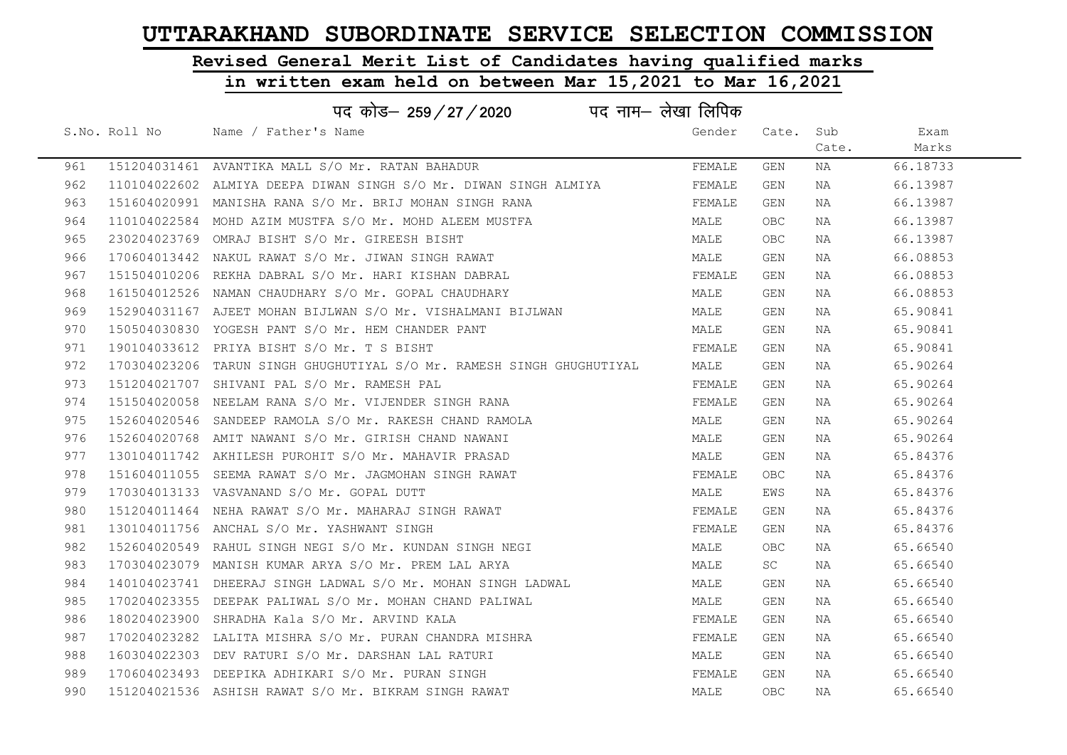# Revised General Merit List of Candidates having qualified marks

| पद कोड– 259/27/2020<br>पद नाम– लेखा लिपिक |               |                                                                       |        |       |       |          |  |  |
|-------------------------------------------|---------------|-----------------------------------------------------------------------|--------|-------|-------|----------|--|--|
|                                           | S.No. Roll No | Name / Father's Name                                                  | Gender | Cate. | Sub   | Exam     |  |  |
|                                           |               |                                                                       |        |       | Cate. | Marks    |  |  |
| 961                                       |               | 151204031461 AVANTIKA MALL S/O Mr. RATAN BAHADUR                      | FEMALE | GEN   | NA    | 66.18733 |  |  |
| 962                                       |               | 110104022602 ALMIYA DEEPA DIWAN SINGH S/O Mr. DIWAN SINGH ALMIYA      | FEMALE | GEN   | NA    | 66.13987 |  |  |
| 963                                       |               | 151604020991 MANISHA RANA S/O Mr. BRIJ MOHAN SINGH RANA               | FEMALE | GEN   | NA    | 66.13987 |  |  |
| 964                                       |               | 110104022584 MOHD AZIM MUSTFA S/O Mr. MOHD ALEEM MUSTFA               | MALE   | OBC   | NA    | 66.13987 |  |  |
| 965                                       |               | 230204023769 OMRAJ BISHT S/O Mr. GIREESH BISHT                        | MALE   | OBC.  | NA    | 66.13987 |  |  |
| 966                                       |               | 170604013442 NAKUL RAWAT S/O Mr. JIWAN SINGH RAWAT                    | MALE   | GEN   | NA    | 66.08853 |  |  |
| 967                                       |               | 151504010206 REKHA DABRAL S/O Mr. HARI KISHAN DABRAL                  | FEMALE | GEN   | NA    | 66.08853 |  |  |
| 968                                       |               | 161504012526 NAMAN CHAUDHARY S/O Mr. GOPAL CHAUDHARY                  | MALE   | GEN   | NA    | 66.08853 |  |  |
| 969                                       |               | 152904031167 AJEET MOHAN BIJLWAN S/O Mr. VISHALMANI BIJLWAN           | MALE   | GEN   | NA    | 65.90841 |  |  |
| 970                                       |               | 150504030830 YOGESH PANT S/O Mr. HEM CHANDER PANT                     | MALE   | GEN   | NA    | 65.90841 |  |  |
| 971                                       |               | 190104033612 PRIYA BISHT S/O Mr. T S BISHT                            | FEMALE | GEN   | NA    | 65.90841 |  |  |
| 972                                       |               | 170304023206 TARUN SINGH GHUGHUTIYAL S/O Mr. RAMESH SINGH GHUGHUTIYAL | MALE   | GEN   | NA    | 65.90264 |  |  |
| 973                                       |               | 151204021707 SHIVANI PAL S/O Mr. RAMESH PAL                           | FEMALE | GEN   | NA    | 65.90264 |  |  |
| 974                                       |               | 151504020058 NEELAM RANA S/O Mr. VIJENDER SINGH RANA                  | FEMALE | GEN   | NA    | 65.90264 |  |  |
| 975                                       |               | 152604020546 SANDEEP RAMOLA S/O Mr. RAKESH CHAND RAMOLA               | MALE   | GEN   | NA    | 65.90264 |  |  |
| 976                                       |               | 152604020768 AMIT NAWANI S/O Mr. GIRISH CHAND NAWANI                  | MALE   | GEN   | NA    | 65.90264 |  |  |
| 977                                       |               | 130104011742 AKHILESH PUROHIT S/O Mr. MAHAVIR PRASAD                  | MALE   | GEN   | NA    | 65.84376 |  |  |
| 978                                       |               | 151604011055 SEEMA RAWAT S/O Mr. JAGMOHAN SINGH RAWAT                 | FEMALE | OBC.  | NA    | 65.84376 |  |  |
| 979                                       |               | 170304013133 VASVANAND S/O Mr. GOPAL DUTT                             | MALE   | EWS   | NA    | 65.84376 |  |  |
| 980                                       |               | 151204011464 NEHA RAWAT S/O Mr. MAHARAJ SINGH RAWAT                   | FEMALE | GEN   | NA    | 65.84376 |  |  |
| 981                                       |               | 130104011756 ANCHAL S/O Mr. YASHWANT SINGH                            | FEMALE | GEN   | NA    | 65.84376 |  |  |
| 982                                       |               | 152604020549 RAHUL SINGH NEGI S/O Mr. KUNDAN SINGH NEGI               | MALE   | OBC.  | NA    | 65.66540 |  |  |
| 983                                       |               | 170304023079 MANISH KUMAR ARYA S/O Mr. PREM LAL ARYA                  | MALE   | SC    | NA    | 65.66540 |  |  |
| 984                                       |               | 140104023741 DHEERAJ SINGH LADWAL S/O Mr. MOHAN SINGH LADWAL          | MALE   | GEN   | NA    | 65.66540 |  |  |
| 985                                       |               | 170204023355 DEEPAK PALIWAL S/O Mr. MOHAN CHAND PALIWAL               | MALE   | GEN   | NA    | 65.66540 |  |  |
| 986                                       |               | 180204023900 SHRADHA Kala S/O Mr. ARVIND KALA                         | FEMALE | GEN   | NA    | 65.66540 |  |  |
| 987                                       |               | 170204023282 LALITA MISHRA S/O Mr. PURAN CHANDRA MISHRA               | FEMALE | GEN   | NA    | 65.66540 |  |  |
| 988                                       |               | 160304022303 DEV RATURI S/O Mr. DARSHAN LAL RATURI                    | MALE   | GEN   | NA    | 65.66540 |  |  |
| 989                                       |               | 170604023493 DEEPIKA ADHIKARI S/O Mr. PURAN SINGH                     | FEMALE | GEN   | NA    | 65.66540 |  |  |
| 990                                       |               | 151204021536 ASHISH RAWAT S/O Mr. BIKRAM SINGH RAWAT                  | MALE   | OBC.  | NA    | 65.66540 |  |  |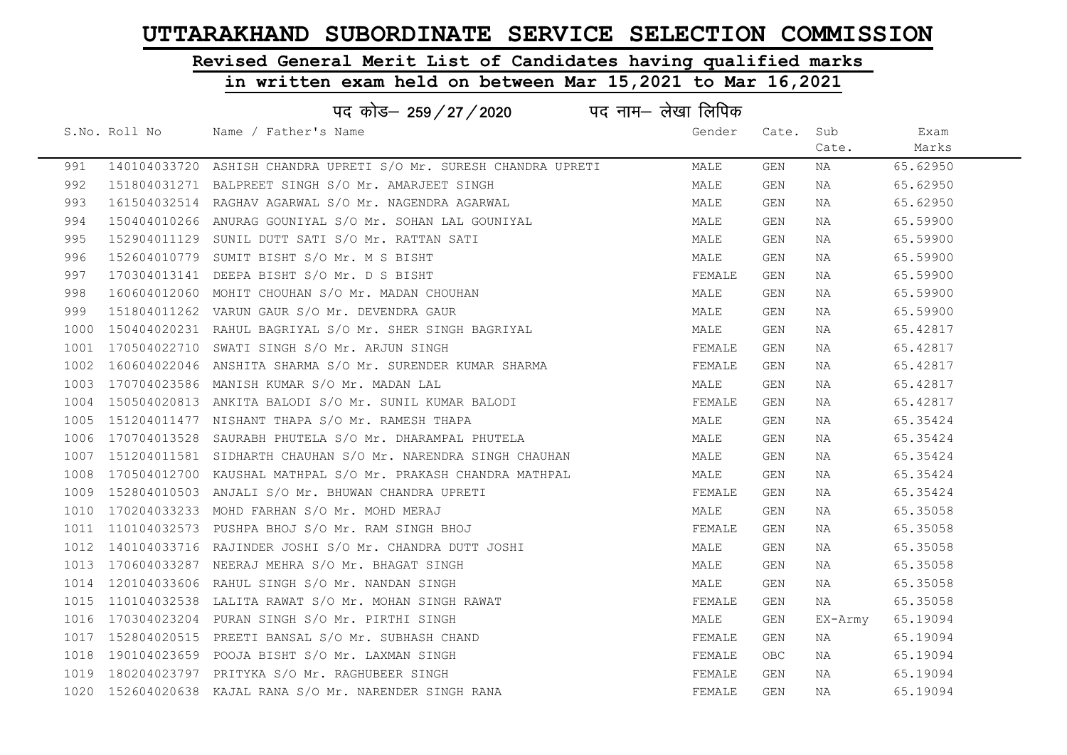# Revised General Merit List of Candidates having qualified marks

|      |               | पद कोड– 259/27/2020                                               | पद नाम– लेखा लिपिक |        |            |         |          |
|------|---------------|-------------------------------------------------------------------|--------------------|--------|------------|---------|----------|
|      | S.No. Roll No | Name / Father's Name                                              |                    | Gender | Cate.      | Sub     | Exam     |
|      |               |                                                                   |                    |        |            | Cate.   | Marks    |
| 991  |               | 140104033720 ASHISH CHANDRA UPRETI S/O Mr. SURESH CHANDRA UPRETI  |                    | MALE   | GEN        | NA      | 65.62950 |
| 992  |               | 151804031271 BALPREET SINGH S/O Mr. AMARJEET SINGH                |                    | MALE   | <b>GEN</b> | NA      | 65.62950 |
| 993  |               | 161504032514 RAGHAV AGARWAL S/O Mr. NAGENDRA AGARWAL              |                    | MALE   | GEN        | NA      | 65.62950 |
| 994  |               | 150404010266 ANURAG GOUNIYAL S/O Mr. SOHAN LAL GOUNIYAL           |                    | MALE   | GEN        | NA      | 65.59900 |
| 995  |               | 152904011129 SUNIL DUTT SATI S/O Mr. RATTAN SATI                  |                    | MALE   | GEN        | NA      | 65.59900 |
| 996  |               | 152604010779 SUMIT BISHT S/O Mr. M S BISHT                        |                    | MALE   | GEN        | NA      | 65.59900 |
| 997  |               | 170304013141 DEEPA BISHT S/O Mr. D S BISHT                        |                    | FEMALE | GEN        | NA      | 65.59900 |
| 998  |               | 160604012060 MOHIT CHOUHAN S/O Mr. MADAN CHOUHAN                  |                    | MALE   | <b>GEN</b> | NA      | 65.59900 |
| 999  |               | 151804011262 VARUN GAUR S/O Mr. DEVENDRA GAUR                     |                    | MALE   | GEN        | NA      | 65.59900 |
| 1000 |               | 150404020231 RAHUL BAGRIYAL S/O Mr. SHER SINGH BAGRIYAL           |                    | MALE   | GEN        | NA      | 65.42817 |
| 1001 |               | 170504022710 SWATI SINGH S/O Mr. ARJUN SINGH                      |                    | FEMALE | GEN        | NA      | 65.42817 |
| 1002 |               | 160604022046 ANSHITA SHARMA S/O Mr. SURENDER KUMAR SHARMA         |                    | FEMALE | GEN        | NA      | 65.42817 |
|      |               | 1003 170704023586 MANISH KUMAR S/O Mr. MADAN LAL                  |                    | MALE   | GEN        | NA      | 65.42817 |
|      |               | 1004 150504020813 ANKITA BALODI S/O Mr. SUNIL KUMAR BALODI        |                    | FEMALE | GEN        | NA      | 65.42817 |
|      |               | 1005 151204011477 NISHANT THAPA S/O Mr. RAMESH THAPA              |                    | MALE   | GEN        | NA      | 65.35424 |
| 1006 |               | 170704013528 SAURABH PHUTELA S/O Mr. DHARAMPAL PHUTELA            |                    | MALE   | GEN        | NA      | 65.35424 |
|      |               | 1007 151204011581 SIDHARTH CHAUHAN S/O Mr. NARENDRA SINGH CHAUHAN |                    | MALE   | GEN        | NA      | 65.35424 |
| 1008 |               | 170504012700 KAUSHAL MATHPAL S/O Mr. PRAKASH CHANDRA MATHPAL      |                    | MALE   | GEN        | NA      | 65.35424 |
|      |               | 1009 152804010503 ANJALI S/O Mr. BHUWAN CHANDRA UPRETI            |                    | FEMALE | GEN        | NA      | 65.35424 |
|      |               | 1010 170204033233 MOHD FARHAN S/O Mr. MOHD MERAJ                  |                    | MALE   | GEN        | NA      | 65.35058 |
|      |               | 1011 110104032573 PUSHPA BHOJ S/O Mr. RAM SINGH BHOJ              |                    | FEMALE | <b>GEN</b> | NA      | 65.35058 |
|      |               | 1012 140104033716 RAJINDER JOSHI S/O Mr. CHANDRA DUTT JOSHI       |                    | MALE   | GEN        | NA      | 65.35058 |
|      |               | 1013 170604033287 NEERAJ MEHRA S/O Mr. BHAGAT SINGH               |                    | MALE   | GEN        | NA      | 65.35058 |
| 1014 |               | 120104033606 RAHUL SINGH S/O Mr. NANDAN SINGH                     |                    | MALE   | GEN        | NA      | 65.35058 |
|      |               | 1015 110104032538 LALITA RAWAT S/O Mr. MOHAN SINGH RAWAT          |                    | FEMALE | GEN        | NA      | 65.35058 |
| 1016 |               | 170304023204 PURAN SINGH S/O Mr. PIRTHI SINGH                     |                    | MALE   | GEN        | EX-Army | 65.19094 |
|      |               | 1017 152804020515 PREETI BANSAL S/O Mr. SUBHASH CHAND             |                    | FEMALE | GEN        | NA      | 65.19094 |
|      |               | 1018 190104023659 POOJA BISHT S/O Mr. LAXMAN SINGH                |                    | FEMALE | OBC        | NA      | 65.19094 |
|      |               | 1019 180204023797 PRITYKA S/O Mr. RAGHUBEER SINGH                 |                    | FEMALE | GEN        | NA      | 65.19094 |
|      |               | 1020 152604020638 KAJAL RANA S/O Mr. NARENDER SINGH RANA          |                    | FEMALE | <b>GEN</b> | ΝA      | 65.19094 |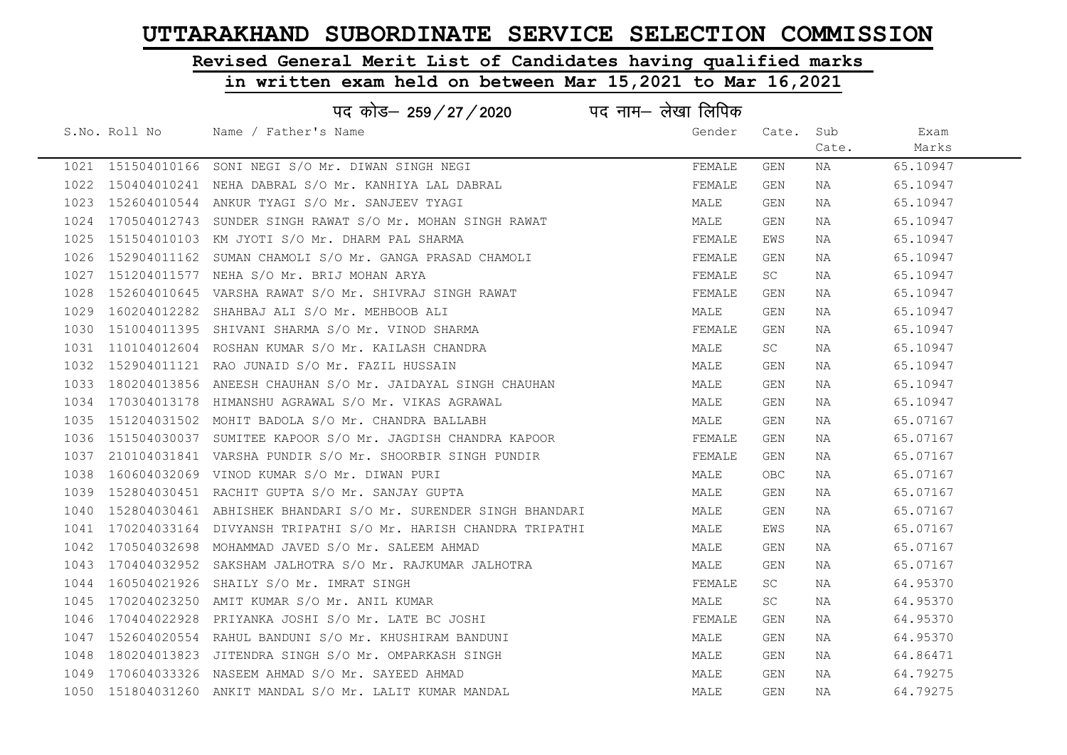# Revised General Merit List of Candidates having qualified marks

|      |               | पद कोड– 259 / 27 / 2020                                             | पद नाम— लेखा लिपिक |            |       |          |  |
|------|---------------|---------------------------------------------------------------------|--------------------|------------|-------|----------|--|
|      | S.No. Roll No | Name / Father's Name                                                | Gender             | Cate.      | Sub   | Exam     |  |
|      |               |                                                                     |                    |            | Cate. | Marks    |  |
|      |               | 1021 151504010166 SONI NEGI S/O Mr. DIWAN SINGH NEGI                | FEMALE             | GEN        | NA    | 65.10947 |  |
|      |               | 1022 150404010241 NEHA DABRAL S/O Mr. KANHIYA LAL DABRAL            | FEMALE             | <b>GEN</b> | NA    | 65.10947 |  |
|      |               | 1023 152604010544 ANKUR TYAGI S/O Mr. SANJEEV TYAGI                 | MALE               | <b>GEN</b> | NA    | 65.10947 |  |
|      |               | 1024 170504012743 SUNDER SINGH RAWAT S/O Mr. MOHAN SINGH RAWAT      | MALE               | GEN        | NA    | 65.10947 |  |
|      |               | 1025 151504010103 KM JYOTI S/O Mr. DHARM PAL SHARMA                 | FEMALE             | EWS        | NA    | 65.10947 |  |
|      |               | 1026 152904011162 SUMAN CHAMOLI S/O Mr. GANGA PRASAD CHAMOLI        | FEMALE             | GEN        | NA    | 65.10947 |  |
|      |               | 1027 151204011577 NEHA S/O Mr. BRIJ MOHAN ARYA                      | FEMALE             | SC         | NA    | 65.10947 |  |
| 1028 |               | 152604010645 VARSHA RAWAT S/O Mr. SHIVRAJ SINGH RAWAT               | FEMALE             | GEN        | NA    | 65.10947 |  |
|      |               | 1029 160204012282 SHAHBAJ ALI S/O Mr. MEHBOOB ALI                   | MALE               | GEN        | NA    | 65.10947 |  |
|      |               | 1030 151004011395 SHIVANI SHARMA S/O Mr. VINOD SHARMA               | FEMALE             | GEN        | NA    | 65.10947 |  |
|      |               | 1031 110104012604 ROSHAN KUMAR S/O Mr. KAILASH CHANDRA              | MALE               | <b>SC</b>  | NA    | 65.10947 |  |
|      |               | 1032 152904011121 RAO JUNAID S/O Mr. FAZIL HUSSAIN                  | MALE               | GEN        | NA    | 65.10947 |  |
|      |               | 1033 180204013856 ANEESH CHAUHAN S/O Mr. JAIDAYAL SINGH CHAUHAN     | MALE               | GEN        | NA    | 65.10947 |  |
|      |               | 1034 170304013178 HIMANSHU AGRAWAL S/O Mr. VIKAS AGRAWAL            | MALE               | GEN        | NA    | 65.10947 |  |
|      |               | 1035 151204031502 MOHIT BADOLA S/O Mr. CHANDRA BALLABH              | MALE               | GEN        | NA    | 65.07167 |  |
|      |               | 1036 151504030037 SUMITEE KAPOOR S/O Mr. JAGDISH CHANDRA KAPOOR     | FEMALE             | GEN        | NA    | 65.07167 |  |
|      |               | 1037 210104031841 VARSHA PUNDIR S/O Mr. SHOORBIR SINGH PUNDIR       | FEMALE             | GEN        | NA    | 65.07167 |  |
|      |               | 1038 160604032069 VINOD KUMAR S/O Mr. DIWAN PURI                    | MALE               | <b>OBC</b> | NA    | 65.07167 |  |
|      |               | 1039 152804030451 RACHIT GUPTA S/O Mr. SANJAY GUPTA                 | MALE               | GEN        | NA    | 65.07167 |  |
|      |               | 1040 152804030461 ABHISHEK BHANDARI S/O Mr. SURENDER SINGH BHANDARI | MALE               | GEN        | NA    | 65.07167 |  |
|      |               | 1041 170204033164 DIVYANSH TRIPATHI S/O Mr. HARISH CHANDRA TRIPATHI | MALE               | EWS        | NA    | 65.07167 |  |
|      |               | 1042 170504032698 MOHAMMAD JAVED S/O Mr. SALEEM AHMAD               | MALE               | GEN        | NA    | 65.07167 |  |
|      |               | 1043 170404032952 SAKSHAM JALHOTRA S/O Mr. RAJKUMAR JALHOTRA        | MALE               | GEN        | NA    | 65.07167 |  |
| 1044 |               | 160504021926 SHAILY S/O Mr. IMRAT SINGH                             | FEMALE             | SC         | NA    | 64.95370 |  |
|      |               | 1045 170204023250 AMIT KUMAR S/O Mr. ANIL KUMAR                     | MALE               | SC         | NA    | 64.95370 |  |
|      |               | 1046 170404022928 PRIYANKA JOSHI S/O Mr. LATE BC JOSHI              | FEMALE             | GEN        | NA    | 64.95370 |  |
|      |               | 1047 152604020554 RAHUL BANDUNI S/O Mr. KHUSHIRAM BANDUNI           | MALE               | GEN        | NA    | 64.95370 |  |
|      |               | 1048 180204013823 JITENDRA SINGH S/O Mr. OMPARKASH SINGH            | MALE               | GEN        | NA    | 64.86471 |  |
|      |               | 1049 170604033326 NASEEM AHMAD S/O Mr. SAYEED AHMAD                 | MALE               | GEN        | NA    | 64.79275 |  |
|      |               | 1050 151804031260 ANKIT MANDAL S/O Mr. LALIT KUMAR MANDAL           | MALE               | <b>GEN</b> | ΝA    | 64.79275 |  |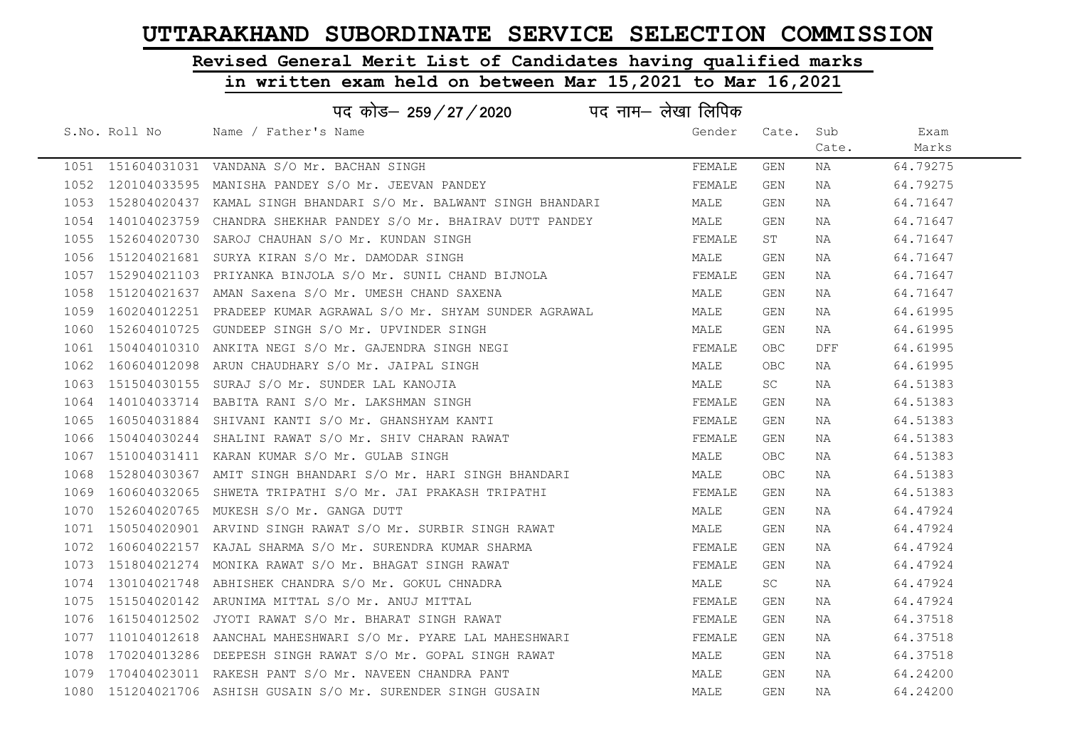# Revised General Merit List of Candidates having qualified marks

|      | पद नाम– लेखा लिपिक<br>पद कोड– 259 / 27 / 2020 |                                                                       |        |            |       |          |  |  |  |
|------|-----------------------------------------------|-----------------------------------------------------------------------|--------|------------|-------|----------|--|--|--|
|      | S.No. Roll No                                 | Name / Father's Name                                                  | Gender | Cate. Sub  |       | Exam     |  |  |  |
|      |                                               |                                                                       |        |            | Cate. | Marks    |  |  |  |
|      |                                               | 1051 151604031031 VANDANA S/O Mr. BACHAN SINGH                        | FEMALE | GEN        | NA    | 64.79275 |  |  |  |
|      |                                               | 1052 120104033595 MANISHA PANDEY S/O Mr. JEEVAN PANDEY                | FEMALE | GEN        | NA    | 64.79275 |  |  |  |
|      |                                               | 1053 152804020437 KAMAL SINGH BHANDARI S/O Mr. BALWANT SINGH BHANDARI | MALE   | GEN        | NA    | 64.71647 |  |  |  |
|      |                                               | 1054 140104023759 CHANDRA SHEKHAR PANDEY S/O Mr. BHAIRAV DUTT PANDEY  | MALE   | GEN        | NA    | 64.71647 |  |  |  |
|      |                                               | 1055 152604020730 SAROJ CHAUHAN S/O Mr. KUNDAN SINGH                  | FEMALE | ST         | NA    | 64.71647 |  |  |  |
|      |                                               | 1056 151204021681 SURYA KIRAN S/O Mr. DAMODAR SINGH                   | MALE   | GEN        | NA    | 64.71647 |  |  |  |
|      |                                               | 1057 152904021103 PRIYANKA BINJOLA S/O Mr. SUNIL CHAND BIJNOLA        | FEMALE | GEN        | NA    | 64.71647 |  |  |  |
|      |                                               | 1058 151204021637 AMAN Saxena S/O Mr. UMESH CHAND SAXENA              | MALE   | GEN        | NA    | 64.71647 |  |  |  |
|      |                                               | 1059 160204012251 PRADEEP KUMAR AGRAWAL S/O Mr. SHYAM SUNDER AGRAWAL  | MALE   | GEN        | NA    | 64.61995 |  |  |  |
|      |                                               | 1060 152604010725 GUNDEEP SINGH S/O Mr. UPVINDER SINGH                | MALE   | GEN        | NA    | 64.61995 |  |  |  |
|      |                                               | 1061 150404010310 ANKITA NEGI S/O Mr. GAJENDRA SINGH NEGI             | FEMALE | OBC        | DFF   | 64.61995 |  |  |  |
|      |                                               | 1062 160604012098 ARUN CHAUDHARY S/O Mr. JAIPAL SINGH                 | MALE   | OBC        | NA    | 64.61995 |  |  |  |
|      |                                               | 1063 151504030155 SURAJ S/O Mr. SUNDER LAL KANOJIA                    | MALE   | SC         | NA    | 64.51383 |  |  |  |
|      |                                               | 1064 140104033714 BABITA RANI S/O Mr. LAKSHMAN SINGH                  | FEMALE | GEN        | NA    | 64.51383 |  |  |  |
|      |                                               | 1065 160504031884 SHIVANI KANTI S/O Mr. GHANSHYAM KANTI               | FEMALE | GEN        | NA    | 64.51383 |  |  |  |
| 1066 |                                               | 150404030244 SHALINI RAWAT S/O Mr. SHIV CHARAN RAWAT                  | FEMALE | GEN        | NA    | 64.51383 |  |  |  |
|      |                                               | 1067 151004031411 KARAN KUMAR S/O Mr. GULAB SINGH                     | MALE   | <b>OBC</b> | NA    | 64.51383 |  |  |  |
|      |                                               | 1068 152804030367 AMIT SINGH BHANDARI S/O Mr. HARI SINGH BHANDARI     | MALE   | <b>OBC</b> | NA    | 64.51383 |  |  |  |
|      |                                               | 1069 160604032065 SHWETA TRIPATHI S/O Mr. JAI PRAKASH TRIPATHI        | FEMALE | GEN        | NA    | 64.51383 |  |  |  |
|      |                                               | 1070 152604020765 MUKESH S/O Mr. GANGA DUTT                           | MALE   | GEN        | NA    | 64.47924 |  |  |  |
|      |                                               | 1071 150504020901 ARVIND SINGH RAWAT S/O Mr. SURBIR SINGH RAWAT       | MALE   | GEN        | NA    | 64.47924 |  |  |  |
|      |                                               | 1072 160604022157 KAJAL SHARMA S/O Mr. SURENDRA KUMAR SHARMA          | FEMALE | GEN        | NA    | 64.47924 |  |  |  |
|      |                                               | 1073 151804021274 MONIKA RAWAT S/O Mr. BHAGAT SINGH RAWAT             | FEMALE | GEN        | NA    | 64.47924 |  |  |  |
|      |                                               | 1074 130104021748 ABHISHEK CHANDRA S/O Mr. GOKUL CHNADRA              | MALE   | SC         | NA    | 64.47924 |  |  |  |
|      |                                               | 1075 151504020142 ARUNIMA MITTAL S/O Mr. ANUJ MITTAL                  | FEMALE | GEN        | NA    | 64.47924 |  |  |  |
|      |                                               | 1076 161504012502 JYOTI RAWAT S/O Mr. BHARAT SINGH RAWAT              | FEMALE | GEN        | NA    | 64.37518 |  |  |  |
|      |                                               | 1077 110104012618 AANCHAL MAHESHWARI S/O Mr. PYARE LAL MAHESHWARI     | FEMALE | GEN        | NA    | 64.37518 |  |  |  |
|      |                                               | 1078 170204013286 DEEPESH SINGH RAWAT S/O Mr. GOPAL SINGH RAWAT       | MALE   | GEN        | NA    | 64.37518 |  |  |  |
|      |                                               | 1079 170404023011 RAKESH PANT S/O Mr. NAVEEN CHANDRA PANT             | MALE   | GEN        | NA    | 64.24200 |  |  |  |
|      |                                               | 1080 151204021706 ASHISH GUSAIN S/O Mr. SURENDER SINGH GUSAIN         | MALE   | GEN        | NA    | 64.24200 |  |  |  |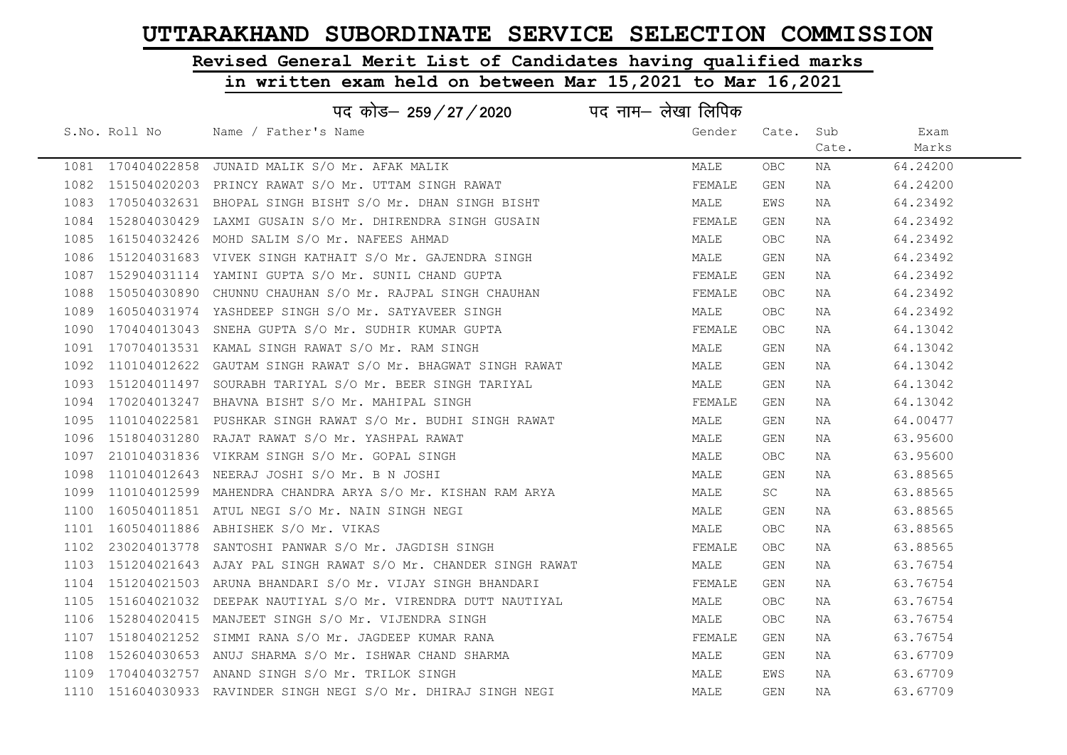# Revised General Merit List of Candidates having qualified marks

|      |               | पद कोड– 259/27/2020 पद नाम– लेखा लिपिक                          |        |            |       |          |
|------|---------------|-----------------------------------------------------------------|--------|------------|-------|----------|
|      | S.No. Roll No | Name / Father's Name                                            | Gender | Cate.      | Sub   | Exam     |
|      |               |                                                                 |        |            | Cate. | Marks    |
|      |               | 1081 170404022858 JUNAID MALIK S/O Mr. AFAK MALIK               | MALE   | OBC.       | NA    | 64.24200 |
| 1082 |               | 151504020203 PRINCY RAWAT S/O Mr. UTTAM SINGH RAWAT             | FEMALE | GEN        | NA    | 64.24200 |
| 1083 |               | 170504032631 BHOPAL SINGH BISHT S/O Mr. DHAN SINGH BISHT        | MALE   | EWS        | NA    | 64.23492 |
| 1084 |               | 152804030429 LAXMI GUSAIN S/O Mr. DHIRENDRA SINGH GUSAIN        | FEMALE | GEN        | NA    | 64.23492 |
| 1085 |               | 161504032426 MOHD SALIM S/O Mr. NAFEES AHMAD                    | MALE   | OBC.       | NA    | 64.23492 |
|      |               | 1086 151204031683 VIVEK SINGH KATHAIT S/O Mr. GAJENDRA SINGH    | MALE   | GEN        | NA    | 64.23492 |
| 1087 |               | 152904031114 YAMINI GUPTA S/O Mr. SUNIL CHAND GUPTA             | FEMALE | GEN        | NA    | 64.23492 |
| 1088 |               | 150504030890 CHUNNU CHAUHAN S/O Mr. RAJPAL SINGH CHAUHAN        | FEMALE | OBC.       | NA    | 64.23492 |
| 1089 |               | 160504031974 YASHDEEP SINGH S/O Mr. SATYAVEER SINGH             | MALE   | <b>OBC</b> | NA    | 64.23492 |
| 1090 | 170404013043  | SNEHA GUPTA S/O Mr. SUDHIR KUMAR GUPTA                          | FEMALE | OBC.       | NA    | 64.13042 |
| 1091 |               | 170704013531 KAMAL SINGH RAWAT S/O Mr. RAM SINGH                | MALE   | GEN        | NA    | 64.13042 |
| 1092 |               | 110104012622 GAUTAM SINGH RAWAT S/O Mr. BHAGWAT SINGH RAWAT     | MALE   | GEN        | NA    | 64.13042 |
|      |               | 1093 151204011497 SOURABH TARIYAL S/O Mr. BEER SINGH TARIYAL    | MALE   | GEN        | NA    | 64.13042 |
| 1094 |               | 170204013247 BHAVNA BISHT S/O Mr. MAHIPAL SINGH                 | FEMALE | GEN        | NA    | 64.13042 |
| 1095 |               | 110104022581  PUSHKAR SINGH RAWAT S/O Mr. BUDHI SINGH RAWAT     | MALE   | GEN        | NA    | 64.00477 |
| 1096 |               | 151804031280 RAJAT RAWAT S/O Mr. YASHPAL RAWAT                  | MALE   | GEN        | NA    | 63.95600 |
| 1097 |               | 210104031836 VIKRAM SINGH S/O Mr. GOPAL SINGH                   | MALE   | OBC.       | NA    | 63.95600 |
| 1098 |               | 110104012643 NEERAJ JOSHI S/O Mr. B N JOSHI                     | MALE   | GEN        | NA    | 63.88565 |
| 1099 |               | 110104012599  MAHENDRA CHANDRA ARYA S/O Mr. KISHAN RAM ARYA     | MALE   | SC.        | NA    | 63.88565 |
| 1100 |               | 160504011851 ATUL NEGI S/O Mr. NAIN SINGH NEGI                  | MALE   | GEN        | NA    | 63.88565 |
| 1101 |               | 160504011886 ABHISHEK S/O Mr. VIKAS                             | MALE   | OBC.       | NA    | 63.88565 |
| 1102 |               | 230204013778 SANTOSHI PANWAR S/O Mr. JAGDISH SINGH              | FEMALE | OBC.       | NA    | 63.88565 |
| 1103 |               | 151204021643  AJAY PAL SINGH RAWAT S/O Mr. CHANDER SINGH RAWAT  | MALE   | GEN        | NA    | 63.76754 |
| 1104 |               | 151204021503 ARUNA BHANDARI S/O Mr. VIJAY SINGH BHANDARI        | FEMALE | GEN        | NA    | 63.76754 |
| 1105 |               | 151604021032 DEEPAK NAUTIYAL S/O Mr. VIRENDRA DUTT NAUTIYAL     | MALE   | OBC.       | NA    | 63.76754 |
| 1106 |               | 152804020415 MANJEET SINGH S/O Mr. VIJENDRA SINGH               | MALE   | OBC.       | NA    | 63.76754 |
| 1107 |               | 151804021252 SIMMI RANA S/O Mr. JAGDEEP KUMAR RANA              | FEMALE | GEN        | NA    | 63.76754 |
| 1108 |               | 152604030653 ANUJ SHARMA S/O Mr. ISHWAR CHAND SHARMA            | MALE   | GEN        | NA    | 63.67709 |
| 1109 |               | 170404032757 ANAND SINGH S/O Mr. TRILOK SINGH                   | MALE   | EWS        | NA    | 63.67709 |
|      |               | 1110 151604030933 RAVINDER SINGH NEGI S/O Mr. DHIRAJ SINGH NEGI | MALE   | GEN        | NA    | 63.67709 |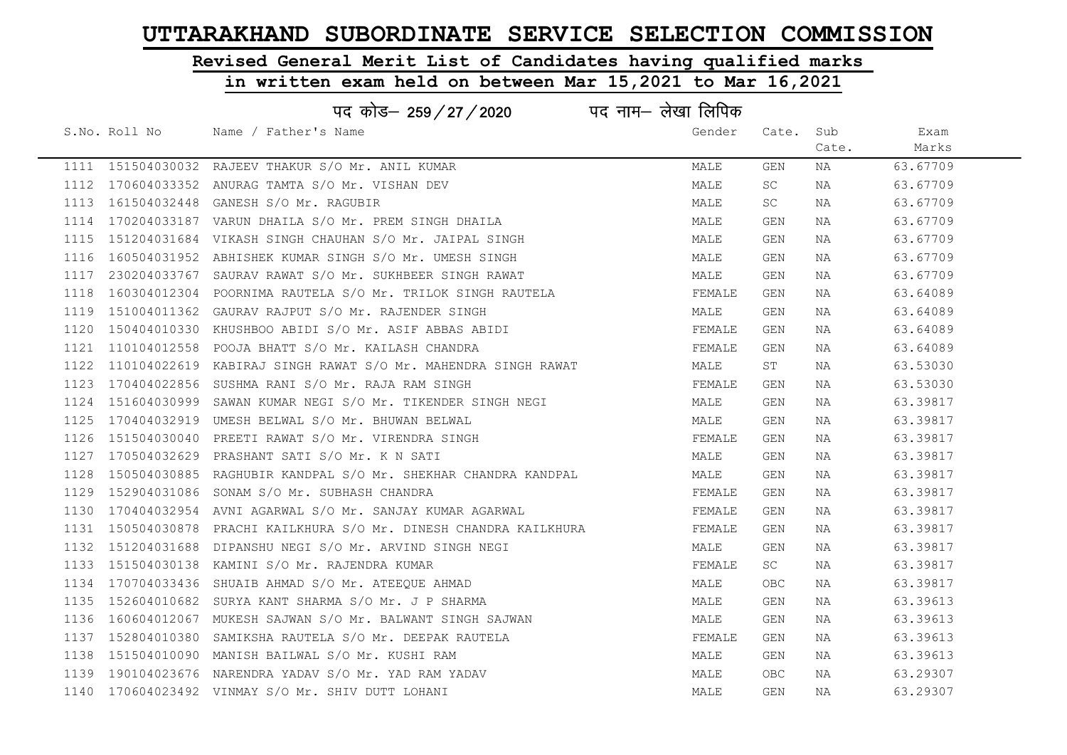# Revised General Merit List of Candidates having qualified marks

|      |               | पद कोड़- 259/27/2020                                                | पद नाम– लेखा लिपिक |            |       |          |
|------|---------------|---------------------------------------------------------------------|--------------------|------------|-------|----------|
|      | S.No. Roll No | Name / Father's Name                                                | Gender             | Cate. Sub  |       | Exam     |
|      |               |                                                                     |                    |            | Cate. | Marks    |
|      |               | 1111 151504030032 RAJEEV THAKUR S/O Mr. ANIL KUMAR                  | MALE               | GEN        | NA    | 63.67709 |
|      |               | 1112 170604033352 ANURAG TAMTA S/O Mr. VISHAN DEV                   | MALE               | SC         | NA    | 63.67709 |
|      |               | 1113 161504032448 GANESH S/O Mr. RAGUBIR                            | MALE               | SC         | NA    | 63.67709 |
| 1114 |               | 170204033187 VARUN DHAILA S/O Mr. PREM SINGH DHAILA                 | MALE               | GEN        | NA    | 63.67709 |
|      |               | 1115 151204031684 VIKASH SINGH CHAUHAN S/O Mr. JAIPAL SINGH         | MALE               | GEN        | NA    | 63.67709 |
|      |               | 1116 160504031952 ABHISHEK KUMAR SINGH S/O Mr. UMESH SINGH          | MALE               | GEN        | NA    | 63.67709 |
| 1117 |               | 230204033767 SAURAV RAWAT S/O Mr. SUKHBEER SINGH RAWAT              | MALE               | GEN        | NA    | 63.67709 |
| 1118 |               | 160304012304 POORNIMA RAUTELA S/O Mr. TRILOK SINGH RAUTELA          | FEMALE             | <b>GEN</b> | NA    | 63.64089 |
|      |               | 1119 151004011362 GAURAV RAJPUT S/O Mr. RAJENDER SINGH              | MALE               | GEN        | NA    | 63.64089 |
| 1120 |               | 150404010330 KHUSHBOO ABIDI S/O Mr. ASIF ABBAS ABIDI                | FEMALE             | GEN        | NA    | 63.64089 |
|      |               | 1121 110104012558 POOJA BHATT S/O Mr. KAILASH CHANDRA               | FEMALE             | GEN        | NA    | 63.64089 |
|      |               | 1122 110104022619 KABIRAJ SINGH RAWAT S/O Mr. MAHENDRA SINGH RAWAT  | MALE               | ST         | NA    | 63.53030 |
|      |               | 1123 170404022856 SUSHMA RANI S/O Mr. RAJA RAM SINGH                | FEMALE             | GEN        | NA    | 63.53030 |
|      |               | 1124 151604030999 SAWAN KUMAR NEGI S/O Mr. TIKENDER SINGH NEGI      | MALE               | GEN        | NA    | 63.39817 |
|      |               | 1125 170404032919 UMESH BELWAL S/O Mr. BHUWAN BELWAL                | MALE               | GEN        | NA    | 63.39817 |
| 1126 |               | 151504030040 PREETI RAWAT S/O Mr. VIRENDRA SINGH                    | FEMALE             | GEN        | NA    | 63.39817 |
|      |               | 1127 170504032629 PRASHANT SATI S/O Mr. K N SATI                    | MALE               | GEN        | NA    | 63.39817 |
| 1128 |               | 150504030885 RAGHUBIR KANDPAL S/O Mr. SHEKHAR CHANDRA KANDPAL       | MALE               | GEN        | NA    | 63.39817 |
|      |               | 1129 152904031086 SONAM S/O Mr. SUBHASH CHANDRA                     | FEMALE             | GEN        | NA    | 63.39817 |
|      |               | 1130 170404032954 AVNI AGARWAL S/O Mr. SANJAY KUMAR AGARWAL         | FEMALE             | GEN        | NA    | 63.39817 |
|      |               | 1131 150504030878 PRACHI KAILKHURA S/O Mr. DINESH CHANDRA KAILKHURA | FEMALE             | GEN        | NA    | 63.39817 |
|      |               | 1132 151204031688 DIPANSHU NEGI S/O Mr. ARVIND SINGH NEGI           | MALE               | GEN        | NA    | 63.39817 |
|      |               | 1133 151504030138 KAMINI S/O Mr. RAJENDRA KUMAR                     | FEMALE             | SC         | NA    | 63.39817 |
| 1134 |               | 170704033436 SHUAIB AHMAD S/O Mr. ATEEQUE AHMAD                     | MALE               | <b>OBC</b> | NA    | 63.39817 |
|      |               | 1135 152604010682 SURYA KANT SHARMA S/O Mr. J P SHARMA              | MALE               | GEN        | NA    | 63.39613 |
|      |               | 1136 160604012067 MUKESH SAJWAN S/O Mr. BALWANT SINGH SAJWAN        | MALE               | GEN        | NA    | 63.39613 |
|      |               | 1137 152804010380 SAMIKSHA RAUTELA S/O Mr. DEEPAK RAUTELA           | FEMALE             | GEN        | NA    | 63.39613 |
|      |               | 1138 151504010090 MANISH BAILWAL S/O Mr. KUSHI RAM                  | MALE               | GEN        | NA    | 63.39613 |
|      |               | 1139 190104023676 NARENDRA YADAV S/O Mr. YAD RAM YADAV              | MALE               | <b>OBC</b> | NA    | 63.29307 |
|      |               | 1140 170604023492 VINMAY S/O Mr. SHIV DUTT LOHANI                   | MALE               | GEN        | NA    | 63.29307 |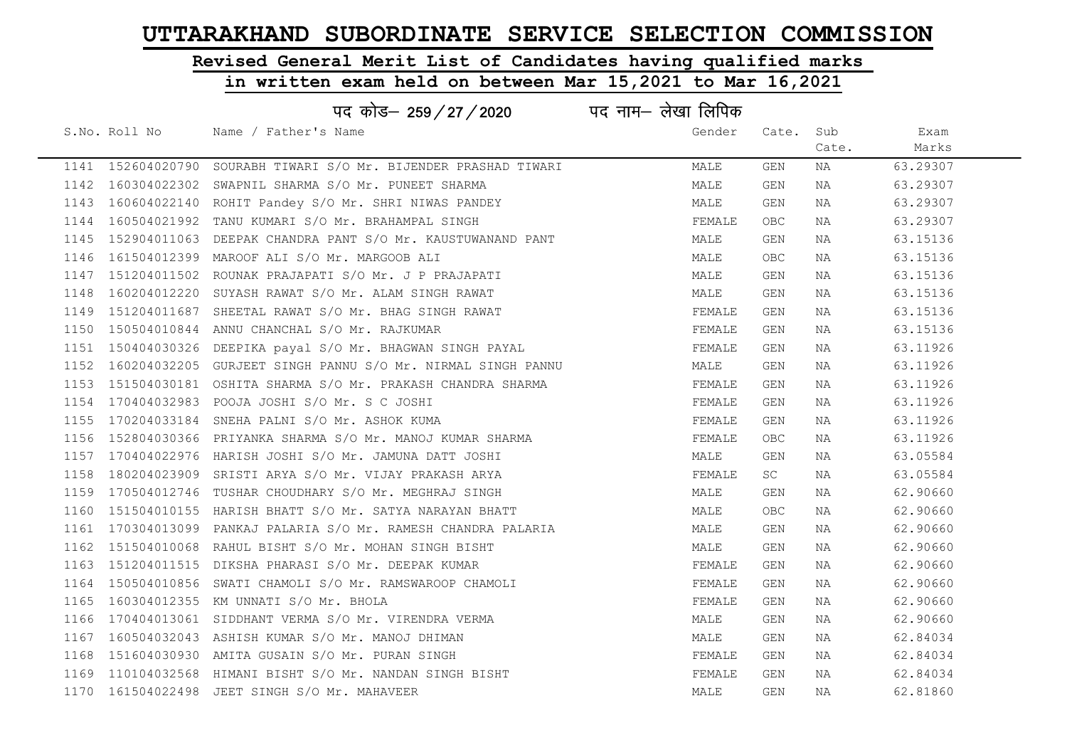# Revised General Merit List of Candidates having qualified marks

|      |               | पद कोड– 259/27/2020                                              | पद नाम– लेखा लिपिक |                                  |       |          |
|------|---------------|------------------------------------------------------------------|--------------------|----------------------------------|-------|----------|
|      | S.No. Roll No | Name / Father's Name                                             | Gender             | Cate. Sub                        |       | Exam     |
|      |               |                                                                  |                    |                                  | Cate. | Marks    |
|      |               | 1141 152604020790 SOURABH TIWARI S/O Mr. BIJENDER PRASHAD TIWARI | MALE               | GEN                              | NA    | 63.29307 |
|      |               | 1142 160304022302 SWAPNIL SHARMA S/O Mr. PUNEET SHARMA           | MALE               | GEN                              | NA    | 63.29307 |
|      |               | 1143 160604022140 ROHIT Pandey S/O Mr. SHRI NIWAS PANDEY         | MALE               | GEN                              | NA    | 63.29307 |
|      |               | 1144 160504021992 TANU KUMARI S/O Mr. BRAHAMPAL SINGH            | FEMALE             | <b>OBC</b>                       | NA    | 63.29307 |
|      |               | 1145 152904011063 DEEPAK CHANDRA PANT S/O Mr. KAUSTUWANAND PANT  | MALE               | GEN                              | NA    | 63.15136 |
|      |               | 1146 161504012399 MAROOF ALI S/O Mr. MARGOOB ALI                 | MALE               | OBC                              | NA    | 63.15136 |
|      |               | 1147 151204011502 ROUNAK PRAJAPATI S/O Mr. J P PRAJAPATI         | MALE               | GEN                              | NA    | 63.15136 |
| 1148 |               | 160204012220 SUYASH RAWAT S/O Mr. ALAM SINGH RAWAT               | MALE               | GEN                              | NA    | 63.15136 |
|      |               | 1149 151204011687 SHEETAL RAWAT S/O Mr. BHAG SINGH RAWAT         | FEMALE             | GEN                              | NA    | 63.15136 |
| 1150 |               | 150504010844 ANNU CHANCHAL S/O Mr. RAJKUMAR                      | FEMALE             | GEN                              | NA    | 63.15136 |
|      |               | 1151 150404030326 DEEPIKA payal S/O Mr. BHAGWAN SINGH PAYAL      | FEMALE             | GEN                              | NA    | 63.11926 |
|      |               | 1152 160204032205 GURJEET SINGH PANNU S/O Mr. NIRMAL SINGH PANNU | MALE               | GEN                              | NA    | 63.11926 |
|      |               | 1153 151504030181 OSHITA SHARMA S/O Mr. PRAKASH CHANDRA SHARMA   | FEMALE             | GEN                              | NA    | 63.11926 |
|      |               | 1154 170404032983 POOJA JOSHI S/O Mr. S C JOSHI                  | FEMALE             | GEN                              | NA    | 63.11926 |
|      |               | 1155 170204033184 SNEHA PALNI S/O Mr. ASHOK KUMA                 | FEMALE             | GEN                              | NA    | 63.11926 |
| 1156 |               | 152804030366 PRIYANKA SHARMA S/O Mr. MANOJ KUMAR SHARMA          | FEMALE             | <b>OBC</b>                       | NA    | 63.11926 |
|      |               | 1157 170404022976 HARISH JOSHI S/O Mr. JAMUNA DATT JOSHI         | MALE               | GEN                              | NA    | 63.05584 |
| 1158 |               | 180204023909 SRISTI ARYA S/O Mr. VIJAY PRAKASH ARYA              | FEMALE             | SC                               | NA    | 63.05584 |
|      |               | 1159 170504012746 TUSHAR CHOUDHARY S/O Mr. MEGHRAJ SINGH         | MALE               | <b>GEN</b>                       | NA    | 62.90660 |
| 1160 |               | 151504010155 HARISH BHATT S/O Mr. SATYA NARAYAN BHATT            | MALE               | $\mathsf{O}\mathsf{B}\mathsf{C}$ | NA    | 62.90660 |
|      |               | 1161 170304013099 PANKAJ PALARIA S/O Mr. RAMESH CHANDRA PALARIA  | MALE               | GEN                              | NA    | 62.90660 |
|      |               | 1162 151504010068 RAHUL BISHT S/O Mr. MOHAN SINGH BISHT          | MALE               | GEN                              | NA    | 62.90660 |
|      |               | 1163 151204011515 DIKSHA PHARASI S/O Mr. DEEPAK KUMAR            | FEMALE             | GEN                              | NA    | 62.90660 |
|      |               | 1164 150504010856 SWATI CHAMOLI S/O Mr. RAMSWAROOP CHAMOLI       | FEMALE             | <b>GEN</b>                       | NA    | 62.90660 |
|      |               | 1165 160304012355 KM UNNATI S/O Mr. BHOLA                        | FEMALE             | GEN                              | NA    | 62.90660 |
|      |               | 1166 170404013061 SIDDHANT VERMA S/O Mr. VIRENDRA VERMA          | MALE               | GEN                              | NA    | 62.90660 |
|      |               | 1167 160504032043 ASHISH KUMAR S/O Mr. MANOJ DHIMAN              | MALE               | GEN                              | NA    | 62.84034 |
| 1168 |               | 151604030930 AMITA GUSAIN S/O Mr. PURAN SINGH                    | FEMALE             | GEN                              | NA    | 62.84034 |
|      |               | 1169 110104032568 HIMANI BISHT S/O Mr. NANDAN SINGH BISHT        | FEMALE             | GEN                              | NA    | 62.84034 |
|      |               | 1170 161504022498 JEET SINGH S/O Mr. MAHAVEER                    | MALE               | GEN                              | NA    | 62.81860 |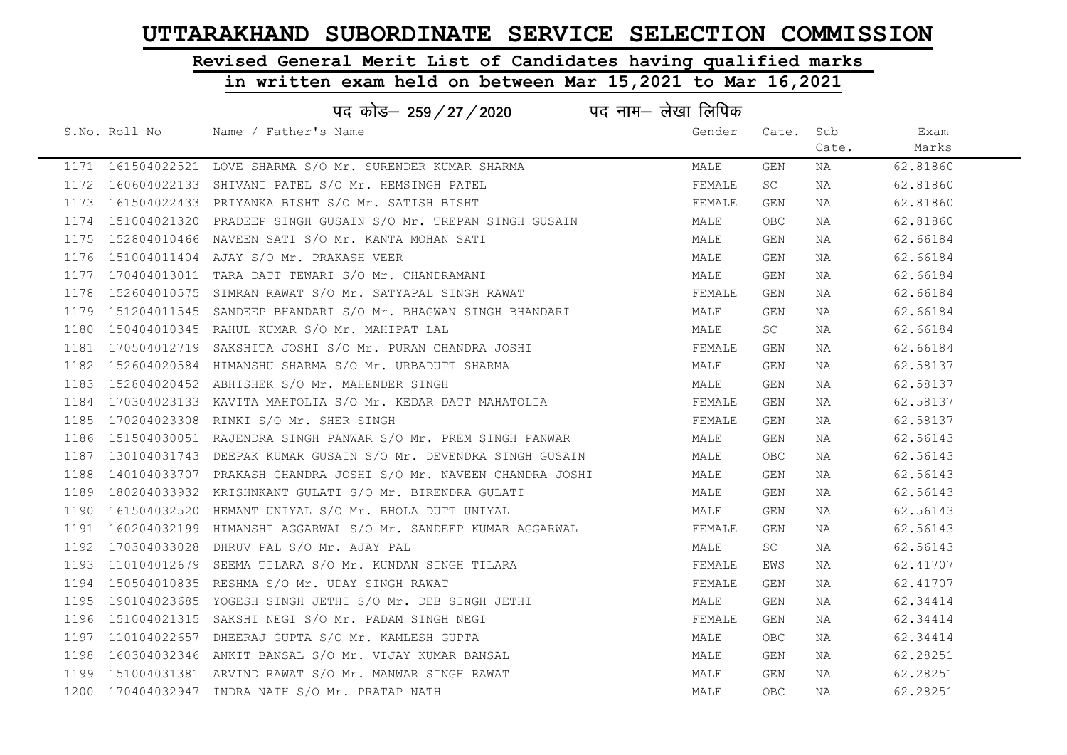## Revised General Merit List of Candidates having qualified marks

|      |               | पद कोड़- 259/27/2020<br>पद नाम— लेखा लिपिक                          |        |            |       |          |
|------|---------------|---------------------------------------------------------------------|--------|------------|-------|----------|
|      | S.No. Roll No | Name / Father's Name                                                | Gender | Cate.      | Sub   | Exam     |
|      |               |                                                                     |        |            | Cate. | Marks    |
|      |               | 1171 161504022521 LOVE SHARMA S/O Mr. SURENDER KUMAR SHARMA         | MALE   | GEN        | NA    | 62.81860 |
|      |               | 1172 160604022133 SHIVANI PATEL S/O Mr. HEMSINGH PATEL              | FEMALE | SC.        | NA    | 62.81860 |
|      |               | 1173 161504022433 PRIYANKA BISHT S/O Mr. SATISH BISHT               | FEMALE | GEN        | NA    | 62.81860 |
|      |               | 1174 151004021320 PRADEEP SINGH GUSAIN S/O Mr. TREPAN SINGH GUSAIN  | MALE   | <b>OBC</b> | NA    | 62.81860 |
|      |               | 1175 152804010466 NAVEEN SATI S/O Mr. KANTA MOHAN SATI              | MALE   | GEN        | NA    | 62.66184 |
|      |               | 1176 151004011404 AJAY S/O Mr. PRAKASH VEER                         | MALE   | GEN        | NA    | 62.66184 |
|      |               | 1177 170404013011 TARA DATT TEWARI S/O Mr. CHANDRAMANI              | MALE   | GEN        | NA    | 62.66184 |
| 1178 |               | 152604010575 SIMRAN RAWAT S/O Mr. SATYAPAL SINGH RAWAT              | FEMALE | GEN        | NA    | 62.66184 |
|      |               | 1179 151204011545 SANDEEP BHANDARI S/O Mr. BHAGWAN SINGH BHANDARI   | MALE   | GEN        | NA    | 62.66184 |
| 1180 |               | 150404010345 RAHUL KUMAR S/O Mr. MAHIPAT LAL                        | MALE   | SC         | NA    | 62.66184 |
|      |               | 1181 170504012719 SAKSHITA JOSHI S/O Mr. PURAN CHANDRA JOSHI        | FEMALE | GEN        | NA    | 62.66184 |
|      |               | 1182 152604020584 HIMANSHU SHARMA S/O Mr. URBADUTT SHARMA           | MALE   | <b>GEN</b> | NA    | 62.58137 |
|      |               | 1183 152804020452 ABHISHEK S/O Mr. MAHENDER SINGH                   | MALE   | GEN        | NA    | 62.58137 |
|      |               | 1184 170304023133 KAVITA MAHTOLIA S/O Mr. KEDAR DATT MAHATOLIA      | FEMALE | GEN        | NA    | 62.58137 |
|      |               | 1185 170204023308 RINKI S/O Mr. SHER SINGH                          | FEMALE | GEN        | NA    | 62.58137 |
| 1186 |               | 151504030051 RAJENDRA SINGH PANWAR S/O Mr. PREM SINGH PANWAR        | MALE   | GEN        | NA    | 62.56143 |
|      |               | 1187 130104031743 DEEPAK KUMAR GUSAIN S/O Mr. DEVENDRA SINGH GUSAIN | MALE   | OBC        | NA    | 62.56143 |
| 1188 |               | 140104033707 PRAKASH CHANDRA JOSHI S/O Mr. NAVEEN CHANDRA JOSHI     | MALE   | GEN        | NA    | 62.56143 |
|      |               | 1189 180204033932 KRISHNKANT GULATI S/O Mr. BIRENDRA GULATI         | MALE   | GEN        | NA    | 62.56143 |
| 1190 |               | 161504032520 HEMANT UNIYAL S/O Mr. BHOLA DUTT UNIYAL                | MALE   | GEN        | NA    | 62.56143 |
|      |               | 1191 160204032199 HIMANSHI AGGARWAL S/O Mr. SANDEEP KUMAR AGGARWAL  | FEMALE | GEN        | NA    | 62.56143 |
|      |               | 1192 170304033028 DHRUV PAL S/O Mr. AJAY PAL                        | MALE   | SC         | NA    | 62.56143 |
|      |               | 1193 110104012679 SEEMA TILARA S/O Mr. KUNDAN SINGH TILARA          | FEMALE | EWS        | NA    | 62.41707 |
| 1194 |               | 150504010835 RESHMA S/O Mr. UDAY SINGH RAWAT                        | FEMALE | GEN        | NA    | 62.41707 |
| 1195 |               | 190104023685 YOGESH SINGH JETHI S/O Mr. DEB SINGH JETHI             | MALE   | GEN        | NA    | 62.34414 |
| 1196 |               | 151004021315 SAKSHI NEGI S/O Mr. PADAM SINGH NEGI                   | FEMALE | GEN        | NA    | 62.34414 |
|      |               | 1197 110104022657 DHEERAJ GUPTA S/O Mr. KAMLESH GUPTA               | MALE   | <b>OBC</b> | NA    | 62.34414 |
| 1198 |               | 160304032346 ANKIT BANSAL S/O Mr. VIJAY KUMAR BANSAL                | MALE   | <b>GEN</b> | NA    | 62.28251 |
|      |               | 1199 151004031381 ARVIND RAWAT S/O Mr. MANWAR SINGH RAWAT           | MALE   | GEN        | NA    | 62.28251 |
|      |               | 1200 170404032947 INDRA NATH S/O Mr. PRATAP NATH                    | MALE   | OBC        | NA    | 62.28251 |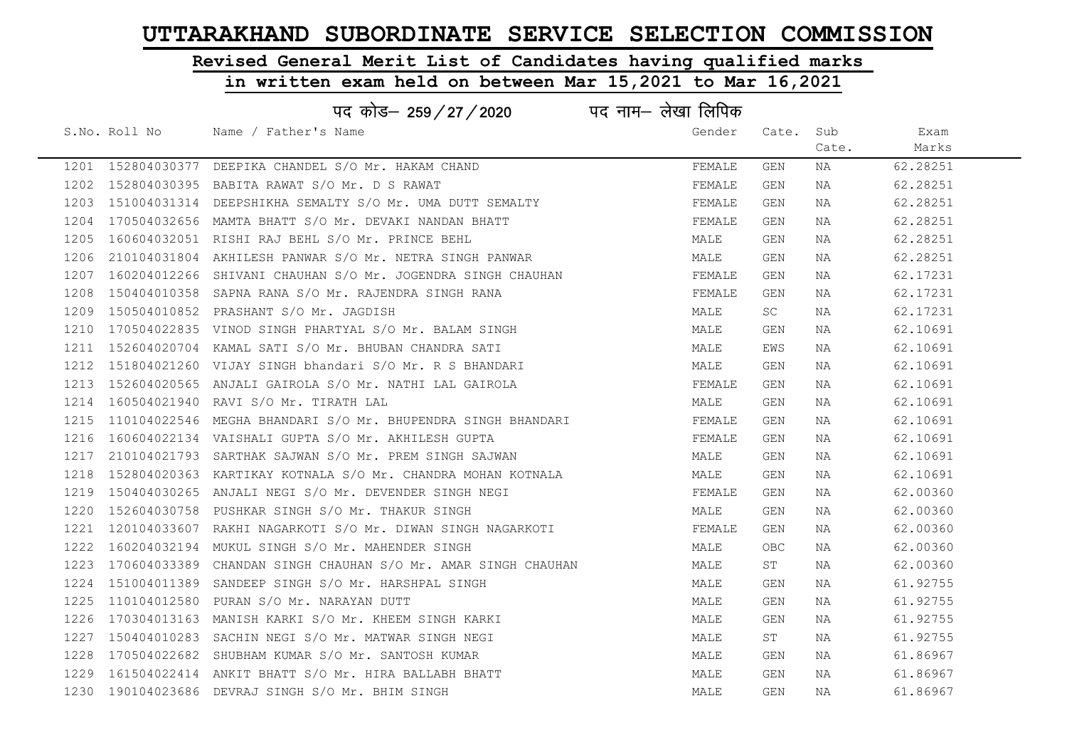# Revised General Merit List of Candidates having qualified marks

|      |               | पद कोड– 259/27/2020                                                | पद नाम– लेखा लिपिक |            |       |          |  |
|------|---------------|--------------------------------------------------------------------|--------------------|------------|-------|----------|--|
|      | S.No. Roll No | Name / Father's Name                                               | Gender             | Cate.      | Sub   | Exam     |  |
|      |               |                                                                    |                    |            | Cate. | Marks    |  |
|      |               | 1201 152804030377 DEEPIKA CHANDEL S/O Mr. HAKAM CHAND              | FEMALE             | GEN        | NA    | 62.28251 |  |
|      |               | 1202 152804030395 BABITA RAWAT S/O Mr. D S RAWAT                   | FEMALE             | <b>GEN</b> | NA    | 62.28251 |  |
|      |               | 1203 151004031314 DEEPSHIKHA SEMALTY S/O Mr. UMA DUTT SEMALTY      | FEMALE             | GEN        | NA    | 62.28251 |  |
|      |               | 1204 170504032656 MAMTA BHATT S/O Mr. DEVAKI NANDAN BHATT          | FEMALE             | GEN        | NA    | 62.28251 |  |
|      |               | 1205 160604032051 RISHI RAJ BEHL S/O Mr. PRINCE BEHL               | MALE               | GEN        | NA    | 62.28251 |  |
|      |               | 1206  210104031804  AKHILESH PANWAR  S/O  Mr. NETRA SINGH PANWAR   | MALE               | GEN        | NA    | 62.28251 |  |
|      |               | 1207 160204012266 SHIVANI CHAUHAN S/O Mr. JOGENDRA SINGH CHAUHAN   | FEMALE             | GEN        | NA    | 62.17231 |  |
| 1208 |               | 150404010358 SAPNA RANA S/O Mr. RAJENDRA SINGH RANA                | FEMALE             | GEN        | NA    | 62.17231 |  |
|      |               | 1209 150504010852 PRASHANT S/O Mr. JAGDISH                         | MALE               | <b>SC</b>  | NA    | 62.17231 |  |
|      |               | 1210 170504022835 VINOD SINGH PHARTYAL S/O Mr. BALAM SINGH         | MALE               | GEN        | NA    | 62.10691 |  |
|      |               | 1211 152604020704 KAMAL SATI S/O Mr. BHUBAN CHANDRA SATI           | MALE               | EWS        | NA    | 62.10691 |  |
|      |               | 1212 151804021260 VIJAY SINGH bhandari S/O Mr. R S BHANDARI        | MALE               | GEN        | NA    | 62.10691 |  |
|      |               | 1213 152604020565 ANJALI GAIROLA S/O Mr. NATHI LAL GAIROLA         | FEMALE             | GEN        | NA    | 62.10691 |  |
|      |               | 1214 160504021940 RAVI S/O Mr. TIRATH LAL                          | MALE               | GEN        | NA    | 62.10691 |  |
|      |               | 1215 110104022546 MEGHA BHANDARI S/O Mr. BHUPENDRA SINGH BHANDARI  | FEMALE             | GEN        | NA    | 62.10691 |  |
| 1216 |               | 160604022134 VAISHALI GUPTA S/O Mr. AKHILESH GUPTA                 | FEMALE             | GEN        | NA    | 62.10691 |  |
| 1217 |               | 210104021793 SARTHAK SAJWAN S/O Mr. PREM SINGH SAJWAN              | MALE               | GEN        | NA    | 62.10691 |  |
|      |               | 1218 152804020363 KARTIKAY KOTNALA S/O Mr. CHANDRA MOHAN KOTNALA   | MALE               | GEN        | NA    | 62.10691 |  |
|      |               | 1219 150404030265 ANJALI NEGI S/O Mr. DEVENDER SINGH NEGI          | FEMALE             | GEN        | NA    | 62.00360 |  |
|      |               | 1220 152604030758 PUSHKAR SINGH S/O Mr. THAKUR SINGH               | MALE               | GEN        | NA    | 62.00360 |  |
|      |               | 1221 120104033607 RAKHI NAGARKOTI S/O Mr. DIWAN SINGH NAGARKOTI    | FEMALE             | GEN        | NA    | 62.00360 |  |
| 1222 |               | 160204032194 MUKUL SINGH S/O Mr. MAHENDER SINGH                    | MALE               | OBC        | NA    | 62.00360 |  |
|      |               | 1223 170604033389 CHANDAN SINGH CHAUHAN S/O Mr. AMAR SINGH CHAUHAN | MALE               | ST         | NA    | 62.00360 |  |
| 1224 |               | 151004011389 SANDEEP SINGH S/O Mr. HARSHPAL SINGH                  | MALE               | GEN        | NA    | 61.92755 |  |
| 1225 |               | 110104012580 PURAN S/O Mr. NARAYAN DUTT                            | MALE               | GEN        | NA    | 61.92755 |  |
| 1226 |               | 170304013163 MANISH KARKI S/O Mr. KHEEM SINGH KARKI                | MALE               | GEN        | NA    | 61.92755 |  |
|      |               | 1227 150404010283 SACHIN NEGI S/O Mr. MATWAR SINGH NEGI            | MALE               | ST         | NA    | 61.92755 |  |
| 1228 |               | 170504022682 SHUBHAM KUMAR S/O Mr. SANTOSH KUMAR                   | MALE               | GEN        | NA    | 61.86967 |  |
|      |               | 1229 161504022414 ANKIT BHATT S/O Mr. HIRA BALLABH BHATT           | MALE               | GEN        | NA    | 61.86967 |  |
|      |               | 1230 190104023686 DEVRAJ SINGH S/O Mr. BHIM SINGH                  | MALE               | <b>GEN</b> | ΝA    | 61.86967 |  |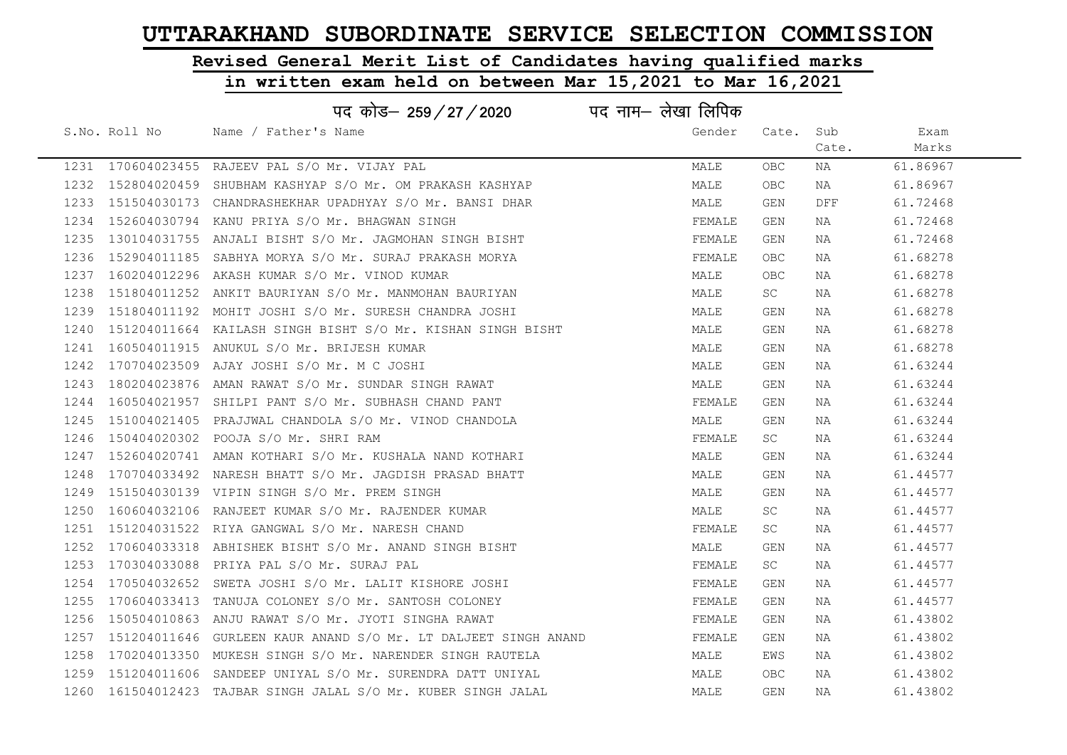# Revised General Merit List of Candidates having qualified marks

|      |               | पद कोड– 259 / 27 / 2020                                        | पद नाम– लेखा लिपिक |            |       |          |
|------|---------------|----------------------------------------------------------------|--------------------|------------|-------|----------|
|      | S.No. Roll No | Name / Father's Name                                           | Gender             | Cate. Sub  |       | Exam     |
|      |               |                                                                |                    |            | Cate. | Marks    |
|      |               | 1231 170604023455 RAJEEV PAL S/O Mr. VIJAY PAL                 | MALE               | OBC        | NA    | 61.86967 |
|      |               | 1232 152804020459 SHUBHAM KASHYAP S/O Mr. OM PRAKASH KASHYAP   | MALE               | <b>OBC</b> | NA    | 61.86967 |
|      |               | 1233 151504030173 CHANDRASHEKHAR UPADHYAY S/O Mr. BANSI DHAR   | MALE               | GEN        | DFF   | 61.72468 |
|      |               | 1234 152604030794 KANU PRIYA S/O Mr. BHAGWAN SINGH             | FEMALE             | GEN        | NA    | 61.72468 |
| 1235 |               | 130104031755 ANJALI BISHT S/O Mr. JAGMOHAN SINGH BISHT         | FEMALE             | GEN        | NA    | 61.72468 |
|      |               | 1236 152904011185 SABHYA MORYA S/O Mr. SURAJ PRAKASH MORYA     | FEMALE             | <b>OBC</b> | NA    | 61.68278 |
| 1237 |               | 160204012296 AKASH KUMAR S/O Mr. VINOD KUMAR                   | MALE               | <b>OBC</b> | NA    | 61.68278 |
| 1238 |               | 151804011252 ANKIT BAURIYAN S/O Mr. MANMOHAN BAURIYAN          | MALE               | SC.        | NA    | 61.68278 |
|      |               | 1239 151804011192 MOHIT JOSHI S/O Mr. SURESH CHANDRA JOSHI     | MALE               | GEN        | NA    | 61.68278 |
| 1240 |               | 151204011664 KAILASH SINGH BISHT S/O Mr. KISHAN SINGH BISHT    | MALE               | GEN        | NA    | 61.68278 |
|      |               | 1241 160504011915 ANUKUL S/O Mr. BRIJESH KUMAR                 | MALE               | GEN        | NA    | 61.68278 |
|      |               | 1242 170704023509 AJAY JOSHI S/O Mr. M C JOSHI                 | MALE               | GEN        | NA    | 61.63244 |
|      |               | 1243 180204023876 AMAN RAWAT S/O Mr. SUNDAR SINGH RAWAT        | MALE               | GEN        | NA    | 61.63244 |
|      |               | 1244 160504021957 SHILPI PANT S/O Mr. SUBHASH CHAND PANT       | FEMALE             | GEN        | NA    | 61.63244 |
| 1245 |               | 151004021405 PRAJJWAL CHANDOLA S/O Mr. VINOD CHANDOLA          | MALE               | GEN        | ΝA    | 61.63244 |
| 1246 |               | 150404020302 POOJA S/O Mr. SHRI RAM                            | FEMALE             | SC         | NA    | 61.63244 |
|      |               | 1247 152604020741 AMAN KOTHARI S/O Mr. KUSHALA NAND KOTHARI    | MALE               | <b>GEN</b> | NA    | 61.63244 |
|      |               | 1248 170704033492 NARESH BHATT S/O Mr. JAGDISH PRASAD BHATT    | MALE               | <b>GEN</b> | NA    | 61.44577 |
|      |               | 1249  151504030139  VIPIN SINGH S/O Mr. PREM SINGH             | MALE               | GEN        | NA    | 61.44577 |
|      |               | 1250 160604032106 RANJEET KUMAR S/O Mr. RAJENDER KUMAR         | MALE               | SC         | NA    | 61.44577 |
|      |               | 1251 151204031522 RIYA GANGWAL S/O Mr. NARESH CHAND            | FEMALE             | SC.        | NA    | 61.44577 |
|      |               | 1252 170604033318 ABHISHEK BISHT S/O Mr. ANAND SINGH BISHT     | MALE               | GEN        | NA    | 61.44577 |
| 1253 |               | 170304033088 PRIYA PAL S/O Mr. SURAJ PAL                       | FEMALE             | SC.        | NA    | 61.44577 |
| 1254 |               | 170504032652 SWETA JOSHI S/O Mr. LALIT KISHORE JOSHI           | FEMALE             | GEN        | NA    | 61.44577 |
| 1255 |               | 170604033413 TANUJA COLONEY S/O Mr. SANTOSH COLONEY            | FEMALE             | GEN        | NA    | 61.44577 |
|      |               | 1256 150504010863 ANJU RAWAT S/O Mr. JYOTI SINGHA RAWAT        | FEMALE             | GEN        | NA    | 61.43802 |
| 1257 |               | 151204011646 GURLEEN KAUR ANAND S/O Mr. LT DALJEET SINGH ANAND | FEMALE             | GEN        | NA    | 61.43802 |
|      |               | 1258 170204013350 MUKESH SINGH S/O Mr. NARENDER SINGH RAUTELA  | MALE               | EWS        | NA    | 61.43802 |
|      |               | 1259 151204011606 SANDEEP UNIYAL S/O Mr. SURENDRA DATT UNIYAL  | MALE               | OBC.       | NA    | 61.43802 |
|      |               | 1260 161504012423 TAJBAR SINGH JALAL S/O Mr. KUBER SINGH JALAL | MALE               | GEN        | NA    | 61.43802 |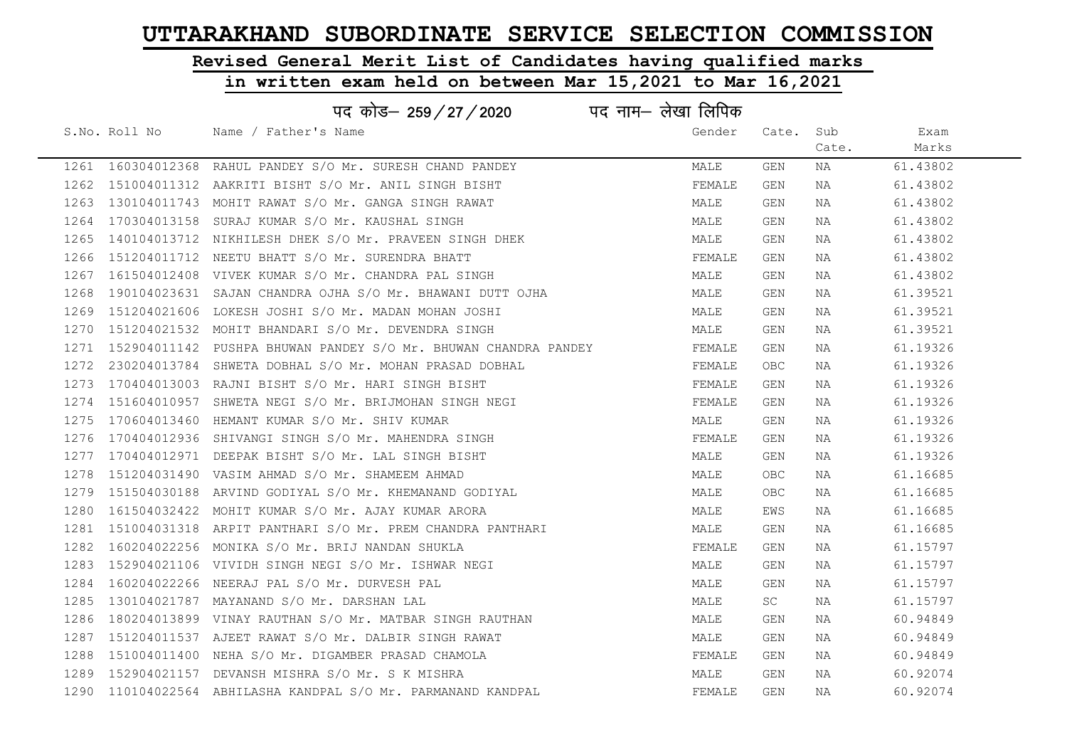# Revised General Merit List of Candidates having qualified marks

### in written exam held on between Mar 15,2021 to Mar 16,2021

| पद नाम– लेखा लिपिक<br>पद कोड– 259 / 27 / 2020 |               |                                                                 |        |       |       |          |  |
|-----------------------------------------------|---------------|-----------------------------------------------------------------|--------|-------|-------|----------|--|
|                                               | S.No. Roll No | Name / Father's Name                                            | Gender | Cate. | Sub   | Exam     |  |
|                                               |               |                                                                 |        |       | Cate. | Marks    |  |
|                                               |               | 1261 160304012368 RAHUL PANDEY S/O Mr. SURESH CHAND PANDEY      | MALE   | GEN   | NA    | 61.43802 |  |
| 1262                                          |               | 151004011312 AAKRITI BISHT S/O Mr. ANIL SINGH BISHT             | FEMALE | GEN   | NA    | 61.43802 |  |
| 1263                                          |               | 130104011743 MOHIT RAWAT S/O Mr. GANGA SINGH RAWAT              | MALE   | GEN   | NA    | 61.43802 |  |
| 1264                                          |               | 170304013158 SURAJ KUMAR S/O Mr. KAUSHAL SINGH                  | MALE   | GEN   | NA    | 61.43802 |  |
| 1265                                          |               | 140104013712 NIKHILESH DHEK S/O Mr. PRAVEEN SINGH DHEK          | MALE   | GEN   | NA    | 61.43802 |  |
| 1266                                          |               | 151204011712 NEETU BHATT S/O Mr. SURENDRA BHATT                 | FEMALE | GEN   | NA    | 61.43802 |  |
| 1267                                          |               | 161504012408 VIVEK KUMAR S/O Mr. CHANDRA PAL SINGH              | MALE   | GEN   | NA    | 61.43802 |  |
| 1268                                          |               | 190104023631 SAJAN CHANDRA OJHA S/O Mr. BHAWANI DUTT OJHA       | MALE   | GEN   | NA    | 61.39521 |  |
| 1269                                          |               | 151204021606 LOKESH JOSHI S/O Mr. MADAN MOHAN JOSHI             | MALE   | GEN   | NA    | 61.39521 |  |
| 1270                                          |               | 151204021532 MOHIT BHANDARI S/O Mr. DEVENDRA SINGH              | MALE   | GEN   | NA    | 61.39521 |  |
| 1271                                          |               | 152904011142 PUSHPA BHUWAN PANDEY S/O Mr. BHUWAN CHANDRA PANDEY | FEMALE | GEN   | NA    | 61.19326 |  |
| 1272                                          |               | 230204013784 SHWETA DOBHAL S/O Mr. MOHAN PRASAD DOBHAL          | FEMALE | OBC.  | NA    | 61.19326 |  |
| 1273                                          |               | 170404013003 RAJNI BISHT S/O Mr. HARI SINGH BISHT               | FEMALE | GEN   | NA    | 61.19326 |  |
| 1274                                          |               | 151604010957 SHWETA NEGI S/O Mr. BRIJMOHAN SINGH NEGI           | FEMALE | GEN   | NA    | 61.19326 |  |
| 1275                                          |               | 170604013460 HEMANT KUMAR S/O Mr. SHIV KUMAR                    | MALE   | GEN   | NA    | 61.19326 |  |
| 1276                                          |               | 170404012936 SHIVANGI SINGH S/O Mr. MAHENDRA SINGH              | FEMALE | GEN   | NA    | 61.19326 |  |
| 1277                                          |               | 170404012971 DEEPAK BISHT S/O Mr. LAL SINGH BISHT               | MALE   | GEN   | NA    | 61.19326 |  |
| 1278                                          |               | 151204031490 VASIM AHMAD S/O Mr. SHAMEEM AHMAD                  | MALE   | OBC.  | ΝA    | 61.16685 |  |
| 1279                                          |               | 151504030188 ARVIND GODIYAL S/O Mr. KHEMANAND GODIYAL           | MALE   | OBC.  | NA    | 61.16685 |  |
| 1280                                          |               | 161504032422 MOHIT KUMAR S/O Mr. AJAY KUMAR ARORA               | MALE   | EWS   | NA    | 61.16685 |  |
| 1281                                          |               | 151004031318 ARPIT PANTHARI S/O Mr. PREM CHANDRA PANTHARI       | MALE   | GEN   | NA    | 61.16685 |  |
| 1282                                          |               | 160204022256 MONIKA S/O Mr. BRIJ NANDAN SHUKLA                  | FEMALE | GEN   | NA    | 61.15797 |  |
| 1283                                          |               | 152904021106 VIVIDH SINGH NEGI S/O Mr. ISHWAR NEGI              | MALE   | GEN   | NA    | 61.15797 |  |
| 1284                                          |               | 160204022266 NEERAJ PAL S/O Mr. DURVESH PAL                     | MALE   | GEN   | NA    | 61.15797 |  |
| 1285                                          |               | 130104021787 MAYANAND S/O Mr. DARSHAN LAL                       | MALE   | SC    | NA    | 61.15797 |  |
| 1286                                          |               | 180204013899 VINAY RAUTHAN S/O Mr. MATBAR SINGH RAUTHAN         | MALE   | GEN   | NA    | 60.94849 |  |
| 1287                                          |               | 151204011537 AJEET RAWAT S/O Mr. DALBIR SINGH RAWAT             | MALE   | GEN   | NA    | 60.94849 |  |
| 1288                                          |               | 151004011400 NEHA S/O Mr. DIGAMBER PRASAD CHAMOLA               | FEMALE | GEN   | NA    | 60.94849 |  |
| 1289                                          |               | 152904021157 DEVANSH MISHRA S/O Mr. S K MISHRA                  | MALE   | GEN   | NA    | 60.92074 |  |
|                                               |               | 1290 110104022564 ABHILASHA KANDPAL S/O Mr. PARMANAND KANDPAL   | FEMALE | GEN   | NA    | 60.92074 |  |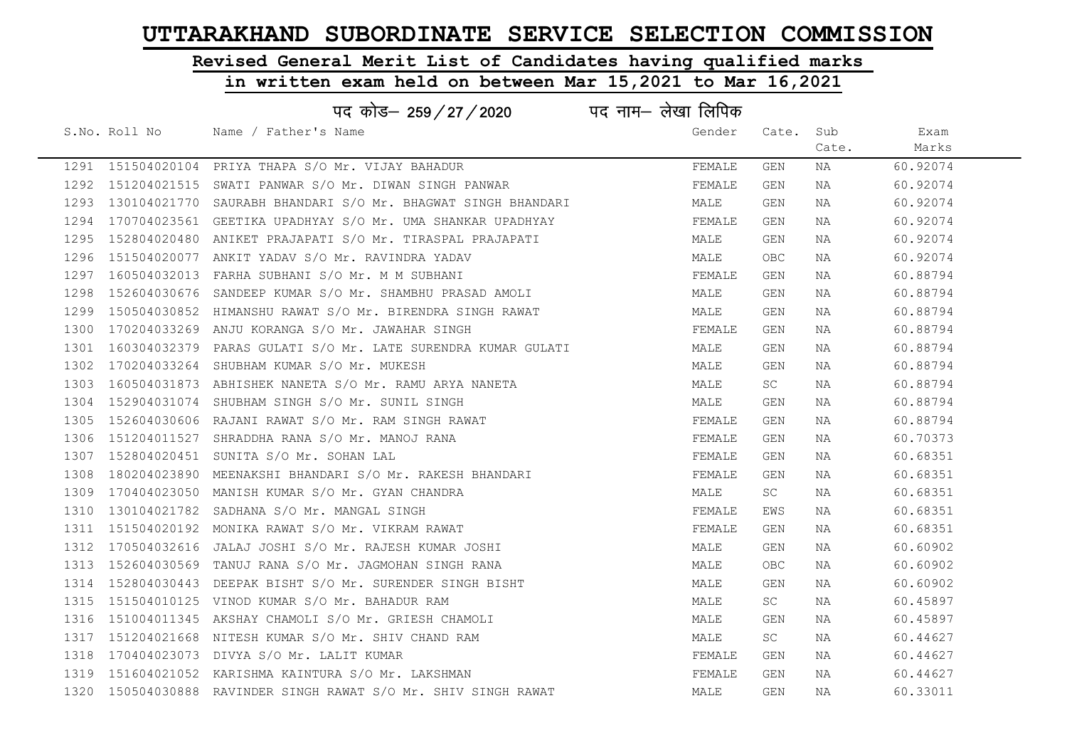# Revised General Merit List of Candidates having qualified marks

|      |               | पद कोड– 259/27/2020                                               | पद नाम– लेखा लिपिक |            |       |          |
|------|---------------|-------------------------------------------------------------------|--------------------|------------|-------|----------|
|      | S.No. Roll No | Name / Father's Name                                              | Gender             | Cate. Sub  |       | Exam     |
|      |               |                                                                   |                    |            | Cate. | Marks    |
|      |               | 1291 151504020104 PRIYA THAPA S/O Mr. VIJAY BAHADUR               | FEMALE             | GEN        | NA    | 60.92074 |
|      |               | 1292 151204021515 SWATI PANWAR S/O Mr. DIWAN SINGH PANWAR         | FEMALE             | GEN        | NA    | 60.92074 |
|      |               | 1293 130104021770 SAURABH BHANDARI S/O Mr. BHAGWAT SINGH BHANDARI | MALE               | GEN        | NA    | 60.92074 |
|      |               | 1294 170704023561 GEETIKA UPADHYAY S/O Mr. UMA SHANKAR UPADHYAY   | FEMALE             | GEN        | NA    | 60.92074 |
| 1295 |               | 152804020480 ANIKET PRAJAPATI S/O Mr. TIRASPAL PRAJAPATI          | MALE               | GEN        | NA    | 60.92074 |
|      |               | 1296 151504020077 ANKIT YADAV S/O Mr. RAVINDRA YADAV              | MALE               | <b>OBC</b> | NA    | 60.92074 |
| 1297 |               | 160504032013 FARHA SUBHANI S/O Mr. M M SUBHANI                    | FEMALE             | GEN        | NA    | 60.88794 |
| 1298 |               | 152604030676 SANDEEP KUMAR S/O Mr. SHAMBHU PRASAD AMOLI           | MALE               | GEN        | NA    | 60.88794 |
| 1299 |               | 150504030852 HIMANSHU RAWAT S/O Mr. BIRENDRA SINGH RAWAT          | MALE               | GEN        | NA    | 60.88794 |
| 1300 |               | 170204033269 ANJU KORANGA S/O Mr. JAWAHAR SINGH                   | FEMALE             | GEN        | NA    | 60.88794 |
|      |               | 1301 160304032379 PARAS GULATI S/O Mr. LATE SURENDRA KUMAR GULATI | MALE               | GEN        | NA    | 60.88794 |
| 1302 |               | 170204033264 SHUBHAM KUMAR S/O Mr. MUKESH                         | MALE               | GEN        | NA    | 60.88794 |
|      |               | 1303 160504031873 ABHISHEK NANETA S/O Mr. RAMU ARYA NANETA        | MALE               | SC.        | NA    | 60.88794 |
|      |               | 1304 152904031074 SHUBHAM SINGH S/O Mr. SUNIL SINGH               | MALE               | GEN        | NA    | 60.88794 |
|      |               | 1305 152604030606 RAJANI RAWAT S/O Mr. RAM SINGH RAWAT            | FEMALE             | GEN        | NA    | 60.88794 |
| 1306 |               | 151204011527 SHRADDHA RANA S/O Mr. MANOJ RANA                     | FEMALE             | GEN        | NA    | 60.70373 |
|      |               | 1307 152804020451 SUNITA S/O Mr. SOHAN LAL                        | FEMALE             | GEN        | NA    | 60.68351 |
| 1308 |               | 180204023890 MEENAKSHI BHANDARI S/O Mr. RAKESH BHANDARI           | FEMALE             | GEN        | NA    | 60.68351 |
| 1309 |               | 170404023050 MANISH KUMAR S/O Mr. GYAN CHANDRA                    | MALE               | SC         | NA    | 60.68351 |
| 1310 |               | 130104021782 SADHANA S/O Mr. MANGAL SINGH                         | FEMALE             | EWS        | NA    | 60.68351 |
|      |               | 1311 151504020192 MONIKA RAWAT S/O Mr. VIKRAM RAWAT               | FEMALE             | GEN        | NA    | 60.68351 |
|      |               | 1312 170504032616 JALAJ JOSHI S/O Mr. RAJESH KUMAR JOSHI          | MALE               | GEN        | NA    | 60.60902 |
|      |               | 1313 152604030569 TANUJ RANA S/O Mr. JAGMOHAN SINGH RANA          | MALE               | OBC        | NA    | 60.60902 |
| 1314 |               | 152804030443 DEEPAK BISHT S/O Mr. SURENDER SINGH BISHT            | MALE               | GEN        | NA    | 60.60902 |
|      |               | 1315 151504010125 VINOD KUMAR S/O Mr. BAHADUR RAM                 | MALE               | SC         | NA    | 60.45897 |
| 1316 |               | 151004011345 AKSHAY CHAMOLI S/O Mr. GRIESH CHAMOLI                | MALE               | GEN        | NA    | 60.45897 |
|      |               | 1317 151204021668 NITESH KUMAR S/O Mr. SHIV CHAND RAM             | MALE               | SC         | NA    | 60.44627 |
| 1318 |               | 170404023073 DIVYA S/O Mr. LALIT KUMAR                            | FEMALE             | GEN        | NA    | 60.44627 |
|      |               | 1319 151604021052 KARISHMA KAINTURA S/O Mr. LAKSHMAN              | FEMALE             | GEN        | NA    | 60.44627 |
|      |               | 1320 150504030888 RAVINDER SINGH RAWAT S/O Mr. SHIV SINGH RAWAT   | MALE               | GEN        | NA    | 60.33011 |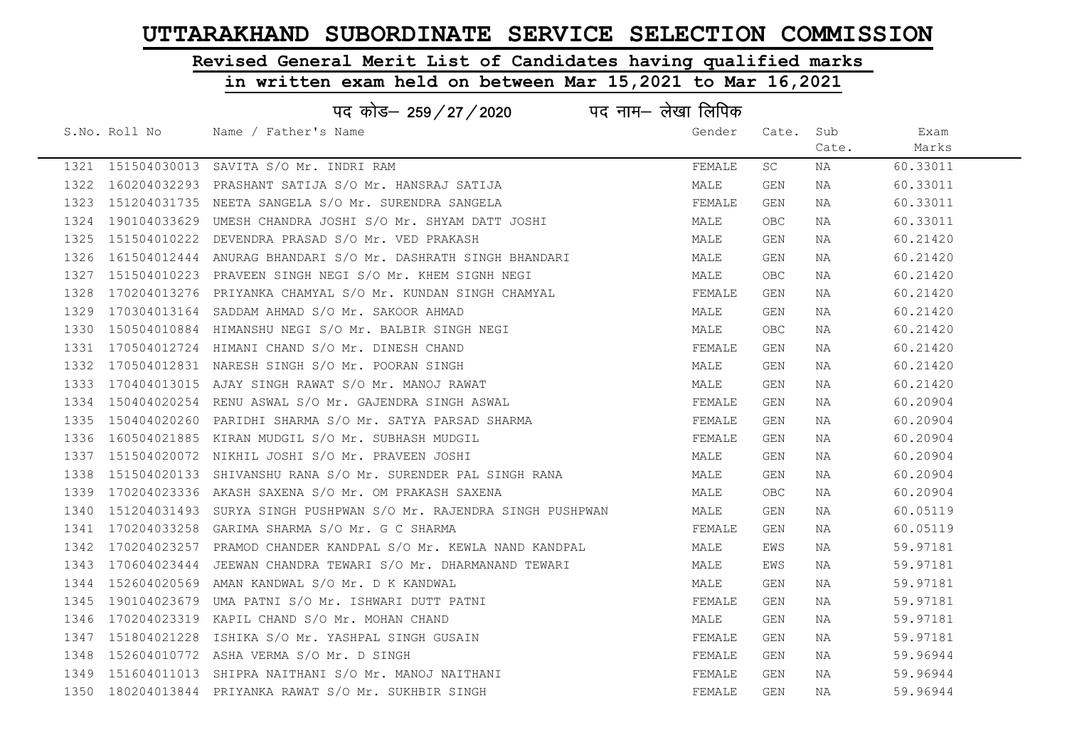# Revised General Merit List of Candidates having qualified marks

|      |                   | पद कोड– 259/27/2020                                                    | पद नाम– लेखा लिपिक |            |       |          |
|------|-------------------|------------------------------------------------------------------------|--------------------|------------|-------|----------|
|      | S.No. Roll No     | Name / Father's Name                                                   | Gender             | Cate. Sub  |       | Exam     |
|      |                   |                                                                        |                    |            | Cate. | Marks    |
|      |                   | 1321 151504030013 SAVITA S/O Mr. INDRI RAM                             | FEMALE             | SC.        | NA    | 60.33011 |
|      |                   | 1322 160204032293 PRASHANT SATIJA S/O Mr. HANSRAJ SATIJA               | MALE               | GEN        | NA    | 60.33011 |
|      |                   | 1323 151204031735 NEETA SANGELA S/O Mr. SURENDRA SANGELA               | FEMALE             | GEN        | NA    | 60.33011 |
|      |                   | 1324 190104033629 UMESH CHANDRA JOSHI S/O Mr. SHYAM DATT JOSHI         | MALE               | OBC        | NA    | 60.33011 |
|      | 1325 151504010222 | DEVENDRA PRASAD S/O Mr. VED PRAKASH                                    | MALE               | GEN        | NA    | 60.21420 |
|      |                   | 1326 161504012444 ANURAG BHANDARI S/O Mr. DASHRATH SINGH BHANDARI      | MALE               | GEN        | NA    | 60.21420 |
|      |                   |                                                                        | MALE               | OBC        | NA    | 60.21420 |
| 1328 |                   | 170204013276 PRIYANKA CHAMYAL S/O Mr. KUNDAN SINGH CHAMYAL             | FEMALE             | GEN        | NA    | 60.21420 |
|      |                   | 1329 170304013164 SADDAM AHMAD S/O Mr. SAKOOR AHMAD                    | MALE               | GEN        | NA    | 60.21420 |
|      |                   | 1330 150504010884 HIMANSHU NEGI S/O Mr. BALBIR SINGH NEGI              | MALE               | <b>OBC</b> | NA    | 60.21420 |
|      |                   | 1331 170504012724 HIMANI CHAND S/O Mr. DINESH CHAND                    | FEMALE             | GEN        | NA    | 60.21420 |
|      |                   | 1332 170504012831 NARESH SINGH S/O Mr. POORAN SINGH                    | MALE               | GEN        | NA    | 60.21420 |
|      |                   | 1333 170404013015 AJAY SINGH RAWAT S/O Mr. MANOJ RAWAT                 | MALE               | GEN        | NA    | 60.21420 |
|      |                   | 1334 150404020254 RENU ASWAL S/O Mr. GAJENDRA SINGH ASWAL              | FEMALE             | GEN        | NA    | 60.20904 |
|      |                   | 1335 150404020260 PARIDHI SHARMA S/O Mr. SATYA PARSAD SHARMA           | FEMALE             | GEN        | NA    | 60.20904 |
| 1336 |                   | 160504021885 KIRAN MUDGIL S/O Mr. SUBHASH MUDGIL                       | FEMALE             | GEN        | NA    | 60.20904 |
|      |                   | 1337 151504020072 NIKHIL JOSHI S/O Mr. PRAVEEN JOSHI                   | MALE               | GEN        | NA    | 60.20904 |
|      |                   | 1338 151504020133 SHIVANSHU RANA S/O Mr. SURENDER PAL SINGH RANA       | MALE               | GEN        | NA    | 60.20904 |
|      |                   | 1339 170204023336 AKASH SAXENA S/O Mr. OM PRAKASH SAXENA               | MALE               | OBC        | NA    | 60.20904 |
|      |                   | 1340 151204031493 SURYA SINGH PUSHPWAN S/O Mr. RAJENDRA SINGH PUSHPWAN | MALE               | GEN        | NA    | 60.05119 |
|      |                   | 1341 170204033258 GARIMA SHARMA S/O Mr. G C SHARMA                     | FEMALE             | GEN        | NA    | 60.05119 |
|      |                   | 1342 170204023257 PRAMOD CHANDER KANDPAL S/O Mr. KEWLA NAND KANDPAL    | MALE               | EWS        | NA    | 59.97181 |
|      |                   | 1343 170604023444 JEEWAN CHANDRA TEWARI S/O Mr. DHARMANAND TEWARI      | MALE               | EWS        | NA    | 59.97181 |
|      |                   | 1344 152604020569 AMAN KANDWAL S/O Mr. D K KANDWAL                     | MALE               | GEN        | NA    | 59.97181 |
|      |                   | 1345 190104023679 UMA PATNI S/O Mr. ISHWARI DUTT PATNI                 | FEMALE             | GEN        | ΝA    | 59.97181 |
|      |                   | 1346 170204023319 KAPIL CHAND S/O Mr. MOHAN CHAND                      | MALE               | GEN        | NA    | 59.97181 |
|      |                   | 1347 151804021228 ISHIKA S/O Mr. YASHPAL SINGH GUSAIN                  | FEMALE             | GEN        | NA    | 59.97181 |
|      |                   | 1348 152604010772 ASHA VERMA S/O Mr. D SINGH                           | FEMALE             | GEN        | NA    | 59.96944 |
|      |                   | 1349 151604011013 SHIPRA NAITHANI S/O Mr. MANOJ NAITHANI               | FEMALE             | GEN        | NA    | 59.96944 |
|      |                   | 1350 180204013844 PRIYANKA RAWAT S/O Mr. SUKHBIR SINGH                 | FEMALE             | GEN        | NA    | 59.96944 |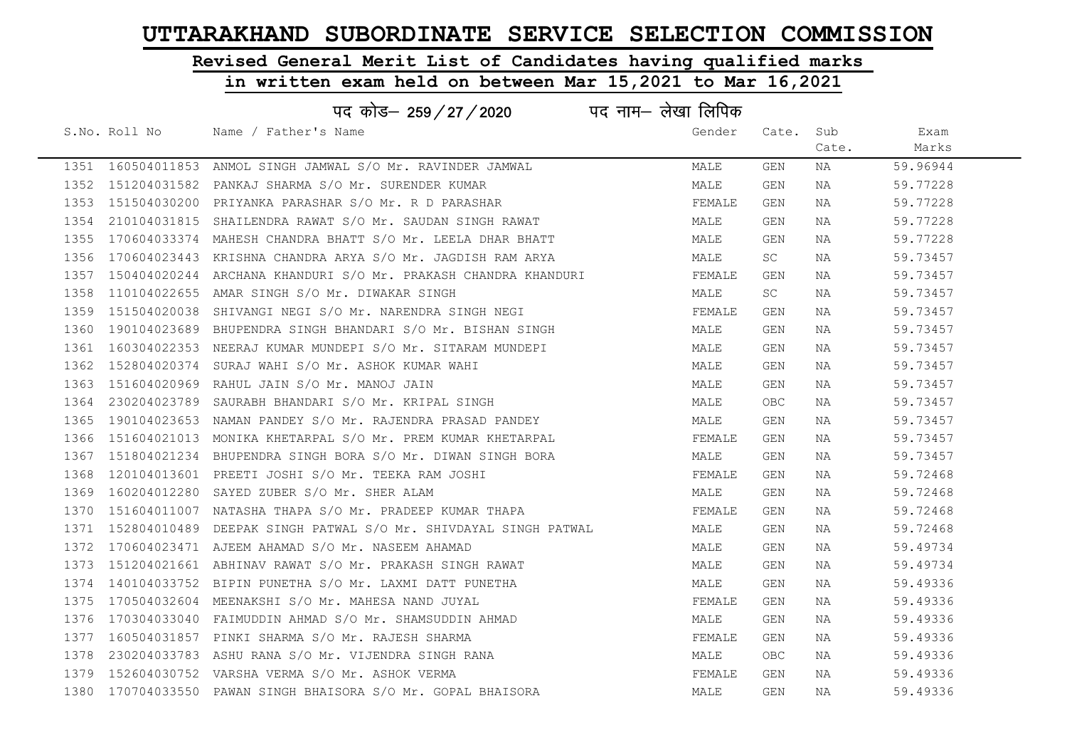# Revised General Merit List of Candidates having qualified marks

|      |                   | पद कोड– 259/27/2020                                                  | पद नाम– लेखा लिपिक |            |       |          |
|------|-------------------|----------------------------------------------------------------------|--------------------|------------|-------|----------|
|      | S.No. Roll No     | Name / Father's Name                                                 | Gender             | Cate.      | Sub   | Exam     |
|      |                   |                                                                      |                    |            | Cate. | Marks    |
|      |                   | 1351 160504011853 ANMOL SINGH JAMWAL S/O Mr. RAVINDER JAMWAL         | MALE               | <b>GEN</b> | NA    | 59.96944 |
|      |                   | 1352 151204031582 PANKAJ SHARMA S/O Mr. SURENDER KUMAR               | MALE               | GEN        | NA    | 59.77228 |
|      |                   | 1353 151504030200 PRIYANKA PARASHAR S/O Mr. R D PARASHAR             | FEMALE             | GEN        | NA    | 59.77228 |
| 1354 |                   | 210104031815 SHAILENDRA RAWAT S/O Mr. SAUDAN SINGH RAWAT             | MALE               | GEN        | NA    | 59.77228 |
|      |                   | 1355 170604033374 MAHESH CHANDRA BHATT S/O Mr. LEELA DHAR BHATT      | MALE               | GEN        | NA    | 59.77228 |
|      |                   | 1356 170604023443 KRISHNA CHANDRA ARYA S/O Mr. JAGDISH RAM ARYA      | MALE               | SC.        | NA    | 59.73457 |
|      |                   | 1357 150404020244 ARCHANA KHANDURI S/O Mr. PRAKASH CHANDRA KHANDURI  | FEMALE             | GEN        | NA    | 59.73457 |
| 1358 |                   | 110104022655 AMAR SINGH S/O Mr. DIWAKAR SINGH                        | MALE               | SC.        | NA    | 59.73457 |
|      | 1359 151504020038 | SHIVANGI NEGI S/O Mr. NARENDRA SINGH NEGI                            | FEMALE             | GEN        | NA    | 59.73457 |
| 1360 |                   | 190104023689 BHUPENDRA SINGH BHANDARI S/O Mr. BISHAN SINGH           | MALE               | GEN        | ΝA    | 59.73457 |
| 1361 |                   | 160304022353 NEERAJ KUMAR MUNDEPI S/O Mr. SITARAM MUNDEPI            | MALE               | GEN        | NA    | 59.73457 |
| 1362 |                   | 152804020374 SURAJ WAHI S/O Mr. ASHOK KUMAR WAHI                     | MALE               | GEN        | NA    | 59.73457 |
|      |                   | 1363 151604020969 RAHUL JAIN S/O Mr. MANOJ JAIN                      | MALE               | GEN        | NA    | 59.73457 |
| 1364 |                   | 230204023789 SAURABH BHANDARI S/O Mr. KRIPAL SINGH                   | MALE               | OBC        | NA    | 59.73457 |
|      |                   | 1365 190104023653 NAMAN PANDEY S/O Mr. RAJENDRA PRASAD PANDEY        | MALE               | GEN        | NA    | 59.73457 |
| 1366 |                   | 151604021013 MONIKA KHETARPAL S/O Mr. PREM KUMAR KHETARPAL           | FEMALE             | GEN        | NA    | 59.73457 |
|      |                   | 1367 151804021234 BHUPENDRA SINGH BORA S/O Mr. DIWAN SINGH BORA      | MALE               | GEN        | NA    | 59.73457 |
| 1368 |                   | 120104013601 PREETI JOSHI S/O Mr. TEEKA RAM JOSHI                    | FEMALE             | GEN        | ΝA    | 59.72468 |
| 1369 |                   | 160204012280 SAYED ZUBER S/O Mr. SHER ALAM                           | MALE               | GEN        | NA    | 59.72468 |
| 1370 |                   | 151604011007 NATASHA THAPA S/O Mr. PRADEEP KUMAR THAPA               | FEMALE             | GEN        | NA    | 59.72468 |
|      |                   | 1371 152804010489 DEEPAK SINGH PATWAL S/O Mr. SHIVDAYAL SINGH PATWAL | MALE               | GEN        | NA    | 59.72468 |
| 1372 |                   | 170604023471 AJEEM AHAMAD S/O Mr. NASEEM AHAMAD                      | MALE               | GEN        | NA    | 59.49734 |
|      |                   | 1373 151204021661 ABHINAV RAWAT S/O Mr. PRAKASH SINGH RAWAT          | MALE               | GEN        | NA    | 59.49734 |
| 1374 |                   | 140104033752 BIPIN PUNETHA S/O Mr. LAXMI DATT PUNETHA                | MALE               | GEN        | NA    | 59.49336 |
| 1375 |                   | 170504032604 MEENAKSHI S/O Mr. MAHESA NAND JUYAL                     | FEMALE             | GEN        | NA    | 59.49336 |
| 1376 |                   | 170304033040 FAIMUDDIN AHMAD S/O Mr. SHAMSUDDIN AHMAD                | MALE               | GEN        | NA    | 59.49336 |
|      |                   | 1377 160504031857 PINKI SHARMA S/O Mr. RAJESH SHARMA                 | FEMALE             | GEN        | NA    | 59.49336 |
| 1378 |                   | 230204033783 ASHU RANA S/O Mr. VIJENDRA SINGH RANA                   | MALE               | <b>OBC</b> | NA    | 59.49336 |
|      |                   | 1379 152604030752 VARSHA VERMA S/O Mr. ASHOK VERMA                   | FEMALE             | GEN        | NA    | 59.49336 |
|      |                   | 1380 170704033550 PAWAN SINGH BHAISORA S/O Mr. GOPAL BHAISORA        | MALE               | <b>GEN</b> | ΝA    | 59.49336 |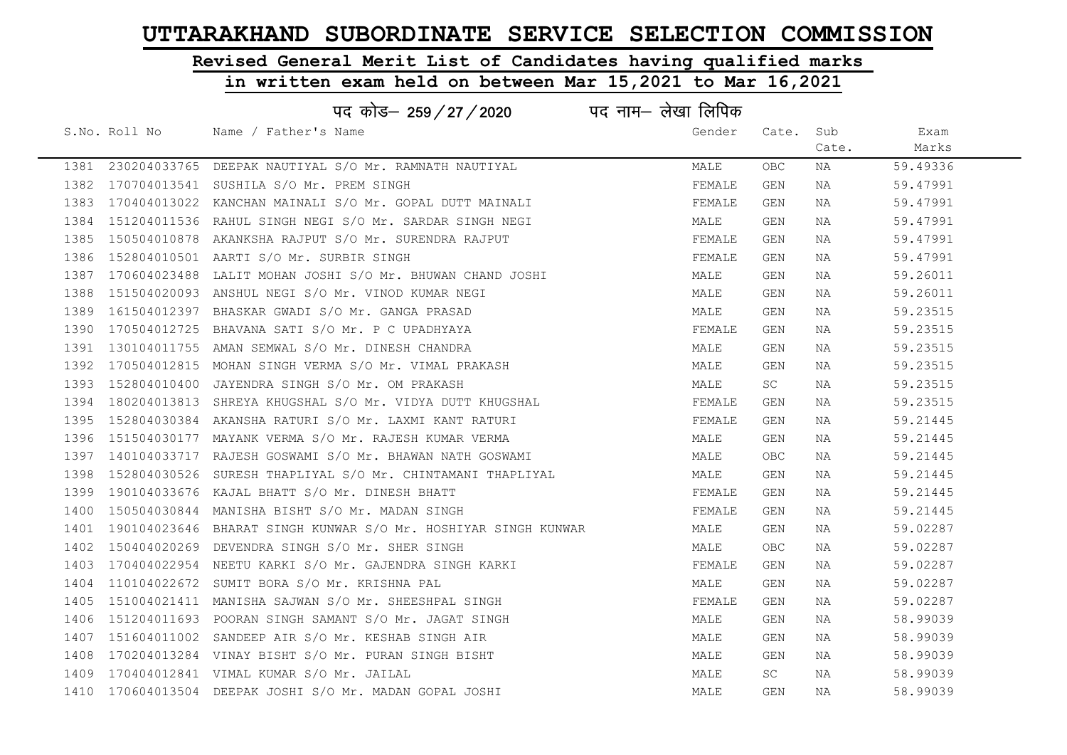# Revised General Merit List of Candidates having qualified marks

|      |               | पद कोड– 259 / 27 / 2020                                             | पद नाम– लेखा लिपिक |            |       |          |  |
|------|---------------|---------------------------------------------------------------------|--------------------|------------|-------|----------|--|
|      | S.No. Roll No | Name / Father's Name                                                | Gender             | Cate.      | Sub   | Exam     |  |
|      |               |                                                                     |                    |            | Cate. | Marks    |  |
|      |               | 1381 230204033765 DEEPAK NAUTIYAL S/O Mr. RAMNATH NAUTIYAL          | MALE               | OBC.       | NA    | 59.49336 |  |
|      |               | 1382 170704013541 SUSHILA S/O Mr. PREM SINGH                        | FEMALE             | GEN        | NA    | 59.47991 |  |
|      |               | 1383 170404013022 KANCHAN MAINALI S/O Mr. GOPAL DUTT MAINALI        | FEMALE             | GEN        | NA    | 59.47991 |  |
|      |               | 1384 151204011536 RAHUL SINGH NEGI S/O Mr. SARDAR SINGH NEGI        | MALE               | GEN        | NA    | 59.47991 |  |
|      |               | 1385 150504010878 AKANKSHA RAJPUT S/O Mr. SURENDRA RAJPUT           | FEMALE             | GEN        | NA    | 59.47991 |  |
|      |               | 1386 152804010501 AARTI S/O Mr. SURBIR SINGH                        | FEMALE             | GEN        | NA    | 59.47991 |  |
|      |               | 1387 170604023488 LALIT MOHAN JOSHI S/O Mr. BHUWAN CHAND JOSHI      | MALE               | GEN        | NA    | 59.26011 |  |
| 1388 |               | 151504020093 ANSHUL NEGI S/O Mr. VINOD KUMAR NEGI                   | MALE               | GEN        | NA    | 59.26011 |  |
|      |               | 1389 161504012397 BHASKAR GWADI S/O Mr. GANGA PRASAD                | MALE               | GEN        | NA    | 59.23515 |  |
|      |               | 1390 170504012725 BHAVANA SATI S/O Mr. P C UPADHYAYA                | FEMALE             | GEN        | NA    | 59.23515 |  |
|      |               | 1391 130104011755 AMAN SEMWAL S/O Mr. DINESH CHANDRA                | MALE               | GEN        | NA    | 59.23515 |  |
|      |               | 1392 170504012815 MOHAN SINGH VERMA S/O Mr. VIMAL PRAKASH           | MALE               | GEN        | NA    | 59.23515 |  |
|      |               | 1393 152804010400 JAYENDRA SINGH S/O Mr. OM PRAKASH                 | MALE               | SC         | NA    | 59.23515 |  |
|      |               | 1394 180204013813 SHREYA KHUGSHAL S/O Mr. VIDYA DUTT KHUGSHAL       | FEMALE             | GEN        | NA    | 59.23515 |  |
|      |               | 1395 152804030384 AKANSHA RATURI S/O Mr. LAXMI KANT RATURI          | FEMALE             | GEN        | NA    | 59.21445 |  |
|      |               | 1396 151504030177 MAYANK VERMA S/O Mr. RAJESH KUMAR VERMA           | MALE               | GEN        | NA    | 59.21445 |  |
|      |               | 1397 140104033717 RAJESH GOSWAMI S/O Mr. BHAWAN NATH GOSWAMI        | MALE               | OBC        | NA    | 59.21445 |  |
| 1398 |               | 152804030526 SURESH THAPLIYAL S/O Mr. CHINTAMANI THAPLIYAL          | MALE               | <b>GEN</b> | NA    | 59.21445 |  |
| 1399 |               | 190104033676 KAJAL BHATT S/O Mr. DINESH BHATT                       | FEMALE             | GEN        | NA    | 59.21445 |  |
|      |               | 1400 150504030844 MANISHA BISHT S/O Mr. MADAN SINGH                 | FEMALE             | GEN        | NA    | 59.21445 |  |
|      |               | 1401 190104023646 BHARAT SINGH KUNWAR S/O Mr. HOSHIYAR SINGH KUNWAR | MALE               | GEN        | NA    | 59.02287 |  |
| 1402 |               | 150404020269 DEVENDRA SINGH S/O Mr. SHER SINGH                      | MALE               | OBC        | NA    | 59.02287 |  |
|      |               | 1403 170404022954 NEETU KARKI S/O Mr. GAJENDRA SINGH KARKI          | FEMALE             | GEN        | NA    | 59.02287 |  |
| 1404 |               | 110104022672 SUMIT BORA S/O Mr. KRISHNA PAL                         | MALE               | GEN        | NA    | 59.02287 |  |
|      |               | 1405 151004021411 MANISHA SAJWAN S/O Mr. SHEESHPAL SINGH            | FEMALE             | GEN        | NA    | 59.02287 |  |
|      |               | 1406 151204011693 POORAN SINGH SAMANT S/O Mr. JAGAT SINGH           | MALE               | GEN        | NA    | 58.99039 |  |
|      |               | 1407 151604011002 SANDEEP AIR S/O Mr. KESHAB SINGH AIR              | MALE               | GEN        | NA    | 58.99039 |  |
| 1408 |               | 170204013284 VINAY BISHT S/O Mr. PURAN SINGH BISHT                  | MALE               | GEN        | NA    | 58.99039 |  |
|      |               | 1409 170404012841 VIMAL KUMAR S/O Mr. JAILAL                        | MALE               | SC         | NA    | 58.99039 |  |
|      |               | 1410 170604013504 DEEPAK JOSHI S/O Mr. MADAN GOPAL JOSHI            | MALE               | <b>GEN</b> | ΝA    | 58.99039 |  |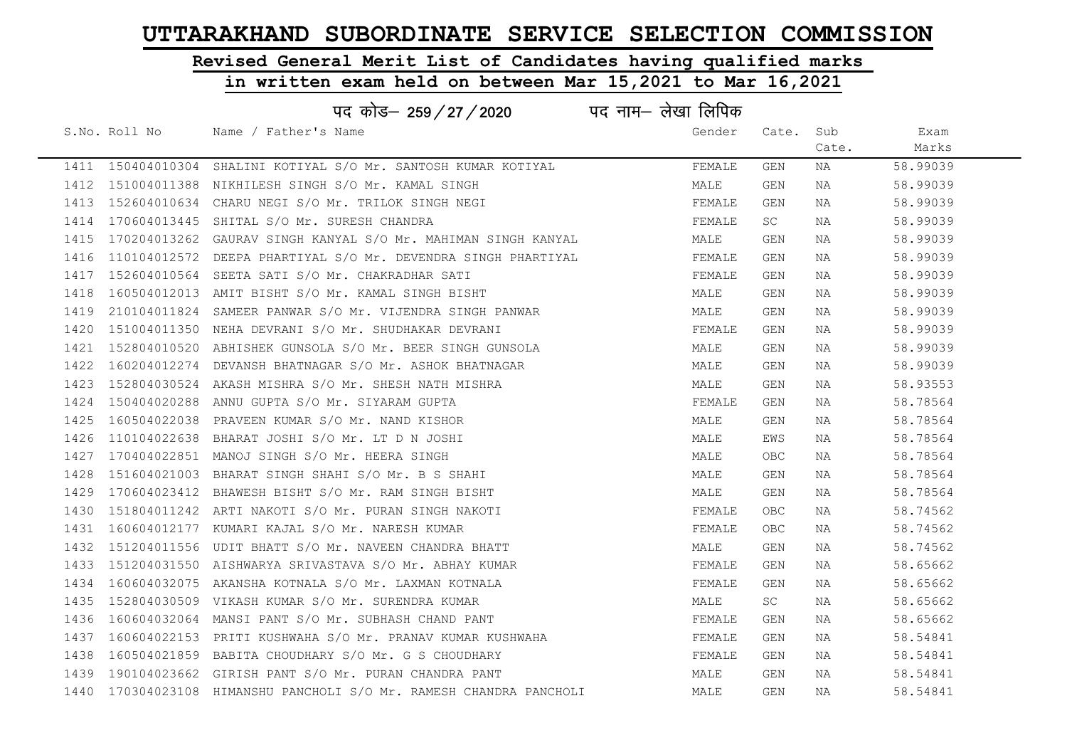# Revised General Merit List of Candidates having qualified marks

|      |                   | पद कोड– 259 / 27 / 2020                                         | पद नाम– लेखा लिपिक |            |       |          |  |
|------|-------------------|-----------------------------------------------------------------|--------------------|------------|-------|----------|--|
|      | S.No. Roll No     | Name / Father's Name                                            | Gender             | Cate.      | Sub   | Exam     |  |
|      |                   |                                                                 |                    |            | Cate. | Marks    |  |
|      |                   | 1411 150404010304 SHALINI KOTIYAL S/O Mr. SANTOSH KUMAR KOTIYAL | FEMALE             | GEN        | NA    | 58.99039 |  |
|      |                   | 1412 151004011388 NIKHILESH SINGH S/O Mr. KAMAL SINGH           | MALE               | GEN        | NA    | 58.99039 |  |
|      |                   | 1413 152604010634 CHARU NEGI S/O Mr. TRILOK SINGH NEGI          | FEMALE             | GEN        | NA    | 58.99039 |  |
|      | 1414 170604013445 | SHITAL S/O Mr. SURESH CHANDRA                                   | FEMALE             | SC.        | NA    | 58.99039 |  |
|      | 1415 170204013262 | GAURAV SINGH KANYAL S/O Mr. MAHIMAN SINGH KANYAL                | MALE               | GEN        | NA    | 58.99039 |  |
| 1416 | 110104012572      | DEEPA PHARTIYAL S/O Mr. DEVENDRA SINGH PHARTIYAL                | FEMALE             | GEN        | NA    | 58.99039 |  |
| 1417 | 152604010564      | SEETA SATI S/O Mr. CHAKRADHAR SATI                              | FEMALE             | GEN        | NA    | 58.99039 |  |
| 1418 | 160504012013      | AMIT BISHT S/O Mr. KAMAL SINGH BISHT                            | MALE               | GEN        | NA    | 58.99039 |  |
| 1419 | 210104011824      | SAMEER PANWAR S/O Mr. VIJENDRA SINGH PANWAR                     | MALE               | GEN        | NA    | 58.99039 |  |
| 1420 |                   | 151004011350 NEHA DEVRANI S/O Mr. SHUDHAKAR DEVRANI             | FEMALE             | GEN        | NA    | 58.99039 |  |
| 1421 |                   | 152804010520 ABHISHEK GUNSOLA S/O Mr. BEER SINGH GUNSOLA        | MALE               | GEN        | NA    | 58.99039 |  |
| 1422 | 160204012274      | DEVANSH BHATNAGAR S/O Mr. ASHOK BHATNAGAR                       | MALE               | GEN        | NA    | 58.99039 |  |
|      |                   | 1423 152804030524 AKASH MISHRA S/O Mr. SHESH NATH MISHRA        | MALE               | GEN        | NA    | 58.93553 |  |
|      |                   | 1424 150404020288 ANNU GUPTA S/O Mr. SIYARAM GUPTA              | FEMALE             | GEN        | NA    | 58.78564 |  |
| 1425 |                   | 160504022038 PRAVEEN KUMAR S/O Mr. NAND KISHOR                  | MALE               | GEN        | NA    | 58.78564 |  |
| 1426 |                   | 110104022638 BHARAT JOSHI S/O Mr. LT D N JOSHI                  | MALE               | EWS        | NA    | 58.78564 |  |
|      |                   | 1427 170404022851 MANOJ SINGH S/O Mr. HEERA SINGH               | MALE               | <b>OBC</b> | NA    | 58.78564 |  |
| 1428 |                   | 151604021003 BHARAT SINGH SHAHI S/O Mr. B S SHAHI               | MALE               | GEN        | NA    | 58.78564 |  |
| 1429 |                   | 170604023412 BHAWESH BISHT S/O Mr. RAM SINGH BISHT              | MALE               | GEN        | NA    | 58.78564 |  |
| 1430 |                   | 151804011242 ARTI NAKOTI S/O Mr. PURAN SINGH NAKOTI             | FEMALE             | OBC        | NA    | 58.74562 |  |
|      |                   | 1431 160604012177 KUMARI KAJAL S/O Mr. NARESH KUMAR             | FEMALE             | OBC        | NA    | 58.74562 |  |
|      |                   | 1432 151204011556 UDIT BHATT S/O Mr. NAVEEN CHANDRA BHATT       | MALE               | GEN        | NA    | 58.74562 |  |
| 1433 |                   | 151204031550 AISHWARYA SRIVASTAVA S/O Mr. ABHAY KUMAR           | FEMALE             | GEN        | NA    | 58.65662 |  |
| 1434 |                   | 160604032075 AKANSHA KOTNALA S/O Mr. LAXMAN KOTNALA             | FEMALE             | GEN        | NA    | 58.65662 |  |
|      |                   | 1435 152804030509 VIKASH KUMAR S/O Mr. SURENDRA KUMAR           | MALE               | SC.        | NA    | 58.65662 |  |
| 1436 |                   | 160604032064 MANSI PANT S/O Mr. SUBHASH CHAND PANT              | FEMALE             | GEN        | NA    | 58.65662 |  |
| 1437 |                   | 160604022153 PRITI KUSHWAHA S/O Mr. PRANAV KUMAR KUSHWAHA       | FEMALE             | GEN        | NA    | 58.54841 |  |
| 1438 |                   | 160504021859 BABITA CHOUDHARY S/O Mr. G S CHOUDHARY             | FEMALE             | GEN        | NA    | 58.54841 |  |
|      |                   | 1439 190104023662 GIRISH PANT S/O Mr. PURAN CHANDRA PANT        | MALE               | GEN        | NA    | 58.54841 |  |
| 1440 |                   | 170304023108 HIMANSHU PANCHOLI S/O Mr. RAMESH CHANDRA PANCHOLI  | MALE               | GEN        | ΝA    | 58.54841 |  |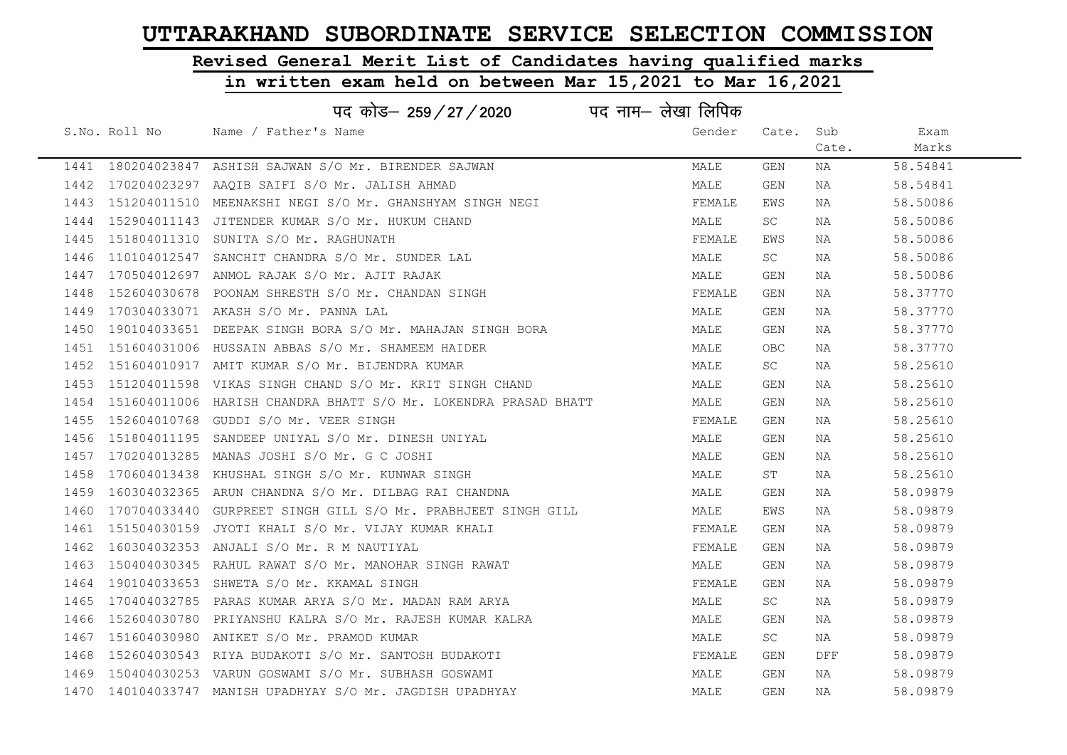# Revised General Merit List of Candidates having qualified marks

|      |               | पद नाम— लेखा लिपिक<br>पद कोड– 259 / 27 / 2020                        |        |            |       |          |
|------|---------------|----------------------------------------------------------------------|--------|------------|-------|----------|
|      | S.No. Roll No | Name / Father's Name                                                 | Gender | Cate.      | Sub   | Exam     |
|      |               |                                                                      |        |            | Cate. | Marks    |
|      |               | 1441 180204023847 ASHISH SAJWAN S/O Mr. BIRENDER SAJWAN              | MALE   | <b>GEN</b> | NA    | 58.54841 |
|      |               | 1442 170204023297 AAOIB SAIFI S/O Mr. JALISH AHMAD                   | MALE   | <b>GEN</b> | NA    | 58.54841 |
|      |               | 1443 151204011510 MEENAKSHI NEGI S/O Mr. GHANSHYAM SINGH NEGI        | FEMALE | EWS        | NA    | 58.50086 |
|      |               | 1444 152904011143 JITENDER KUMAR S/O Mr. HUKUM CHAND                 | MALE   | SC.        | NA    | 58.50086 |
| 1445 |               | 151804011310 SUNITA S/O Mr. RAGHUNATH                                | FEMALE | EWS        | NA    | 58.50086 |
| 1446 |               | 110104012547 SANCHIT CHANDRA S/O Mr. SUNDER LAL                      | MALE   | SC.        | NA    | 58.50086 |
|      |               | 1447 170504012697 ANMOL RAJAK S/O Mr. AJIT RAJAK                     | MALE   | GEN        | NA    | 58.50086 |
| 1448 |               | 152604030678 POONAM SHRESTH S/O Mr. CHANDAN SINGH                    | FEMALE | <b>GEN</b> | NA    | 58.37770 |
|      |               | 1449 170304033071 AKASH S/O Mr. PANNA LAL                            | MALE   | GEN        | NA    | 58.37770 |
| 1450 |               | 190104033651 DEEPAK SINGH BORA S/O Mr. MAHAJAN SINGH BORA            | MALE   | GEN        | NA    | 58.37770 |
|      |               | 1451 151604031006 HUSSAIN ABBAS S/O Mr. SHAMEEM HAIDER               | MALE   | OBC        | NA    | 58.37770 |
|      |               | 1452 151604010917 AMIT KUMAR S/O Mr. BIJENDRA KUMAR                  | MALE   | SC.        | NA    | 58.25610 |
|      |               | 1453 151204011598 VIKAS SINGH CHAND S/O Mr. KRIT SINGH CHAND         | MALE   | GEN        | NA    | 58.25610 |
|      |               | 1454 151604011006 HARISH CHANDRA BHATT S/O Mr. LOKENDRA PRASAD BHATT | MALE   | GEN        | NA    | 58.25610 |
| 1455 |               | 152604010768 GUDDI S/O Mr. VEER SINGH                                | FEMALE | GEN        | NA    | 58.25610 |
| 1456 |               | 151804011195 SANDEEP UNIYAL S/O Mr. DINESH UNIYAL                    | MALE   | <b>GEN</b> | NA    | 58.25610 |
|      |               | 1457 170204013285 MANAS JOSHI S/O Mr. G C JOSHI                      | MALE   | GEN        | NA    | 58.25610 |
| 1458 |               | 170604013438 KHUSHAL SINGH S/O Mr. KUNWAR SINGH                      | MALE   | ST         | NA    | 58.25610 |
|      |               | 1459 160304032365 ARUN CHANDNA S/O Mr. DILBAG RAI CHANDNA            | MALE   | GEN        | NA    | 58.09879 |
| 1460 |               | 170704033440 GURPREET SINGH GILL S/O Mr. PRABHJEET SINGH GILL        | MALE   | EWS        | NA    | 58.09879 |
|      |               | 1461 151504030159 JYOTI KHALI S/O Mr. VIJAY KUMAR KHALI              | FEMALE | GEN        | NA    | 58.09879 |
| 1462 |               | 160304032353 ANJALI S/O Mr. R M NAUTIYAL                             | FEMALE | GEN        | NA    | 58.09879 |
| 1463 |               | 150404030345 RAHUL RAWAT S/O Mr. MANOHAR SINGH RAWAT                 | MALE   | GEN        | NA    | 58.09879 |
| 1464 |               | 190104033653 SHWETA S/O Mr. KKAMAL SINGH                             | FEMALE | GEN        | NA    | 58.09879 |
|      |               | 1465 170404032785 PARAS KUMAR ARYA S/O Mr. MADAN RAM ARYA            | MALE   | SC         | NA    | 58.09879 |
| 1466 |               | 152604030780 PRIYANSHU KALRA S/O Mr. RAJESH KUMAR KALRA              | MALE   | GEN        | NA    | 58.09879 |
|      |               | 1467 151604030980 ANIKET S/O Mr. PRAMOD KUMAR                        | MALE   | SC         | NA    | 58.09879 |
| 1468 |               | 152604030543 RIYA BUDAKOTI S/O Mr. SANTOSH BUDAKOTI                  | FEMALE | GEN        | DFF   | 58.09879 |
|      |               | 1469 150404030253 VARUN GOSWAMI S/O Mr. SUBHASH GOSWAMI              | MALE   | GEN        | NA    | 58.09879 |
|      |               | 1470 140104033747 MANISH UPADHYAY S/O Mr. JAGDISH UPADHYAY           | MALE   | <b>GEN</b> | ΝA    | 58.09879 |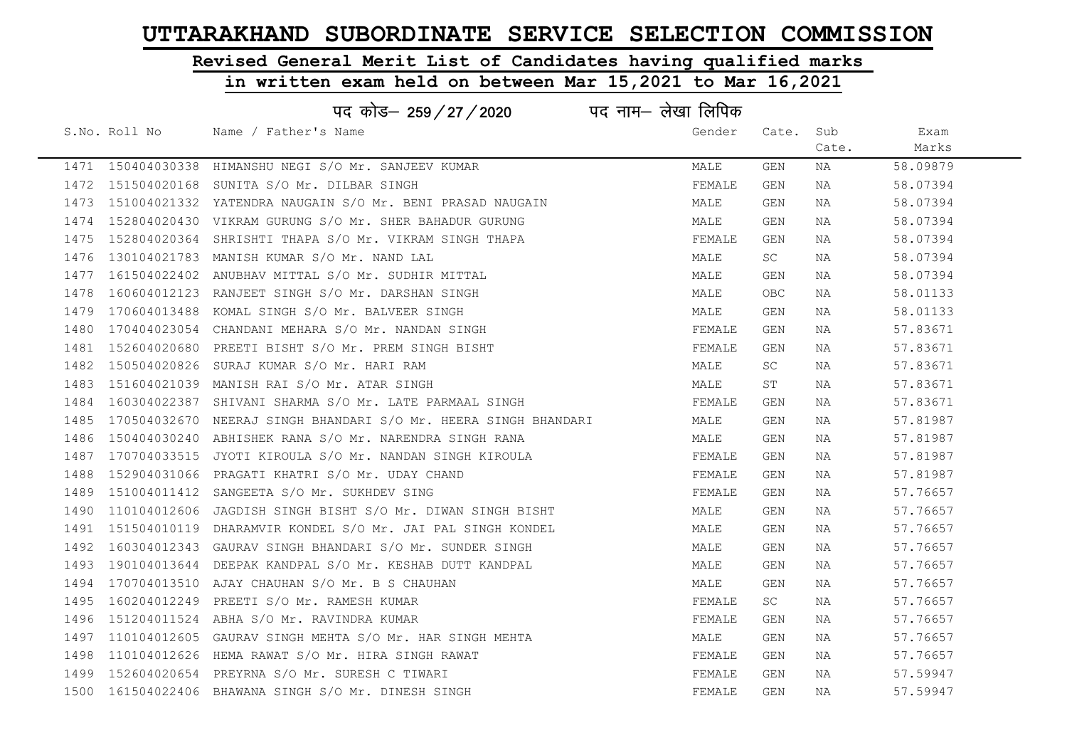# Revised General Merit List of Candidates having qualified marks

|      | पद नाम– लेखा लिपिक<br>पद कोड– 259/27/2020 |                                                                 |        |           |       |          |  |  |
|------|-------------------------------------------|-----------------------------------------------------------------|--------|-----------|-------|----------|--|--|
|      | S.No. Roll No                             | Name / Father's Name                                            | Gender | Cate. Sub |       | Exam     |  |  |
|      |                                           |                                                                 |        |           | Cate. | Marks    |  |  |
|      |                                           | 1471 150404030338 HIMANSHU NEGI S/O Mr. SANJEEV KUMAR           | MALE   | GEN       | NA    | 58.09879 |  |  |
|      |                                           | 1472 151504020168 SUNITA S/O Mr. DILBAR SINGH                   | FEMALE | GEN       | NA    | 58.07394 |  |  |
|      |                                           | 1473 151004021332 YATENDRA NAUGAIN S/O Mr. BENI PRASAD NAUGAIN  | MALE   | GEN       | NA    | 58.07394 |  |  |
|      |                                           | 1474 152804020430 VIKRAM GURUNG S/O Mr. SHER BAHADUR GURUNG     | MALE   | GEN       | NA    | 58.07394 |  |  |
|      |                                           | 1475 152804020364 SHRISHTI THAPA S/O Mr. VIKRAM SINGH THAPA     | FEMALE | GEN       | NA    | 58.07394 |  |  |
|      |                                           | 1476 130104021783 MANISH KUMAR S/O Mr. NAND LAL                 | MALE   | SC        | NA    | 58.07394 |  |  |
| 1477 |                                           | 161504022402 ANUBHAV MITTAL S/O Mr. SUDHIR MITTAL               | MALE   | GEN       | NA    | 58.07394 |  |  |
| 1478 |                                           | 160604012123 RANJEET SINGH S/O Mr. DARSHAN SINGH                | MALE   | OBC       | NA    | 58.01133 |  |  |
|      |                                           | 1479 170604013488 KOMAL SINGH S/O Mr. BALVEER SINGH             | MALE   | GEN       | NA    | 58.01133 |  |  |
| 1480 |                                           | 170404023054 CHANDANI MEHARA S/O Mr. NANDAN SINGH               | FEMALE | GEN       | NA    | 57.83671 |  |  |
| 1481 |                                           | 152604020680 PREETI BISHT S/O Mr. PREM SINGH BISHT              | FEMALE | GEN       | NA    | 57.83671 |  |  |
| 1482 |                                           | 150504020826 SURAJ KUMAR S/O Mr. HARI RAM                       | MALE   | SC        | NA    | 57.83671 |  |  |
|      |                                           | 1483 151604021039 MANISH RAI S/O Mr. ATAR SINGH                 | MALE   | ST        | NA    | 57.83671 |  |  |
|      |                                           | 1484 160304022387 SHIVANI SHARMA S/O Mr. LATE PARMAAL SINGH     | FEMALE | GEN       | NA    | 57.83671 |  |  |
| 1485 |                                           | 170504032670 NEERAJ SINGH BHANDARI S/O Mr. HEERA SINGH BHANDARI | MALE   | GEN       | NA    | 57.81987 |  |  |
| 1486 |                                           | 150404030240 ABHISHEK RANA S/O Mr. NARENDRA SINGH RANA          | MALE   | GEN       | NA    | 57.81987 |  |  |
|      |                                           | 1487 170704033515 JYOTI KIROULA S/O Mr. NANDAN SINGH KIROULA    | FEMALE | GEN       | NA    | 57.81987 |  |  |
| 1488 |                                           | 152904031066 PRAGATI KHATRI S/O Mr. UDAY CHAND                  | FEMALE | GEN       | NA    | 57.81987 |  |  |
| 1489 |                                           | 151004011412 SANGEETA S/O Mr. SUKHDEV SING                      | FEMALE | GEN       | NA    | 57.76657 |  |  |
| 1490 |                                           | 110104012606 JAGDISH SINGH BISHT S/O Mr. DIWAN SINGH BISHT      | MALE   | GEN       | NA    | 57.76657 |  |  |
|      |                                           | 1491 151504010119 DHARAMVIR KONDEL S/O Mr. JAI PAL SINGH KONDEL | MALE   | GEN       | NA    | 57.76657 |  |  |
|      |                                           | 1492 160304012343 GAURAV SINGH BHANDARI S/O Mr. SUNDER SINGH    | MALE   | GEN       | NA    | 57.76657 |  |  |
| 1493 |                                           | 190104013644 DEEPAK KANDPAL S/O Mr. KESHAB DUTT KANDPAL         | MALE   | GEN       | NA    | 57.76657 |  |  |
| 1494 |                                           | 170704013510 AJAY CHAUHAN S/O Mr. B S CHAUHAN                   | MALE   | GEN       | NA    | 57.76657 |  |  |
| 1495 | 160204012249                              | PREETI S/O Mr. RAMESH KUMAR                                     | FEMALE | SC.       | NA    | 57.76657 |  |  |
| 1496 |                                           | 151204011524 ABHA S/O Mr. RAVINDRA KUMAR                        | FEMALE | GEN       | NA    | 57.76657 |  |  |
|      |                                           | 1497 110104012605 GAURAV SINGH MEHTA S/O Mr. HAR SINGH MEHTA    | MALE   | GEN       | NA    | 57.76657 |  |  |
| 1498 |                                           | 110104012626 HEMA RAWAT S/O Mr. HIRA SINGH RAWAT                | FEMALE | GEN       | NA    | 57.76657 |  |  |
|      |                                           | 1499 152604020654 PREYRNA S/O Mr. SURESH C TIWARI               | FEMALE | GEN       | NA    | 57.59947 |  |  |
|      |                                           | 1500 161504022406 BHAWANA SINGH S/O Mr. DINESH SINGH            | FEMALE | GEN       | NA    | 57.59947 |  |  |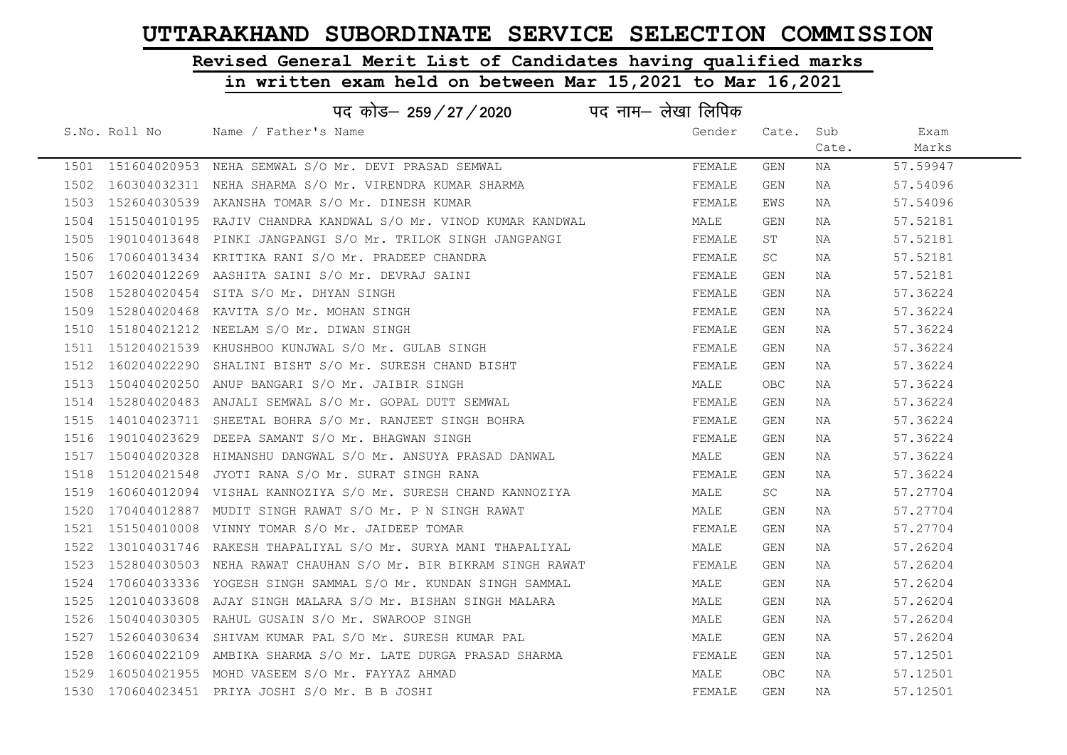# Revised General Merit List of Candidates having qualified marks

### in written exam held on between Mar 15,2021 to Mar 16,2021

|      |               | पद कोड़- 259 / 27 / 2020 पद नाम- लेखा लिपिक                         |        |           |       |          |
|------|---------------|---------------------------------------------------------------------|--------|-----------|-------|----------|
|      | S.No. Roll No | Name / Father's Name                                                | Gender | Cate.     | Sub   | Exam     |
|      |               |                                                                     |        |           | Cate. | Marks    |
|      |               | 1501 151604020953 NEHA SEMWAL S/O Mr. DEVI PRASAD SEMWAL            | FEMALE | GEN       | NA    | 57.59947 |
| 1502 |               | 160304032311 NEHA SHARMA S/O Mr. VIRENDRA KUMAR SHARMA              | FEMALE | GEN       | NA    | 57.54096 |
| 1503 |               | 152604030539 AKANSHA TOMAR S/O Mr. DINESH KUMAR                     | FEMALE | EWS       | NA    | 57.54096 |
| 1504 |               | 151504010195  RAJIV CHANDRA KANDWAL S/O Mr. VINOD KUMAR KANDWAL     | MALE   | GEN       | NA    | 57.52181 |
| 1505 | 190104013648  | PINKI JANGPANGI S/O Mr. TRILOK SINGH JANGPANGI                      | FEMALE | ST        | NA    | 57.52181 |
| 1506 |               | 170604013434 KRITIKA RANI S/O Mr. PRADEEP CHANDRA                   | FEMALE | SC        | NA    | 57.52181 |
| 1507 |               | 160204012269 AASHITA SAINI S/O Mr. DEVRAJ SAINI                     | FEMALE | GEN       | NA    | 57.52181 |
| 1508 | 152804020454  | SITA S/O Mr. DHYAN SINGH                                            | FEMALE | GEN       | NA    | 57.36224 |
| 1509 |               | 152804020468 KAVITA S/O Mr. MOHAN SINGH                             | FEMALE | GEN       | NA    | 57.36224 |
| 1510 |               | 151804021212 NEELAM S/O Mr. DIWAN SINGH                             | FEMALE | GEN       | NA    | 57.36224 |
| 1511 |               | 151204021539 KHUSHBOO KUNJWAL S/O Mr. GULAB SINGH                   | FEMALE | GEN       | NA    | 57.36224 |
| 1512 |               | 160204022290 SHALINI BISHT S/O Mr. SURESH CHAND BISHT               | FEMALE | GEN       | NA    | 57.36224 |
|      |               | 1513 150404020250 ANUP BANGARI S/O Mr. JAIBIR SINGH                 | MALE   | OBC.      | NA    | 57.36224 |
| 1514 |               | 152804020483 ANJALI SEMWAL S/O Mr. GOPAL DUTT SEMWAL                | FEMALE | GEN       | NA    | 57.36224 |
|      |               | 1515 140104023711 SHEETAL BOHRA S/O Mr. RANJEET SINGH BOHRA         | FEMALE | GEN       | NA    | 57.36224 |
| 1516 |               | 190104023629 DEEPA SAMANT S/O Mr. BHAGWAN SINGH                     | FEMALE | GEN       | NA    | 57.36224 |
| 1517 |               | 150404020328  HIMANSHU DANGWAL S/O Mr. ANSUYA PRASAD DANWAL         | MALE   | GEN       | NA    | 57.36224 |
| 1518 | 151204021548  | JYOTI RANA S/O Mr. SURAT SINGH RANA                                 | FEMALE | GEN       | NA    | 57.36224 |
| 1519 |               | 160604012094 VISHAL KANNOZIYA S/O Mr. SURESH CHAND KANNOZIYA        | MALE   | <b>SC</b> | NA    | 57.27704 |
| 1520 |               | 170404012887 MUDIT SINGH RAWAT S/O Mr. P N SINGH RAWAT              | MALE   | GEN       | NA    | 57.27704 |
| 1521 |               | 151504010008 VINNY TOMAR S/O Mr. JAIDEEP TOMAR                      | FEMALE | GEN       | NA    | 57.27704 |
| 1522 |               | 130104031746  RAKESH THAPALIYAL S/O Mr. SURYA MANI THAPALIYAL       | MALE   | GEN       | NA    | 57.26204 |
|      |               | 1523 152804030503 NEHA RAWAT CHAUHAN S/O Mr. BIR BIKRAM SINGH RAWAT | FEMALE | GEN       | NA    | 57.26204 |
| 1524 |               | 170604033336 YOGESH SINGH SAMMAL S/O Mr. KUNDAN SINGH SAMMAL        | MALE   | GEN       | NA    | 57.26204 |
| 1525 |               | 120104033608  AJAY SINGH MALARA S/O Mr. BISHAN SINGH MALARA         | MALE   | GEN       | NA    | 57.26204 |
| 1526 |               | 150404030305 RAHUL GUSAIN S/O Mr. SWAROOP SINGH                     | MALE   | GEN       | NA    | 57.26204 |
| 1527 |               | 152604030634 SHIVAM KUMAR PAL S/O Mr. SURESH KUMAR PAL              | MALE   | GEN       | NA    | 57.26204 |
| 1528 |               | 160604022109 AMBIKA SHARMA S/O Mr. LATE DURGA PRASAD SHARMA         | FEMALE | GEN       | NA    | 57.12501 |
| 1529 |               | 160504021955 MOHD VASEEM S/O Mr. FAYYAZ AHMAD                       | MALE   | OBC       | NA    | 57.12501 |
|      |               | 1530 170604023451 PRIYA JOSHI S/O Mr. B B JOSHI                     | FEMALE | GEN       | NA    | 57.12501 |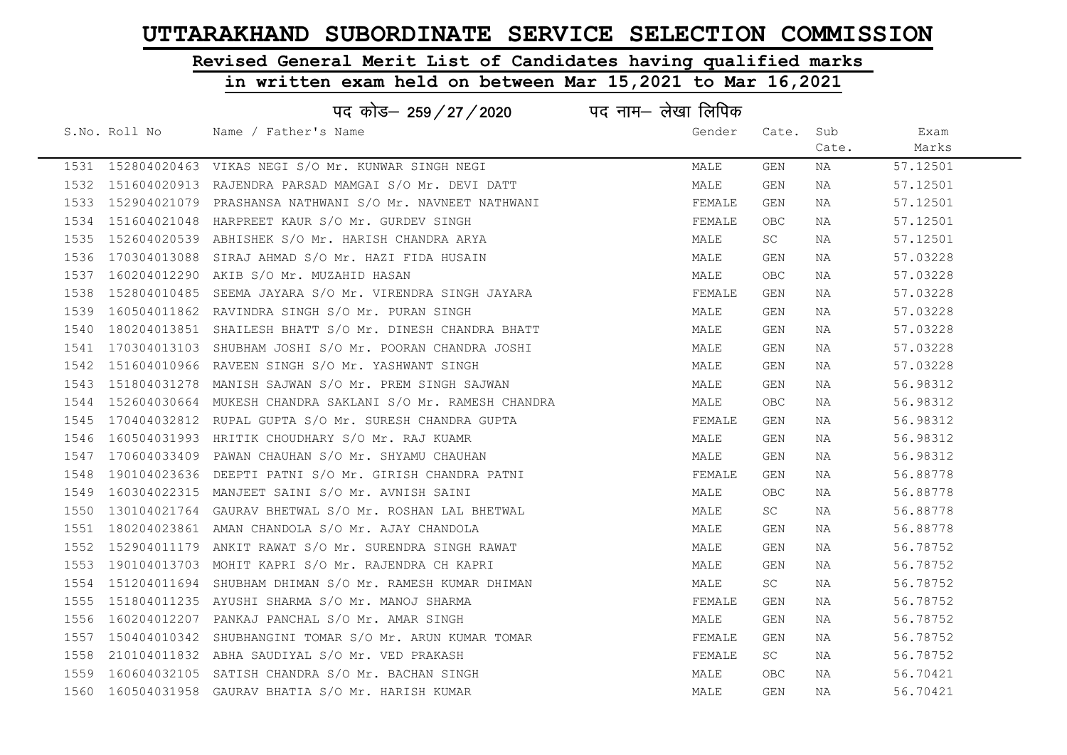# Revised General Merit List of Candidates having qualified marks

|      |               | पद कोड– 259/27/2020                                        | पद नाम— लेखा लिपिक |            |       |          |  |
|------|---------------|------------------------------------------------------------|--------------------|------------|-------|----------|--|
|      | S.No. Roll No | Name / Father's Name                                       | Gender             | Cate.      | Sub   | Exam     |  |
|      |               |                                                            |                    |            | Cate. | Marks    |  |
|      |               | 1531 152804020463 VIKAS NEGI S/O Mr. KUNWAR SINGH NEGI     | MALE               | GEN        | NA    | 57.12501 |  |
| 1532 |               | 151604020913 RAJENDRA PARSAD MAMGAI S/O Mr. DEVI DATT      | MALE               | <b>GEN</b> | NA    | 57.12501 |  |
| 1533 |               | 152904021079 PRASHANSA NATHWANI S/O Mr. NAVNEET NATHWANI   | FEMALE             | GEN        | NA    | 57.12501 |  |
| 1534 |               | 151604021048 HARPREET KAUR S/O Mr. GURDEV SINGH            | FEMALE             | <b>OBC</b> | NA    | 57.12501 |  |
| 1535 |               | 152604020539 ABHISHEK S/O Mr. HARISH CHANDRA ARYA          | MALE               | SC.        | NA    | 57.12501 |  |
| 1536 |               | 170304013088 SIRAJ AHMAD S/O Mr. HAZI FIDA HUSAIN          | MALE               | GEN        | NA    | 57.03228 |  |
| 1537 |               | 160204012290 AKIB S/O Mr. MUZAHID HASAN                    | MALE               | OBC        | NA    | 57.03228 |  |
| 1538 | 152804010485  | SEEMA JAYARA S/O Mr. VIRENDRA SINGH JAYARA                 | FEMALE             | GEN        | NA    | 57.03228 |  |
| 1539 | 160504011862  | RAVINDRA SINGH S/O Mr. PURAN SINGH                         | MALE               | GEN        | NA    | 57.03228 |  |
| 1540 |               | 180204013851 SHAILESH BHATT S/O Mr. DINESH CHANDRA BHATT   | MALE               | GEN        | NA    | 57.03228 |  |
| 1541 |               | 170304013103 SHUBHAM JOSHI S/O Mr. POORAN CHANDRA JOSHI    | MALE               | GEN        | NA    | 57.03228 |  |
| 1542 |               | 151604010966 RAVEEN SINGH S/O Mr. YASHWANT SINGH           | MALE               | GEN        | NA    | 57.03228 |  |
| 1543 |               | 151804031278 MANISH SAJWAN S/O Mr. PREM SINGH SAJWAN       | MALE               | GEN        | NA    | 56.98312 |  |
| 1544 |               | 152604030664 MUKESH CHANDRA SAKLANI S/O Mr. RAMESH CHANDRA | MALE               | <b>OBC</b> | NA    | 56.98312 |  |
| 1545 |               | 170404032812 RUPAL GUPTA S/O Mr. SURESH CHANDRA GUPTA      | FEMALE             | GEN        | NA    | 56.98312 |  |
| 1546 |               | 160504031993 HRITIK CHOUDHARY S/O Mr. RAJ KUAMR            | MALE               | GEN        | NA    | 56.98312 |  |
| 1547 | 170604033409  | PAWAN CHAUHAN S/O Mr. SHYAMU CHAUHAN                       | MALE               | GEN        | NA    | 56.98312 |  |
| 1548 |               | 190104023636 DEEPTI PATNI S/O Mr. GIRISH CHANDRA PATNI     | FEMALE             | GEN        | NA    | 56.88778 |  |
| 1549 |               | 160304022315 MANJEET SAINI S/O Mr. AVNISH SAINI            | MALE               | <b>OBC</b> | NA    | 56.88778 |  |
| 1550 |               | 130104021764 GAURAV BHETWAL S/O Mr. ROSHAN LAL BHETWAL     | MALE               | SC         | NA    | 56.88778 |  |
| 1551 |               | 180204023861 AMAN CHANDOLA S/O Mr. AJAY CHANDOLA           | MALE               | GEN        | NA    | 56.88778 |  |
|      |               | 1552 152904011179 ANKIT RAWAT S/O Mr. SURENDRA SINGH RAWAT | MALE               | GEN        | NA    | 56.78752 |  |
| 1553 |               | 190104013703 MOHIT KAPRI S/O Mr. RAJENDRA CH KAPRI         | MALE               | GEN        | NA    | 56.78752 |  |
| 1554 |               | 151204011694 SHUBHAM DHIMAN S/O Mr. RAMESH KUMAR DHIMAN    | MALE               | SC         | NA    | 56.78752 |  |
|      |               | 1555 151804011235 AYUSHI SHARMA S/O Mr. MANOJ SHARMA       | FEMALE             | GEN        | NA    | 56.78752 |  |
|      |               | 1556 160204012207 PANKAJ PANCHAL S/O Mr. AMAR SINGH        | MALE               | GEN        | NA    | 56.78752 |  |
| 1557 |               | 150404010342 SHUBHANGINI TOMAR S/O Mr. ARUN KUMAR TOMAR    | FEMALE             | GEN        | NA    | 56.78752 |  |
| 1558 |               | 210104011832 ABHA SAUDIYAL S/O Mr. VED PRAKASH             | FEMALE             | SC         | NA    | 56.78752 |  |
|      |               | 1559 160604032105 SATISH CHANDRA S/O Mr. BACHAN SINGH      | MALE               | <b>OBC</b> | NA    | 56.70421 |  |
|      |               | 1560 160504031958 GAURAV BHATIA S/O Mr. HARISH KUMAR       | MALE               | <b>GEN</b> | NA    | 56.70421 |  |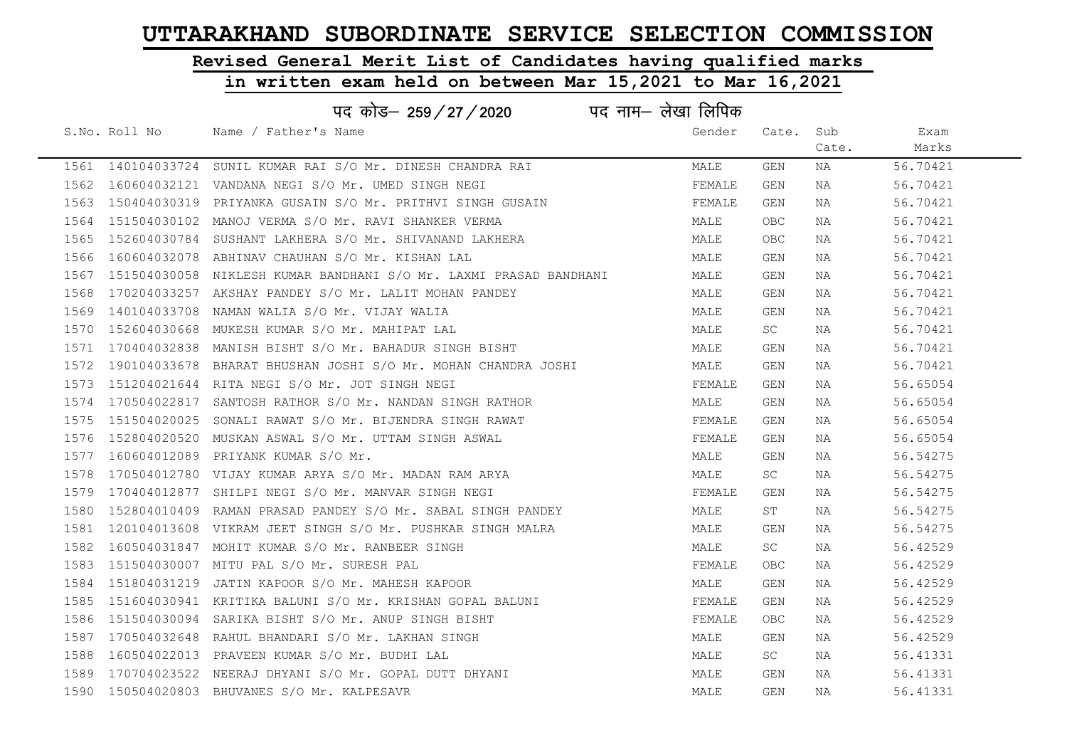# Revised General Merit List of Candidates having qualified marks

|      | पद नाम— लेखा लिपिक<br>पद कोड– 259/27/2020 |                                                                        |        |            |       |          |  |  |
|------|-------------------------------------------|------------------------------------------------------------------------|--------|------------|-------|----------|--|--|
|      | S.No. Roll No                             | Name / Father's Name                                                   | Gender | Cate. Sub  |       | Exam     |  |  |
|      |                                           |                                                                        |        |            | Cate. | Marks    |  |  |
|      |                                           | 1561 140104033724 SUNIL KUMAR RAI S/O Mr. DINESH CHANDRA RAI           | MALE   | GEN        | NA    | 56.70421 |  |  |
|      |                                           | 1562 160604032121 VANDANA NEGI S/O Mr. UMED SINGH NEGI                 | FEMALE | GEN        | NA    | 56.70421 |  |  |
|      |                                           | 1563 150404030319 PRIYANKA GUSAIN S/O Mr. PRITHVI SINGH GUSAIN         | FEMALE | GEN        | NA    | 56.70421 |  |  |
|      |                                           | 1564 151504030102 MANOJ VERMA S/O Mr. RAVI SHANKER VERMA               | MALE   | <b>OBC</b> | NA    | 56.70421 |  |  |
|      |                                           | 1565 152604030784 SUSHANT LAKHERA S/O Mr. SHIVANAND LAKHERA            | MALE   | <b>OBC</b> | NA    | 56.70421 |  |  |
|      |                                           | 1566 160604032078 ABHINAV CHAUHAN S/O Mr. KISHAN LAL                   | MALE   | GEN        | NA    | 56.70421 |  |  |
|      |                                           | 1567 151504030058 NIKLESH KUMAR BANDHANI S/O Mr. LAXMI PRASAD BANDHANI | MALE   | GEN        | NA    | 56.70421 |  |  |
| 1568 |                                           | 170204033257 AKSHAY PANDEY S/O Mr. LALIT MOHAN PANDEY                  | MALE   | GEN        | NA    | 56.70421 |  |  |
|      |                                           | 1569 140104033708 NAMAN WALIA S/O Mr. VIJAY WALIA                      | MALE   | GEN        | NA    | 56.70421 |  |  |
|      |                                           | 1570  152604030668  MUKESH KUMAR S/O Mr. MAHIPAT LAL                   | MALE   | SC         | ΝA    | 56.70421 |  |  |
|      |                                           | 1571 170404032838 MANISH BISHT S/O Mr. BAHADUR SINGH BISHT             | MALE   | GEN        | NA    | 56.70421 |  |  |
|      |                                           | 1572 190104033678 BHARAT BHUSHAN JOSHI S/O Mr. MOHAN CHANDRA JOSHI     | MALE   | GEN        | NA    | 56.70421 |  |  |
|      |                                           | 1573  151204021644  RITA NEGI S/O Mr. JOT SINGH NEGI                   | FEMALE | GEN        | NA    | 56.65054 |  |  |
|      |                                           | 1574 170504022817 SANTOSH RATHOR S/O Mr. NANDAN SINGH RATHOR           | MALE   | GEN        | NA    | 56.65054 |  |  |
|      |                                           | 1575 151504020025 SONALI RAWAT S/O Mr. BIJENDRA SINGH RAWAT            | FEMALE | GEN        | NA    | 56.65054 |  |  |
| 1576 |                                           | 152804020520 MUSKAN ASWAL S/O Mr. UTTAM SINGH ASWAL                    | FEMALE | GEN        | NA    | 56.65054 |  |  |
|      |                                           | 1577 160604012089 PRIYANK KUMAR S/O Mr.                                | MALE   | GEN        | NA    | 56.54275 |  |  |
|      |                                           | 1578 170504012780 VIJAY KUMAR ARYA S/O Mr. MADAN RAM ARYA              | MALE   | SC         | NA    | 56.54275 |  |  |
|      |                                           | 1579 170404012877 SHILPI NEGI S/O Mr. MANVAR SINGH NEGI                | FEMALE | GEN        | NA    | 56.54275 |  |  |
| 1580 |                                           | 152804010409 RAMAN PRASAD PANDEY S/O Mr. SABAL SINGH PANDEY            | MALE   | ST         | NA    | 56.54275 |  |  |
|      |                                           | 1581 120104013608 VIKRAM JEET SINGH S/O Mr. PUSHKAR SINGH MALRA        | MALE   | GEN        | NA    | 56.54275 |  |  |
|      |                                           | 1582 160504031847 MOHIT KUMAR S/O Mr. RANBEER SINGH                    | MALE   | SC.        | NA    | 56.42529 |  |  |
|      |                                           | 1583 151504030007 MITU PAL S/O Mr. SURESH PAL                          | FEMALE | OBC        | NA    | 56.42529 |  |  |
| 1584 |                                           | 151804031219 JATIN KAPOOR S/O Mr. MAHESH KAPOOR                        | MALE   | <b>GEN</b> | NA    | 56.42529 |  |  |
|      |                                           | 1585 151604030941 KRITIKA BALUNI S/O Mr. KRISHAN GOPAL BALUNI          | FEMALE | GEN        | NA    | 56.42529 |  |  |
|      |                                           | 1586 151504030094 SARIKA BISHT S/O Mr. ANUP SINGH BISHT                | FEMALE | <b>OBC</b> | NA    | 56.42529 |  |  |
|      |                                           | 1587 170504032648 RAHUL BHANDARI S/O Mr. LAKHAN SINGH                  | MALE   | GEN        | NA    | 56.42529 |  |  |
| 1588 |                                           | 160504022013 PRAVEEN KUMAR S/O Mr. BUDHI LAL                           | MALE   | SC         | NA    | 56.41331 |  |  |
|      |                                           | 1589 170704023522 NEERAJ DHYANI S/O Mr. GOPAL DUTT DHYANI              | MALE   | <b>GEN</b> | NA    | 56.41331 |  |  |
|      |                                           | 1590 150504020803 BHUVANES S/O Mr. KALPESAVR                           | MALE   | GEN        | ΝA    | 56.41331 |  |  |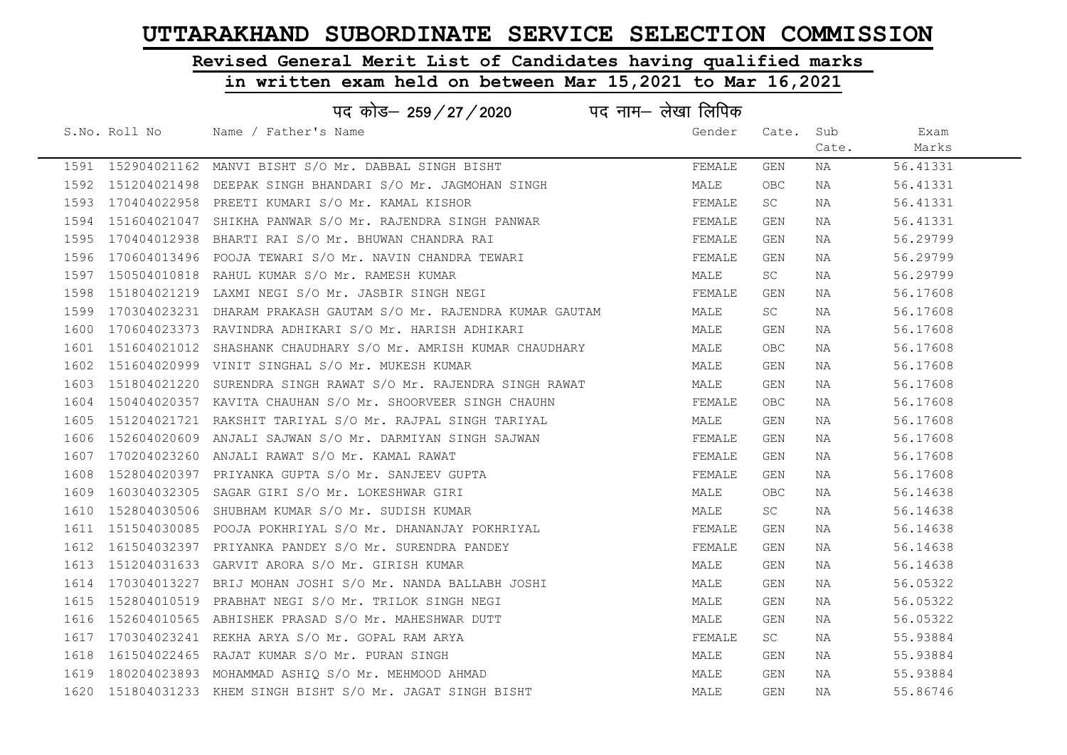# Revised General Merit List of Candidates having qualified marks

|      | पद नाम– लेखा लिपिक<br>पद कोड– 259/27/2020 |                                                                       |        |           |       |          |  |  |  |
|------|-------------------------------------------|-----------------------------------------------------------------------|--------|-----------|-------|----------|--|--|--|
|      | S.No. Roll No                             | Name / Father's Name                                                  | Gender | Cate. Sub |       | Exam     |  |  |  |
|      |                                           |                                                                       |        |           | Cate. | Marks    |  |  |  |
|      |                                           | 1591 152904021162 MANVI BISHT S/O Mr. DABBAL SINGH BISHT              | FEMALE | GEN       | NA    | 56.41331 |  |  |  |
|      |                                           | 1592 151204021498 DEEPAK SINGH BHANDARI S/O Mr. JAGMOHAN SINGH        | MALE   | OBC       | NA    | 56.41331 |  |  |  |
|      |                                           | 1593 170404022958 PREETI KUMARI S/O Mr. KAMAL KISHOR                  | FEMALE | SC        | ΝA    | 56.41331 |  |  |  |
|      |                                           | 1594 151604021047 SHIKHA PANWAR S/O Mr. RAJENDRA SINGH PANWAR         | FEMALE | GEN       | NA    | 56.41331 |  |  |  |
|      |                                           | 1595 170404012938 BHARTI RAI S/O Mr. BHUWAN CHANDRA RAI               | FEMALE | GEN       | NA    | 56.29799 |  |  |  |
|      |                                           | 1596 170604013496 POOJA TEWARI S/O Mr. NAVIN CHANDRA TEWARI           | FEMALE | GEN       | NA    | 56.29799 |  |  |  |
|      |                                           | 1597 150504010818 RAHUL KUMAR S/O Mr. RAMESH KUMAR                    | MALE   | SC        | NA    | 56.29799 |  |  |  |
| 1598 |                                           | 151804021219 LAXMI NEGI S/O Mr. JASBIR SINGH NEGI                     | FEMALE | GEN       | NA    | 56.17608 |  |  |  |
|      |                                           | 1599 170304023231 DHARAM PRAKASH GAUTAM S/O Mr. RAJENDRA KUMAR GAUTAM | MALE   | SC.       | ΝA    | 56.17608 |  |  |  |
| 1600 |                                           | 170604023373 RAVINDRA ADHIKARI S/O Mr. HARISH ADHIKARI                | MALE   | GEN       | NA    | 56.17608 |  |  |  |
|      |                                           | 1601 151604021012 SHASHANK CHAUDHARY S/O Mr. AMRISH KUMAR CHAUDHARY   | MALE   | OBC       | NA    | 56.17608 |  |  |  |
|      |                                           | 1602 151604020999 VINIT SINGHAL S/O Mr. MUKESH KUMAR                  | MALE   | GEN       | NA    | 56.17608 |  |  |  |
|      |                                           | 1603 151804021220 SURENDRA SINGH RAWAT S/O Mr. RAJENDRA SINGH RAWAT   | MALE   | GEN       | NA    | 56.17608 |  |  |  |
|      |                                           | 1604 150404020357 KAVITA CHAUHAN S/O Mr. SHOORVEER SINGH CHAUHN       | FEMALE | OBC.      | NA    | 56.17608 |  |  |  |
|      |                                           | 1605 151204021721 RAKSHIT TARIYAL S/O Mr. RAJPAL SINGH TARIYAL        | MALE   | GEN       | NA    | 56.17608 |  |  |  |
| 1606 |                                           | 152604020609 ANJALI SAJWAN S/O Mr. DARMIYAN SINGH SAJWAN              | FEMALE | GEN       | NA    | 56.17608 |  |  |  |
|      |                                           | 1607 170204023260 ANJALI RAWAT S/O Mr. KAMAL RAWAT                    | FEMALE | GEN       | NA    | 56.17608 |  |  |  |
| 1608 |                                           | 152804020397 PRIYANKA GUPTA S/O Mr. SANJEEV GUPTA                     | FEMALE | GEN       | NA    | 56.17608 |  |  |  |
| 1609 |                                           | 160304032305 SAGAR GIRI S/O Mr. LOKESHWAR GIRI                        | MALE   | OBC       | NA    | 56.14638 |  |  |  |
| 1610 |                                           | 152804030506 SHUBHAM KUMAR S/O Mr. SUDISH KUMAR                       | MALE   | SC        | NA    | 56.14638 |  |  |  |
|      |                                           | 1611 151504030085 POOJA POKHRIYAL S/O Mr. DHANANJAY POKHRIYAL         | FEMALE | GEN       | NA    | 56.14638 |  |  |  |
|      |                                           | 1612 161504032397 PRIYANKA PANDEY S/O Mr. SURENDRA PANDEY             | FEMALE | GEN       | NA    | 56.14638 |  |  |  |
|      |                                           | 1613 151204031633 GARVIT ARORA S/O Mr. GIRISH KUMAR                   | MALE   | GEN       | NA    | 56.14638 |  |  |  |
| 1614 |                                           | 170304013227 BRIJ MOHAN JOSHI S/O Mr. NANDA BALLABH JOSHI             | MALE   | GEN       | ΝA    | 56.05322 |  |  |  |
|      |                                           | 1615 152804010519 PRABHAT NEGI S/O Mr. TRILOK SINGH NEGI              | MALE   | GEN       | ΝA    | 56.05322 |  |  |  |
| 1616 |                                           | 152604010565 ABHISHEK PRASAD S/O Mr. MAHESHWAR DUTT                   | MALE   | GEN       | NA    | 56.05322 |  |  |  |
|      |                                           | 1617 170304023241 REKHA ARYA S/O Mr. GOPAL RAM ARYA                   | FEMALE | SC        | NA    | 55.93884 |  |  |  |
| 1618 |                                           | 161504022465 RAJAT KUMAR S/O Mr. PURAN SINGH                          | MALE   | GEN       | NA    | 55.93884 |  |  |  |
|      |                                           | 1619 180204023893 MOHAMMAD ASHIQ S/O Mr. MEHMOOD AHMAD                | MALE   | GEN       | NA    | 55.93884 |  |  |  |
|      |                                           | 1620 151804031233 KHEM SINGH BISHT S/O Mr. JAGAT SINGH BISHT          | MALE   | GEN       | ΝA    | 55.86746 |  |  |  |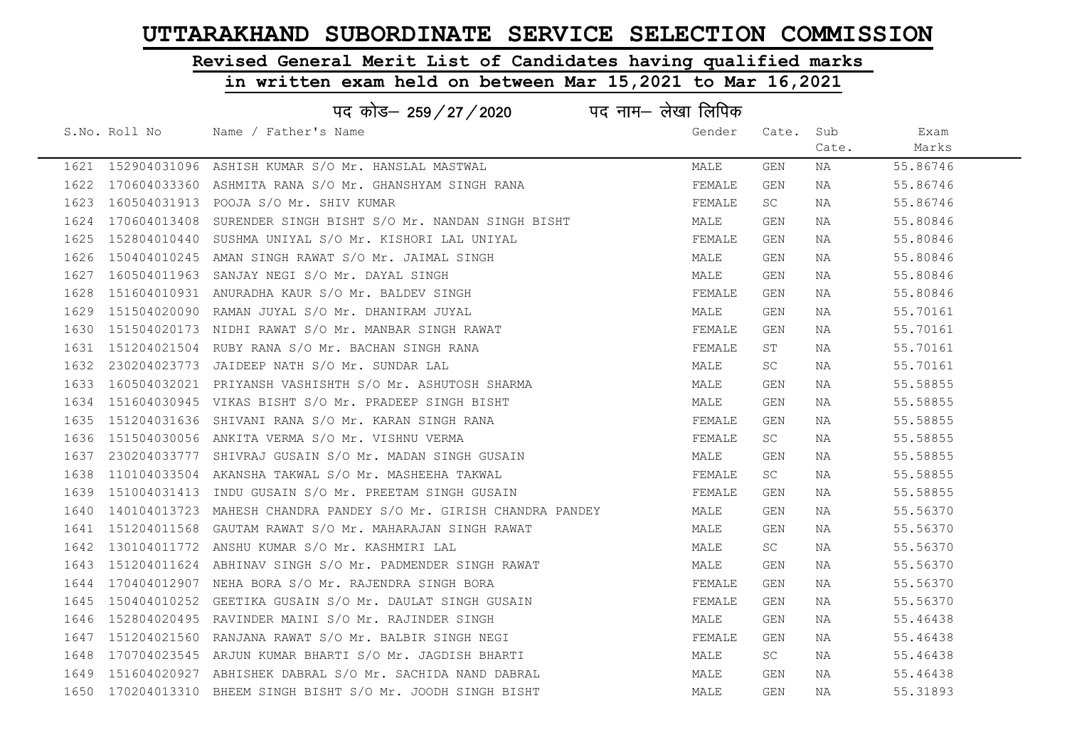# Revised General Merit List of Candidates having qualified marks

|               | पद कोड– 259 / 27 / 2020                                               | पद नाम— लेखा लिपिक |           |       |          |  |
|---------------|-----------------------------------------------------------------------|--------------------|-----------|-------|----------|--|
| S.No. Roll No | Name / Father's Name                                                  | Gender             | Cate. Sub |       | Exam     |  |
|               |                                                                       |                    |           | Cate. | Marks    |  |
|               | 1621 152904031096 ASHISH KUMAR S/O Mr. HANSLAL MASTWAL                | MALE               | GEN       | NA    | 55.86746 |  |
|               | 1622 170604033360 ASHMITA RANA S/O Mr. GHANSHYAM SINGH RANA           | FEMALE             | GEN       | NA    | 55.86746 |  |
|               | 1623 160504031913 POOJA S/O Mr. SHIV KUMAR                            | FEMALE             | SC        | NA    | 55.86746 |  |
|               | 1624 170604013408 SURENDER SINGH BISHT S/O Mr. NANDAN SINGH BISHT     | MALE               | GEN       | NA    | 55.80846 |  |
|               | 1625 152804010440 SUSHMA UNIYAL S/O Mr. KISHORI LAL UNIYAL            | FEMALE             | GEN       | NA    | 55.80846 |  |
|               | 1626 150404010245 AMAN SINGH RAWAT S/O Mr. JAIMAL SINGH               | MALE               | GEN       | NA    | 55.80846 |  |
|               | 1627 160504011963 SANJAY NEGI S/O Mr. DAYAL SINGH                     | MALE               | GEN       | NA    | 55.80846 |  |
|               | 1628 151604010931 ANURADHA KAUR S/O Mr. BALDEV SINGH                  | FEMALE             | GEN       | NA    | 55.80846 |  |
|               | 1629 151504020090 RAMAN JUYAL S/O Mr. DHANIRAM JUYAL                  | MALE               | GEN       | NA    | 55.70161 |  |
|               | 1630 151504020173 NIDHI RAWAT S/O Mr. MANBAR SINGH RAWAT              | FEMALE             | GEN       | NA    | 55.70161 |  |
|               | 1631 151204021504 RUBY RANA S/O Mr. BACHAN SINGH RANA                 | FEMALE             | ST        | NA    | 55.70161 |  |
|               | 1632  230204023773  JAIDEEP NATH S/O Mr. SUNDAR LAL                   | MALE               | SC        | NA    | 55.70161 |  |
|               | 1633 160504032021 PRIYANSH VASHISHTH S/O Mr. ASHUTOSH SHARMA          | MALE               | GEN       | NA    | 55.58855 |  |
|               | 1634 151604030945 VIKAS BISHT S/O Mr. PRADEEP SINGH BISHT             | MALE               | GEN       | NA    | 55.58855 |  |
|               | 1635 151204031636 SHIVANI RANA S/O Mr. KARAN SINGH RANA               | FEMALE             | GEN       | NA    | 55.58855 |  |
|               | 1636 151504030056 ANKITA VERMA S/O Mr. VISHNU VERMA                   | FEMALE             | SC        | NA    | 55.58855 |  |
|               | 1637   230204033777   SHIVRAJ GUSAIN S/O Mr. MADAN SINGH GUSAIN       | MALE               | GEN       | NA    | 55.58855 |  |
|               | 1638 110104033504 AKANSHA TAKWAL S/O Mr. MASHEEHA TAKWAL              | FEMALE             | SC        | NA    | 55.58855 |  |
|               | 1639 151004031413 INDU GUSAIN S/O Mr. PREETAM SINGH GUSAIN            | FEMALE             | GEN       | NA    | 55.58855 |  |
|               | 1640 140104013723 MAHESH CHANDRA PANDEY S/O Mr. GIRISH CHANDRA PANDEY | MALE               | GEN       | NA    | 55.56370 |  |
|               | 1641 151204011568 GAUTAM RAWAT S/O Mr. MAHARAJAN SINGH RAWAT          | MALE               | GEN       | NA    | 55.56370 |  |
|               | 1642 130104011772 ANSHU KUMAR S/O Mr. KASHMIRI LAL                    | MALE               | SC.       | NA    | 55.56370 |  |
|               | 1643 151204011624 ABHINAV SINGH S/O Mr. PADMENDER SINGH RAWAT         | MALE               | GEN       | NA    | 55.56370 |  |
|               | 1644 170404012907 NEHA BORA S/O Mr. RAJENDRA SINGH BORA               | FEMALE             | GEN       | NA    | 55.56370 |  |
|               | 1645 150404010252 GEETIKA GUSAIN S/O Mr. DAULAT SINGH GUSAIN          | FEMALE             | GEN       | NA    | 55.56370 |  |
|               | 1646 152804020495 RAVINDER MAINI S/O Mr. RAJINDER SINGH               | MALE               | GEN       | NA    | 55.46438 |  |
|               | 1647 151204021560 RANJANA RAWAT S/O Mr. BALBIR SINGH NEGI             | FEMALE             | GEN       | NA    | 55.46438 |  |
|               | 1648 170704023545 ARJUN KUMAR BHARTI S/O Mr. JAGDISH BHARTI           | MALE               | SC        | NA    | 55.46438 |  |
|               | 1649 151604020927 ABHISHEK DABRAL S/O Mr. SACHIDA NAND DABRAL         | MALE               | GEN       | NA    | 55.46438 |  |
|               | 1650 170204013310 BHEEM SINGH BISHT S/O Mr. JOODH SINGH BISHT         | MALE               | GEN       | NA    | 55.31893 |  |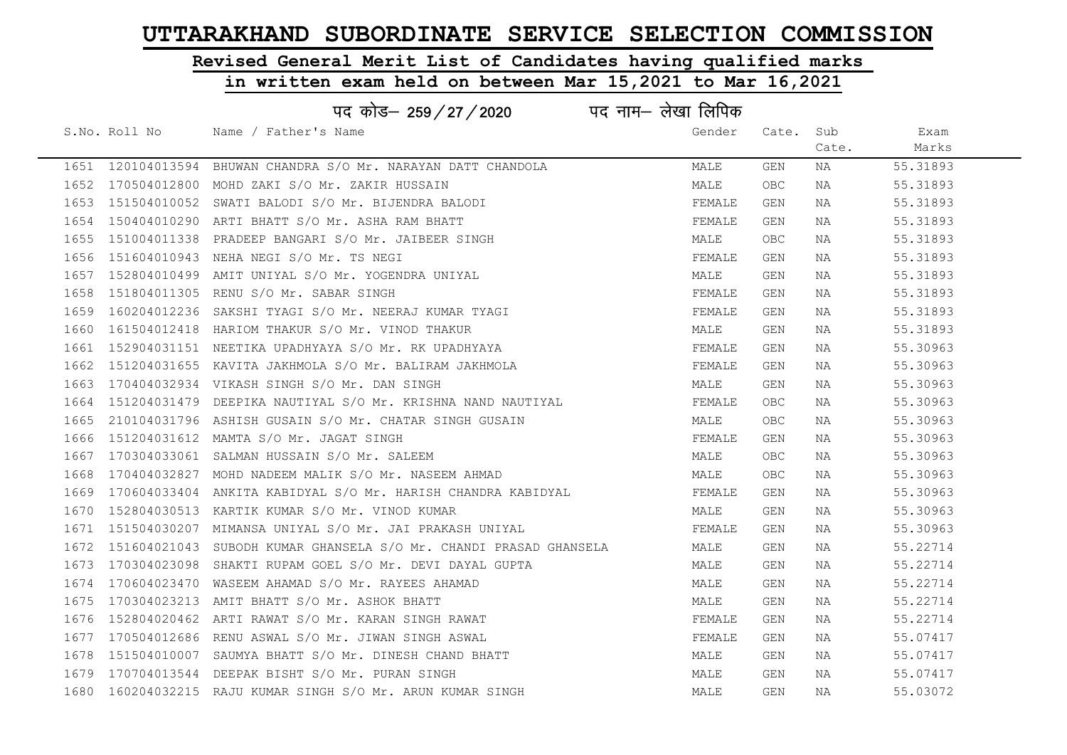# Revised General Merit List of Candidates having qualified marks

### in written exam held on between Mar 15,2021 to Mar 16,2021

|      |                   | पद कोड– 259 / 27 / 2020                                           | पद नाम– लेखा लिपिक |       |       |          |
|------|-------------------|-------------------------------------------------------------------|--------------------|-------|-------|----------|
|      | S.No. Roll No     | Name / Father's Name                                              | Gender             | Cate. | Sub   | Exam     |
|      |                   |                                                                   |                    |       | Cate. | Marks    |
|      | 1651 120104013594 | BHUWAN CHANDRA S/O Mr. NARAYAN DATT CHANDOLA                      | MALE               | GEN   | NA    | 55.31893 |
| 1652 | 170504012800      | MOHD ZAKI S/O Mr. ZAKIR HUSSAIN                                   | MALE               | OBC   | NA    | 55.31893 |
| 1653 | 151504010052      | SWATI BALODI S/O Mr. BIJENDRA BALODI                              | FEMALE             | GEN   | NA    | 55.31893 |
| 1654 | 150404010290      | ARTI BHATT S/O Mr. ASHA RAM BHATT                                 | FEMALE             | GEN   | NA    | 55.31893 |
| 1655 | 151004011338      | PRADEEP BANGARI S/O Mr. JAIBEER SINGH                             | MALE               | OBC.  | NA    | 55.31893 |
|      |                   | 1656 151604010943 NEHA NEGI S/O Mr. TS NEGI                       | FEMALE             | GEN   | NA    | 55.31893 |
| 1657 |                   | 152804010499 AMIT UNIYAL S/O Mr. YOGENDRA UNIYAL                  | MALE               | GEN   | NA    | 55.31893 |
| 1658 | 151804011305      | RENU S/O Mr. SABAR SINGH                                          | FEMALE             | GEN   | NA    | 55.31893 |
| 1659 | 160204012236      | SAKSHI TYAGI S/O Mr. NEERAJ KUMAR TYAGI                           | FEMALE             | GEN   | NA    | 55.31893 |
| 1660 | 161504012418      | HARIOM THAKUR S/O Mr. VINOD THAKUR                                | MALE               | GEN   | NA    | 55.31893 |
| 1661 |                   | 152904031151 NEETIKA UPADHYAYA S/O Mr. RK UPADHYAYA               | FEMALE             | GEN   | NA    | 55.30963 |
| 1662 |                   | 151204031655 KAVITA JAKHMOLA S/O Mr. BALIRAM JAKHMOLA             | FEMALE             | GEN   | NA    | 55.30963 |
|      |                   | 1663 170404032934 VIKASH SINGH S/O Mr. DAN SINGH                  | MALE               | GEN   | NA    | 55.30963 |
|      |                   | 1664 151204031479 DEEPIKA NAUTIYAL S/O Mr. KRISHNA NAND NAUTIYAL  | FEMALE             | OBC.  | NA    | 55.30963 |
| 1665 |                   | 210104031796 ASHISH GUSAIN S/O Mr. CHATAR SINGH GUSAIN            | MALE               | OBC.  | NA    | 55.30963 |
| 1666 |                   | 151204031612 MAMTA S/O Mr. JAGAT SINGH                            | FEMALE             | GEN   | NA    | 55.30963 |
|      | 1667 170304033061 | SALMAN HUSSAIN S/O Mr. SALEEM                                     | MALE               | OBC   | NA    | 55.30963 |
| 1668 |                   | 170404032827 MOHD NADEEM MALIK S/O Mr. NASEEM AHMAD               | MALE               | OBC   | NA    | 55.30963 |
| 1669 |                   | 170604033404 ANKITA KABIDYAL S/O Mr. HARISH CHANDRA KABIDYAL      | FEMALE             | GEN   | NA    | 55.30963 |
| 1670 |                   | 152804030513 KARTIK KUMAR S/O Mr. VINOD KUMAR                     | MALE               | GEN   | NA    | 55.30963 |
|      |                   | 1671 151504030207 MIMANSA UNIYAL S/O Mr. JAI PRAKASH UNIYAL       | FEMALE             | GEN   | NA    | 55.30963 |
| 1672 |                   | 151604021043 SUBODH KUMAR GHANSELA S/O Mr. CHANDI PRASAD GHANSELA | MALE               | GEN   | NA    | 55.22714 |
| 1673 |                   | 170304023098 SHAKTI RUPAM GOEL S/O Mr. DEVI DAYAL GUPTA           | MALE               | GEN   | NA    | 55.22714 |
| 1674 | 170604023470      | WASEEM AHAMAD S/O Mr. RAYEES AHAMAD                               | MALE               | GEN   | NA    | 55.22714 |
| 1675 |                   | 170304023213 AMIT BHATT S/O Mr. ASHOK BHATT                       | MALE               | GEN   | NA    | 55.22714 |
| 1676 |                   | 152804020462 ARTI RAWAT S/O Mr. KARAN SINGH RAWAT                 | FEMALE             | GEN   | NA    | 55.22714 |
| 1677 |                   | 170504012686 RENU ASWAL S/O Mr. JIWAN SINGH ASWAL                 | FEMALE             | GEN   | NA    | 55.07417 |
| 1678 | 151504010007      | SAUMYA BHATT S/O Mr. DINESH CHAND BHATT                           | MALE               | GEN   | NA    | 55.07417 |
|      | 1679 170704013544 | DEEPAK BISHT S/O Mr. PURAN SINGH                                  | MALE               | GEN   | NA    | 55.07417 |
|      |                   | 1680 160204032215 RAJU KUMAR SINGH S/O Mr. ARUN KUMAR SINGH       | MALE               | GEN   | ΝA    | 55.03072 |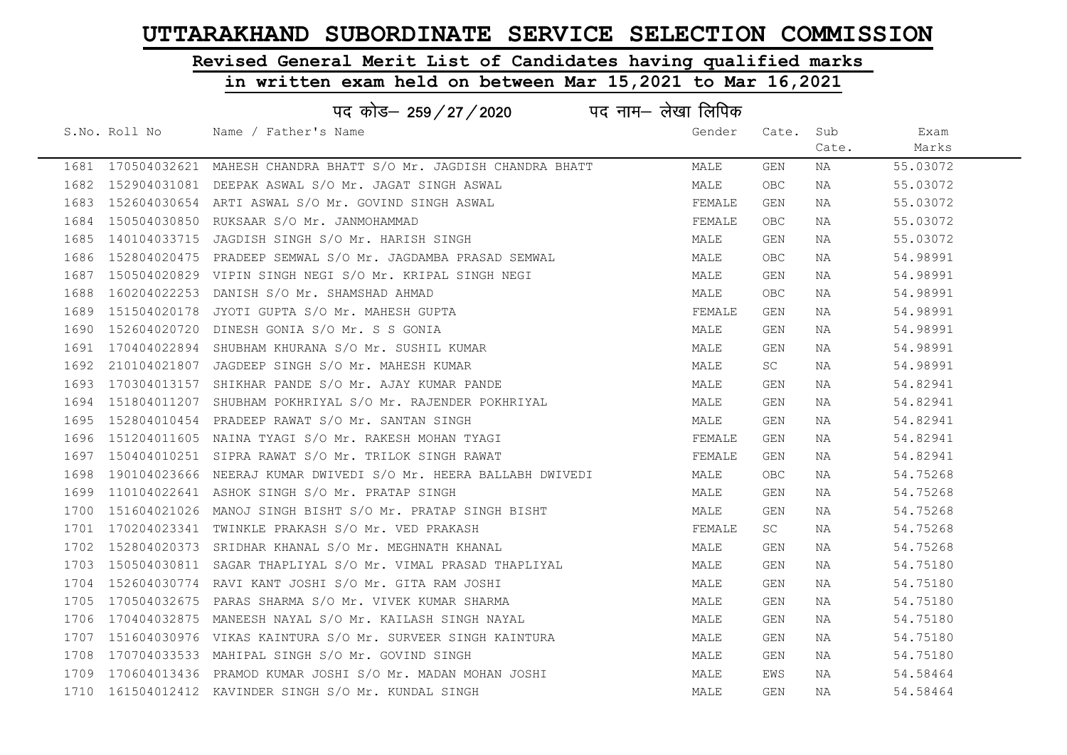# Revised General Merit List of Candidates having qualified marks

|      | पद नाम– लेखा लिपिक<br>पद कोड– 259/27/2020 |                                                                      |        |            |       |          |  |  |
|------|-------------------------------------------|----------------------------------------------------------------------|--------|------------|-------|----------|--|--|
|      | S.No. Roll No                             | Name / Father's Name                                                 | Gender | Cate.      | Sub   | Exam     |  |  |
|      |                                           |                                                                      |        |            | Cate. | Marks    |  |  |
|      |                                           | 1681 170504032621 MAHESH CHANDRA BHATT S/O Mr. JAGDISH CHANDRA BHATT | MALE   | GEN        | NA    | 55.03072 |  |  |
|      |                                           | 1682 152904031081 DEEPAK ASWAL S/O Mr. JAGAT SINGH ASWAL             | MALE   | <b>OBC</b> | NA    | 55.03072 |  |  |
| 1683 |                                           | 152604030654 ARTI ASWAL S/O Mr. GOVIND SINGH ASWAL                   | FEMALE | <b>GEN</b> | NA    | 55.03072 |  |  |
| 1684 |                                           | 150504030850 RUKSAAR S/O Mr. JANMOHAMMAD                             | FEMALE | OBC.       | NA    | 55.03072 |  |  |
| 1685 | 140104033715                              | JAGDISH SINGH S/O Mr. HARISH SINGH                                   | MALE   | GEN        | NA    | 55.03072 |  |  |
|      |                                           | 1686 152804020475 PRADEEP SEMWAL S/O Mr. JAGDAMBA PRASAD SEMWAL      | MALE   | OBC.       | NA    | 54.98991 |  |  |
| 1687 |                                           | 150504020829 VIPIN SINGH NEGI S/O Mr. KRIPAL SINGH NEGI              | MALE   | GEN        | NA    | 54.98991 |  |  |
| 1688 | 160204022253                              | DANISH S/O Mr. SHAMSHAD AHMAD                                        | MALE   | <b>OBC</b> | NA    | 54.98991 |  |  |
|      | 1689 151504020178                         | JYOTI GUPTA S/O Mr. MAHESH GUPTA                                     | FEMALE | GEN        | NA    | 54.98991 |  |  |
| 1690 |                                           | 152604020720 DINESH GONIA S/O Mr. S S GONIA                          | MALE   | GEN        | NA    | 54.98991 |  |  |
| 1691 |                                           | 170404022894 SHUBHAM KHURANA S/O Mr. SUSHIL KUMAR                    | MALE   | GEN        | NA    | 54.98991 |  |  |
| 1692 |                                           | 210104021807 JAGDEEP SINGH S/O Mr. MAHESH KUMAR                      | MALE   | SC         | NA    | 54.98991 |  |  |
|      |                                           | 1693 170304013157 SHIKHAR PANDE S/O Mr. AJAY KUMAR PANDE             | MALE   | GEN        | NA    | 54.82941 |  |  |
|      |                                           | 1694 151804011207 SHUBHAM POKHRIYAL S/O Mr. RAJENDER POKHRIYAL       | MALE   | GEN        | NA    | 54.82941 |  |  |
|      |                                           | 1695 152804010454 PRADEEP RAWAT S/O Mr. SANTAN SINGH                 | MALE   | GEN        | NA    | 54.82941 |  |  |
| 1696 |                                           | 151204011605 NAINA TYAGI S/O Mr. RAKESH MOHAN TYAGI                  | FEMALE | GEN        | NA    | 54.82941 |  |  |
| 1697 |                                           | 150404010251 SIPRA RAWAT S/O Mr. TRILOK SINGH RAWAT                  | FEMALE | GEN        | NA    | 54.82941 |  |  |
| 1698 |                                           | 190104023666 NEERAJ KUMAR DWIVEDI S/O Mr. HEERA BALLABH DWIVEDI      | MALE   | <b>OBC</b> | NA    | 54.75268 |  |  |
|      |                                           | 1699 110104022641 ASHOK SINGH S/O Mr. PRATAP SINGH                   | MALE   | GEN        | NA    | 54.75268 |  |  |
| 1700 |                                           | 151604021026 MANOJ SINGH BISHT S/O Mr. PRATAP SINGH BISHT            | MALE   | GEN        | NA    | 54.75268 |  |  |
|      |                                           | 1701 170204023341 TWINKLE PRAKASH S/O Mr. VED PRAKASH                | FEMALE | SC         | NA    | 54.75268 |  |  |
| 1702 |                                           | 152804020373 SRIDHAR KHANAL S/O Mr. MEGHNATH KHANAL                  | MALE   | GEN        | NA    | 54.75268 |  |  |
| 1703 |                                           | 150504030811 SAGAR THAPLIYAL S/O Mr. VIMAL PRASAD THAPLIYAL          | MALE   | GEN        | NA    | 54.75180 |  |  |
| 1704 |                                           | 152604030774 RAVI KANT JOSHI S/O Mr. GITA RAM JOSHI                  | MALE   | GEN        | NA    | 54.75180 |  |  |
| 1705 |                                           | 170504032675 PARAS SHARMA S/O Mr. VIVEK KUMAR SHARMA                 | MALE   | GEN        | NA    | 54.75180 |  |  |
| 1706 |                                           | 170404032875 MANEESH NAYAL S/O Mr. KAILASH SINGH NAYAL               | MALE   | GEN        | NA    | 54.75180 |  |  |
| 1707 |                                           | 151604030976 VIKAS KAINTURA S/O Mr. SURVEER SINGH KAINTURA           | MALE   | GEN        | NA    | 54.75180 |  |  |
| 1708 |                                           | 170704033533 MAHIPAL SINGH S/O Mr. GOVIND SINGH                      | MALE   | GEN        | NA    | 54.75180 |  |  |
|      |                                           | 1709 170604013436 PRAMOD KUMAR JOSHI S/O Mr. MADAN MOHAN JOSHI       | MALE   | EWS        | NA    | 54.58464 |  |  |
|      |                                           | 1710 161504012412 KAVINDER SINGH S/O Mr. KUNDAL SINGH                | MALE   | GEN        | NA    | 54.58464 |  |  |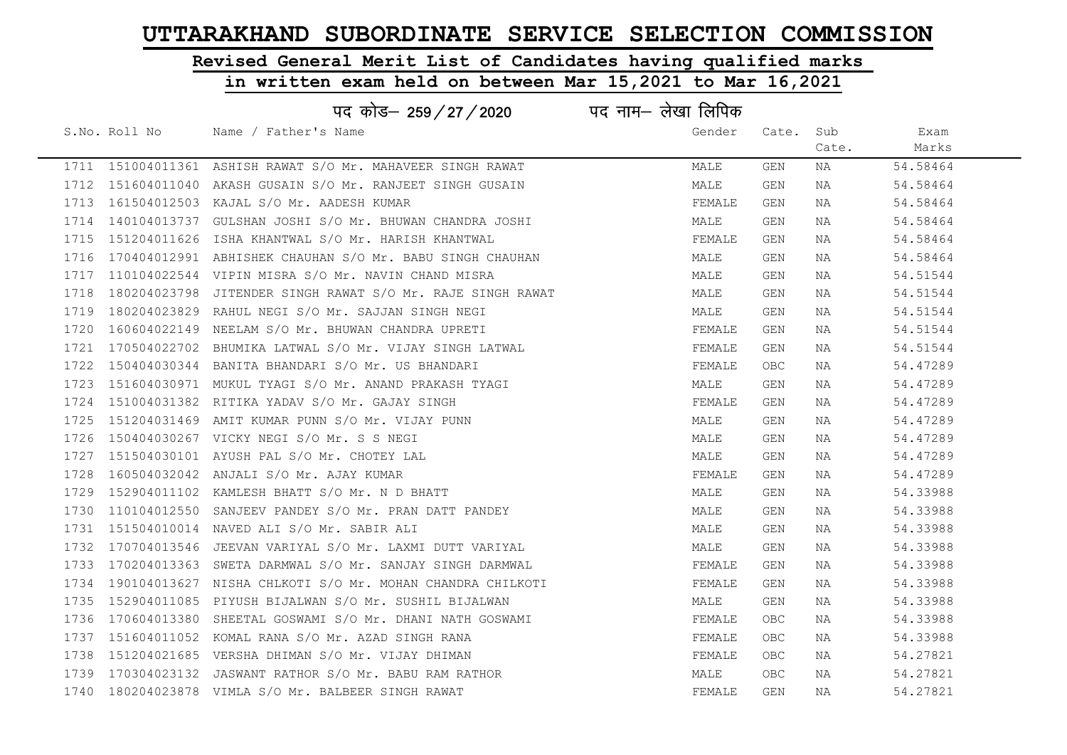# Revised General Merit List of Candidates having qualified marks

|      |               | पद कोड– 259/27/2020                                           | पद नाम— लेखा लिपिक |            |       |          |  |
|------|---------------|---------------------------------------------------------------|--------------------|------------|-------|----------|--|
|      | S.No. Roll No | Name / Father's Name                                          | Gender             | Cate.      | Sub   | Exam     |  |
|      |               |                                                               |                    |            | Cate. | Marks    |  |
|      |               | 1711 151004011361 ASHISH RAWAT S/O Mr. MAHAVEER SINGH RAWAT   | MALE               | GEN        | NA    | 54.58464 |  |
|      |               | 1712 151604011040 AKASH GUSAIN S/O Mr. RANJEET SINGH GUSAIN   | MALE               | GEN        | NA    | 54.58464 |  |
|      |               | 1713 161504012503 KAJAL S/O Mr. AADESH KUMAR                  | FEMALE             | GEN        | NA    | 54.58464 |  |
|      |               | 1714 140104013737 GULSHAN JOSHI S/O Mr. BHUWAN CHANDRA JOSHI  | MALE               | GEN        | NA    | 54.58464 |  |
|      |               | 1715 151204011626 ISHA KHANTWAL S/O Mr. HARISH KHANTWAL       | FEMALE             | GEN        | NA    | 54.58464 |  |
|      |               | 1716 170404012991 ABHISHEK CHAUHAN S/O Mr. BABU SINGH CHAUHAN | MALE               | GEN        | NA    | 54.58464 |  |
|      |               | 1717 110104022544 VIPIN MISRA S/O Mr. NAVIN CHAND MISRA       | MALE               | GEN        | NA    | 54.51544 |  |
| 1718 |               | 180204023798 JITENDER SINGH RAWAT S/O Mr. RAJE SINGH RAWAT    | MALE               | GEN        | NA    | 54.51544 |  |
|      |               | 1719 180204023829 RAHUL NEGI S/O Mr. SAJJAN SINGH NEGI        | MALE               | GEN        | NA    | 54.51544 |  |
| 1720 |               | 160604022149 NEELAM S/O Mr. BHUWAN CHANDRA UPRETI             | FEMALE             | GEN        | NA    | 54.51544 |  |
|      |               | 1721 170504022702 BHUMIKA LATWAL S/O Mr. VIJAY SINGH LATWAL   | FEMALE             | GEN        | NA    | 54.51544 |  |
| 1722 |               | 150404030344 BANITA BHANDARI S/O Mr. US BHANDARI              | FEMALE             | OBC        | NA    | 54.47289 |  |
|      |               | 1723 151604030971 MUKUL TYAGI S/O Mr. ANAND PRAKASH TYAGI     | MALE               | GEN        | NA    | 54.47289 |  |
|      |               | 1724 151004031382 RITIKA YADAV S/O Mr. GAJAY SINGH            | FEMALE             | GEN        | NA    | 54.47289 |  |
|      |               | 1725 151204031469 AMIT KUMAR PUNN S/O Mr. VIJAY PUNN          | MALE               | GEN        | NA    | 54.47289 |  |
| 1726 |               | 150404030267 VICKY NEGI S/O Mr. S S NEGI                      | MALE               | GEN        | NA    | 54.47289 |  |
|      |               | 1727 151504030101 AYUSH PAL S/O Mr. CHOTEY LAL                | MALE               | GEN        | NA    | 54.47289 |  |
| 1728 |               | 160504032042 ANJALI S/O Mr. AJAY KUMAR                        | FEMALE             | GEN        | NA    | 54.47289 |  |
| 1729 |               | 152904011102 KAMLESH BHATT S/O Mr. N D BHATT                  | MALE               | GEN        | NA    | 54.33988 |  |
| 1730 |               | 110104012550 SANJEEV PANDEY S/O Mr. PRAN DATT PANDEY          | MALE               | GEN        | NA    | 54.33988 |  |
|      |               | 1731 151504010014 NAVED ALI S/O Mr. SABIR ALI                 | MALE               | GEN        | NA    | 54.33988 |  |
| 1732 |               | 170704013546 JEEVAN VARIYAL S/O Mr. LAXMI DUTT VARIYAL        | MALE               | GEN        | NA    | 54.33988 |  |
| 1733 |               | 170204013363 SWETA DARMWAL S/O Mr. SANJAY SINGH DARMWAL       | FEMALE             | GEN        | NA    | 54.33988 |  |
| 1734 |               | 190104013627 NISHA CHLKOTI S/O Mr. MOHAN CHANDRA CHILKOTI     | FEMALE             | GEN        | NA    | 54.33988 |  |
| 1735 |               | 152904011085 PIYUSH BIJALWAN S/O Mr. SUSHIL BIJALWAN          | MALE               | <b>GEN</b> | NA    | 54.33988 |  |
| 1736 | 170604013380  | SHEETAL GOSWAMI S/O Mr. DHANI NATH GOSWAMI                    | FEMALE             | OBC        | NA    | 54.33988 |  |
| 1737 |               | 151604011052 KOMAL RANA S/O Mr. AZAD SINGH RANA               | FEMALE             | OBC.       | NA    | 54.33988 |  |
| 1738 |               | 151204021685 VERSHA DHIMAN S/O Mr. VIJAY DHIMAN               | FEMALE             | <b>OBC</b> | NA    | 54.27821 |  |
|      |               | 1739 170304023132 JASWANT RATHOR S/O Mr. BABU RAM RATHOR      | MALE               | OBC        | NA    | 54.27821 |  |
|      |               | 1740 180204023878 VIMLA S/O Mr. BALBEER SINGH RAWAT           | FEMALE             | GEN        | NA    | 54.27821 |  |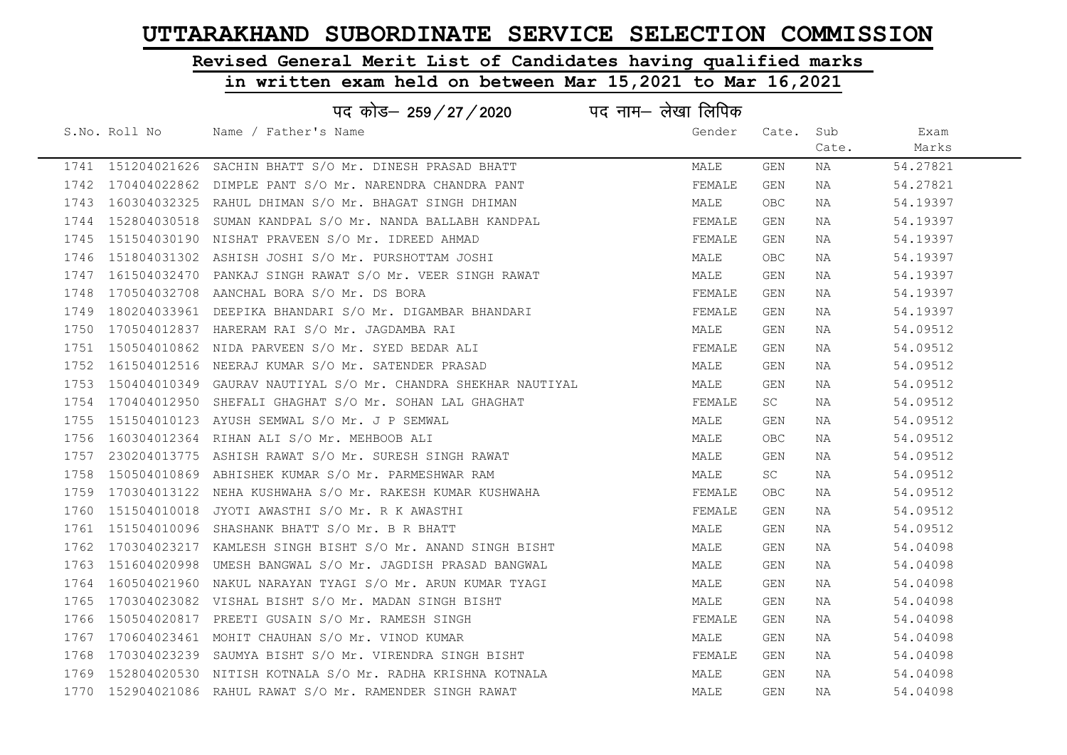# Revised General Merit List of Candidates having qualified marks

|      |               | पद कोड– 259/27/2020                                                | पद नाम— लेखा लिपिक |            |       |          |
|------|---------------|--------------------------------------------------------------------|--------------------|------------|-------|----------|
|      | S.No. Roll No | Name / Father's Name                                               | Gender             | Cate.      | Sub   | Exam     |
|      |               |                                                                    |                    |            | Cate. | Marks    |
|      |               | 1741 151204021626 SACHIN BHATT S/O Mr. DINESH PRASAD BHATT         | MALE               | <b>GEN</b> | NA    | 54.27821 |
|      |               | 1742 170404022862 DIMPLE PANT S/O Mr. NARENDRA CHANDRA PANT        | FEMALE             | GEN        | NA    | 54.27821 |
|      |               | 1743 160304032325 RAHUL DHIMAN S/O Mr. BHAGAT SINGH DHIMAN         | MALE               | OBC        | NA    | 54.19397 |
|      |               | 1744 152804030518 SUMAN KANDPAL S/O Mr. NANDA BALLABH KANDPAL      | FEMALE             | GEN        | NA    | 54.19397 |
|      |               | 1745 151504030190 NISHAT PRAVEEN S/O Mr. IDREED AHMAD              | FEMALE             | GEN        | NA    | 54.19397 |
|      |               | 1746 151804031302 ASHISH JOSHI S/O Mr. PURSHOTTAM JOSHI            | MALE               | OBC        | NA    | 54.19397 |
|      |               | 1747 161504032470 PANKAJ SINGH RAWAT S/O Mr. VEER SINGH RAWAT      | MALE               | GEN        | NA    | 54.19397 |
| 1748 |               | 170504032708 AANCHAL BORA S/O Mr. DS BORA                          | FEMALE             | GEN        | NA    | 54.19397 |
|      |               | 1749 180204033961 DEEPIKA BHANDARI S/O Mr. DIGAMBAR BHANDARI       | FEMALE             | GEN        | NA    | 54.19397 |
| 1750 |               | 170504012837 HARERAM RAI S/O Mr. JAGDAMBA RAI                      | MALE               | GEN        | NA    | 54.09512 |
|      |               | 1751 150504010862 NIDA PARVEEN S/O Mr. SYED BEDAR ALI              | FEMALE             | GEN        | NA    | 54.09512 |
|      |               | 1752 161504012516 NEERAJ KUMAR S/O Mr. SATENDER PRASAD             | MALE               | GEN        | NA    | 54.09512 |
|      |               | 1753 150404010349 GAURAV NAUTIYAL S/O Mr. CHANDRA SHEKHAR NAUTIYAL | MALE               | GEN        | NA    | 54.09512 |
|      |               | 1754 170404012950 SHEFALI GHAGHAT S/O Mr. SOHAN LAL GHAGHAT        | FEMALE             | SC.        | NA    | 54.09512 |
|      |               | 1755  151504010123  AYUSH SEMWAL S/O Mr. J P SEMWAL                | MALE               | GEN        | NA    | 54.09512 |
| 1756 |               | 160304012364 RIHAN ALI S/O Mr. MEHBOOB ALI                         | MALE               | OBC        | NA    | 54.09512 |
|      |               | 1757 230204013775 ASHISH RAWAT S/O Mr. SURESH SINGH RAWAT          | MALE               | <b>GEN</b> | NA    | 54.09512 |
| 1758 |               | 150504010869 ABHISHEK KUMAR S/O Mr. PARMESHWAR RAM                 | MALE               | SC         | NA    | 54.09512 |
| 1759 |               | 170304013122 NEHA KUSHWAHA S/O Mr. RAKESH KUMAR KUSHWAHA           | FEMALE             | OBC        | NA    | 54.09512 |
| 1760 |               | 151504010018 JYOTI AWASTHI S/O Mr. R K AWASTHI                     | FEMALE             | GEN        | NA    | 54.09512 |
|      |               | 1761 151504010096 SHASHANK BHATT S/O Mr. B R BHATT                 | MALE               | GEN        | NA    | 54.09512 |
| 1762 |               | 170304023217 KAMLESH SINGH BISHT S/O Mr. ANAND SINGH BISHT         | MALE               | GEN        | NA    | 54.04098 |
|      |               | 1763 151604020998 UMESH BANGWAL S/O Mr. JAGDISH PRASAD BANGWAL     | MALE               | <b>GEN</b> | NA    | 54.04098 |
| 1764 |               | 160504021960 NAKUL NARAYAN TYAGI S/O Mr. ARUN KUMAR TYAGI          | MALE               | GEN        | NA    | 54.04098 |
|      |               | 1765 170304023082 VISHAL BISHT S/O Mr. MADAN SINGH BISHT           | MALE               | GEN        | NA    | 54.04098 |
| 1766 | 150504020817  | PREETI GUSAIN S/O Mr. RAMESH SINGH                                 | FEMALE             | GEN        | NA    | 54.04098 |
|      |               | 1767 170604023461 MOHIT CHAUHAN S/O Mr. VINOD KUMAR                | MALE               | GEN        | NA    | 54.04098 |
| 1768 |               | 170304023239 SAUMYA BISHT S/O Mr. VIRENDRA SINGH BISHT             | FEMALE             | GEN        | NA    | 54.04098 |
|      |               | 1769 152804020530 NITISH KOTNALA S/O Mr. RADHA KRISHNA KOTNALA     | MALE               | GEN        | NA    | 54.04098 |
|      |               | 1770 152904021086 RAHUL RAWAT S/O Mr. RAMENDER SINGH RAWAT         | MALE               | <b>GEN</b> | ΝA    | 54.04098 |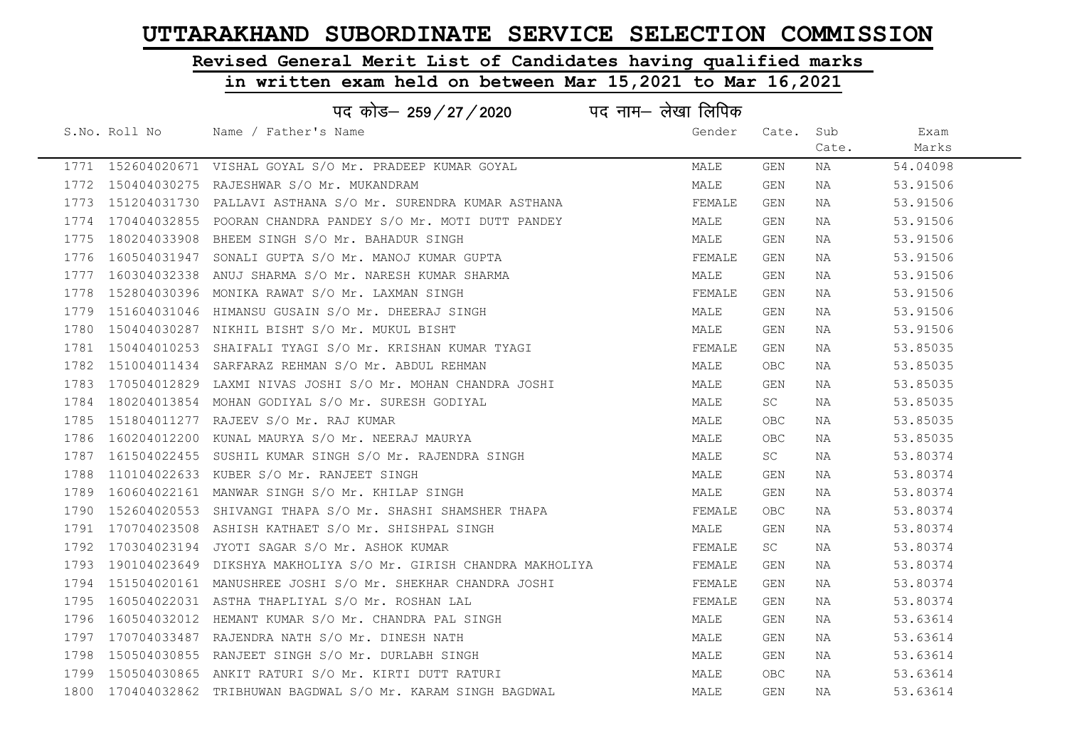# Revised General Merit List of Candidates having qualified marks

|      |                   | पद नाम– लेखा लिपिक<br>पद कोड– 259 / 27 / 2020                        |        |            |       |          |  |
|------|-------------------|----------------------------------------------------------------------|--------|------------|-------|----------|--|
|      | S.No. Roll No     | Name / Father's Name                                                 | Gender | Cate.      | Sub   | Exam     |  |
|      |                   |                                                                      |        |            | Cate. | Marks    |  |
|      |                   | 1771 152604020671 VISHAL GOYAL S/O Mr. PRADEEP KUMAR GOYAL           | MALE   | GEN        | NA    | 54.04098 |  |
|      |                   | 1772 150404030275 RAJESHWAR S/O Mr. MUKANDRAM                        | MALE   | <b>GEN</b> | NA    | 53.91506 |  |
|      |                   | 1773 151204031730 PALLAVI ASTHANA S/O Mr. SURENDRA KUMAR ASTHANA     | FEMALE | GEN        | NA    | 53.91506 |  |
|      |                   | 1774 170404032855 POORAN CHANDRA PANDEY S/O Mr. MOTI DUTT PANDEY     | MALE   | GEN        | NA    | 53.91506 |  |
| 1775 |                   | 180204033908 BHEEM SINGH S/O Mr. BAHADUR SINGH                       | MALE   | GEN        | NA    | 53.91506 |  |
|      |                   | 1776 160504031947 SONALI GUPTA S/O Mr. MANOJ KUMAR GUPTA             | FEMALE | GEN        | NA    | 53.91506 |  |
|      |                   | 1777 160304032338 ANUJ SHARMA S/O Mr. NARESH KUMAR SHARMA            | MALE   | GEN        | NA    | 53.91506 |  |
| 1778 |                   | 152804030396 MONIKA RAWAT S/O Mr. LAXMAN SINGH                       | FEMALE | GEN        | NA    | 53.91506 |  |
|      |                   | 1779 151604031046 HIMANSU GUSAIN S/O Mr. DHEERAJ SINGH               | MALE   | GEN        | NA    | 53.91506 |  |
|      |                   | 1780 150404030287 NIKHIL BISHT S/O Mr. MUKUL BISHT                   | MALE   | <b>GEN</b> | NA    | 53.91506 |  |
|      |                   | 1781 150404010253 SHAIFALI TYAGI S/O Mr. KRISHAN KUMAR TYAGI         | FEMALE | GEN        | NA    | 53.85035 |  |
|      |                   | 1782 151004011434 SARFARAZ REHMAN S/O Mr. ABDUL REHMAN               | MALE   | OBC        | NA    | 53.85035 |  |
|      |                   | 1783 170504012829 LAXMI NIVAS JOSHI S/O Mr. MOHAN CHANDRA JOSHI      | MALE   | GEN        | NA    | 53.85035 |  |
|      |                   | 1784 180204013854 MOHAN GODIYAL S/O Mr. SURESH GODIYAL               | MALE   | SC.        | NA    | 53.85035 |  |
|      |                   | 1785 151804011277 RAJEEV S/O Mr. RAJ KUMAR                           | MALE   | OBC        | NA    | 53.85035 |  |
|      |                   | 1786 160204012200 KUNAL MAURYA S/O Mr. NEERAJ MAURYA                 | MALE   | OBC        | NA    | 53.85035 |  |
|      | 1787 161504022455 | SUSHIL KUMAR SINGH S/O Mr. RAJENDRA SINGH                            | MALE   | SC         | NA    | 53.80374 |  |
|      |                   | 1788 110104022633 KUBER S/O Mr. RANJEET SINGH                        | MALE   | <b>GEN</b> | NA    | 53.80374 |  |
|      |                   | 1789 160604022161 MANWAR SINGH S/O Mr. KHILAP SINGH                  | MALE   | GEN        | NA    | 53.80374 |  |
|      |                   | 1790 152604020553 SHIVANGI THAPA S/O Mr. SHASHI SHAMSHER THAPA       | FEMALE | OBC        | NA    | 53.80374 |  |
|      |                   | 1791 170704023508 ASHISH KATHAET S/O Mr. SHISHPAL SINGH              | MALE   | GEN        | NA    | 53.80374 |  |
|      |                   | 1792 170304023194 JYOTI SAGAR S/O Mr. ASHOK KUMAR                    | FEMALE | SC.        | NA    | 53.80374 |  |
|      |                   | 1793 190104023649 DIKSHYA MAKHOLIYA S/O Mr. GIRISH CHANDRA MAKHOLIYA | FEMALE | GEN        | NA    | 53.80374 |  |
|      |                   | 1794 151504020161 MANUSHREE JOSHI S/O Mr. SHEKHAR CHANDRA JOSHI      | FEMALE | GEN        | NA    | 53.80374 |  |
|      |                   | 1795 160504022031 ASTHA THAPLIYAL S/O Mr. ROSHAN LAL                 | FEMALE | GEN        | NA    | 53.80374 |  |
|      |                   | 1796 160504032012 HEMANT KUMAR S/O Mr. CHANDRA PAL SINGH             | MALE   | GEN        | NA    | 53.63614 |  |
|      |                   | 1797 170704033487 RAJENDRA NATH S/O Mr. DINESH NATH                  | MALE   | GEN        | NA    | 53.63614 |  |
|      |                   | 1798 150504030855 RANJEET SINGH S/O Mr. DURLABH SINGH                | MALE   | GEN        | NA    | 53.63614 |  |
|      |                   | 1799 150504030865 ANKIT RATURI S/O Mr. KIRTI DUTT RATURI             | MALE   | OBC        | NA    | 53.63614 |  |
|      |                   | 1800 170404032862 TRIBHUWAN BAGDWAL S/O Mr. KARAM SINGH BAGDWAL      | MALE   | <b>GEN</b> | ΝA    | 53.63614 |  |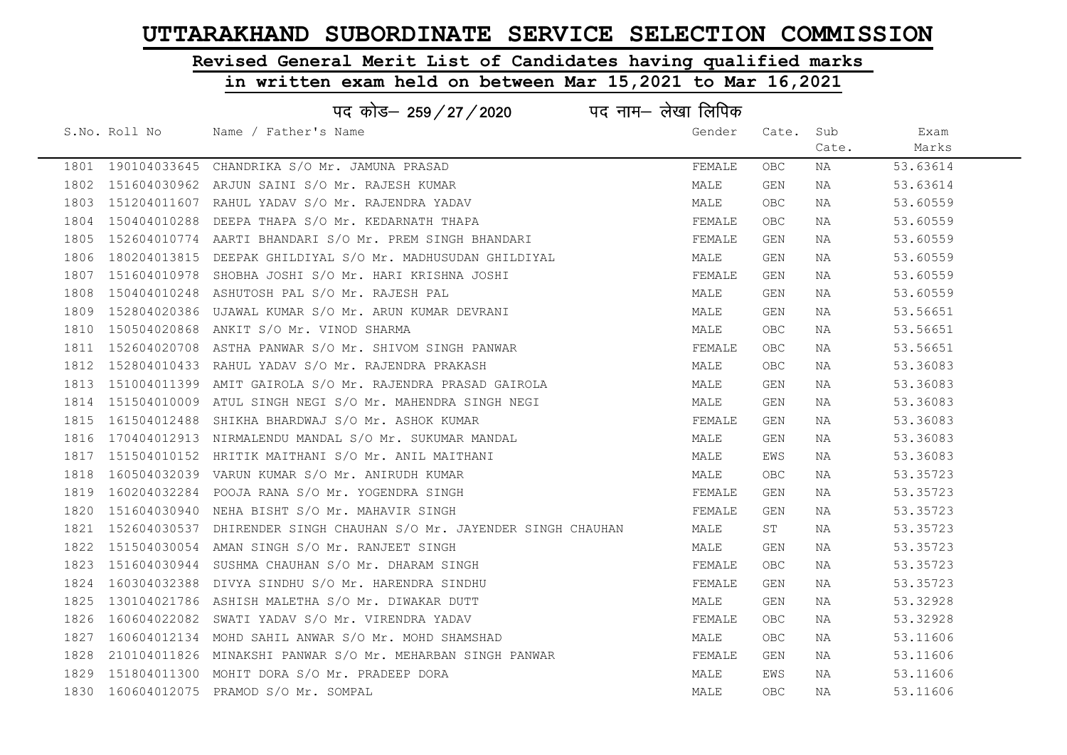# Revised General Merit List of Candidates having qualified marks

|      |                   | पद कोड– 259 / 27 / 2020                                    | पद नाम– लेखा लिपिक |       |       |          |
|------|-------------------|------------------------------------------------------------|--------------------|-------|-------|----------|
|      | S.No. Roll No     | Name / Father's Name                                       | Gender             | Cate. | Sub   | Exam     |
|      |                   |                                                            |                    |       | Cate. | Marks    |
|      | 1801 190104033645 | CHANDRIKA S/O Mr. JAMUNA PRASAD                            | FEMALE             | OBC.  | NA    | 53.63614 |
| 1802 | 151604030962      | ARJUN SAINI S/O Mr. RAJESH KUMAR                           | MALE               | GEN   | NA    | 53.63614 |
| 1803 |                   | 151204011607 RAHUL YADAV S/O Mr. RAJENDRA YADAV            | MALE               | OBC.  | NA    | 53.60559 |
| 1804 | 150404010288      | DEEPA THAPA S/O Mr. KEDARNATH THAPA                        | FEMALE             | OBC.  | NA    | 53.60559 |
| 1805 |                   | 152604010774 AARTI BHANDARI S/O Mr. PREM SINGH BHANDARI    | FEMALE             | GEN   | NA    | 53.60559 |
| 1806 |                   | 180204013815 DEEPAK GHILDIYAL S/O Mr. MADHUSUDAN GHILDIYAL | MALE               | GEN   | NA    | 53.60559 |
| 1807 |                   | 151604010978 SHOBHA JOSHI S/O Mr. HARI KRISHNA JOSHI       | FEMALE             | GEN   | NA    | 53.60559 |
| 1808 |                   | 150404010248 ASHUTOSH PAL S/O Mr. RAJESH PAL               | MALE               | GEN   | NA    | 53.60559 |
| 1809 |                   | 152804020386 UJAWAL KUMAR S/O Mr. ARUN KUMAR DEVRANI       | MALE               | GEN   | NA    | 53.56651 |
| 1810 | 150504020868      | ANKIT S/O Mr. VINOD SHARMA                                 | MALE               | OBC   | NA    | 53.56651 |
| 1811 |                   | 152604020708 ASTHA PANWAR S/O Mr. SHIVOM SINGH PANWAR      | FEMALE             | OBC.  | NA    | 53.56651 |
| 1812 |                   | 152804010433 RAHUL YADAV S/O Mr. RAJENDRA PRAKASH          | MALE               | OBC.  | NA    | 53.36083 |
| 1813 |                   | 151004011399 AMIT GAIROLA S/O Mr. RAJENDRA PRASAD GAIROLA  | MALE               | GEN   | NA    | 53.36083 |
| 1814 |                   | 151504010009 ATUL SINGH NEGI S/O Mr. MAHENDRA SINGH NEGI   | MALE               | GEN   | NA    | 53.36083 |
| 1815 | 161504012488      | SHIKHA BHARDWAJ S/O Mr. ASHOK KUMAR                        | FEMALE             | GEN   | NA    | 53.36083 |
| 1816 |                   | 170404012913 NIRMALENDU MANDAL S/O Mr. SUKUMAR MANDAL      | MALE               | GEN   | NA    | 53.36083 |
| 1817 |                   | 151504010152 HRITIK MAITHANI S/O Mr. ANIL MAITHANI         | MALE               | EWS   | NA    | 53.36083 |
| 1818 | 160504032039      | VARUN KUMAR S/O Mr. ANIRUDH KUMAR                          | MALE               | OBC   | NA    | 53.35723 |
| 1819 |                   | 160204032284 POOJA RANA S/O Mr. YOGENDRA SINGH             | FEMALE             | GEN   | NA    | 53.35723 |
| 1820 | 151604030940      | NEHA BISHT S/O Mr. MAHAVIR SINGH                           | FEMALE             | GEN   | NA    | 53.35723 |
| 1821 | 152604030537      | DHIRENDER SINGH CHAUHAN S/O Mr. JAYENDER SINGH CHAUHAN     | MALE               | ST    | NA    | 53.35723 |
| 1822 |                   | 151504030054 AMAN SINGH S/O Mr. RANJEET SINGH              | MALE               | GEN   | NA    | 53.35723 |
| 1823 |                   | 151604030944 SUSHMA CHAUHAN S/O Mr. DHARAM SINGH           | FEMALE             | OBC   | NA    | 53.35723 |
| 1824 | 160304032388      | DIVYA SINDHU S/O Mr. HARENDRA SINDHU                       | FEMALE             | GEN   | NA    | 53.35723 |
| 1825 |                   | 130104021786 ASHISH MALETHA S/O Mr. DIWAKAR DUTT           | MALE               | GEN   | NA    | 53.32928 |
| 1826 | 160604022082      | SWATI YADAV S/O Mr. VIRENDRA YADAV                         | FEMALE             | OBC.  | NA    | 53.32928 |
| 1827 |                   | 160604012134 MOHD SAHIL ANWAR S/O Mr. MOHD SHAMSHAD        | MALE               | OBC   | NA    | 53.11606 |
| 1828 | 210104011826      | MINAKSHI PANWAR S/O Mr. MEHARBAN SINGH PANWAR              | FEMALE             | GEN   | NA    | 53.11606 |
| 1829 |                   | 151804011300 MOHIT DORA S/O Mr. PRADEEP DORA               | MALE               | EWS   | NA    | 53.11606 |
|      |                   | 1830 160604012075 PRAMOD S/O Mr. SOMPAL                    | MALE               | OBC   | NA    | 53.11606 |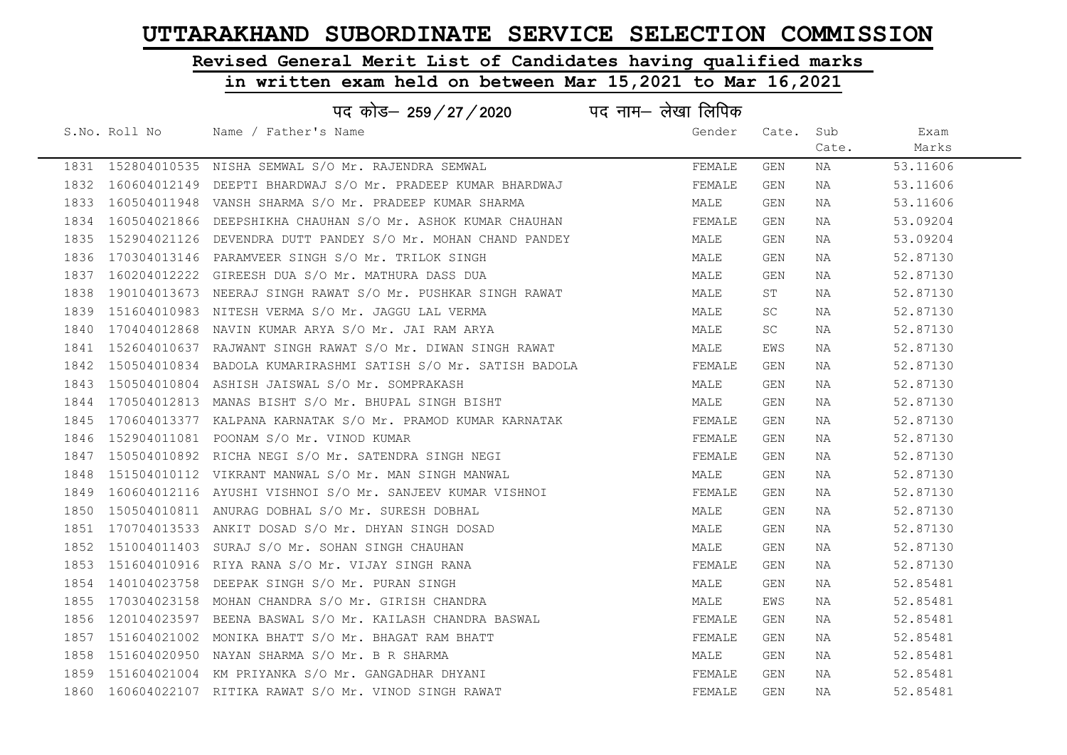# Revised General Merit List of Candidates having qualified marks

|      |               | पद कोड– 259/27/2020                                                | पद नाम– लेखा लिपिक |            |       |          |
|------|---------------|--------------------------------------------------------------------|--------------------|------------|-------|----------|
|      | S.No. Roll No | Name / Father's Name                                               | Gender             | Cate. Sub  |       | Exam     |
|      |               |                                                                    |                    |            | Cate. | Marks    |
|      |               | 1831 152804010535 NISHA SEMWAL S/O Mr. RAJENDRA SEMWAL             | FEMALE             | GEN        | NA    | 53.11606 |
|      |               | 1832 160604012149 DEEPTI BHARDWAJ S/O Mr. PRADEEP KUMAR BHARDWAJ   | FEMALE             | <b>GEN</b> | NA    | 53.11606 |
|      |               | 1833 160504011948 VANSH SHARMA S/O Mr. PRADEEP KUMAR SHARMA        | MALE               | <b>GEN</b> | NA    | 53.11606 |
|      |               | 1834 160504021866 DEEPSHIKHA CHAUHAN S/O Mr. ASHOK KUMAR CHAUHAN   | FEMALE             | GEN        | NA    | 53.09204 |
|      |               | 1835 152904021126 DEVENDRA DUTT PANDEY S/O Mr. MOHAN CHAND PANDEY  | MALE               | GEN        | NA    | 53.09204 |
|      |               | 1836 170304013146 PARAMVEER SINGH S/O Mr. TRILOK SINGH             | MALE               | GEN        | NA    | 52.87130 |
|      |               | 1837 160204012222 GIREESH DUA S/O Mr. MATHURA DASS DUA             | MALE               | GEN        | NA    | 52.87130 |
| 1838 |               | 190104013673 NEERAJ SINGH RAWAT S/O Mr. PUSHKAR SINGH RAWAT        | MALE               | ST         | NA    | 52.87130 |
|      |               | 1839 151604010983 NITESH VERMA S/O Mr. JAGGU LAL VERMA             | MALE               | SC.        | NA    | 52.87130 |
|      |               | 1840 170404012868 NAVIN KUMAR ARYA S/O Mr. JAI RAM ARYA            | MALE               | SC.        | NA    | 52.87130 |
|      |               | 1841 152604010637 RAJWANT SINGH RAWAT S/O Mr. DIWAN SINGH RAWAT    | MALE               | EWS        | NA    | 52.87130 |
|      |               | 1842 150504010834 BADOLA KUMARIRASHMI SATISH S/O Mr. SATISH BADOLA | FEMALE             | GEN        | NA    | 52.87130 |
|      |               | 1843 150504010804 ASHISH JAISWAL S/O Mr. SOMPRAKASH                | MALE               | GEN        | NA    | 52.87130 |
|      |               | 1844 170504012813 MANAS BISHT S/O Mr. BHUPAL SINGH BISHT           | MALE               | GEN        | NA    | 52.87130 |
|      |               | 1845 170604013377 KALPANA KARNATAK S/O Mr. PRAMOD KUMAR KARNATAK   | FEMALE             | GEN        | NA    | 52.87130 |
| 1846 |               | 152904011081 POONAM S/O Mr. VINOD KUMAR                            | FEMALE             | <b>GEN</b> | NA    | 52.87130 |
|      |               | 1847 150504010892 RICHA NEGI S/O Mr. SATENDRA SINGH NEGI           | FEMALE             | GEN        | NA    | 52.87130 |
|      |               | 1848 151504010112 VIKRANT MANWAL S/O Mr. MAN SINGH MANWAL          | MALE               | <b>GEN</b> | NA    | 52.87130 |
|      |               | 1849 160604012116 AYUSHI VISHNOI S/O Mr. SANJEEV KUMAR VISHNOI     | FEMALE             | GEN        | NA    | 52.87130 |
|      |               | 1850 150504010811 ANURAG DOBHAL S/O Mr. SURESH DOBHAL              | MALE               | GEN        | NA    | 52.87130 |
|      |               | 1851 170704013533 ANKIT DOSAD S/O Mr. DHYAN SINGH DOSAD            | MALE               | GEN        | NA    | 52.87130 |
|      |               | 1852 151004011403 SURAJ S/O Mr. SOHAN SINGH CHAUHAN                | MALE               | GEN        | NA    | 52.87130 |
|      |               | 1853 151604010916 RIYA RANA S/O Mr. VIJAY SINGH RANA               | FEMALE             | GEN        | NA    | 52.87130 |
|      |               | 1854 140104023758 DEEPAK SINGH S/O Mr. PURAN SINGH                 | MALE               | GEN        | NA    | 52.85481 |
|      |               | 1855 170304023158 MOHAN CHANDRA S/O Mr. GIRISH CHANDRA             | MALE               | EWS        | NA    | 52.85481 |
|      |               | 1856 120104023597 BEENA BASWAL S/O Mr. KAILASH CHANDRA BASWAL      | FEMALE             | GEN        | NA    | 52.85481 |
|      |               | 1857 151604021002 MONIKA BHATT S/O Mr. BHAGAT RAM BHATT            | FEMALE             | GEN        | NA    | 52.85481 |
|      |               | 1858 151604020950 NAYAN SHARMA S/O Mr. B R SHARMA                  | MALE               | GEN        | NA    | 52.85481 |
|      |               | 1859 151604021004 KM PRIYANKA S/O Mr. GANGADHAR DHYANI             | FEMALE             | GEN        | NA    | 52.85481 |
|      |               | 1860 160604022107 RITIKA RAWAT S/O Mr. VINOD SINGH RAWAT           | FEMALE             | <b>GEN</b> | ΝA    | 52.85481 |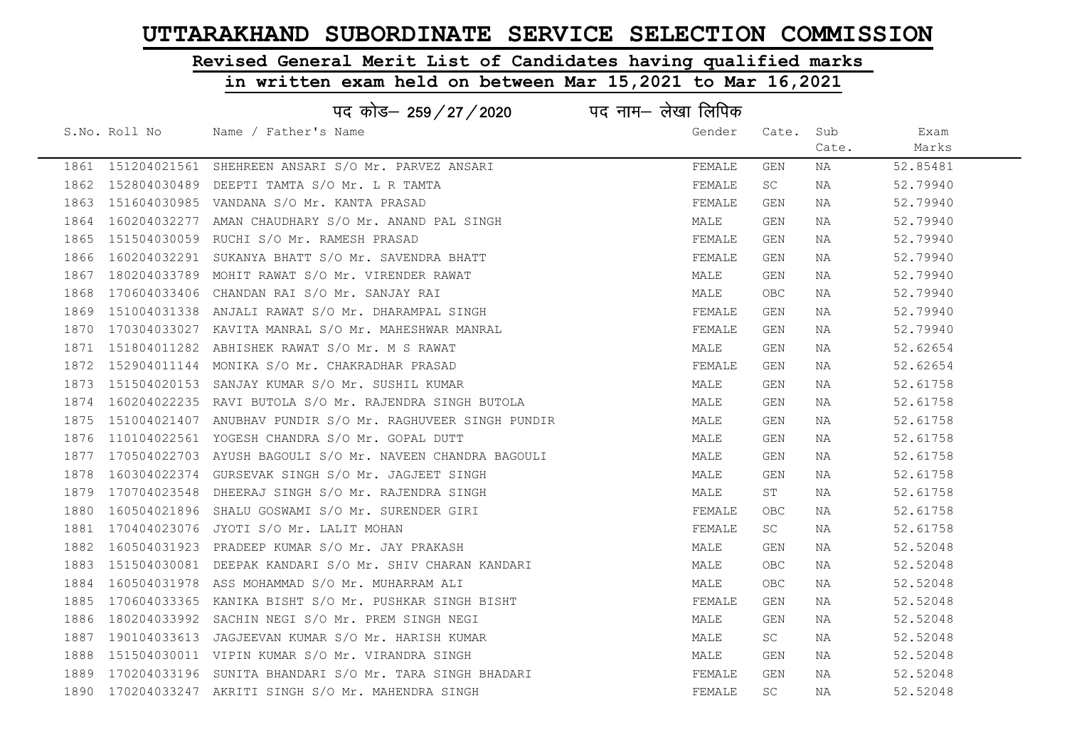# Revised General Merit List of Candidates having qualified marks

|      |               | पद कोड– 259 / 27 / 2020                                         | पद नाम— लेखा लिपिक |        |           |       |          |
|------|---------------|-----------------------------------------------------------------|--------------------|--------|-----------|-------|----------|
|      | S.No. Roll No | Name / Father's Name                                            |                    | Gender | Cate.     | Sub   | Exam     |
|      |               |                                                                 |                    |        |           | Cate. | Marks    |
|      |               | 1861 151204021561 SHEHREEN ANSARI S/O Mr. PARVEZ ANSARI         |                    | FEMALE | GEN       | NA    | 52.85481 |
|      |               | 1862 152804030489 DEEPTI TAMTA S/O Mr. L R TAMTA                |                    | FEMALE | SC        | NA    | 52.79940 |
|      |               | 1863 151604030985 VANDANA S/O Mr. KANTA PRASAD                  |                    | FEMALE | GEN       | NA    | 52.79940 |
|      |               | 1864 160204032277 AMAN CHAUDHARY S/O Mr. ANAND PAL SINGH        |                    | MALE   | GEN       | NA    | 52.79940 |
| 1865 |               | 151504030059 RUCHI S/O Mr. RAMESH PRASAD                        |                    | FEMALE | GEN       | NA    | 52.79940 |
|      |               | 1866 160204032291 SUKANYA BHATT S/O Mr. SAVENDRA BHATT          |                    | FEMALE | GEN       | NA    | 52.79940 |
| 1867 |               | 180204033789 MOHIT RAWAT S/O Mr. VIRENDER RAWAT                 |                    | MALE   | GEN       | NA    | 52.79940 |
| 1868 |               | 170604033406 CHANDAN RAI S/O Mr. SANJAY RAI                     |                    | MALE   | OBC       | NA    | 52.79940 |
|      |               | 1869 151004031338 ANJALI RAWAT S/O Mr. DHARAMPAL SINGH          |                    | FEMALE | GEN       | NA    | 52.79940 |
|      |               | 1870 170304033027 KAVITA MANRAL S/O Mr. MAHESHWAR MANRAL        |                    | FEMALE | GEN       | NA    | 52.79940 |
|      |               | 1871 151804011282 ABHISHEK RAWAT S/O Mr. M S RAWAT              |                    | MALE   | GEN       | NA    | 52.62654 |
|      |               | 1872 152904011144 MONIKA S/O Mr. CHAKRADHAR PRASAD              |                    | FEMALE | GEN       | NA    | 52.62654 |
|      |               | 1873 151504020153 SANJAY KUMAR S/O Mr. SUSHIL KUMAR             |                    | MALE   | GEN       | NA    | 52.61758 |
|      |               | 1874 160204022235 RAVI BUTOLA S/O Mr. RAJENDRA SINGH BUTOLA     |                    | MALE   | GEN       | NA    | 52.61758 |
|      |               | 1875 151004021407 ANUBHAV PUNDIR S/O Mr. RAGHUVEER SINGH PUNDIR |                    | MALE   | GEN       | NA    | 52.61758 |
| 1876 |               | 110104022561 YOGESH CHANDRA S/O Mr. GOPAL DUTT                  |                    | MALE   | GEN       | NA    | 52.61758 |
|      |               | 1877 170504022703 AYUSH BAGOULI S/O Mr. NAVEEN CHANDRA BAGOULI  |                    | MALE   | GEN       | NA    | 52.61758 |
| 1878 |               | 160304022374 GURSEVAK SINGH S/O Mr. JAGJEET SINGH               |                    | MALE   | GEN       | NA    | 52.61758 |
|      |               | 1879 170704023548 DHEERAJ SINGH S/O Mr. RAJENDRA SINGH          |                    | MALE   | ST        | NA    | 52.61758 |
| 1880 |               | 160504021896 SHALU GOSWAMI S/O Mr. SURENDER GIRI                |                    | FEMALE | OBC       | NA    | 52.61758 |
|      |               | 1881 170404023076 JYOTI S/O Mr. LALIT MOHAN                     |                    | FEMALE | SC        | NA    | 52.61758 |
| 1882 |               | 160504031923 PRADEEP KUMAR S/O Mr. JAY PRAKASH                  |                    | MALE   | GEN       | NA    | 52.52048 |
| 1883 |               | 151504030081 DEEPAK KANDARI S/O Mr. SHIV CHARAN KANDARI         |                    | MALE   | OBC       | NA    | 52.52048 |
| 1884 |               | 160504031978 ASS MOHAMMAD S/O Mr. MUHARRAM ALI                  |                    | MALE   | OBC       | NA    | 52.52048 |
|      |               | 1885 170604033365 KANIKA BISHT S/O Mr. PUSHKAR SINGH BISHT      |                    | FEMALE | GEN       | NA    | 52.52048 |
| 1886 |               | 180204033992 SACHIN NEGI S/O Mr. PREM SINGH NEGI                |                    | MALE   | GEN       | NA    | 52.52048 |
|      |               | 1887 190104033613 JAGJEEVAN KUMAR S/O Mr. HARISH KUMAR          |                    | MALE   | SC        | NA    | 52.52048 |
| 1888 |               | 151504030011 VIPIN KUMAR S/O Mr. VIRANDRA SINGH                 |                    | MALE   | GEN       | NA    | 52.52048 |
|      |               | 1889 170204033196 SUNITA BHANDARI S/O Mr. TARA SINGH BHADARI    |                    | FEMALE | GEN       | NA    | 52.52048 |
|      |               | 1890 170204033247 AKRITI SINGH S/O Mr. MAHENDRA SINGH           |                    | FEMALE | <b>SC</b> | NA    | 52.52048 |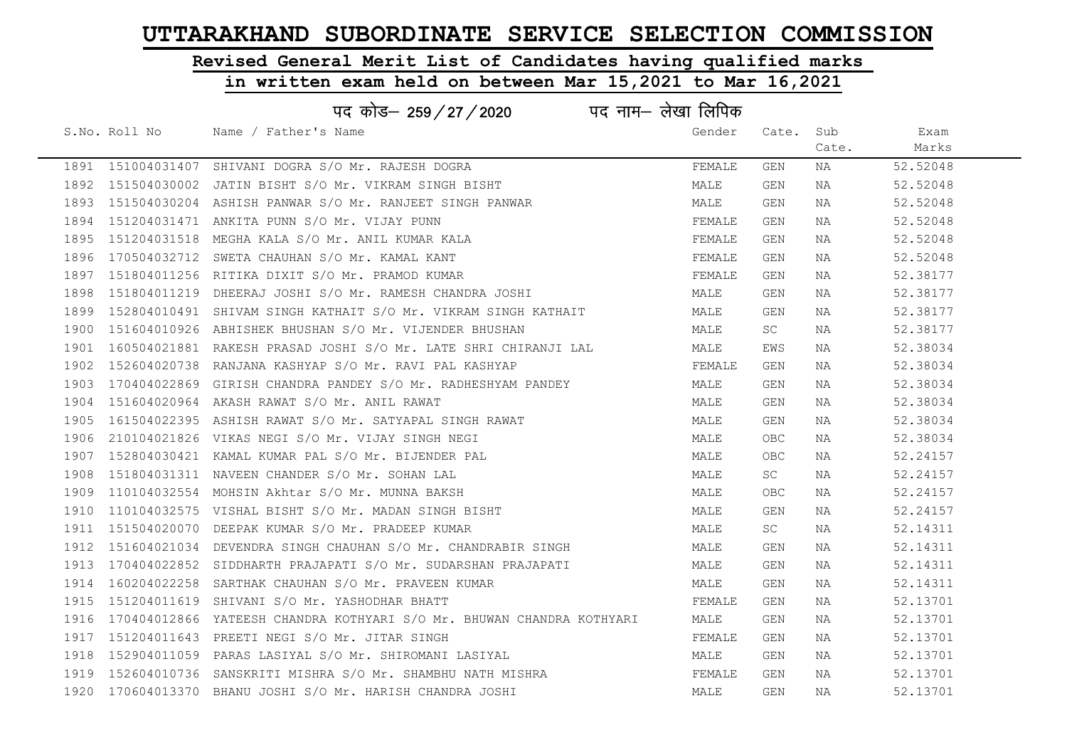# Revised General Merit List of Candidates having qualified marks

|      | पद नाम– लेखा लिपिक<br>पद कोड– 259/27/2020 |                                                                            |        |            |       |          |  |  |
|------|-------------------------------------------|----------------------------------------------------------------------------|--------|------------|-------|----------|--|--|
|      | S.No. Roll No                             | Name / Father's Name                                                       | Gender | Cate.      | Sub   | Exam     |  |  |
|      |                                           |                                                                            |        |            | Cate. | Marks    |  |  |
|      |                                           | 1891 151004031407 SHIVANI DOGRA S/O Mr. RAJESH DOGRA                       | FEMALE | GEN        | NA    | 52.52048 |  |  |
|      |                                           | 1892 151504030002 JATIN BISHT S/O Mr. VIKRAM SINGH BISHT                   | MALE   | <b>GEN</b> | NA    | 52.52048 |  |  |
|      |                                           | 1893 151504030204 ASHISH PANWAR S/O Mr. RANJEET SINGH PANWAR               | MALE   | GEN        | NA    | 52.52048 |  |  |
| 1894 |                                           | 151204031471 ANKITA PUNN S/O Mr. VIJAY PUNN                                | FEMALE | <b>GEN</b> | NA    | 52.52048 |  |  |
| 1895 |                                           | 151204031518 MEGHA KALA S/O Mr. ANIL KUMAR KALA                            | FEMALE | GEN        | NA    | 52.52048 |  |  |
|      |                                           | 1896 170504032712 SWETA CHAUHAN S/O Mr. KAMAL KANT                         | FEMALE | GEN        | NA    | 52.52048 |  |  |
| 1897 |                                           | 151804011256 RITIKA DIXIT S/O Mr. PRAMOD KUMAR                             | FEMALE | GEN        | NA    | 52.38177 |  |  |
| 1898 |                                           | 151804011219 DHEERAJ JOSHI S/O Mr. RAMESH CHANDRA JOSHI                    | MALE   | GEN        | NA    | 52.38177 |  |  |
| 1899 |                                           | 152804010491 SHIVAM SINGH KATHAIT S/O Mr. VIKRAM SINGH KATHAIT             | MALE   | GEN        | NA    | 52.38177 |  |  |
| 1900 |                                           | 151604010926 ABHISHEK BHUSHAN S/O Mr. VIJENDER BHUSHAN                     | MALE   | SC         | NA    | 52.38177 |  |  |
| 1901 |                                           | 160504021881 RAKESH PRASAD JOSHI S/O Mr. LATE SHRI CHIRANJI LAL            | MALE   | EWS        | NA    | 52.38034 |  |  |
|      |                                           | 1902 152604020738 RANJANA KASHYAP S/O Mr. RAVI PAL KASHYAP                 | FEMALE | GEN        | NA    | 52.38034 |  |  |
|      |                                           | 1903 170404022869 GIRISH CHANDRA PANDEY S/O Mr. RADHESHYAM PANDEY          | MALE   | GEN        | NA    | 52.38034 |  |  |
|      |                                           | 1904 151604020964 AKASH RAWAT S/O Mr. ANIL RAWAT                           | MALE   | GEN        | NA    | 52.38034 |  |  |
|      |                                           | 1905 161504022395 ASHISH RAWAT S/O Mr. SATYAPAL SINGH RAWAT                | MALE   | GEN        | NA    | 52.38034 |  |  |
| 1906 |                                           | 210104021826 VIKAS NEGI S/O Mr. VIJAY SINGH NEGI                           | MALE   | OBC        | NA    | 52.38034 |  |  |
| 1907 |                                           | 152804030421 KAMAL KUMAR PAL S/O Mr. BIJENDER PAL                          | MALE   | OBC        | NA    | 52.24157 |  |  |
| 1908 |                                           | 151804031311 NAVEEN CHANDER S/O Mr. SOHAN LAL                              | MALE   | SC         | NA    | 52.24157 |  |  |
|      |                                           | 1909 110104032554 MOHSIN Akhtar S/O Mr. MUNNA BAKSH                        | MALE   | OBC        | NA    | 52.24157 |  |  |
|      |                                           | 1910 110104032575 VISHAL BISHT S/O Mr. MADAN SINGH BISHT                   | MALE   | GEN        | NA    | 52.24157 |  |  |
|      |                                           | 1911 151504020070 DEEPAK KUMAR S/O Mr. PRADEEP KUMAR                       | MALE   | SC.        | NA    | 52.14311 |  |  |
|      |                                           | 1912 151604021034 DEVENDRA SINGH CHAUHAN S/O Mr. CHANDRABIR SINGH          | MALE   | GEN        | NA    | 52.14311 |  |  |
|      |                                           | 1913 170404022852 SIDDHARTH PRAJAPATI S/O Mr. SUDARSHAN PRAJAPATI          | MALE   | GEN        | NA    | 52.14311 |  |  |
| 1914 |                                           | 160204022258 SARTHAK CHAUHAN S/O Mr. PRAVEEN KUMAR                         | MALE   | <b>GEN</b> | NA    | 52.14311 |  |  |
|      |                                           | 1915 151204011619 SHIVANI S/O Mr. YASHODHAR BHATT                          | FEMALE | GEN        | NA    | 52.13701 |  |  |
|      |                                           | 1916 170404012866 YATEESH CHANDRA KOTHYARI S/O Mr. BHUWAN CHANDRA KOTHYARI | MALE   | GEN        | NA    | 52.13701 |  |  |
|      |                                           | 1917 151204011643 PREETI NEGI S/O Mr. JITAR SINGH                          | FEMALE | GEN        | NA    | 52.13701 |  |  |
|      |                                           | 1918 152904011059 PARAS LASIYAL S/O Mr. SHIROMANI LASIYAL                  | MALE   | GEN        | NA    | 52.13701 |  |  |
|      |                                           | 1919 152604010736 SANSKRITI MISHRA S/O Mr. SHAMBHU NATH MISHRA             | FEMALE | GEN        | NA    | 52.13701 |  |  |
|      |                                           | 1920 170604013370 BHANU JOSHI S/O Mr. HARISH CHANDRA JOSHI                 | MALE   | <b>GEN</b> | NA    | 52.13701 |  |  |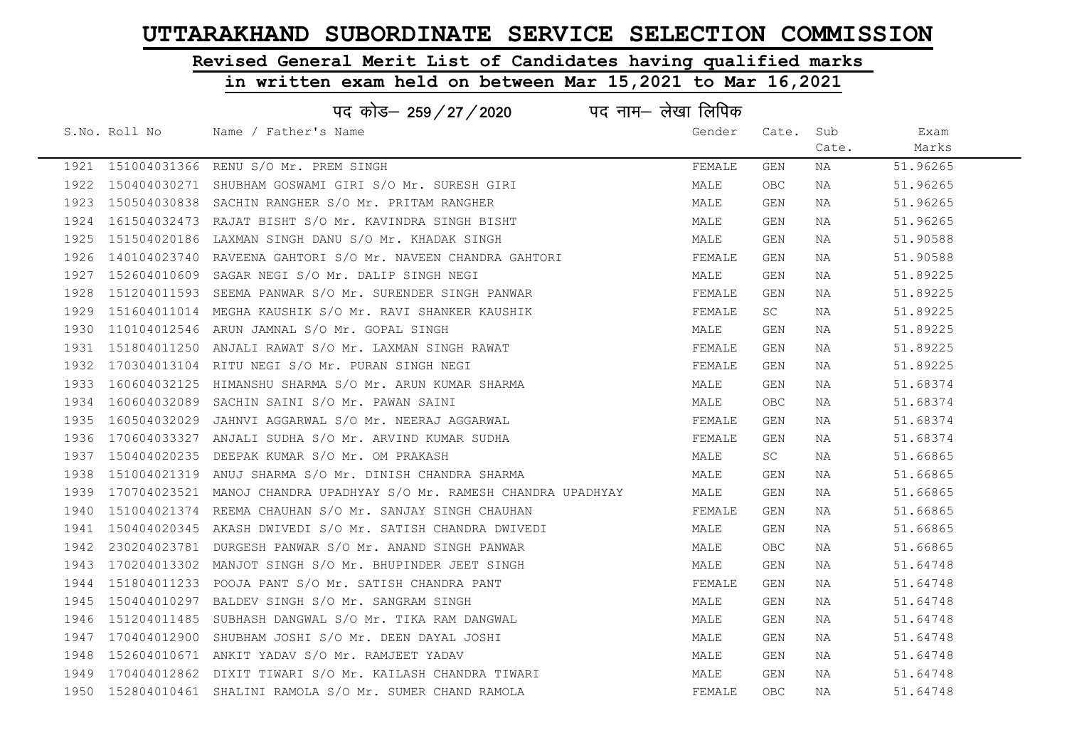# Revised General Merit List of Candidates having qualified marks

|      | पद नाम– लेखा लिपिक<br>पद कोड– 259/27/2020 |                                                                     |        |            |       |          |  |  |
|------|-------------------------------------------|---------------------------------------------------------------------|--------|------------|-------|----------|--|--|
|      | S.No. Roll No                             | Name / Father's Name                                                | Gender | Cate.      | Sub   | Exam     |  |  |
|      |                                           |                                                                     |        |            | Cate. | Marks    |  |  |
|      |                                           | 1921 151004031366 RENU S/O Mr. PREM SINGH                           | FEMALE | GEN        | NA    | 51.96265 |  |  |
| 1922 | 150404030271                              | SHUBHAM GOSWAMI GIRI S/O Mr. SURESH GIRI                            | MALE   | OBC        | NA    | 51.96265 |  |  |
| 1923 |                                           | 150504030838 SACHIN RANGHER S/O Mr. PRITAM RANGHER                  | MALE   | GEN        | NA    | 51.96265 |  |  |
| 1924 |                                           | 161504032473 RAJAT BISHT S/O Mr. KAVINDRA SINGH BISHT               | MALE   | GEN        | NA    | 51.96265 |  |  |
| 1925 |                                           | 151504020186 LAXMAN SINGH DANU S/O Mr. KHADAK SINGH                 | MALE   | GEN        | NA    | 51.90588 |  |  |
| 1926 |                                           | 140104023740 RAVEENA GAHTORI S/O Mr. NAVEEN CHANDRA GAHTORI         | FEMALE | GEN        | NA    | 51.90588 |  |  |
| 1927 |                                           | 152604010609 SAGAR NEGI S/O Mr. DALIP SINGH NEGI                    | MALE   | GEN        | NA    | 51.89225 |  |  |
| 1928 |                                           | 151204011593 SEEMA PANWAR S/O Mr. SURENDER SINGH PANWAR             | FEMALE | GEN        | NA    | 51.89225 |  |  |
| 1929 |                                           | 151604011014 MEGHA KAUSHIK S/O Mr. RAVI SHANKER KAUSHIK             | FEMALE | SC         | NA    | 51.89225 |  |  |
| 1930 |                                           | 110104012546 ARUN JAMNAL S/O Mr. GOPAL SINGH                        | MALE   | GEN        | NA    | 51.89225 |  |  |
| 1931 |                                           | 151804011250 ANJALI RAWAT S/O Mr. LAXMAN SINGH RAWAT                | FEMALE | GEN        | NA    | 51.89225 |  |  |
| 1932 |                                           | 170304013104 RITU NEGI S/O Mr. PURAN SINGH NEGI                     | FEMALE | GEN        | NA    | 51.89225 |  |  |
| 1933 |                                           | 160604032125 HIMANSHU SHARMA S/O Mr. ARUN KUMAR SHARMA              | MALE   | GEN        | NA    | 51.68374 |  |  |
| 1934 |                                           | 160604032089 SACHIN SAINI S/O Mr. PAWAN SAINI                       | MALE   | <b>OBC</b> | NA    | 51.68374 |  |  |
| 1935 |                                           | 160504032029 JAHNVI AGGARWAL S/O Mr. NEERAJ AGGARWAL                | FEMALE | GEN        | NA    | 51.68374 |  |  |
| 1936 |                                           | 170604033327 ANJALI SUDHA S/O Mr. ARVIND KUMAR SUDHA                | FEMALE | GEN        | NA    | 51.68374 |  |  |
| 1937 | 150404020235                              | DEEPAK KUMAR S/O Mr. OM PRAKASH                                     | MALE   | SC         | NA    | 51.66865 |  |  |
| 1938 |                                           | 151004021319 ANUJ SHARMA S/O Mr. DINISH CHANDRA SHARMA              | MALE   | GEN        | NA    | 51.66865 |  |  |
| 1939 |                                           | 170704023521 MANOJ CHANDRA UPADHYAY S/O Mr. RAMESH CHANDRA UPADHYAY | MALE   | GEN        | NA    | 51.66865 |  |  |
| 1940 |                                           | 151004021374 REEMA CHAUHAN S/O Mr. SANJAY SINGH CHAUHAN             | FEMALE | GEN        | NA    | 51.66865 |  |  |
| 1941 |                                           | 150404020345 AKASH DWIVEDI S/O Mr. SATISH CHANDRA DWIVEDI           | MALE   | GEN        | NA    | 51.66865 |  |  |
| 1942 |                                           | 230204023781 DURGESH PANWAR S/O Mr. ANAND SINGH PANWAR              | MALE   | <b>OBC</b> | NA    | 51.66865 |  |  |
| 1943 |                                           | 170204013302 MANJOT SINGH S/O Mr. BHUPINDER JEET SINGH              | MALE   | GEN        | NA    | 51.64748 |  |  |
| 1944 |                                           | 151804011233 POOJA PANT S/O Mr. SATISH CHANDRA PANT                 | FEMALE | GEN        | NA    | 51.64748 |  |  |
| 1945 | 150404010297                              | BALDEV SINGH S/O Mr. SANGRAM SINGH                                  | MALE   | GEN        | NA    | 51.64748 |  |  |
| 1946 |                                           | 151204011485 SUBHASH DANGWAL S/O Mr. TIKA RAM DANGWAL               | MALE   | GEN        | NA    | 51.64748 |  |  |
| 1947 |                                           | 170404012900 SHUBHAM JOSHI S/O Mr. DEEN DAYAL JOSHI                 | MALE   | GEN        | NA    | 51.64748 |  |  |
| 1948 |                                           | 152604010671 ANKIT YADAV S/O Mr. RAMJEET YADAV                      | MALE   | GEN        | NA    | 51.64748 |  |  |
| 1949 |                                           | 170404012862 DIXIT TIWARI S/O Mr. KAILASH CHANDRA TIWARI            | MALE   | GEN        | NA    | 51.64748 |  |  |
|      |                                           | 1950 152804010461 SHALINI RAMOLA S/O Mr. SUMER CHAND RAMOLA         | FEMALE | OBC        | ΝA    | 51.64748 |  |  |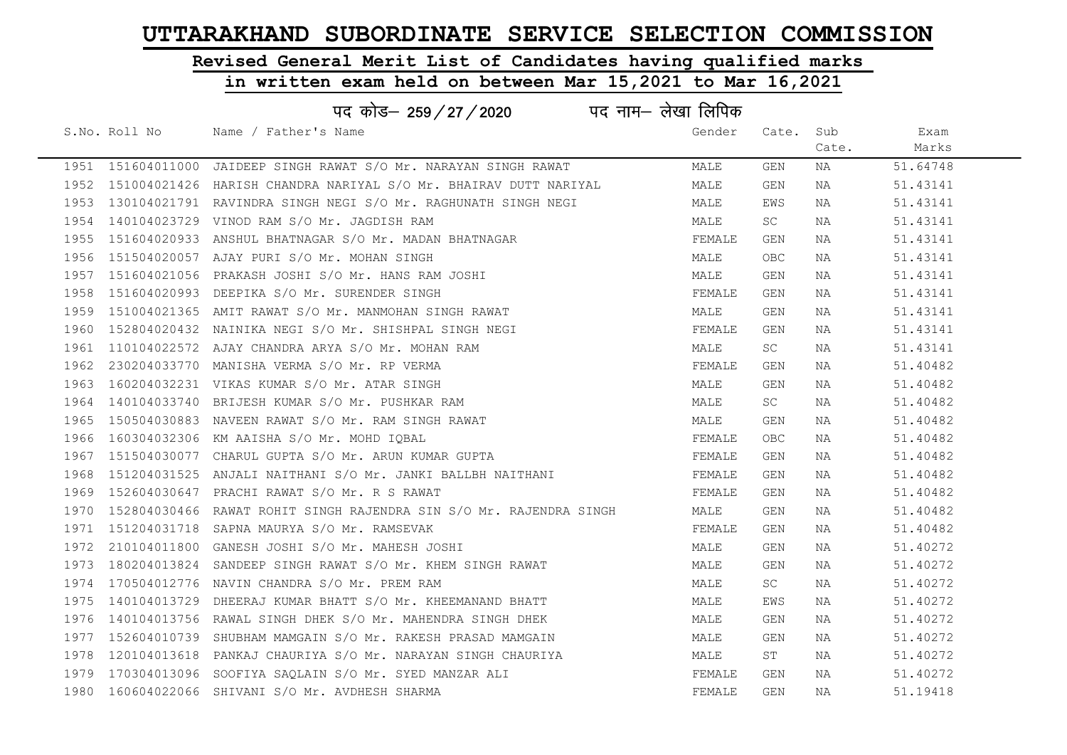# Revised General Merit List of Candidates having qualified marks

|      | पद नाम— लेखा लिपिक<br>पद कोड– 259 / 27 / 2020 |                                                                         |  |        |            |       |          |  |
|------|-----------------------------------------------|-------------------------------------------------------------------------|--|--------|------------|-------|----------|--|
|      | S.No. Roll No                                 | Name / Father's Name                                                    |  | Gender | Cate.      | Sub   | Exam     |  |
|      |                                               |                                                                         |  |        |            | Cate. | Marks    |  |
|      |                                               | 1951 151604011000 JAIDEEP SINGH RAWAT S/O Mr. NARAYAN SINGH RAWAT       |  | MALE   | GEN        | NA    | 51.64748 |  |
|      |                                               | 1952 151004021426 HARISH CHANDRA NARIYAL S/O Mr. BHAIRAV DUTT NARIYAL   |  | MALE   | <b>GEN</b> | NA    | 51.43141 |  |
|      |                                               | 1953 130104021791 RAVINDRA SINGH NEGI S/O Mr. RAGHUNATH SINGH NEGI      |  | MALE   | EWS        | NA    | 51.43141 |  |
|      |                                               | 1954 140104023729 VINOD RAM S/O Mr. JAGDISH RAM                         |  | MALE   | SC         | NA    | 51.43141 |  |
|      |                                               | 1955 151604020933 ANSHUL BHATNAGAR S/O Mr. MADAN BHATNAGAR              |  | FEMALE | GEN        | NA    | 51.43141 |  |
|      |                                               | 1956 151504020057 AJAY PURI S/O Mr. MOHAN SINGH                         |  | MALE   | <b>OBC</b> | NA    | 51.43141 |  |
|      |                                               | 1957 151604021056 PRAKASH JOSHI S/O Mr. HANS RAM JOSHI                  |  | MALE   | GEN        | NA    | 51.43141 |  |
| 1958 |                                               | 151604020993 DEEPIKA S/O Mr. SURENDER SINGH                             |  | FEMALE | GEN        | NA    | 51.43141 |  |
|      |                                               | 1959 151004021365 AMIT RAWAT S/O Mr. MANMOHAN SINGH RAWAT               |  | MALE   | GEN        | NA    | 51.43141 |  |
|      |                                               | 1960 152804020432 NAINIKA NEGI S/O Mr. SHISHPAL SINGH NEGI              |  | FEMALE | GEN        | NA    | 51.43141 |  |
|      |                                               | 1961 110104022572 AJAY CHANDRA ARYA S/O Mr. MOHAN RAM                   |  | MALE   | <b>SC</b>  | NA    | 51.43141 |  |
|      |                                               | 1962 230204033770 MANISHA VERMA S/O Mr. RP VERMA                        |  | FEMALE | GEN        | NA    | 51.40482 |  |
|      |                                               | 1963 160204032231 VIKAS KUMAR S/O Mr. ATAR SINGH                        |  | MALE   | GEN        | NA    | 51.40482 |  |
|      |                                               | 1964 140104033740 BRIJESH KUMAR S/O Mr. PUSHKAR RAM                     |  | MALE   | SC.        | NA    | 51.40482 |  |
|      |                                               | 1965 150504030883 NAVEEN RAWAT S/O Mr. RAM SINGH RAWAT                  |  | MALE   | GEN        | NA    | 51.40482 |  |
| 1966 |                                               | 160304032306 KM AAISHA S/O Mr. MOHD IOBAL                               |  | FEMALE | <b>OBC</b> | NA    | 51.40482 |  |
|      |                                               | 1967 151504030077 CHARUL GUPTA S/O Mr. ARUN KUMAR GUPTA                 |  | FEMALE | GEN        | NA    | 51.40482 |  |
| 1968 |                                               | 151204031525 ANJALI NAITHANI S/O Mr. JANKI BALLBH NAITHANI              |  | FEMALE | <b>GEN</b> | NA    | 51.40482 |  |
|      |                                               | 1969 152604030647 PRACHI RAWAT S/O Mr. R S RAWAT                        |  | FEMALE | GEN        | NA    | 51.40482 |  |
|      |                                               | 1970 152804030466 RAWAT ROHIT SINGH RAJENDRA SIN S/O Mr. RAJENDRA SINGH |  | MALE   | GEN        | NA    | 51.40482 |  |
|      |                                               | 1971 151204031718 SAPNA MAURYA S/O Mr. RAMSEVAK                         |  | FEMALE | GEN        | NA    | 51.40482 |  |
| 1972 |                                               | 210104011800 GANESH JOSHI S/O Mr. MAHESH JOSHI                          |  | MALE   | GEN        | NA    | 51.40272 |  |
|      |                                               | 1973 180204013824 SANDEEP SINGH RAWAT S/O Mr. KHEM SINGH RAWAT          |  | MALE   | GEN        | NA    | 51.40272 |  |
| 1974 |                                               | 170504012776 NAVIN CHANDRA S/O Mr. PREM RAM                             |  | MALE   | SC         | NA    | 51.40272 |  |
|      |                                               | 1975 140104013729 DHEERAJ KUMAR BHATT S/O Mr. KHEEMANAND BHATT          |  | MALE   | EWS        | NA    | 51.40272 |  |
|      |                                               | 1976 140104013756 RAWAL SINGH DHEK S/O Mr. MAHENDRA SINGH DHEK          |  | MALE   | GEN        | NA    | 51.40272 |  |
|      |                                               | 1977 152604010739 SHUBHAM MAMGAIN S/O Mr. RAKESH PRASAD MAMGAIN         |  | MALE   | GEN        | NA    | 51.40272 |  |
|      |                                               | 1978 120104013618 PANKAJ CHAURIYA S/O Mr. NARAYAN SINGH CHAURIYA        |  | MALE   | ST         | NA    | 51.40272 |  |
|      |                                               | 1979 170304013096 SOOFIYA SAQLAIN S/O Mr. SYED MANZAR ALI               |  | FEMALE | GEN        | NA    | 51.40272 |  |
|      |                                               | 1980 160604022066 SHIVANI S/O Mr. AVDHESH SHARMA                        |  | FEMALE | <b>GEN</b> | ΝA    | 51.19418 |  |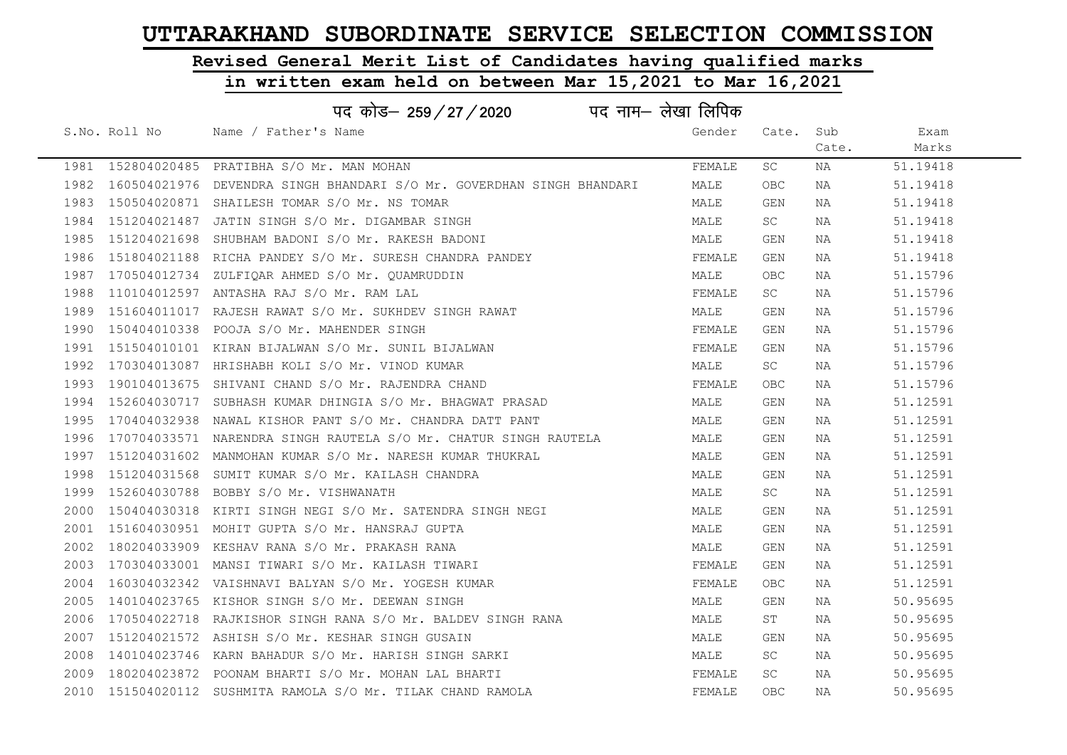# Revised General Merit List of Candidates having qualified marks

|      | पद नाम– लेखा लिपिक<br>पद कोड– 259 / 27 / 2020 |                                                                            |        |            |       |          |  |  |
|------|-----------------------------------------------|----------------------------------------------------------------------------|--------|------------|-------|----------|--|--|
|      | S.No. Roll No                                 | Name / Father's Name                                                       | Gender | Cate.      | Sub   | Exam     |  |  |
|      |                                               |                                                                            |        |            | Cate. | Marks    |  |  |
|      |                                               | 1981 152804020485 PRATIBHA S/O Mr. MAN MOHAN                               | FEMALE | SC.        | NA    | 51.19418 |  |  |
|      |                                               | 1982 160504021976 DEVENDRA SINGH BHANDARI S/O Mr. GOVERDHAN SINGH BHANDARI | MALE   | OBC        | NA    | 51.19418 |  |  |
|      |                                               | 1983 150504020871 SHAILESH TOMAR S/O Mr. NS TOMAR                          | MALE   | GEN        | NA    | 51.19418 |  |  |
|      |                                               | 1984 151204021487 JATIN SINGH S/O Mr. DIGAMBAR SINGH                       | MALE   | SC         | NA    | 51.19418 |  |  |
|      |                                               | 1985 151204021698 SHUBHAM BADONI S/O Mr. RAKESH BADONI                     | MALE   | GEN        | NA    | 51.19418 |  |  |
|      |                                               | 1986 151804021188 RICHA PANDEY S/O Mr. SURESH CHANDRA PANDEY               | FEMALE | GEN        | NA    | 51.19418 |  |  |
|      |                                               | 1987 170504012734 ZULFIQAR AHMED S/O Mr. QUAMRUDDIN                        | MALE   | <b>OBC</b> | NA    | 51.15796 |  |  |
| 1988 |                                               | 110104012597 ANTASHA RAJ S/O Mr. RAM LAL                                   | FEMALE | SC         | NA    | 51.15796 |  |  |
|      |                                               | 1989 151604011017 RAJESH RAWAT S/O Mr. SUKHDEV SINGH RAWAT                 | MALE   | GEN        | NA    | 51.15796 |  |  |
| 1990 |                                               | 150404010338 POOJA S/O Mr. MAHENDER SINGH                                  | FEMALE | <b>GEN</b> | NA    | 51.15796 |  |  |
|      |                                               | 1991 151504010101 KIRAN BIJALWAN S/O Mr. SUNIL BIJALWAN                    | FEMALE | GEN        | NA    | 51.15796 |  |  |
|      |                                               | 1992 170304013087 HRISHABH KOLI S/O Mr. VINOD KUMAR                        | MALE   | SC         | NA    | 51.15796 |  |  |
|      |                                               | 1993 190104013675 SHIVANI CHAND S/O Mr. RAJENDRA CHAND                     | FEMALE | <b>OBC</b> | NA    | 51.15796 |  |  |
|      |                                               | 1994 152604030717 SUBHASH KUMAR DHINGIA S/O Mr. BHAGWAT PRASAD             | MALE   | GEN        | NA    | 51.12591 |  |  |
|      |                                               | 1995 170404032938 NAWAL KISHOR PANT S/O Mr. CHANDRA DATT PANT              | MALE   | GEN        | NA    | 51.12591 |  |  |
| 1996 |                                               | 170704033571 NARENDRA SINGH RAUTELA S/O Mr. CHATUR SINGH RAUTELA           | MALE   | GEN        | NA    | 51.12591 |  |  |
|      |                                               | 1997 151204031602 MANMOHAN KUMAR S/O Mr. NARESH KUMAR THUKRAL              | MALE   | GEN        | NA    | 51.12591 |  |  |
| 1998 |                                               | 151204031568 SUMIT KUMAR S/O Mr. KAILASH CHANDRA                           | MALE   | <b>GEN</b> | NA    | 51.12591 |  |  |
|      |                                               | 1999 152604030788 BOBBY S/O Mr. VISHWANATH                                 | MALE   | SC         | NA    | 51.12591 |  |  |
| 2000 |                                               | 150404030318 KIRTI SINGH NEGI S/O Mr. SATENDRA SINGH NEGI                  | MALE   | GEN        | NA    | 51.12591 |  |  |
|      |                                               | 2001 151604030951 MOHIT GUPTA S/O Mr. HANSRAJ GUPTA                        | MALE   | GEN        | NA    | 51.12591 |  |  |
| 2002 |                                               | 180204033909 KESHAV RANA S/O Mr. PRAKASH RANA                              | MALE   | <b>GEN</b> | NA    | 51.12591 |  |  |
|      |                                               | 2003 170304033001 MANSI TIWARI S/O Mr. KAILASH TIWARI                      | FEMALE | <b>GEN</b> | NA    | 51.12591 |  |  |
| 2004 |                                               | 160304032342 VAISHNAVI BALYAN S/O Mr. YOGESH KUMAR                         | FEMALE | <b>OBC</b> | NA    | 51.12591 |  |  |
| 2005 |                                               | 140104023765 KISHOR SINGH S/O Mr. DEEWAN SINGH                             | MALE   | GEN        | NA    | 50.95695 |  |  |
| 2006 |                                               | 170504022718 RAJKISHOR SINGH RANA S/O Mr. BALDEV SINGH RANA                | MALE   | ST         | NA    | 50.95695 |  |  |
|      |                                               | 2007 151204021572 ASHISH S/O Mr. KESHAR SINGH GUSAIN                       | MALE   | <b>GEN</b> | NA    | 50.95695 |  |  |
| 2008 |                                               | 140104023746 KARN BAHADUR S/O Mr. HARISH SINGH SARKI                       | MALE   | SC         | NA    | 50.95695 |  |  |
| 2009 |                                               | 180204023872 POONAM BHARTI S/O Mr. MOHAN LAL BHARTI                        | FEMALE | SC         | NA    | 50.95695 |  |  |
|      |                                               | 2010 151504020112 SUSHMITA RAMOLA S/O Mr. TILAK CHAND RAMOLA               | FEMALE | <b>OBC</b> | NA    | 50.95695 |  |  |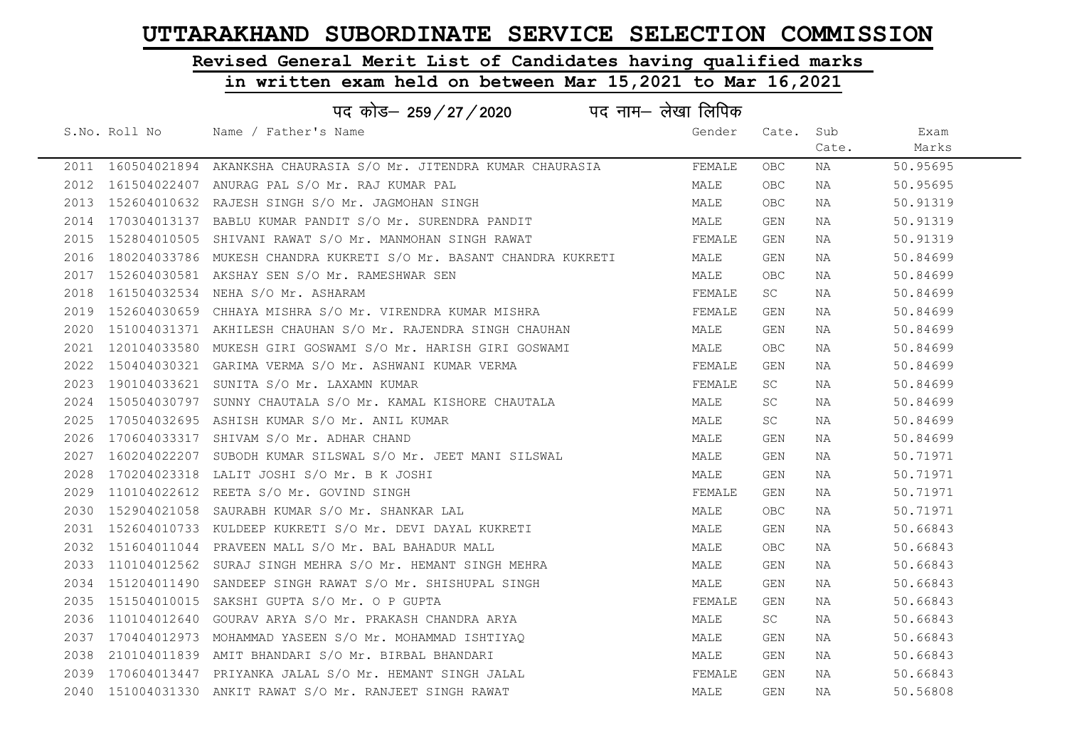# Revised General Merit List of Candidates having qualified marks

|      | पद नाम– लेखा लिपिक<br>पद कोड– 259/27/2020 |                                                                         |        |            |       |          |  |  |
|------|-------------------------------------------|-------------------------------------------------------------------------|--------|------------|-------|----------|--|--|
|      | S.No. Roll No                             | Name / Father's Name                                                    | Gender | Cate.      | Sub   | Exam     |  |  |
|      |                                           |                                                                         |        |            | Cate. | Marks    |  |  |
|      |                                           | 2011 160504021894 AKANKSHA CHAURASIA S/O Mr. JITENDRA KUMAR CHAURASIA   | FEMALE | <b>OBC</b> | NA    | 50.95695 |  |  |
|      |                                           | 2012 161504022407 ANURAG PAL S/O Mr. RAJ KUMAR PAL                      | MALE   | OBC        | NA    | 50.95695 |  |  |
|      |                                           | 2013 152604010632 RAJESH SINGH S/O Mr. JAGMOHAN SINGH                   | MALE   | OBC        | NA    | 50.91319 |  |  |
| 2014 | 170304013137                              | BABLU KUMAR PANDIT S/O Mr. SURENDRA PANDIT                              | MALE   | GEN        | NA    | 50.91319 |  |  |
| 2015 |                                           | 152804010505 SHIVANI RAWAT S/O Mr. MANMOHAN SINGH RAWAT                 | FEMALE | GEN        | NA    | 50.91319 |  |  |
|      |                                           | 2016 180204033786 MUKESH CHANDRA KUKRETI S/O Mr. BASANT CHANDRA KUKRETI | MALE   | GEN        | NA    | 50.84699 |  |  |
|      |                                           | 2017 152604030581 AKSHAY SEN S/O Mr. RAMESHWAR SEN                      | MALE   | <b>OBC</b> | NA    | 50.84699 |  |  |
| 2018 |                                           | 161504032534 NEHA S/O Mr. ASHARAM                                       | FEMALE | SC         | NA    | 50.84699 |  |  |
| 2019 | 152604030659                              | CHHAYA MISHRA S/O Mr. VIRENDRA KUMAR MISHRA                             | FEMALE | GEN        | NA    | 50.84699 |  |  |
| 2020 |                                           | 151004031371 AKHILESH CHAUHAN S/O Mr. RAJENDRA SINGH CHAUHAN            | MALE   | GEN        | NA    | 50.84699 |  |  |
| 2021 |                                           | 120104033580 MUKESH GIRI GOSWAMI S/O Mr. HARISH GIRI GOSWAMI            | MALE   | OBC        | NA    | 50.84699 |  |  |
| 2022 |                                           | 150404030321 GARIMA VERMA S/O Mr. ASHWANI KUMAR VERMA                   | FEMALE | GEN        | NA    | 50.84699 |  |  |
| 2023 | 190104033621                              | SUNITA S/O Mr. LAXAMN KUMAR                                             | FEMALE | SC         | NA    | 50.84699 |  |  |
|      |                                           | 2024 150504030797 SUNNY CHAUTALA S/O Mr. KAMAL KISHORE CHAUTALA         | MALE   | SC.        | NA    | 50.84699 |  |  |
| 2025 |                                           | 170504032695 ASHISH KUMAR S/O Mr. ANIL KUMAR                            | MALE   | SC.        | NA    | 50.84699 |  |  |
| 2026 | 170604033317                              | SHIVAM S/O Mr. ADHAR CHAND                                              | MALE   | GEN        | NA    | 50.84699 |  |  |
| 2027 | 160204022207                              | SUBODH KUMAR SILSWAL S/O Mr. JEET MANI SILSWAL                          | MALE   | GEN        | NA    | 50.71971 |  |  |
| 2028 |                                           | 170204023318 LALIT JOSHI S/O Mr. B K JOSHI                              | MALE   | GEN        | NA    | 50.71971 |  |  |
|      |                                           | 2029 110104022612 REETA S/O Mr. GOVIND SINGH                            | FEMALE | GEN        | NA    | 50.71971 |  |  |
| 2030 |                                           | 152904021058 SAURABH KUMAR S/O Mr. SHANKAR LAL                          | MALE   | OBC        | NA    | 50.71971 |  |  |
|      |                                           | 2031 152604010733 KULDEEP KUKRETI S/O Mr. DEVI DAYAL KUKRETI            | MALE   | GEN        | NA    | 50.66843 |  |  |
| 2032 |                                           | 151604011044 PRAVEEN MALL S/O Mr. BAL BAHADUR MALL                      | MALE   | OBC        | NA    | 50.66843 |  |  |
| 2033 |                                           | 110104012562 SURAJ SINGH MEHRA S/O Mr. HEMANT SINGH MEHRA               | MALE   | GEN        | NA    | 50.66843 |  |  |
| 2034 | 151204011490                              | SANDEEP SINGH RAWAT S/O Mr. SHISHUPAL SINGH                             | MALE   | GEN        | NA    | 50.66843 |  |  |
| 2035 | 151504010015                              | SAKSHI GUPTA S/O Mr. O P GUPTA                                          | FEMALE | GEN        | NA    | 50.66843 |  |  |
| 2036 |                                           | 110104012640 GOURAV ARYA S/O Mr. PRAKASH CHANDRA ARYA                   | MALE   | SC.        | NA    | 50.66843 |  |  |
| 2037 |                                           | 170404012973 MOHAMMAD YASEEN S/O Mr. MOHAMMAD ISHTIYAO                  | MALE   | GEN        | NA    | 50.66843 |  |  |
| 2038 |                                           | 210104011839 AMIT BHANDARI S/O Mr. BIRBAL BHANDARI                      | MALE   | GEN        | NA    | 50.66843 |  |  |
|      |                                           | 2039 170604013447 PRIYANKA JALAL S/O Mr. HEMANT SINGH JALAL             | FEMALE | GEN        | NA    | 50.66843 |  |  |
|      |                                           | 2040 151004031330 ANKIT RAWAT S/O Mr. RANJEET SINGH RAWAT               | MALE   | <b>GEN</b> | ΝA    | 50.56808 |  |  |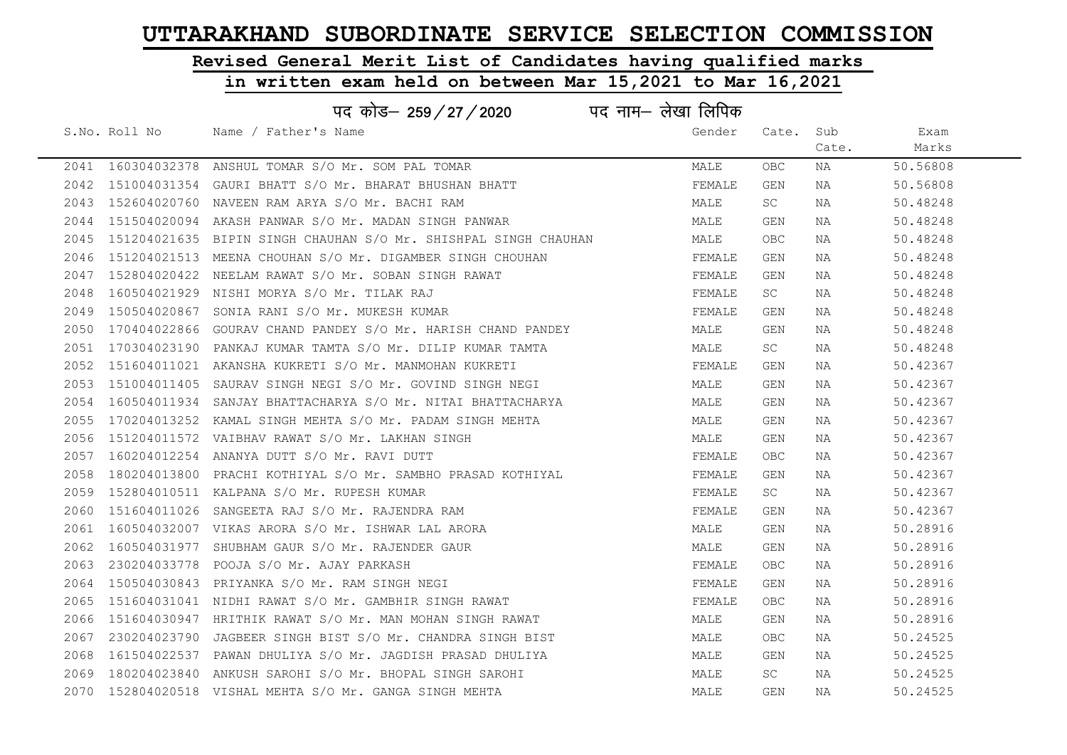## Revised General Merit List of Candidates having qualified marks

| पद कोड– 259/27/2020<br>पद नाम– लेखा लिपिक |               |                                                                 |        |            |       |          |  |
|-------------------------------------------|---------------|-----------------------------------------------------------------|--------|------------|-------|----------|--|
|                                           | S.No. Roll No | Name / Father's Name                                            | Gender | Cate.      | Sub   | Exam     |  |
|                                           |               |                                                                 |        |            | Cate. | Marks    |  |
| 2041                                      |               | 160304032378 ANSHUL TOMAR S/O Mr. SOM PAL TOMAR                 | MALE   | <b>OBC</b> | NA    | 50.56808 |  |
| 2042                                      |               | 151004031354 GAURI BHATT S/O Mr. BHARAT BHUSHAN BHATT           | FEMALE | <b>GEN</b> | NA    | 50.56808 |  |
| 2043                                      |               | 152604020760 NAVEEN RAM ARYA S/O Mr. BACHI RAM                  | MALE   | SC         | NA    | 50.48248 |  |
| 2044                                      |               | 151504020094 AKASH PANWAR S/O Mr. MADAN SINGH PANWAR            | MALE   | GEN        | NA    | 50.48248 |  |
| 2045                                      |               | 151204021635 BIPIN SINGH CHAUHAN S/O Mr. SHISHPAL SINGH CHAUHAN | MALE   | OBC        | NA    | 50.48248 |  |
| 2046                                      |               | 151204021513 MEENA CHOUHAN S/O Mr. DIGAMBER SINGH CHOUHAN       | FEMALE | GEN        | NA    | 50.48248 |  |
| 2047                                      |               | 152804020422 NEELAM RAWAT S/O Mr. SOBAN SINGH RAWAT             | FEMALE | GEN        | NA    | 50.48248 |  |
| 2048                                      |               | 160504021929 NISHI MORYA S/O Mr. TILAK RAJ                      | FEMALE | SC         | NA    | 50.48248 |  |
| 2049                                      | 150504020867  | SONIA RANI S/O Mr. MUKESH KUMAR                                 | FEMALE | GEN        | NA    | 50.48248 |  |
| 2050                                      |               | 170404022866 GOURAV CHAND PANDEY S/O Mr. HARISH CHAND PANDEY    | MALE   | GEN        | NA    | 50.48248 |  |
| 2051                                      |               | 170304023190 PANKAJ KUMAR TAMTA S/O Mr. DILIP KUMAR TAMTA       | MALE   | SC         | NA    | 50.48248 |  |
| 2052                                      |               | 151604011021 AKANSHA KUKRETI S/O Mr. MANMOHAN KUKRETI           | FEMALE | GEN        | NA    | 50.42367 |  |
| 2053                                      | 151004011405  | SAURAV SINGH NEGI S/O Mr. GOVIND SINGH NEGI                     | MALE   | GEN        | NA    | 50.42367 |  |
| 2054                                      |               | 160504011934 SANJAY BHATTACHARYA S/O Mr. NITAI BHATTACHARYA     | MALE   | GEN        | NA    | 50.42367 |  |
| 2055                                      |               | 170204013252 KAMAL SINGH MEHTA S/O Mr. PADAM SINGH MEHTA        | MALE   | GEN        | NA    | 50.42367 |  |
| 2056                                      |               | 151204011572 VAIBHAV RAWAT S/O Mr. LAKHAN SINGH                 | MALE   | <b>GEN</b> | NA    | 50.42367 |  |
| 2057                                      |               | 160204012254 ANANYA DUTT S/O Mr. RAVI DUTT                      | FEMALE | <b>OBC</b> | NA    | 50.42367 |  |
| 2058                                      |               | 180204013800 PRACHI KOTHIYAL S/O Mr. SAMBHO PRASAD KOTHIYAL     | FEMALE | GEN        | NA    | 50.42367 |  |
| 2059                                      |               | 152804010511 KALPANA S/O Mr. RUPESH KUMAR                       | FEMALE | SC.        | NA    | 50.42367 |  |
| 2060                                      |               | 151604011026 SANGEETA RAJ S/O Mr. RAJENDRA RAM                  | FEMALE | GEN        | NA    | 50.42367 |  |
| 2061                                      |               | 160504032007 VIKAS ARORA S/O Mr. ISHWAR LAL ARORA               | MALE   | GEN        | NA    | 50.28916 |  |
| 2062                                      | 160504031977  | SHUBHAM GAUR S/O Mr. RAJENDER GAUR                              | MALE   | GEN        | NA    | 50.28916 |  |
| 2063                                      |               | 230204033778 POOJA S/O Mr. AJAY PARKASH                         | FEMALE | OBC        | NA    | 50.28916 |  |
| 2064                                      |               | 150504030843 PRIYANKA S/O Mr. RAM SINGH NEGI                    | FEMALE | GEN        | NA    | 50.28916 |  |
| 2065                                      |               | 151604031041 NIDHI RAWAT S/O Mr. GAMBHIR SINGH RAWAT            | FEMALE | OBC        | NA    | 50.28916 |  |
| 2066                                      |               | 151604030947 HRITHIK RAWAT S/O Mr. MAN MOHAN SINGH RAWAT        | MALE   | GEN        | NA    | 50.28916 |  |
| 2067                                      |               | 230204023790 JAGBEER SINGH BIST S/O Mr. CHANDRA SINGH BIST      | MALE   | OBC        | NA    | 50.24525 |  |
| 2068                                      |               | 161504022537 PAWAN DHULIYA S/O Mr. JAGDISH PRASAD DHULIYA       | MALE   | GEN        | NA    | 50.24525 |  |
| 2069                                      |               | 180204023840 ANKUSH SAROHI S/O Mr. BHOPAL SINGH SAROHI          | MALE   | SC         | NA    | 50.24525 |  |
|                                           |               | 2070 152804020518 VISHAL MEHTA S/O Mr. GANGA SINGH MEHTA        | MALE   | <b>GEN</b> | ΝA    | 50.24525 |  |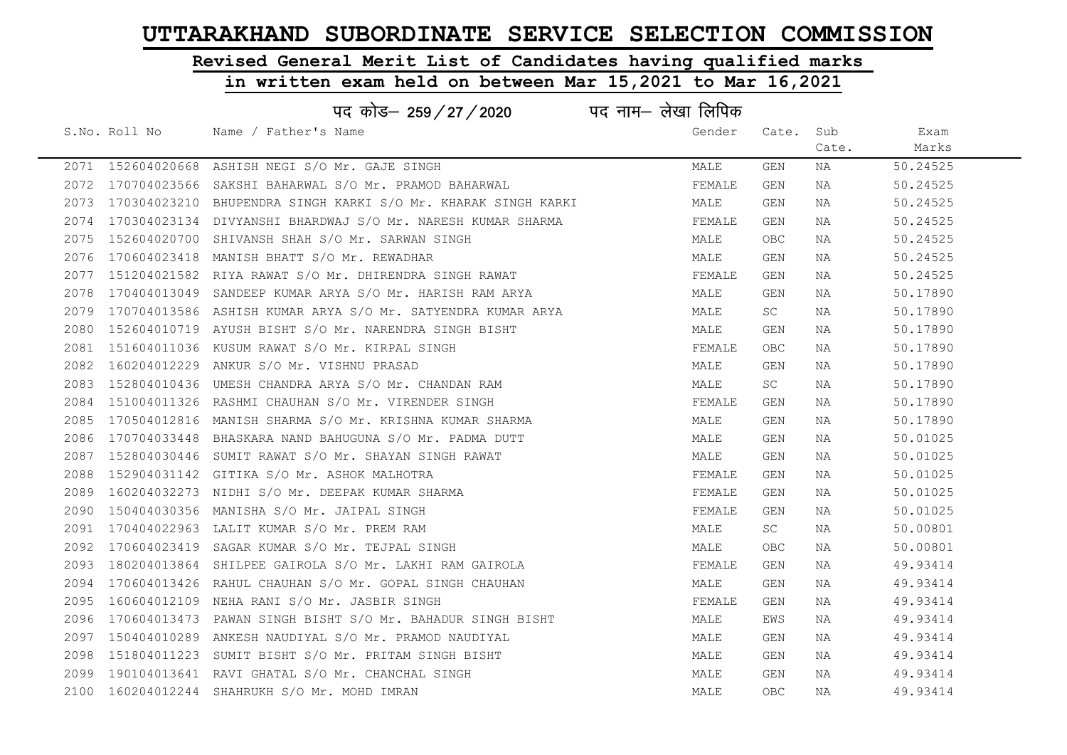# Revised General Merit List of Candidates having qualified marks

|      |               | पद कोड– 259/27/2020                                                | पद नाम– लेखा लिपिक |            |       |          |
|------|---------------|--------------------------------------------------------------------|--------------------|------------|-------|----------|
|      | S.No. Roll No | Name / Father's Name                                               | Gender             | Cate. Sub  |       | Exam     |
|      |               |                                                                    |                    |            | Cate. | Marks    |
|      |               | 2071 152604020668 ASHISH NEGI S/O Mr. GAJE SINGH                   | MALE               | GEN        | NA    | 50.24525 |
|      |               | 2072 170704023566 SAKSHI BAHARWAL S/O Mr. PRAMOD BAHARWAL          | FEMALE             | GEN        | NA    | 50.24525 |
| 2073 |               | 170304023210 BHUPENDRA SINGH KARKI S/O Mr. KHARAK SINGH KARKI      | MALE               | <b>GEN</b> | NA    | 50.24525 |
| 2074 |               | 170304023134 DIVYANSHI BHARDWAJ S/O Mr. NARESH KUMAR SHARMA        | FEMALE             | GEN        | NA    | 50.24525 |
| 2075 |               | 152604020700 SHIVANSH SHAH S/O Mr. SARWAN SINGH                    | MALE               | OBC.       | NA    | 50.24525 |
|      |               | 2076 170604023418 MANISH BHATT S/O Mr. REWADHAR                    | MALE               | GEN        | NA    | 50.24525 |
| 2077 |               | 151204021582 RIYA RAWAT S/O Mr. DHIRENDRA SINGH RAWAT              | FEMALE             | GEN        | NA    | 50.24525 |
| 2078 |               | 170404013049 SANDEEP KUMAR ARYA S/O Mr. HARISH RAM ARYA            | MALE               | GEN        | NA    | 50.17890 |
|      |               | 2079  170704013586  ASHISH KUMAR ARYA S/O Mr. SATYENDRA KUMAR ARYA | MALE               | SC.        | NA    | 50.17890 |
| 2080 |               | 152604010719 AYUSH BISHT S/O Mr. NARENDRA SINGH BISHT              | MALE               | GEN        | NA    | 50.17890 |
| 2081 |               | 151604011036 KUSUM RAWAT S/O Mr. KIRPAL SINGH                      | FEMALE             | OBC        | NA    | 50.17890 |
|      |               | 2082 160204012229 ANKUR S/O Mr. VISHNU PRASAD                      | MALE               | GEN        | NA    | 50.17890 |
|      |               | 2083 152804010436 UMESH CHANDRA ARYA S/O Mr. CHANDAN RAM           | MALE               | SC         | NA    | 50.17890 |
|      |               | 2084 151004011326 RASHMI CHAUHAN S/O Mr. VIRENDER SINGH            | FEMALE             | GEN        | NA    | 50.17890 |
|      |               | 2085 170504012816 MANISH SHARMA S/O Mr. KRISHNA KUMAR SHARMA       | MALE               | GEN        | NA    | 50.17890 |
| 2086 |               | 170704033448 BHASKARA NAND BAHUGUNA S/O Mr. PADMA DUTT             | MALE               | GEN        | NA    | 50.01025 |
| 2087 | 152804030446  | SUMIT RAWAT S/O Mr. SHAYAN SINGH RAWAT                             | MALE               | GEN        | NA    | 50.01025 |
| 2088 |               | 152904031142 GITIKA S/O Mr. ASHOK MALHOTRA                         | FEMALE             | GEN        | NA    | 50.01025 |
| 2089 |               | 160204032273 NIDHI S/O Mr. DEEPAK KUMAR SHARMA                     | FEMALE             | GEN        | NA    | 50.01025 |
| 2090 |               | 150404030356 MANISHA S/O Mr. JAIPAL SINGH                          | FEMALE             | GEN        | NA    | 50.01025 |
| 2091 |               | 170404022963 LALIT KUMAR S/O Mr. PREM RAM                          | MALE               | SC         | NA    | 50.00801 |
| 2092 |               | 170604023419 SAGAR KUMAR S/O Mr. TEJPAL SINGH                      | MALE               | OBC        | NA    | 50.00801 |
| 2093 |               | 180204013864 SHILPEE GAIROLA S/O Mr. LAKHI RAM GAIROLA             | FEMALE             | GEN        | NA    | 49.93414 |
| 2094 |               | 170604013426 RAHUL CHAUHAN S/O Mr. GOPAL SINGH CHAUHAN             | MALE               | GEN        | NA    | 49.93414 |
| 2095 |               | 160604012109 NEHA RANI S/O Mr. JASBIR SINGH                        | FEMALE             | GEN        | NA    | 49.93414 |
| 2096 |               | 170604013473 PAWAN SINGH BISHT S/O Mr. BAHADUR SINGH BISHT         | MALE               | EWS        | NA    | 49.93414 |
| 2097 |               | 150404010289 ANKESH NAUDIYAL S/O Mr. PRAMOD NAUDIYAL               | MALE               | GEN        | NA    | 49.93414 |
| 2098 |               | 151804011223 SUMIT BISHT S/O Mr. PRITAM SINGH BISHT                | MALE               | GEN        | NA    | 49.93414 |
| 2099 |               | 190104013641 RAVI GHATAL S/O Mr. CHANCHAL SINGH                    | MALE               | GEN        | NA    | 49.93414 |
|      |               | 2100 160204012244 SHAHRUKH S/O Mr. MOHD IMRAN                      | MALE               | <b>OBC</b> | NA    | 49.93414 |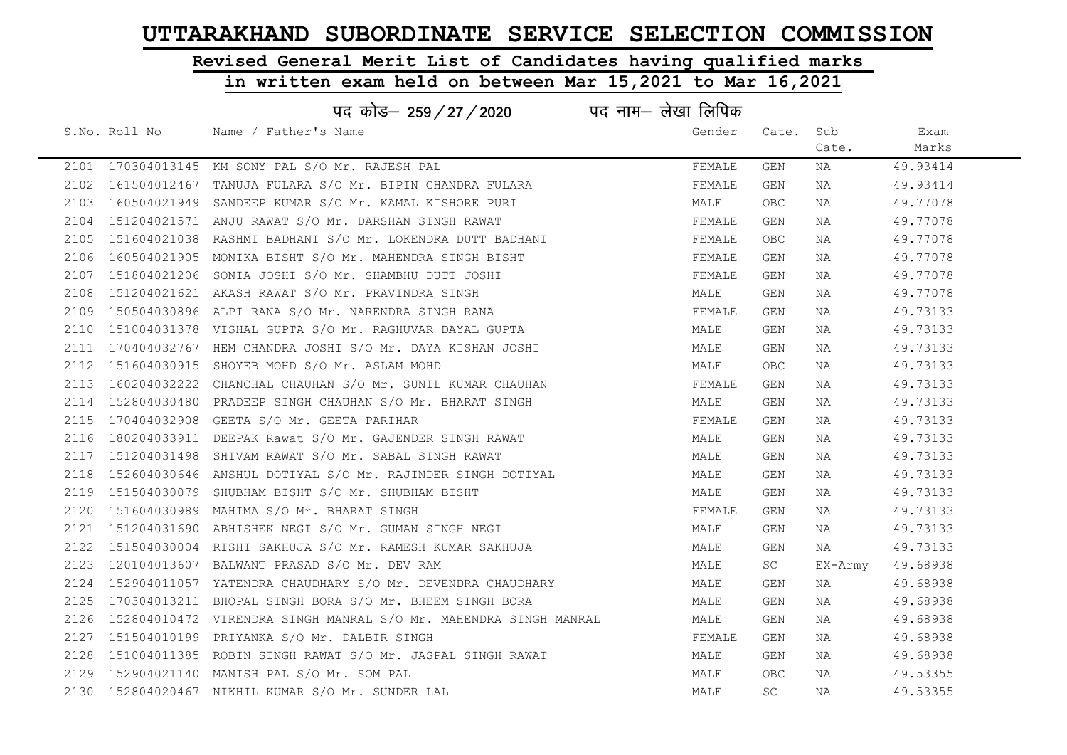# Revised General Merit List of Candidates having qualified marks

|      | पद कोड– 259/27/2020 पद नाम– लेखा लिपिक                           |        |           |         |          |
|------|------------------------------------------------------------------|--------|-----------|---------|----------|
|      | S.No. Roll No Name / Father's Name                               | Gender | Cate. Sub |         | Exam     |
|      |                                                                  |        |           | Cate.   | Marks    |
|      | 2101 170304013145 KM SONY PAL S/O Mr. RAJESH PAL                 | FEMALE | GEN       | NA      | 49.93414 |
| 2102 | 161504012467 TANUJA FULARA S/O Mr. BIPIN CHANDRA FULARA          | FEMALE | GEN       | NA      | 49.93414 |
| 2103 | 160504021949 SANDEEP KUMAR S/O Mr. KAMAL KISHORE PURI            | MALE   | OBC       | NA      | 49.77078 |
| 2104 | 151204021571 ANJU RAWAT S/O Mr. DARSHAN SINGH RAWAT              | FEMALE | GEN       | NA      | 49.77078 |
| 2105 | 151604021038 RASHMI BADHANI S/O Mr. LOKENDRA DUTT BADHANI        | FEMALE | OBC.      | NA      | 49.77078 |
| 2106 | 160504021905 MONIKA BISHT S/O Mr. MAHENDRA SINGH BISHT           | FEMALE | GEN       | NA      | 49.77078 |
| 2107 | 151804021206 SONIA JOSHI S/O Mr. SHAMBHU DUTT JOSHI              | FEMALE | GEN       | NA      | 49.77078 |
| 2108 | 151204021621 AKASH RAWAT S/O Mr. PRAVINDRA SINGH                 | MALE   | GEN       | NA      | 49.77078 |
| 2109 | 150504030896 ALPI RANA S/O Mr. NARENDRA SINGH RANA               | FEMALE | GEN       | NA      | 49.73133 |
| 2110 | 151004031378 VISHAL GUPTA S/O Mr. RAGHUVAR DAYAL GUPTA           | MALE   | GEN       | NA      | 49.73133 |
| 2111 | 170404032767 HEM CHANDRA JOSHI S/O Mr. DAYA KISHAN JOSHI         | MALE   | GEN       | NA      | 49.73133 |
| 2112 | 151604030915 SHOYEB MOHD S/O Mr. ASLAM MOHD                      | MALE   | OBC       | NA      | 49.73133 |
| 2113 | 160204032222 CHANCHAL CHAUHAN S/O Mr. SUNIL KUMAR CHAUHAN        | FEMALE | GEN       | NA      | 49.73133 |
| 2114 | 152804030480 PRADEEP SINGH CHAUHAN S/O Mr. BHARAT SINGH          | MALE   | GEN       | NA      | 49.73133 |
| 2115 | 170404032908 GEETA S/O Mr. GEETA PARIHAR                         | FEMALE | GEN       | NA      | 49.73133 |
| 2116 | 180204033911 DEEPAK Rawat S/O Mr. GAJENDER SINGH RAWAT           | MALE   | GEN       | NA      | 49.73133 |
| 2117 | 151204031498 SHIVAM RAWAT S/O Mr. SABAL SINGH RAWAT              | MALE   | GEN       | NA      | 49.73133 |
| 2118 | 152604030646 ANSHUL DOTIYAL S/O Mr. RAJINDER SINGH DOTIYAL       | MALE   | GEN       | NA      | 49.73133 |
| 2119 | 151504030079 SHUBHAM BISHT S/O Mr. SHUBHAM BISHT                 | MALE   | GEN       | NA      | 49.73133 |
| 2120 | 151604030989 MAHIMA S/O Mr. BHARAT SINGH                         | FEMALE | GEN       | NA      | 49.73133 |
| 2121 | 151204031690 ABHISHEK NEGI S/O Mr. GUMAN SINGH NEGI              | MALE   | GEN       | NA NA   | 49.73133 |
| 2122 | 151504030004 RISHI SAKHUJA S/O Mr. RAMESH KUMAR SAKHUJA          | MALE   | GEN       | NA      | 49.73133 |
| 2123 | 120104013607 BALWANT PRASAD S/O Mr. DEV RAM                      | MALE   | SC -      | EX-Army | 49.68938 |
| 2124 | 152904011057 YATENDRA CHAUDHARY S/O Mr. DEVENDRA CHAUDHARY       | MALE   | GEN       | NA      | 49.68938 |
| 2125 | 170304013211 BHOPAL SINGH BORA S/O Mr. BHEEM SINGH BORA          | MALE   | GEN       | NA      | 49.68938 |
| 2126 | 152804010472 VIRENDRA SINGH MANRAL S/O Mr. MAHENDRA SINGH MANRAL | MALE   | GEN       | NA      | 49.68938 |
| 2127 | 151504010199 PRIYANKA S/O Mr. DALBIR SINGH                       | FEMALE | GEN       | NA      | 49.68938 |
| 2128 | 151004011385 ROBIN SINGH RAWAT S/O Mr. JASPAL SINGH RAWAT        | MALE   | GEN       | NA      | 49.68938 |
| 2129 | 152904021140 MANISH PAL S/O Mr. SOM PAL                          | MALE   | OBC.      | NA      | 49.53355 |
|      | 2130 152804020467 NIKHIL KUMAR S/O Mr. SUNDER LAL                | MALE   | SC        | NA      | 49.53355 |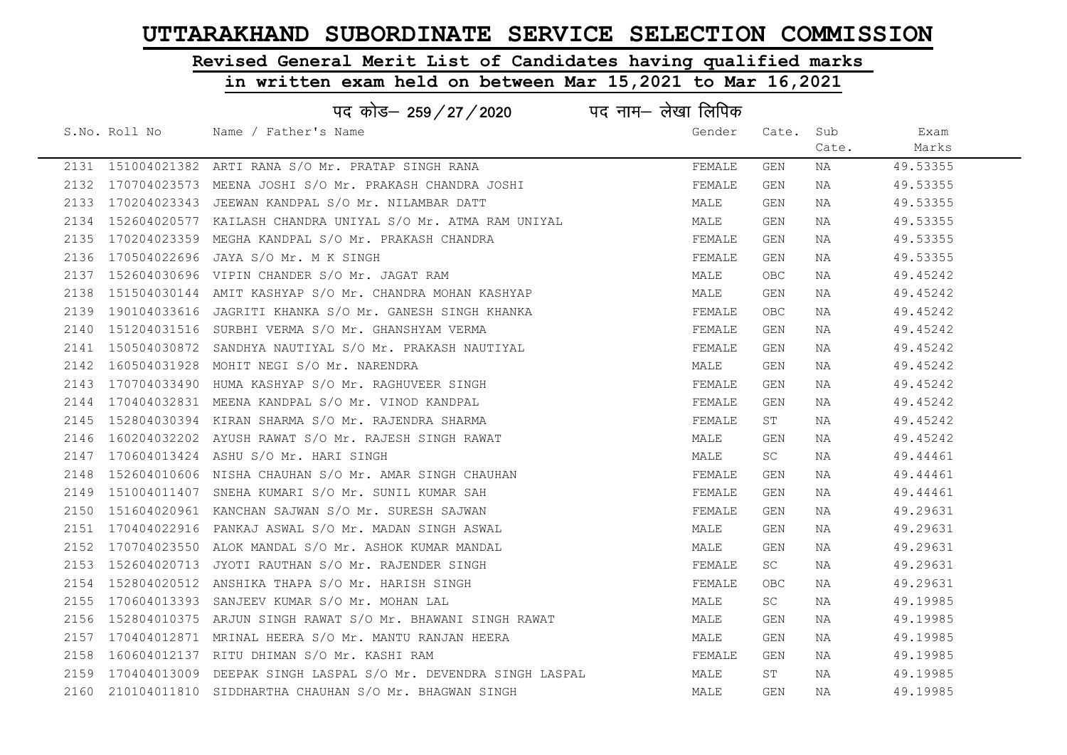# Revised General Merit List of Candidates having qualified marks

|      |               | पद कोड– 259/27/2020                                                 | पद नाम– लेखा लिपिक |            |       |          |
|------|---------------|---------------------------------------------------------------------|--------------------|------------|-------|----------|
|      | S.No. Roll No | Name / Father's Name                                                | Gender             | Cate. Sub  |       | Exam     |
|      |               |                                                                     |                    |            | Cate. | Marks    |
|      |               | 2131 151004021382 ARTI RANA S/O Mr. PRATAP SINGH RANA               | FEMALE             | GEN        | NA    | 49.53355 |
|      |               | 2132 170704023573 MEENA JOSHI S/O Mr. PRAKASH CHANDRA JOSHI         | FEMALE             | GEN        | NA    | 49.53355 |
|      |               | 2133 170204023343 JEEWAN KANDPAL S/O Mr. NILAMBAR DATT              | MALE               | GEN        | NA    | 49.53355 |
|      |               | 2134 152604020577 KAILASH CHANDRA UNIYAL S/O Mr. ATMA RAM UNIYAL    | MALE               | GEN        | NA    | 49.53355 |
|      |               | 2135 170204023359 MEGHA KANDPAL S/O Mr. PRAKASH CHANDRA             | FEMALE             | GEN        | NA    | 49.53355 |
|      |               | 2136 170504022696 JAYA S/O Mr. M K SINGH                            | FEMALE             | GEN        | NA    | 49.53355 |
|      |               | 2137 152604030696 VIPIN CHANDER S/O Mr. JAGAT RAM                   | MALE               | <b>OBC</b> | NA    | 49.45242 |
| 2138 |               | 151504030144 AMIT KASHYAP S/O Mr. CHANDRA MOHAN KASHYAP             | MALE               | <b>GEN</b> | NA    | 49.45242 |
|      |               | 2139 190104033616 JAGRITI KHANKA S/O Mr. GANESH SINGH KHANKA        | FEMALE             | OBC        | NA    | 49.45242 |
| 2140 |               | 151204031516 SURBHI VERMA S/O Mr. GHANSHYAM VERMA                   | FEMALE             | GEN        | NA    | 49.45242 |
|      |               | 2141 150504030872 SANDHYA NAUTIYAL S/O Mr. PRAKASH NAUTIYAL         | FEMALE             | GEN        | NA    | 49.45242 |
|      |               | 2142 160504031928 MOHIT NEGI S/O Mr. NARENDRA                       | MALE               | GEN        | NA    | 49.45242 |
|      |               | 2143 170704033490 HUMA KASHYAP S/O Mr. RAGHUVEER SINGH              | FEMALE             | GEN        | NA    | 49.45242 |
|      |               | 2144 170404032831 MEENA KANDPAL S/O Mr. VINOD KANDPAL               | FEMALE             | GEN        | NA    | 49.45242 |
|      |               | 2145 152804030394 KIRAN SHARMA S/O Mr. RAJENDRA SHARMA              | FEMALE             | ST         | NA    | 49.45242 |
|      |               | 2146 160204032202 AYUSH RAWAT S/O Mr. RAJESH SINGH RAWAT            | MALE               | GEN        | NA    | 49.45242 |
|      |               | 2147 170604013424 ASHU S/O Mr. HARI SINGH                           | MALE               | SC         | NA    | 49.44461 |
| 2148 |               | 152604010606 NISHA CHAUHAN S/O Mr. AMAR SINGH CHAUHAN               | FEMALE             | GEN        | NA    | 49.44461 |
|      |               | 2149 151004011407 SNEHA KUMARI S/O Mr. SUNIL KUMAR SAH              | FEMALE             | GEN        | NA    | 49.44461 |
|      |               | 2150 151604020961 KANCHAN SAJWAN S/O Mr. SURESH SAJWAN              | FEMALE             | GEN        | NA    | 49.29631 |
|      |               | 2151 170404022916 PANKAJ ASWAL S/O Mr. MADAN SINGH ASWAL            | MALE               | GEN        | NA    | 49.29631 |
|      |               | 2152 170704023550 ALOK MANDAL S/O Mr. ASHOK KUMAR MANDAL            | MALE               | GEN        | NA    | 49.29631 |
|      |               | 2153 152604020713 JYOTI RAUTHAN S/O Mr. RAJENDER SINGH              | FEMALE             | SC         | NA    | 49.29631 |
| 2154 |               | 152804020512 ANSHIKA THAPA S/O Mr. HARISH SINGH                     | FEMALE             | OBC        | NA    | 49.29631 |
|      |               | 2155 170604013393 SANJEEV KUMAR S/O Mr. MOHAN LAL                   | MALE               | SC         | NA    | 49.19985 |
|      |               | 2156 152804010375 ARJUN SINGH RAWAT S/O Mr. BHAWANI SINGH RAWAT     | MALE               | GEN        | NA    | 49.19985 |
| 2157 |               | 170404012871 MRINAL HEERA S/O Mr. MANTU RANJAN HEERA                | MALE               | GEN        | NA    | 49.19985 |
| 2158 |               | 160604012137 RITU DHIMAN S/O Mr. KASHI RAM                          | FEMALE             | GEN        | NA    | 49.19985 |
|      |               | 2159 170404013009 DEEPAK SINGH LASPAL S/O Mr. DEVENDRA SINGH LASPAL | MALE               | ST         | NA    | 49.19985 |
|      |               | 2160 210104011810 SIDDHARTHA CHAUHAN S/O Mr. BHAGWAN SINGH          | MALE               | GEN        | NA    | 49.19985 |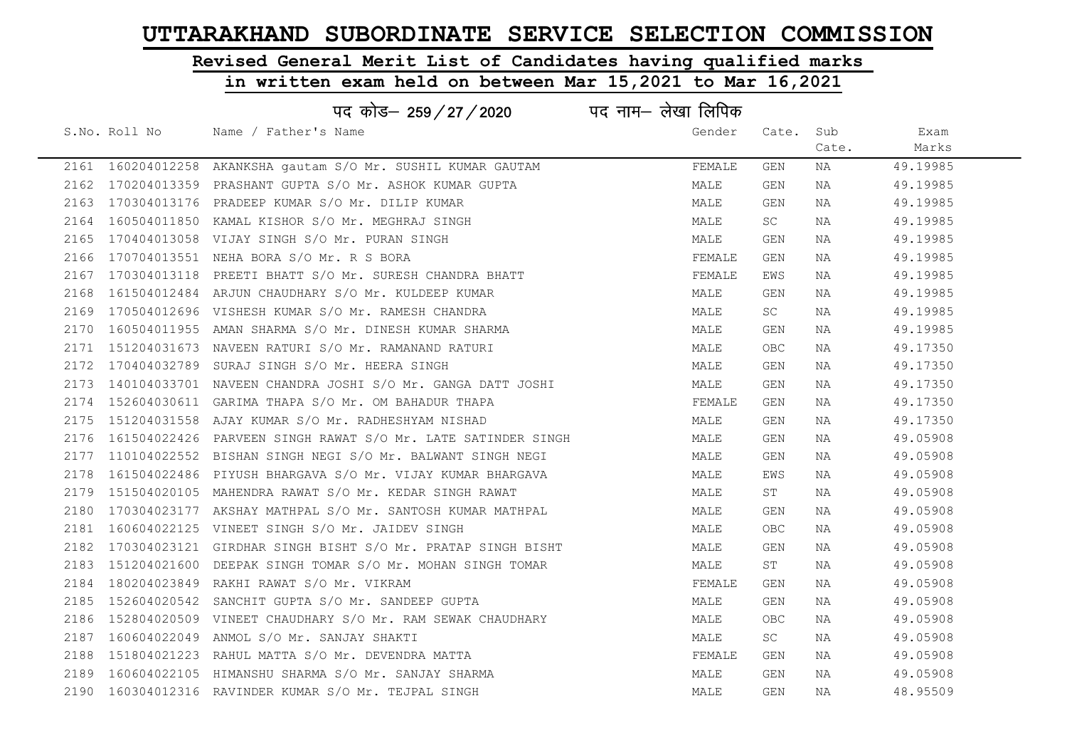# Revised General Merit List of Candidates having qualified marks

|      |               | पद कोड— 259 / 27 / 2020                                           | पद नाम– लेखा लिपिक |            |       |          |
|------|---------------|-------------------------------------------------------------------|--------------------|------------|-------|----------|
|      | S.No. Roll No | Name / Father's Name                                              | Gender             | Cate.      | Sub   | Exam     |
|      |               |                                                                   |                    |            | Cate. | Marks    |
|      |               | 2161 160204012258 AKANKSHA gautam S/O Mr. SUSHIL KUMAR GAUTAM     | FEMALE             | GEN        | NA    | 49.19985 |
|      |               | 2162 170204013359 PRASHANT GUPTA S/O Mr. ASHOK KUMAR GUPTA        | MALE               | GEN        | NA    | 49.19985 |
|      |               | 2163 170304013176 PRADEEP KUMAR S/O Mr. DILIP KUMAR               | MALE               | GEN        | NA    | 49.19985 |
|      |               | 2164 160504011850 KAMAL KISHOR S/O Mr. MEGHRAJ SINGH              | MALE               | SC.        | NA    | 49.19985 |
|      |               | 2165 170404013058 VIJAY SINGH S/O Mr. PURAN SINGH                 | MALE               | GEN        | NA    | 49.19985 |
|      |               | 2166 170704013551 NEHA BORA S/O Mr. R S BORA                      | FEMALE             | GEN        | NA    | 49.19985 |
|      |               | 2167 170304013118 PREETI BHATT S/O Mr. SURESH CHANDRA BHATT       | FEMALE             | EWS        | NA    | 49.19985 |
| 2168 |               | 161504012484 ARJUN CHAUDHARY S/O Mr. KULDEEP KUMAR                | MALE               | GEN        | NA    | 49.19985 |
|      |               | 2169 170504012696 VISHESH KUMAR S/O Mr. RAMESH CHANDRA            | MALE               | SC.        | NA    | 49.19985 |
|      |               | 2170 160504011955 AMAN SHARMA S/O Mr. DINESH KUMAR SHARMA         | MALE               | GEN        | NA    | 49.19985 |
|      |               | 2171 151204031673 NAVEEN RATURI S/O Mr. RAMANAND RATURI           | MALE               | <b>OBC</b> | NA    | 49.17350 |
|      |               | 2172 170404032789 SURAJ SINGH S/O Mr. HEERA SINGH                 | MALE               | GEN        | NA    | 49.17350 |
|      |               | 2173 140104033701 NAVEEN CHANDRA JOSHI S/O Mr. GANGA DATT JOSHI   | MALE               | GEN        | NA    | 49.17350 |
|      |               | 2174 152604030611 GARIMA THAPA S/O Mr. OM BAHADUR THAPA           | FEMALE             | GEN        | NA    | 49.17350 |
|      |               | 2175 151204031558 AJAY KUMAR S/O Mr. RADHESHYAM NISHAD            | MALE               | GEN        | NA    | 49.17350 |
|      |               | 2176 161504022426 PARVEEN SINGH RAWAT S/O Mr. LATE SATINDER SINGH | MALE               | GEN        | NA    | 49.05908 |
|      |               | 2177 110104022552 BISHAN SINGH NEGI S/O Mr. BALWANT SINGH NEGI    | MALE               | GEN        | NA    | 49.05908 |
|      |               | 2178 161504022486 PIYUSH BHARGAVA S/O Mr. VIJAY KUMAR BHARGAVA    | MALE               | EWS        | NA    | 49.05908 |
|      |               | 2179 151504020105 MAHENDRA RAWAT S/O Mr. KEDAR SINGH RAWAT        | MALE               | ST         | NA    | 49.05908 |
|      |               | 2180 170304023177 AKSHAY MATHPAL S/O Mr. SANTOSH KUMAR MATHPAL    | MALE               | GEN        | NA    | 49.05908 |
|      |               | 2181 160604022125 VINEET SINGH S/O Mr. JAIDEV SINGH               | MALE               | OBC        | NA    | 49.05908 |
|      |               | 2182 170304023121 GIRDHAR SINGH BISHT S/O Mr. PRATAP SINGH BISHT  | MALE               | GEN        | NA    | 49.05908 |
|      |               | 2183 151204021600 DEEPAK SINGH TOMAR S/O Mr. MOHAN SINGH TOMAR    | MALE               | ST         | NA    | 49.05908 |
|      |               | 2184 180204023849 RAKHI RAWAT S/O Mr. VIKRAM                      | FEMALE             | GEN        | NA    | 49.05908 |
|      |               | 2185 152604020542 SANCHIT GUPTA S/O Mr. SANDEEP GUPTA             | MALE               | GEN        | NA    | 49.05908 |
|      |               | 2186 152804020509 VINEET CHAUDHARY S/O Mr. RAM SEWAK CHAUDHARY    | MALE               | <b>OBC</b> | NA    | 49.05908 |
|      |               | 2187 160604022049 ANMOL S/O Mr. SANJAY SHAKTI                     | MALE               | SC         | NA    | 49.05908 |
|      |               | 2188 151804021223 RAHUL MATTA S/O Mr. DEVENDRA MATTA              | FEMALE             | GEN        | NA    | 49.05908 |
|      |               | 2189 160604022105 HIMANSHU SHARMA S/O Mr. SANJAY SHARMA           | MALE               | GEN        | NA    | 49.05908 |
|      |               | 2190 160304012316 RAVINDER KUMAR S/O Mr. TEJPAL SINGH             | MALE               | GEN        | NA    | 48.95509 |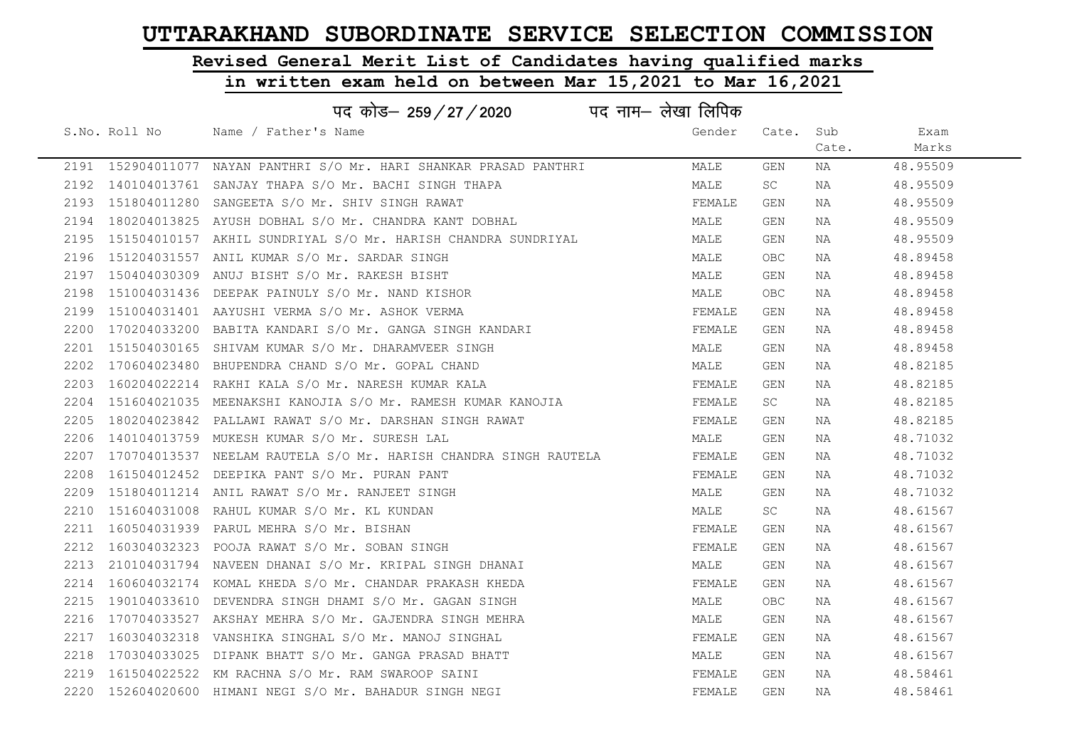## Revised General Merit List of Candidates having qualified marks

#### in written exam held on between Mar 15,2021 to Mar 16,2021

|      |                   | पद कोड– 259 / 27 / 2020                                             | पद नाम– लेखा लिपिक |        |       |       |          |
|------|-------------------|---------------------------------------------------------------------|--------------------|--------|-------|-------|----------|
|      | S.No. Roll No     | Name / Father's Name                                                |                    | Gender | Cate. | Sub   | Exam     |
|      |                   |                                                                     |                    |        |       | Cate. | Marks    |
|      |                   | 2191 152904011077 NAYAN PANTHRI S/O Mr. HARI SHANKAR PRASAD PANTHRI |                    | MALE   | GEN   | NA    | 48.95509 |
| 2192 |                   | 140104013761 SANJAY THAPA S/O Mr. BACHI SINGH THAPA                 |                    | MALE   | SC    | NA    | 48.95509 |
| 2193 |                   | 151804011280 SANGEETA S/O Mr. SHIV SINGH RAWAT                      |                    | FEMALE | GEN   | NA    | 48.95509 |
| 2194 |                   | 180204013825 AYUSH DOBHAL S/O Mr. CHANDRA KANT DOBHAL               |                    | MALE   | GEN   | NA    | 48.95509 |
| 2195 |                   | 151504010157 AKHIL SUNDRIYAL S/O Mr. HARISH CHANDRA SUNDRIYAL       |                    | MALE   | GEN   | NA    | 48.95509 |
|      |                   | 2196 151204031557 ANIL KUMAR S/O Mr. SARDAR SINGH                   |                    | MALE   | OBC.  | NA    | 48.89458 |
| 2197 |                   | 150404030309 ANUJ BISHT S/O Mr. RAKESH BISHT                        |                    | MALE   | GEN   | NA    | 48.89458 |
| 2198 | 151004031436      | DEEPAK PAINULY S/O Mr. NAND KISHOR                                  |                    | MALE   | OBC.  | NA    | 48.89458 |
| 2199 |                   | 151004031401 AAYUSHI VERMA S/O Mr. ASHOK VERMA                      |                    | FEMALE | GEN   | NA    | 48.89458 |
| 2200 |                   | 170204033200 BABITA KANDARI S/O Mr. GANGA SINGH KANDARI             |                    | FEMALE | GEN   | NA    | 48.89458 |
| 2201 |                   | 151504030165 SHIVAM KUMAR S/O Mr. DHARAMVEER SINGH                  |                    | MALE   | GEN   | NA    | 48.89458 |
| 2202 |                   | 170604023480 BHUPENDRA CHAND S/O Mr. GOPAL CHAND                    |                    | MALE   | GEN   | NA    | 48.82185 |
| 2203 |                   | 160204022214 RAKHI KALA S/O Mr. NARESH KUMAR KALA                   |                    | FEMALE | GEN   | NA    | 48.82185 |
| 2204 |                   | 151604021035  MEENAKSHI KANOJIA S/O Mr. RAMESH KUMAR KANOJIA        |                    | FEMALE | SC    | NA    | 48.82185 |
| 2205 |                   | 180204023842 PALLAWI RAWAT S/O Mr. DARSHAN SINGH RAWAT              |                    | FEMALE | GEN   | NA    | 48.82185 |
| 2206 |                   | 140104013759 MUKESH KUMAR S/O Mr. SURESH LAL                        |                    | MALE   | GEN   | NA    | 48.71032 |
| 2207 |                   | 170704013537  NEELAM RAUTELA S/O Mr. HARISH CHANDRA SINGH RAUTELA   |                    | FEMALE | GEN   | NA    | 48.71032 |
| 2208 | 161504012452      | DEEPIKA PANT S/O Mr. PURAN PANT                                     |                    | FEMALE | GEN   | NA    | 48.71032 |
| 2209 |                   | 151804011214 ANIL RAWAT S/O Mr. RANJEET SINGH                       |                    | MALE   | GEN   | NA    | 48.71032 |
| 2210 |                   | 151604031008 RAHUL KUMAR S/O Mr. KL KUNDAN                          |                    | MALE   | SC    | NA    | 48.61567 |
|      | 2211 160504031939 | PARUL MEHRA S/O Mr. BISHAN                                          |                    | FEMALE | GEN   | NA    | 48.61567 |
| 2212 |                   | 160304032323 POOJA RAWAT S/O Mr. SOBAN SINGH                        |                    | FEMALE | GEN   | NA    | 48.61567 |
| 2213 |                   | 210104031794 NAVEEN DHANAI S/O Mr. KRIPAL SINGH DHANAI              |                    | MALE   | GEN   | NA    | 48.61567 |
| 2214 |                   | 160604032174 KOMAL KHEDA S/O Mr. CHANDAR PRAKASH KHEDA              |                    | FEMALE | GEN   | NA    | 48.61567 |
| 2215 |                   | 190104033610 DEVENDRA SINGH DHAMI S/O Mr. GAGAN SINGH               |                    | MALE   | OBC   | NA    | 48.61567 |
| 2216 |                   | 170704033527 AKSHAY MEHRA S/O Mr. GAJENDRA SINGH MEHRA              |                    | MALE   | GEN   | NA    | 48.61567 |
| 2217 |                   | 160304032318 VANSHIKA SINGHAL S/O Mr. MANOJ SINGHAL                 |                    | FEMALE | GEN   | NA    | 48.61567 |
| 2218 |                   | 170304033025 DIPANK BHATT S/O Mr. GANGA PRASAD BHATT                |                    | MALE   | GEN   | NA    | 48.61567 |
| 2219 |                   | 161504022522 KM RACHNA S/O Mr. RAM SWAROOP SAINI                    |                    | FEMALE | GEN   | NA    | 48.58461 |
|      |                   | 2220 152604020600 HIMANI NEGI S/O Mr. BAHADUR SINGH NEGI            |                    | FEMALE | GEN   | NA    | 48.58461 |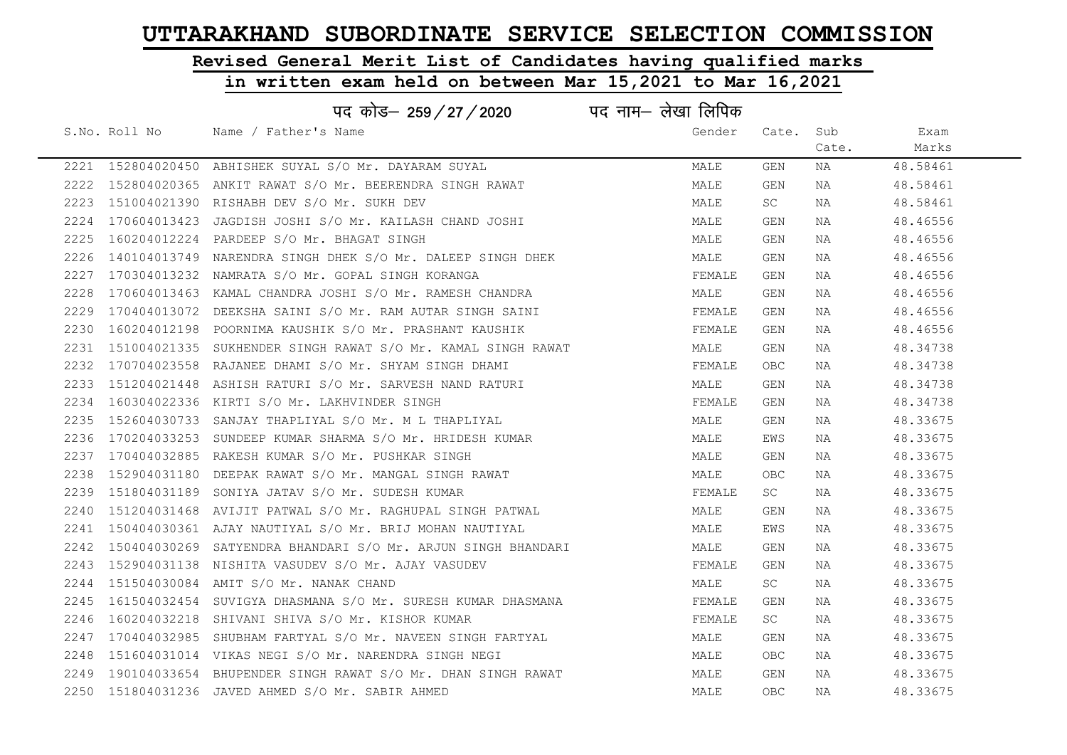## Revised General Merit List of Candidates having qualified marks

|      |               | पद कोड– 259/27/2020                                               | पद नाम— लेखा लिपिक |            |       |          |  |
|------|---------------|-------------------------------------------------------------------|--------------------|------------|-------|----------|--|
|      | S.No. Roll No | Name / Father's Name                                              | Gender             | Cate. Sub  |       | Exam     |  |
|      |               |                                                                   |                    |            | Cate. | Marks    |  |
|      |               | 2221 152804020450 ABHISHEK SUYAL S/O Mr. DAYARAM SUYAL            | MALE               | GEN        | NA    | 48.58461 |  |
|      |               | 2222 152804020365 ANKIT RAWAT S/O Mr. BEERENDRA SINGH RAWAT       | MALE               | GEN        | NA    | 48.58461 |  |
|      |               | 2223 151004021390 RISHABH DEV S/O Mr. SUKH DEV                    | MALE               | SC         | NA    | 48.58461 |  |
|      |               | 2224 170604013423 JAGDISH JOSHI S/O Mr. KAILASH CHAND JOSHI       | MALE               | GEN        | NA    | 48.46556 |  |
| 2225 |               | 160204012224 PARDEEP S/O Mr. BHAGAT SINGH                         | MALE               | GEN        | NA    | 48.46556 |  |
|      |               | 2226 140104013749 NARENDRA SINGH DHEK S/O Mr. DALEEP SINGH DHEK   | MALE               | GEN        | NA    | 48.46556 |  |
|      |               | 2227 170304013232 NAMRATA S/O Mr. GOPAL SINGH KORANGA             | FEMALE             | GEN        | NA    | 48.46556 |  |
| 2228 |               | 170604013463 KAMAL CHANDRA JOSHI S/O Mr. RAMESH CHANDRA           | MALE               | GEN        | NA    | 48.46556 |  |
|      |               | 2229 170404013072 DEEKSHA SAINI S/O Mr. RAM AUTAR SINGH SAINI     | FEMALE             | GEN        | NA    | 48.46556 |  |
|      |               | 2230 160204012198 POORNIMA KAUSHIK S/O Mr. PRASHANT KAUSHIK       | FEMALE             | GEN        | NA    | 48.46556 |  |
|      |               | 2231 151004021335 SUKHENDER SINGH RAWAT S/O Mr. KAMAL SINGH RAWAT | MALE               | GEN        | NA    | 48.34738 |  |
|      |               | 2232 170704023558 RAJANEE DHAMI S/O Mr. SHYAM SINGH DHAMI         | FEMALE             | OBC        | NA    | 48.34738 |  |
|      |               | 2233 151204021448 ASHISH RATURI S/O Mr. SARVESH NAND RATURI       | MALE               | GEN        | NA    | 48.34738 |  |
|      |               | 2234 160304022336 KIRTI S/O Mr. LAKHVINDER SINGH                  | FEMALE             | GEN        | NA    | 48.34738 |  |
|      |               | 2235 152604030733 SANJAY THAPLIYAL S/O Mr. M L THAPLIYAL          | MALE               | GEN        | NA    | 48.33675 |  |
| 2236 |               | 170204033253 SUNDEEP KUMAR SHARMA S/O Mr. HRIDESH KUMAR           | MALE               | EWS        | NA    | 48.33675 |  |
|      |               | 2237 170404032885 RAKESH KUMAR S/O Mr. PUSHKAR SINGH              | MALE               | GEN        | NA    | 48.33675 |  |
|      |               | 2238 152904031180 DEEPAK RAWAT S/O Mr. MANGAL SINGH RAWAT         | MALE               | <b>OBC</b> | NA    | 48.33675 |  |
|      |               | 2239 151804031189 SONIYA JATAV S/O Mr. SUDESH KUMAR               | FEMALE             | SC         | NA    | 48.33675 |  |
|      |               | 2240 151204031468 AVIJIT PATWAL S/O Mr. RAGHUPAL SINGH PATWAL     | MALE               | GEN        | NA    | 48.33675 |  |
|      |               | 2241 150404030361 AJAY NAUTIYAL S/O Mr. BRIJ MOHAN NAUTIYAL       | MALE               | EWS        | NA    | 48.33675 |  |
|      |               | 2242 150404030269 SATYENDRA BHANDARI S/O Mr. ARJUN SINGH BHANDARI | MALE               | GEN        | NA    | 48.33675 |  |
|      |               | 2243 152904031138 NISHITA VASUDEV S/O Mr. AJAY VASUDEV            | FEMALE             | GEN        | NA    | 48.33675 |  |
|      |               | 2244 151504030084 AMIT S/O Mr. NANAK CHAND                        | MALE               | SC         | NA    | 48.33675 |  |
|      |               | 2245 161504032454 SUVIGYA DHASMANA S/O Mr. SURESH KUMAR DHASMANA  | FEMALE             | GEN        | NA    | 48.33675 |  |
|      |               | 2246 160204032218 SHIVANI SHIVA S/O Mr. KISHOR KUMAR              | FEMALE             | SC         | NA    | 48.33675 |  |
|      |               | 2247 170404032985 SHUBHAM FARTYAL S/O Mr. NAVEEN SINGH FARTYAL    | MALE               | GEN        | NA    | 48.33675 |  |
|      |               | 2248 151604031014 VIKAS NEGI S/O Mr. NARENDRA SINGH NEGI          | MALE               | OBC        | NA    | 48.33675 |  |
|      |               | 2249 190104033654 BHUPENDER SINGH RAWAT S/O Mr. DHAN SINGH RAWAT  | MALE               | GEN        | NA    | 48.33675 |  |
|      |               | 2250 151804031236 JAVED AHMED S/O Mr. SABIR AHMED                 | MALE               | <b>OBC</b> | NA    | 48.33675 |  |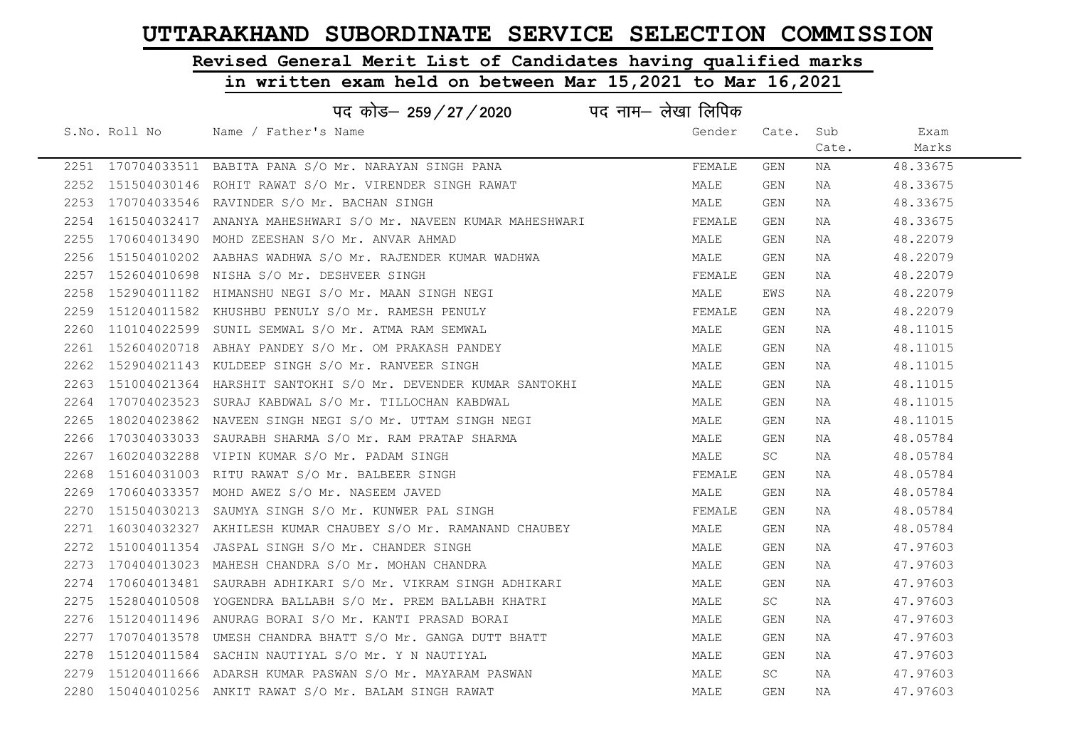## Revised General Merit List of Candidates having qualified marks

|      | पद कोड़- 259 / 27 / 2020 पद नाम- लेखा लिपिक                           |        |           |       |          |
|------|-----------------------------------------------------------------------|--------|-----------|-------|----------|
|      | S.No. Roll No Mame / Father's Name                                    | Gender | Cate. Sub |       | Exam     |
|      |                                                                       |        |           | Cate. | Marks    |
|      | 2251 170704033511 BABITA PANA S/O Mr. NARAYAN SINGH PANA              | FEMALE | GEN       | NA    | 48.33675 |
|      | 2252 151504030146 ROHIT RAWAT S/O Mr. VIRENDER SINGH RAWAT            | MALE   | GEN       | NA    | 48.33675 |
| 2253 | 170704033546 RAVINDER S/O Mr. BACHAN SINGH                            | MALE   | GEN       | NA    | 48.33675 |
|      | 2254  161504032417  ANANYA MAHESHWARI S/O Mr. NAVEEN KUMAR MAHESHWARI | FEMALE | GEN       | NA    | 48.33675 |
| 2255 | 170604013490 MOHD ZEESHAN S/O Mr. ANVAR AHMAD                         | MALE   | GEN       | NA    | 48.22079 |
|      | 2256 151504010202 AABHAS WADHWA S/O Mr. RAJENDER KUMAR WADHWA         | MALE   | GEN       | NA    | 48.22079 |
| 2257 | 152604010698 NISHA S/O Mr. DESHVEER SINGH                             | FEMALE | GEN       | NA    | 48.22079 |
| 2258 | 152904011182 HIMANSHU NEGI S/O Mr. MAAN SINGH NEGI                    | MALE   | EWS       | NA    | 48.22079 |
| 2259 | 151204011582 KHUSHBU PENULY S/O Mr. RAMESH PENULY                     | FEMALE | GEN       | NA    | 48.22079 |
| 2260 | 110104022599 SUNIL SEMWAL S/O Mr. ATMA RAM SEMWAL                     | MALE   | GEN       | NA    | 48.11015 |
| 2261 | 152604020718 ABHAY PANDEY S/O Mr. OM PRAKASH PANDEY                   | MALE   | GEN       | NA    | 48.11015 |
|      | 2262 152904021143 KULDEEP SINGH S/O Mr. RANVEER SINGH                 | MALE   | GEN       | NA    | 48.11015 |
| 2263 | 151004021364 HARSHIT SANTOKHI S/O Mr. DEVENDER KUMAR SANTOKHI         | MALE   | GEN       | NA    | 48.11015 |
|      | 2264 170704023523 SURAJ KABDWAL S/O Mr. TILLOCHAN KABDWAL             | MALE   | GEN       | NA    | 48.11015 |
| 2265 | 180204023862 NAVEEN SINGH NEGI S/O Mr. UTTAM SINGH NEGI               | MALE   | GEN       | NA    | 48.11015 |
| 2266 | 170304033033 SAURABH SHARMA S/O Mr. RAM PRATAP SHARMA                 | MALE   | GEN       | NA    | 48.05784 |
| 2267 | 160204032288 VIPIN KUMAR S/O Mr. PADAM SINGH                          | MALE   | SC        | NA    | 48.05784 |
| 2268 | 151604031003 RITU RAWAT S/O Mr. BALBEER SINGH                         | FEMALE | GEN       | NA    | 48.05784 |
| 2269 | 170604033357 MOHD AWEZ S/O Mr. NASEEM JAVED                           | MALE   | GEN       | NA    | 48.05784 |
| 2270 | 151504030213 SAUMYA SINGH S/O Mr. KUNWER PAL SINGH                    | FEMALE | GEN       | NA    | 48.05784 |
| 2271 | 160304032327 AKHILESH KUMAR CHAUBEY S/O Mr. RAMANAND CHAUBEY          | MALE   | GEN       | NA    | 48.05784 |
| 2272 | 151004011354 JASPAL SINGH S/O Mr. CHANDER SINGH                       | MALE   | GEN       | NA    | 47.97603 |
| 2273 | 170404013023 MAHESH CHANDRA S/O Mr. MOHAN CHANDRA                     | MALE   | GEN       | NA    | 47.97603 |
| 2274 | 170604013481  SAURABH ADHIKARI S/O Mr. VIKRAM SINGH ADHIKARI          | MALE   | GEN       | NA    | 47.97603 |
| 2275 | 152804010508 YOGENDRA BALLABH S/O Mr. PREM BALLABH KHATRI             | MALE   | SC .      | NA    | 47.97603 |
|      | 2276 151204011496 ANURAG BORAI S/O Mr. KANTI PRASAD BORAI             | MALE   | GEN       | NA    | 47.97603 |
| 2277 | 170704013578 UMESH CHANDRA BHATT S/O Mr. GANGA DUTT BHATT             | MALE   | GEN       | NA    | 47.97603 |
| 2278 | 151204011584 SACHIN NAUTIYAL S/O Mr. Y N NAUTIYAL                     | MALE   | GEN       | NA    | 47.97603 |
| 2279 | 151204011666 ADARSH KUMAR PASWAN S/O Mr. MAYARAM PASWAN               | MALE   | SC        | NA    | 47.97603 |
|      | 2280 150404010256 ANKIT RAWAT S/O Mr. BALAM SINGH RAWAT               | MALE   | GEN       | NA    | 47.97603 |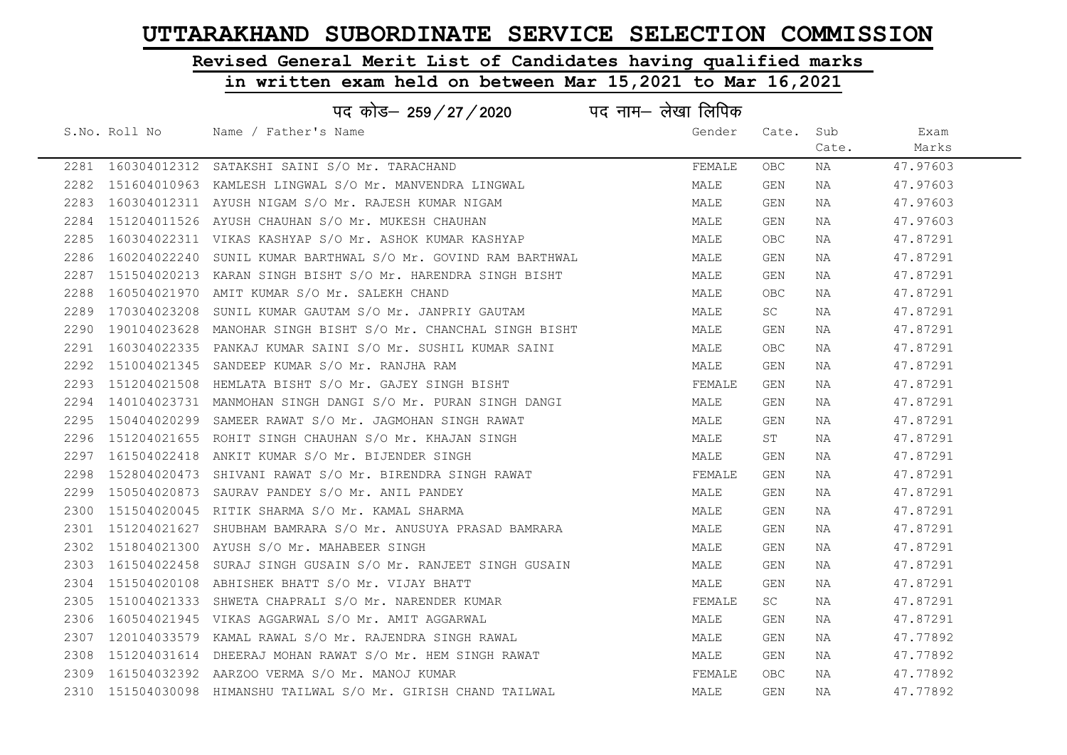# Revised General Merit List of Candidates having qualified marks

|      |              | पद कोड– 259 / 27 / 2020                                       | पद नाम— लेखा लिपिक |            |       |          |
|------|--------------|---------------------------------------------------------------|--------------------|------------|-------|----------|
|      |              | S.No. Roll No Mame / Father's Name                            | Gender             | Cate.      | Sub   | Exam     |
|      |              |                                                               |                    |            | Cate. | Marks    |
|      |              | 2281 160304012312 SATAKSHI SAINI S/O Mr. TARACHAND            | FEMALE             | OBC.       | NA    | 47.97603 |
| 2282 |              | 151604010963 KAMLESH LINGWAL S/O Mr. MANVENDRA LINGWAL        | MALE               | GEN        | NA    | 47.97603 |
| 2283 |              | 160304012311 AYUSH NIGAM S/O Mr. RAJESH KUMAR NIGAM           | MALE               | GEN        | NA    | 47.97603 |
| 2284 |              | 151204011526 AYUSH CHAUHAN S/O Mr. MUKESH CHAUHAN             | MALE               | GEN        | NA    | 47.97603 |
| 2285 |              | 160304022311 VIKAS KASHYAP S/O Mr. ASHOK KUMAR KASHYAP        | MALE               | OBC.       | NA    | 47.87291 |
| 2286 |              | 160204022240 SUNIL KUMAR BARTHWAL S/O Mr. GOVIND RAM BARTHWAL | MALE               | GEN        | NA    | 47.87291 |
| 2287 |              | 151504020213 KARAN SINGH BISHT S/O Mr. HARENDRA SINGH BISHT   | MALE               | GEN        | NA    | 47.87291 |
| 2288 |              | 160504021970 AMIT KUMAR S/O Mr. SALEKH CHAND                  | MALE               | <b>OBC</b> | NA    | 47.87291 |
| 2289 | 170304023208 | SUNIL KUMAR GAUTAM S/O Mr. JANPRIY GAUTAM                     | MALE               | SC .       | NA    | 47.87291 |
| 2290 |              | 190104023628 MANOHAR SINGH BISHT S/O Mr. CHANCHAL SINGH BISHT | MALE               | GEN        | NA    | 47.87291 |
| 2291 |              | 160304022335 PANKAJ KUMAR SAINI S/O Mr. SUSHIL KUMAR SAINI    | MALE               | OBC.       | NA    | 47.87291 |
| 2292 |              | 151004021345 SANDEEP KUMAR S/O Mr. RANJHA RAM                 | MALE               | GEN        | NA    | 47.87291 |
| 2293 |              | 151204021508 HEMLATA BISHT S/O Mr. GAJEY SINGH BISHT          | FEMALE             | GEN        | NA    | 47.87291 |
| 2294 |              | 140104023731  MANMOHAN SINGH DANGI S/O Mr. PURAN SINGH DANGI  | MALE               | GEN        | NA    | 47.87291 |
| 2295 |              | 150404020299 SAMEER RAWAT S/O Mr. JAGMOHAN SINGH RAWAT        | MALE               | GEN        | NA    | 47.87291 |
| 2296 |              | 151204021655 ROHIT SINGH CHAUHAN S/O Mr. KHAJAN SINGH         | MALE               | ST         | NA    | 47.87291 |
| 2297 |              | 161504022418 ANKIT KUMAR S/O Mr. BIJENDER SINGH               | MALE               | GEN        | NA    | 47.87291 |
| 2298 |              | 152804020473 SHIVANI RAWAT S/O Mr. BIRENDRA SINGH RAWAT       | FEMALE             | GEN        | NA    | 47.87291 |
| 2299 |              | 150504020873 SAURAV PANDEY S/O Mr. ANIL PANDEY                | MALE               | GEN        | NA    | 47.87291 |
| 2300 |              | 151504020045 RITIK SHARMA S/O Mr. KAMAL SHARMA                | MALE               | GEN        | NA    | 47.87291 |
| 2301 | 151204021627 | SHUBHAM BAMRARA S/O Mr. ANUSUYA PRASAD BAMRARA                | MALE               | GEN        | NA    | 47.87291 |
| 2302 |              | 151804021300 AYUSH S/O Mr. MAHABEER SINGH                     | MALE               | GEN        | NA    | 47.87291 |
| 2303 | 161504022458 | SURAJ SINGH GUSAIN S/O Mr. RANJEET SINGH GUSAIN               | MALE               | GEN        | NA    | 47.87291 |
| 2304 |              | 151504020108 ABHISHEK BHATT S/O Mr. VIJAY BHATT               | MALE               | GEN        | NA    | 47.87291 |
| 2305 | 151004021333 | SHWETA CHAPRALI S/O Mr. NARENDER KUMAR                        | FEMALE             | SC -       | NA    | 47.87291 |
| 2306 |              | 160504021945 VIKAS AGGARWAL S/O Mr. AMIT AGGARWAL             | MALE               | GEN        | NA    | 47.87291 |
| 2307 |              | 120104033579 KAMAL RAWAL S/O Mr. RAJENDRA SINGH RAWAL         | MALE               | GEN        | NA    | 47.77892 |
| 2308 |              | 151204031614 DHEERAJ MOHAN RAWAT S/O Mr. HEM SINGH RAWAT      | MALE               | GEN        | NA    | 47.77892 |
| 2309 |              | 161504032392 AARZOO VERMA S/O Mr. MANOJ KUMAR                 | FEMALE             | OBC.       | NA    | 47.77892 |
| 2310 |              | 151504030098 HIMANSHU TAILWAL S/O Mr. GIRISH CHAND TAILWAL    | MALE               | GEN        | NA    | 47.77892 |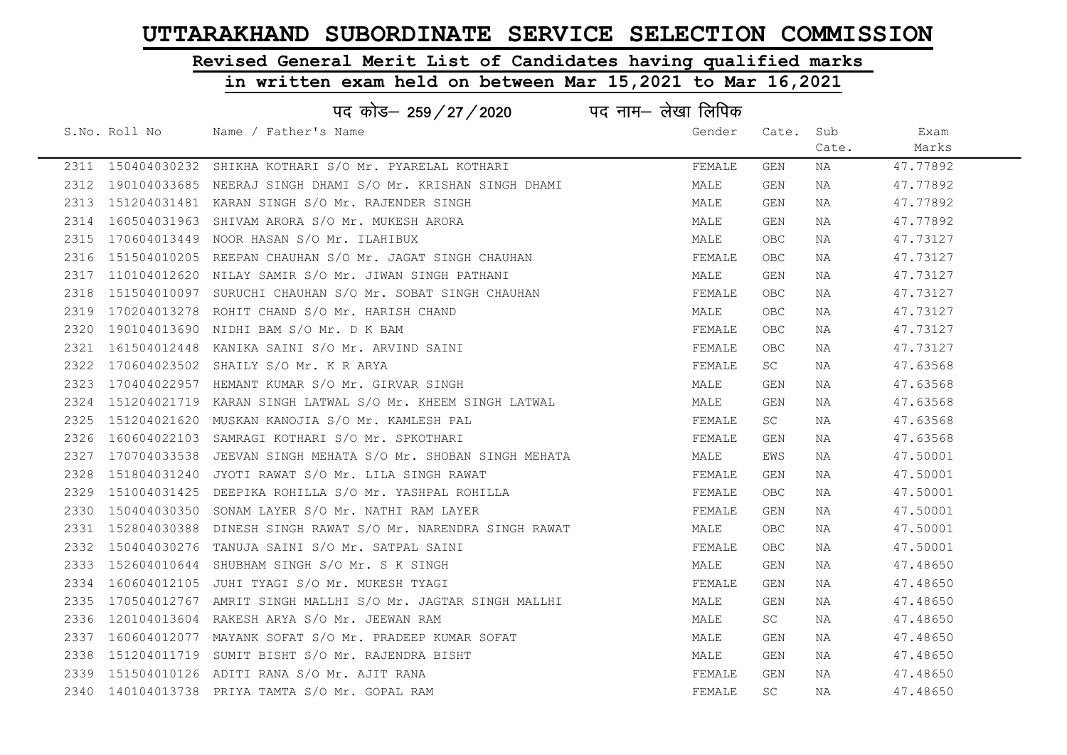# Revised General Merit List of Candidates having qualified marks

#### in written exam held on between Mar 15,2021 to Mar 16,2021

|      |                   | पद कोड़- 259 / 27 / 2020 पद नाम- लेखा लिपिक                 |        |           |       |          |
|------|-------------------|-------------------------------------------------------------|--------|-----------|-------|----------|
|      | S.No. Roll No     | Name / Father's Name                                        | Gender | Cate.     | Sub   | Exam     |
|      |                   |                                                             |        |           | Cate. | Marks    |
|      | 2311 150404030232 | SHIKHA KOTHARI S/O Mr. PYARELAL KOTHARI                     | FEMALE | GEN       | NA    | 47.77892 |
| 2312 | 190104033685      | NEERAJ SINGH DHAMI S/O Mr. KRISHAN SINGH DHAMI              | MALE   | GEN       | ΝA    | 47.77892 |
| 2313 |                   | 151204031481 KARAN SINGH S/O Mr. RAJENDER SINGH             | MALE   | GEN       | ΝA    | 47.77892 |
| 2314 | 160504031963      | SHIVAM ARORA S/O Mr. MUKESH ARORA                           | MALE   | GEN       | NA    | 47.77892 |
| 2315 |                   | 170604013449 NOOR HASAN S/O Mr. ILAHIBUX                    | MALE   | OBC.      | NA    | 47.73127 |
| 2316 |                   | 151504010205 REEPAN CHAUHAN S/O Mr. JAGAT SINGH CHAUHAN     | FEMALE | OBC.      | NA    | 47.73127 |
| 2317 |                   | 110104012620 NILAY SAMIR S/O Mr. JIWAN SINGH PATHANI        | MALE   | GEN       | NA    | 47.73127 |
| 2318 | 151504010097      | SURUCHI CHAUHAN S/O Mr. SOBAT SINGH CHAUHAN                 | FEMALE | OBC.      | NA    | 47.73127 |
| 2319 | 170204013278      | ROHIT CHAND S/O Mr. HARISH CHAND                            | MALE   | OBC.      | ΝA    | 47.73127 |
| 2320 |                   | 190104013690 NIDHI BAM S/O Mr. D K BAM                      | FEMALE | OBC       | NA    | 47.73127 |
| 2321 |                   | 161504012448 KANIKA SAINI S/O Mr. ARVIND SAINI              | FEMALE | OBC.      | NA    | 47.73127 |
| 2322 | 170604023502      | SHAILY S/O Mr. K R ARYA                                     | FEMALE | SC        | NA    | 47.63568 |
| 2323 |                   | 170404022957 HEMANT KUMAR S/O Mr. GIRVAR SINGH              | MALE   | GEN       | NA    | 47.63568 |
| 2324 |                   | 151204021719 KARAN SINGH LATWAL S/O Mr. KHEEM SINGH LATWAL  | MALE   | GEN       | NA    | 47.63568 |
| 2325 |                   | 151204021620 MUSKAN KANOJIA S/O Mr. KAMLESH PAL             | FEMALE | <b>SC</b> | NA    | 47.63568 |
| 2326 |                   | 160604022103 SAMRAGI KOTHARI S/O Mr. SPKOTHARI              | FEMALE | GEN       | NA    | 47.63568 |
| 2327 | 170704033538      | JEEVAN SINGH MEHATA S/O Mr. SHOBAN SINGH MEHATA             | MALE   | EWS       | NA    | 47.50001 |
| 2328 | 151804031240      | JYOTI RAWAT S/O Mr. LILA SINGH RAWAT                        | FEMALE | GEN       | NA    | 47.50001 |
| 2329 | 151004031425      | DEEPIKA ROHILLA S/O Mr. YASHPAL ROHILLA                     | FEMALE | OBC       | NA    | 47.50001 |
| 2330 | 150404030350      | SONAM LAYER S/O Mr. NATHI RAM LAYER                         | FEMALE | GEN       | ΝA    | 47.50001 |
| 2331 | 152804030388      | DINESH SINGH RAWAT S/O Mr. NARENDRA SINGH RAWAT             | MALE   | OBC.      | NA    | 47.50001 |
| 2332 |                   | 150404030276 TANUJA SAINI S/O Mr. SATPAL SAINI              | FEMALE | OBC.      | NA    | 47.50001 |
|      |                   | 2333 152604010644 SHUBHAM SINGH S/O Mr. S K SINGH           | MALE   | GEN       | NA    | 47.48650 |
| 2334 |                   | 160604012105 JUHI TYAGI S/O Mr. MUKESH TYAGI                | FEMALE | GEN       | NA    | 47.48650 |
| 2335 |                   | 170504012767 AMRIT SINGH MALLHI S/O Mr. JAGTAR SINGH MALLHI | MALE   | GEN       | NA    | 47.48650 |
| 2336 | 120104013604      | RAKESH ARYA S/O Mr. JEEWAN RAM                              | MALE   | SC        | NA    | 47.48650 |
| 2337 |                   | 160604012077 MAYANK SOFAT S/O Mr. PRADEEP KUMAR SOFAT       | MALE   | GEN       | NA    | 47.48650 |
| 2338 | 151204011719      | SUMIT BISHT S/O Mr. RAJENDRA BISHT                          | MALE   | GEN       | NA    | 47.48650 |
| 2339 |                   | 151504010126 ADITI RANA S/O Mr. AJIT RANA                   | FEMALE | GEN       | NA    | 47.48650 |
|      |                   | 2340 140104013738 PRIYA TAMTA S/O Mr. GOPAL RAM             | FEMALE | <b>SC</b> | NA    | 47.48650 |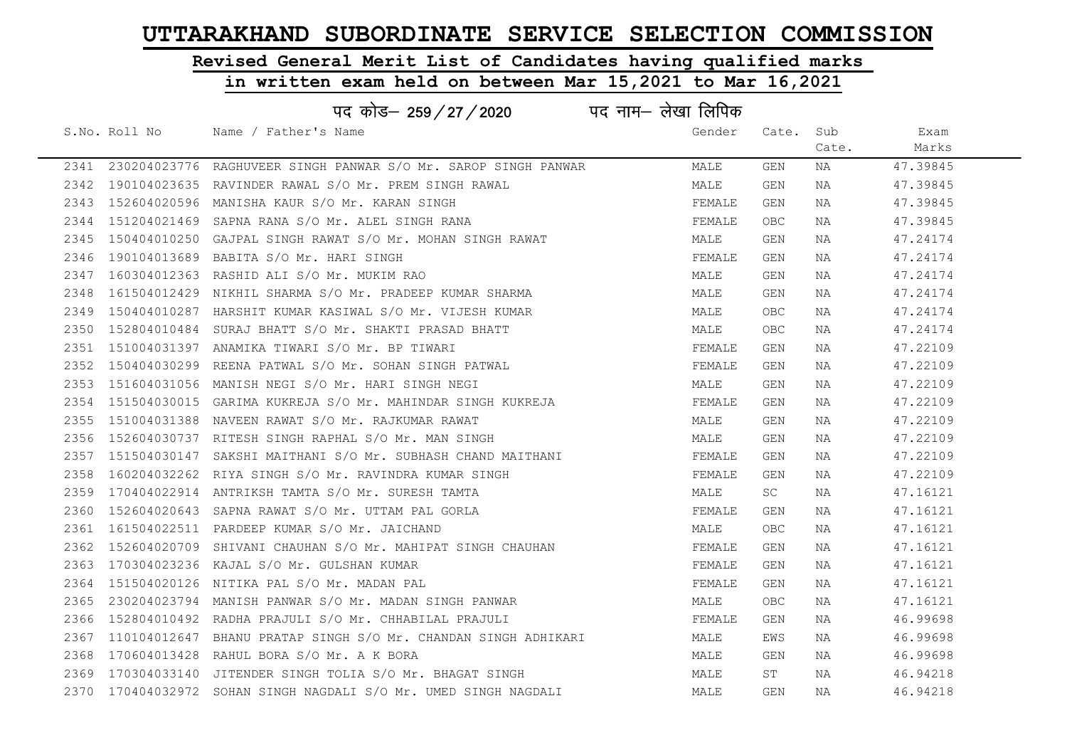## Revised General Merit List of Candidates having qualified marks

|      |               | पद कोड– 259 / 27 / 2020                                               | पद नाम– लेखा लिपिक |        |            |       |          |
|------|---------------|-----------------------------------------------------------------------|--------------------|--------|------------|-------|----------|
|      | S.No. Roll No | Name / Father's Name                                                  |                    | Gender | Cate.      | Sub   | Exam     |
|      |               |                                                                       |                    |        |            | Cate. | Marks    |
|      |               | 2341 230204023776 RAGHUVEER SINGH PANWAR S/O Mr. SAROP SINGH PANWAR   |                    | MALE   | GEN        | NA    | 47.39845 |
|      |               | 2342 190104023635 RAVINDER RAWAL S/O Mr. PREM SINGH RAWAL             |                    | MALE   | <b>GEN</b> | NA    | 47.39845 |
|      |               | 2343 152604020596 MANISHA KAUR S/O Mr. KARAN SINGH                    |                    | FEMALE | GEN        | NA    | 47.39845 |
|      |               | 2344 151204021469 SAPNA RANA S/O Mr. ALEL SINGH RANA                  |                    | FEMALE | OBC        | NA    | 47.39845 |
| 2345 |               | 150404010250 GAJPAL SINGH RAWAT S/O Mr. MOHAN SINGH RAWAT             |                    | MALE   | GEN        | NA    | 47.24174 |
|      |               | 2346 190104013689 BABITA S/O Mr. HARI SINGH                           |                    | FEMALE | GEN        | NA    | 47.24174 |
|      |               | 2347 160304012363 RASHID ALI S/O Mr. MUKIM RAO                        |                    | MALE   | GEN        | NA    | 47.24174 |
| 2348 |               | 161504012429 NIKHIL SHARMA S/O Mr. PRADEEP KUMAR SHARMA               |                    | MALE   | GEN        | NA    | 47.24174 |
|      |               | 2349 150404010287 HARSHIT KUMAR KASIWAL S/O Mr. VIJESH KUMAR          |                    | MALE   | <b>OBC</b> | NA    | 47.24174 |
|      |               | 2350 152804010484 SURAJ BHATT S/O Mr. SHAKTI PRASAD BHATT             |                    | MALE   | OBC        | NA    | 47.24174 |
|      |               | 2351 151004031397 ANAMIKA TIWARI S/O Mr. BP TIWARI                    |                    | FEMALE | GEN        | NA    | 47.22109 |
|      |               | 2352 150404030299 REENA PATWAL S/O Mr. SOHAN SINGH PATWAL             |                    | FEMALE | GEN        | NA    | 47.22109 |
|      |               | 2353 151604031056 MANISH NEGI S/O Mr. HARI SINGH NEGI                 |                    | MALE   | GEN        | NA    | 47.22109 |
|      |               | 2354 151504030015 GARIMA KUKREJA S/O Mr. MAHINDAR SINGH KUKREJA       |                    | FEMALE | GEN        | NA    | 47.22109 |
|      |               | 2355 151004031388 NAVEEN RAWAT S/O Mr. RAJKUMAR RAWAT                 |                    | MALE   | GEN        | NA    | 47.22109 |
|      |               | 2356 152604030737 RITESH SINGH RAPHAL S/O Mr. MAN SINGH               |                    | MALE   | <b>GEN</b> | NA    | 47.22109 |
|      |               | 2357 151504030147 SAKSHI MAITHANI S/O Mr. SUBHASH CHAND MAITHANI      |                    | FEMALE | GEN        | NA    | 47.22109 |
| 2358 |               | 160204032262 RIYA SINGH S/O Mr. RAVINDRA KUMAR SINGH                  |                    | FEMALE | GEN        | NA    | 47.22109 |
|      |               | 2359 170404022914 ANTRIKSH TAMTA S/O Mr. SURESH TAMTA                 |                    | MALE   | SC.        | NA    | 47.16121 |
| 2360 |               | 152604020643 SAPNA RAWAT S/O Mr. UTTAM PAL GORLA                      |                    | FEMALE | GEN        | NA    | 47.16121 |
|      |               | 2361 161504022511 PARDEEP KUMAR S/O Mr. JAICHAND                      |                    | MALE   | <b>OBC</b> | NA    | 47.16121 |
|      |               | 2362 152604020709 SHIVANI CHAUHAN S/O Mr. MAHIPAT SINGH CHAUHAN       |                    | FEMALE | GEN        | NA    | 47.16121 |
|      |               | 2363 170304023236 KAJAL S/O Mr. GULSHAN KUMAR                         |                    | FEMALE | GEN        | NA    | 47.16121 |
| 2364 |               | 151504020126 NITIKA PAL S/O Mr. MADAN PAL                             |                    | FEMALE | GEN        | NA    | 47.16121 |
| 2365 |               | 230204023794 MANISH PANWAR S/O Mr. MADAN SINGH PANWAR                 |                    | MALE   | <b>OBC</b> | NA    | 47.16121 |
|      |               | 2366 152804010492 RADHA PRAJULI S/O Mr. CHHABILAL PRAJULI             |                    | FEMALE | GEN        | NA    | 46.99698 |
|      |               | 2367  110104012647  BHANU PRATAP SINGH S/O Mr. CHANDAN SINGH ADHIKARI |                    | MALE   | EWS        | NA    | 46.99698 |
| 2368 |               | 170604013428 RAHUL BORA S/O Mr. A K BORA                              |                    | MALE   | GEN        | NA    | 46.99698 |
|      |               | 2369 170304033140 JITENDER SINGH TOLIA S/O Mr. BHAGAT SINGH           |                    | MALE   | ST         | NA    | 46.94218 |
|      |               | 2370 170404032972 SOHAN SINGH NAGDALI S/O Mr. UMED SINGH NAGDALI      |                    | MALE   | <b>GEN</b> | ΝA    | 46.94218 |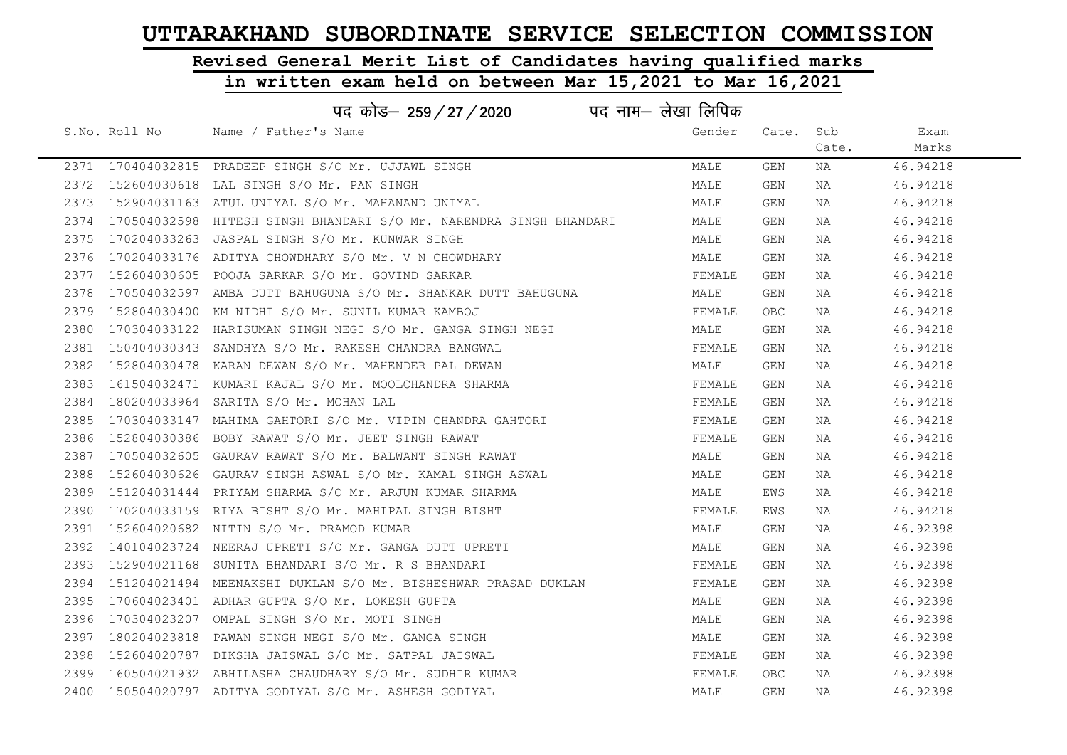## Revised General Merit List of Candidates having qualified marks

#### in written exam held on between Mar 15,2021 to Mar 16,2021

| पद कोड– 259/27/2020 पद नाम– लेखा लिपिक |               |                                                                     |        |           |       |          |  |  |
|----------------------------------------|---------------|---------------------------------------------------------------------|--------|-----------|-------|----------|--|--|
|                                        | S.No. Roll No | Name / Father's Name                                                | Gender | Cate. Sub |       | Exam     |  |  |
|                                        |               |                                                                     |        |           | Cate. | Marks    |  |  |
|                                        |               | 2371 170404032815 PRADEEP SINGH S/O Mr. UJJAWL SINGH                | MALE   | GEN       | NA    | 46.94218 |  |  |
|                                        |               | 2372 152604030618 LAL SINGH S/O Mr. PAN SINGH                       | MALE   | GEN       | NA    | 46.94218 |  |  |
| 2373                                   |               | 152904031163 ATUL UNIYAL S/O Mr. MAHANAND UNIYAL                    | MALE   | GEN       | NA    | 46.94218 |  |  |
| 2374                                   |               | 170504032598  HITESH SINGH BHANDARI S/O Mr. NARENDRA SINGH BHANDARI | MALE   | GEN       | NA    | 46.94218 |  |  |
| 2375                                   |               | 170204033263 JASPAL SINGH S/O Mr. KUNWAR SINGH                      | MALE   | GEN       | NA    | 46.94218 |  |  |
|                                        |               | 2376 170204033176 ADITYA CHOWDHARY S/O Mr. V N CHOWDHARY            | MALE   | GEN       | NA    | 46.94218 |  |  |
| 2377                                   |               | 152604030605 POOJA SARKAR S/O Mr. GOVIND SARKAR                     | FEMALE | GEN       | NA    | 46.94218 |  |  |
| 2378                                   |               | 170504032597 AMBA DUTT BAHUGUNA S/O Mr. SHANKAR DUTT BAHUGUNA       | MALE   | GEN       | NA    | 46.94218 |  |  |
| 2379                                   |               | 152804030400 KM NIDHI S/O Mr. SUNIL KUMAR KAMBOJ                    | FEMALE | OBC.      | NA    | 46.94218 |  |  |
| 2380                                   |               | 170304033122 HARISUMAN SINGH NEGI S/O Mr. GANGA SINGH NEGI          | MALE   | GEN       | NA    | 46.94218 |  |  |
| 2381                                   |               | 150404030343 SANDHYA S/O Mr. RAKESH CHANDRA BANGWAL                 | FEMALE | GEN       | NA    | 46.94218 |  |  |
| 2382                                   |               | 152804030478 KARAN DEWAN S/O Mr. MAHENDER PAL DEWAN                 | MALE   | GEN       | NA    | 46.94218 |  |  |
|                                        |               | 2383 161504032471 KUMARI KAJAL S/O Mr. MOOLCHANDRA SHARMA           | FEMALE | GEN       | NA    | 46.94218 |  |  |
|                                        |               | 2384 180204033964 SARITA S/O Mr. MOHAN LAL                          | FEMALE | GEN       | NA    | 46.94218 |  |  |
| 2385                                   |               | 170304033147 MAHIMA GAHTORI S/O Mr. VIPIN CHANDRA GAHTORI           | FEMALE | GEN       | NA    | 46.94218 |  |  |
| 2386                                   |               | 152804030386 BOBY RAWAT S/O Mr. JEET SINGH RAWAT                    | FEMALE | GEN       | NA    | 46.94218 |  |  |
| 2387                                   |               | 170504032605 GAURAV RAWAT S/O Mr. BALWANT SINGH RAWAT               | MALE   | GEN       | NA    | 46.94218 |  |  |
| 2388                                   |               | 152604030626 GAURAV SINGH ASWAL S/O Mr. KAMAL SINGH ASWAL           | MALE   | GEN       | NA    | 46.94218 |  |  |
| 2389                                   |               | 151204031444 PRIYAM SHARMA S/O Mr. ARJUN KUMAR SHARMA               | MALE   | EWS       | NA    | 46.94218 |  |  |
| 2390                                   |               | 170204033159 RIYA BISHT S/O Mr. MAHIPAL SINGH BISHT                 | FEMALE | EWS       | NA    | 46.94218 |  |  |
| 2391                                   |               | 152604020682 NITIN S/O Mr. PRAMOD KUMAR                             | MALE   | GEN       | NA    | 46.92398 |  |  |
| 2392                                   |               | 140104023724 NEERAJ UPRETI S/O Mr. GANGA DUTT UPRETI                | MALE   | GEN       | NA    | 46.92398 |  |  |
| 2393                                   |               | 152904021168 SUNITA BHANDARI S/O Mr. R S BHANDARI                   | FEMALE | GEN       | NA    | 46.92398 |  |  |
| 2394                                   |               | 151204021494  MEENAKSHI DUKLAN S/O Mr. BISHESHWAR PRASAD DUKLAN     | FEMALE | GEN       | NA    | 46.92398 |  |  |
| 2395                                   |               | 170604023401 ADHAR GUPTA S/O Mr. LOKESH GUPTA                       | MALE   | GEN       | NA    | 46.92398 |  |  |
| 2396                                   |               | 170304023207 OMPAL SINGH S/O Mr. MOTI SINGH                         | MALE   | GEN       | NA    | 46.92398 |  |  |
| 2397                                   |               | 180204023818 PAWAN SINGH NEGI S/O Mr. GANGA SINGH                   | MALE   | GEN       | NA    | 46.92398 |  |  |
| 2398                                   |               | 152604020787 DIKSHA JAISWAL S/O Mr. SATPAL JAISWAL                  | FEMALE | GEN       | NA    | 46.92398 |  |  |
| 2399                                   |               | 160504021932 ABHILASHA CHAUDHARY S/O Mr. SUDHIR KUMAR               | FEMALE | OBC.      | NA    | 46.92398 |  |  |
|                                        |               | 2400 150504020797 ADITYA GODIYAL S/O Mr. ASHESH GODIYAL             | MALE   | GEN       | NA    | 46.92398 |  |  |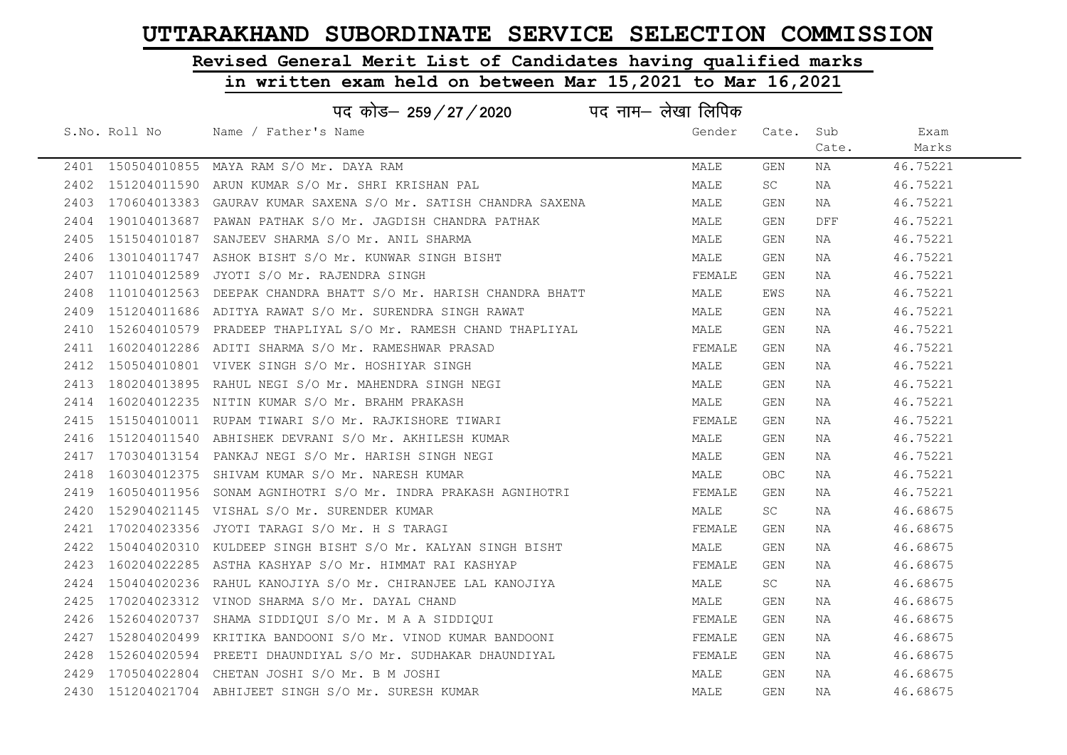# Revised General Merit List of Candidates having qualified marks

|      | पद नाम– लेखा लिपिक<br>पद कोड– 259 / 27 / 2020 |                                                                     |        |            |       |          |  |  |
|------|-----------------------------------------------|---------------------------------------------------------------------|--------|------------|-------|----------|--|--|
|      | S.No. Roll No                                 | Name / Father's Name                                                | Gender | Cate. Sub  |       | Exam     |  |  |
|      |                                               |                                                                     |        |            | Cate. | Marks    |  |  |
|      |                                               | 2401 150504010855 MAYA RAM S/O Mr. DAYA RAM                         | MALE   | GEN        | NA    | 46.75221 |  |  |
|      |                                               | 2402 151204011590 ARUN KUMAR S/O Mr. SHRI KRISHAN PAL               | MALE   | SC         | NA    | 46.75221 |  |  |
|      |                                               | 2403 170604013383 GAURAV KUMAR SAXENA S/O Mr. SATISH CHANDRA SAXENA | MALE   | GEN        | NA    | 46.75221 |  |  |
|      |                                               | 2404 190104013687 PAWAN PATHAK S/O Mr. JAGDISH CHANDRA PATHAK       | MALE   | GEN        | DFF   | 46.75221 |  |  |
| 2405 |                                               | 151504010187 SANJEEV SHARMA S/O Mr. ANIL SHARMA                     | MALE   | GEN        | NA    | 46.75221 |  |  |
| 2406 |                                               | 130104011747 ASHOK BISHT S/O Mr. KUNWAR SINGH BISHT                 | MALE   | GEN        | NA    | 46.75221 |  |  |
|      |                                               | 2407 110104012589 JYOTI S/O Mr. RAJENDRA SINGH                      | FEMALE | GEN        | NA    | 46.75221 |  |  |
| 2408 |                                               | 110104012563 DEEPAK CHANDRA BHATT S/O Mr. HARISH CHANDRA BHATT      | MALE   | EWS        | NA    | 46.75221 |  |  |
|      |                                               | 2409 151204011686 ADITYA RAWAT S/O Mr. SURENDRA SINGH RAWAT         | MALE   | GEN        | NA    | 46.75221 |  |  |
|      |                                               | 2410 152604010579 PRADEEP THAPLIYAL S/O Mr. RAMESH CHAND THAPLIYAL  | MALE   | GEN        | NA    | 46.75221 |  |  |
|      |                                               | 2411 160204012286 ADITI SHARMA S/O Mr. RAMESHWAR PRASAD             | FEMALE | GEN        | NA    | 46.75221 |  |  |
|      |                                               | 2412 150504010801 VIVEK SINGH S/O Mr. HOSHIYAR SINGH                | MALE   | GEN        | NA    | 46.75221 |  |  |
|      |                                               | 2413 180204013895 RAHUL NEGI S/O Mr. MAHENDRA SINGH NEGI            | MALE   | GEN        | NA    | 46.75221 |  |  |
|      |                                               | 2414 160204012235 NITIN KUMAR S/O Mr. BRAHM PRAKASH                 | MALE   | GEN        | NA    | 46.75221 |  |  |
|      |                                               | 2415 151504010011 RUPAM TIWARI S/O Mr. RAJKISHORE TIWARI            | FEMALE | GEN        | NA    | 46.75221 |  |  |
| 2416 |                                               | 151204011540 ABHISHEK DEVRANI S/O Mr. AKHILESH KUMAR                | MALE   | GEN        | NA    | 46.75221 |  |  |
| 2417 |                                               | 170304013154 PANKAJ NEGI S/O Mr. HARISH SINGH NEGI                  | MALE   | GEN        | NA    | 46.75221 |  |  |
| 2418 |                                               | 160304012375 SHIVAM KUMAR S/O Mr. NARESH KUMAR                      | MALE   | <b>OBC</b> | NA    | 46.75221 |  |  |
|      |                                               | 2419 160504011956 SONAM AGNIHOTRI S/O Mr. INDRA PRAKASH AGNIHOTRI   | FEMALE | GEN        | NA    | 46.75221 |  |  |
|      |                                               | 2420 152904021145 VISHAL S/O Mr. SURENDER KUMAR                     | MALE   | SC         | NA    | 46.68675 |  |  |
|      |                                               | 2421 170204023356 JYOTI TARAGI S/O Mr. H S TARAGI                   | FEMALE | GEN        | NA    | 46.68675 |  |  |
|      |                                               | 2422 150404020310 KULDEEP SINGH BISHT S/O Mr. KALYAN SINGH BISHT    | MALE   | GEN        | NA    | 46.68675 |  |  |
|      |                                               | 2423 160204022285 ASTHA KASHYAP S/O Mr. HIMMAT RAI KASHYAP          | FEMALE | GEN        | NA    | 46.68675 |  |  |
|      |                                               | 2424 150404020236 RAHUL KANOJIYA S/O Mr. CHIRANJEE LAL KANOJIYA     | MALE   | SC.        | NA    | 46.68675 |  |  |
|      |                                               | 2425 170204023312 VINOD SHARMA S/O Mr. DAYAL CHAND                  | MALE   | GEN        | NA    | 46.68675 |  |  |
|      |                                               | 2426 152604020737 SHAMA SIDDIOUI S/O Mr. M A A SIDDIOUI             | FEMALE | GEN        | NA    | 46.68675 |  |  |
|      |                                               | 2427  152804020499  KRITIKA BANDOONI S/O Mr. VINOD KUMAR BANDOONI   | FEMALE | GEN        | NA    | 46.68675 |  |  |
| 2428 |                                               | 152604020594 PREETI DHAUNDIYAL S/O Mr. SUDHAKAR DHAUNDIYAL          | FEMALE | GEN        | NA    | 46.68675 |  |  |
|      |                                               | 2429 170504022804 CHETAN JOSHI S/O Mr. B M JOSHI                    | MALE   | GEN        | NA    | 46.68675 |  |  |
|      |                                               | 2430 151204021704 ABHIJEET SINGH S/O Mr. SURESH KUMAR               | MALE   | GEN        | NA    | 46.68675 |  |  |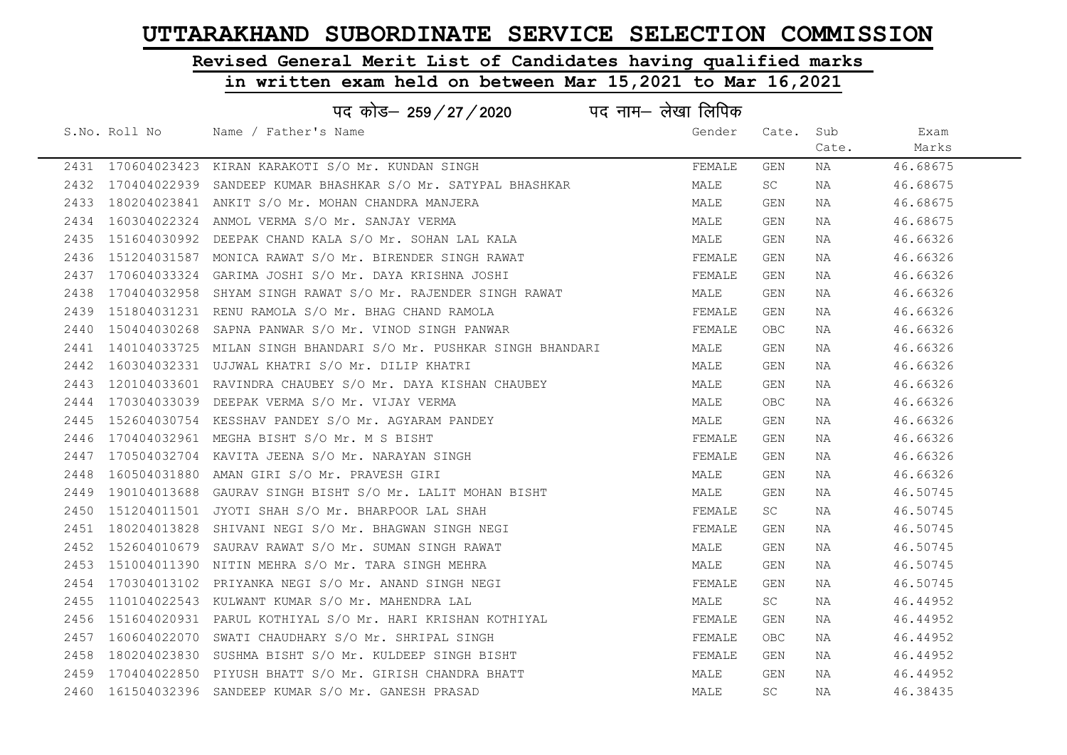# Revised General Merit List of Candidates having qualified marks

|      |                   | पद कोड– 259/27/2020                                              | पद नाम– लेखा लिपिक |            |       |          |
|------|-------------------|------------------------------------------------------------------|--------------------|------------|-------|----------|
|      | S.No. Roll No     | Name / Father's Name                                             | Gender             | Cate. Sub  |       | Exam     |
|      |                   |                                                                  |                    |            | Cate. | Marks    |
|      |                   | 2431 170604023423 KIRAN KARAKOTI S/O Mr. KUNDAN SINGH            | FEMALE             | GEN        | NA    | 46.68675 |
|      | 2432 170404022939 | SANDEEP KUMAR BHASHKAR S/O Mr. SATYPAL BHASHKAR                  | MALE               | <b>SC</b>  | NA    | 46.68675 |
| 2433 |                   | 180204023841 ANKIT S/O Mr. MOHAN CHANDRA MANJERA                 | MALE               | GEN        | NA    | 46.68675 |
| 2434 |                   | 160304022324 ANMOL VERMA S/O Mr. SANJAY VERMA                    | MALE               | GEN        | NA    | 46.68675 |
| 2435 |                   | 151604030992 DEEPAK CHAND KALA S/O Mr. SOHAN LAL KALA            | MALE               | GEN        | NA    | 46.66326 |
| 2436 |                   | 151204031587 MONICA RAWAT S/O Mr. BIRENDER SINGH RAWAT           | FEMALE             | GEN        | NA    | 46.66326 |
| 2437 |                   | 170604033324 GARIMA JOSHI S/O Mr. DAYA KRISHNA JOSHI             | FEMALE             | GEN        | NA    | 46.66326 |
| 2438 |                   | 170404032958 SHYAM SINGH RAWAT S/O Mr. RAJENDER SINGH RAWAT      | MALE               | GEN        | NA    | 46.66326 |
| 2439 |                   | 151804031231 RENU RAMOLA S/O Mr. BHAG CHAND RAMOLA               | FEMALE             | GEN        | NA    | 46.66326 |
| 2440 |                   | 150404030268 SAPNA PANWAR S/O Mr. VINOD SINGH PANWAR             | FEMALE             | OBC        | NA    | 46.66326 |
| 2441 |                   | 140104033725 MILAN SINGH BHANDARI S/O Mr. PUSHKAR SINGH BHANDARI | MALE               | GEN        | NA    | 46.66326 |
| 2442 |                   | 160304032331 UJJWAL KHATRI S/O Mr. DILIP KHATRI                  | MALE               | GEN        | NA    | 46.66326 |
| 2443 |                   | 120104033601 RAVINDRA CHAUBEY S/O Mr. DAYA KISHAN CHAUBEY        | MALE               | GEN        | NA    | 46.66326 |
| 2444 |                   | 170304033039 DEEPAK VERMA S/O Mr. VIJAY VERMA                    | MALE               | OBC        | NA    | 46.66326 |
| 2445 |                   | 152604030754 KESSHAV PANDEY S/O Mr. AGYARAM PANDEY               | MALE               | GEN        | NA    | 46.66326 |
| 2446 |                   | 170404032961 MEGHA BISHT S/O Mr. M S BISHT                       | FEMALE             | GEN        | NA    | 46.66326 |
| 2447 |                   | 170504032704 KAVITA JEENA S/O Mr. NARAYAN SINGH                  | FEMALE             | GEN        | NA    | 46.66326 |
| 2448 |                   | 160504031880 AMAN GIRI S/O Mr. PRAVESH GIRI                      | MALE               | GEN        | NA    | 46.66326 |
| 2449 |                   | 190104013688 GAURAV SINGH BISHT S/O Mr. LALIT MOHAN BISHT        | MALE               | GEN        | NA    | 46.50745 |
| 2450 |                   | 151204011501 JYOTI SHAH S/O Mr. BHARPOOR LAL SHAH                | FEMALE             | SC         | NA    | 46.50745 |
| 2451 | 180204013828      | SHIVANI NEGI S/O Mr. BHAGWAN SINGH NEGI                          | FEMALE             | GEN        | NA    | 46.50745 |
| 2452 |                   | 152604010679 SAURAV RAWAT S/O Mr. SUMAN SINGH RAWAT              | MALE               | GEN        | NA    | 46.50745 |
| 2453 |                   | 151004011390 NITIN MEHRA S/O Mr. TARA SINGH MEHRA                | MALE               | GEN        | NA    | 46.50745 |
| 2454 | 170304013102      | PRIYANKA NEGI S/O Mr. ANAND SINGH NEGI                           | FEMALE             | GEN        | NA    | 46.50745 |
| 2455 |                   | 110104022543 KULWANT KUMAR S/O Mr. MAHENDRA LAL                  | MALE               | SC         | NA    | 46.44952 |
| 2456 |                   | 151604020931 PARUL KOTHIYAL S/O Mr. HARI KRISHAN KOTHIYAL        | FEMALE             | GEN        | NA    | 46.44952 |
| 2457 |                   | 160604022070 SWATI CHAUDHARY S/O Mr. SHRIPAL SINGH               | FEMALE             | <b>OBC</b> | NA    | 46.44952 |
| 2458 |                   | 180204023830 SUSHMA BISHT S/O Mr. KULDEEP SINGH BISHT            | FEMALE             | GEN        | NA    | 46.44952 |
|      |                   | 2459 170404022850 PIYUSH BHATT S/O Mr. GIRISH CHANDRA BHATT      | MALE               | GEN        | NA    | 46.44952 |
|      |                   | 2460  161504032396  SANDEEP KUMAR S/O Mr. GANESH PRASAD          | MALE               | SC.        | NA    | 46.38435 |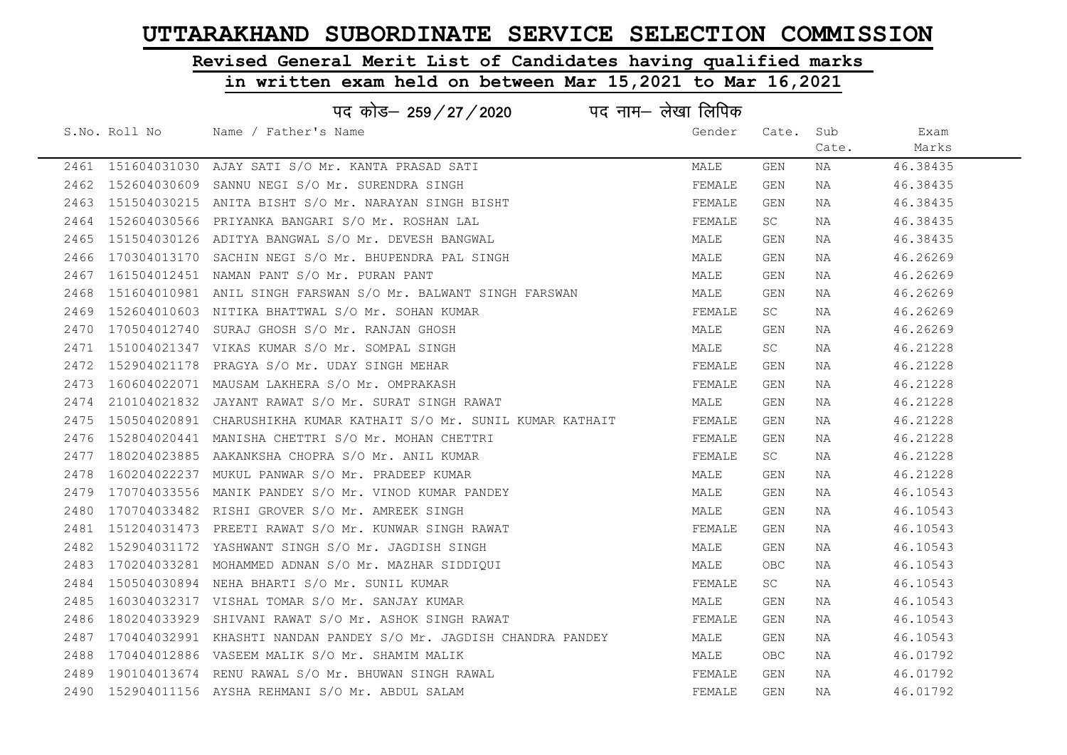# Revised General Merit List of Candidates having qualified marks

| पद नाम– लेखा लिपिक<br>पद कोड– 259/27/2020 |  |                                                                     |        |           |       |          |  |
|-------------------------------------------|--|---------------------------------------------------------------------|--------|-----------|-------|----------|--|
|                                           |  | S.No. Roll No Mame / Father's Name                                  | Gender | Cate. Sub |       | Exam     |  |
|                                           |  |                                                                     |        |           | Cate. | Marks    |  |
|                                           |  | 2461 151604031030 AJAY SATI S/O Mr. KANTA PRASAD SATI               | MALE   | GEN       | NA    | 46.38435 |  |
|                                           |  | 2462 152604030609 SANNU NEGI S/O Mr. SURENDRA SINGH                 | FEMALE | GEN       | NA    | 46.38435 |  |
| 2463                                      |  | 151504030215 ANITA BISHT S/O Mr. NARAYAN SINGH BISHT                | FEMALE | GEN       | NA    | 46.38435 |  |
| 2464                                      |  | 152604030566 PRIYANKA BANGARI S/O Mr. ROSHAN LAL                    | FEMALE | SC.       | NA    | 46.38435 |  |
| 2465                                      |  | 151504030126 ADITYA BANGWAL S/O Mr. DEVESH BANGWAL                  | MALE   | GEN       | NA    | 46.38435 |  |
| 2466                                      |  | 170304013170 SACHIN NEGI S/O Mr. BHUPENDRA PAL SINGH                | MALE   | GEN       | NA    | 46.26269 |  |
| 2467                                      |  | 161504012451 NAMAN PANT S/O Mr. PURAN PANT                          | MALE   | GEN       | NA    | 46.26269 |  |
| 2468                                      |  | 151604010981 ANIL SINGH FARSWAN S/O Mr. BALWANT SINGH FARSWAN       | MALE   | GEN       | NA    | 46.26269 |  |
| 2469                                      |  | 152604010603 NITIKA BHATTWAL S/O Mr. SOHAN KUMAR                    | FEMALE | SC.       | NA    | 46.26269 |  |
| 2470                                      |  | 170504012740 SURAJ GHOSH S/O Mr. RANJAN GHOSH                       | MALE   | GEN       | NA    | 46.26269 |  |
| 2471                                      |  | 151004021347 VIKAS KUMAR S/O Mr. SOMPAL SINGH                       | MALE   | SC.       | NA    | 46.21228 |  |
|                                           |  | 2472 152904021178 PRAGYA S/O Mr. UDAY SINGH MEHAR                   | FEMALE | GEN       | NA    | 46.21228 |  |
| 2473                                      |  | 160604022071 MAUSAM LAKHERA S/O Mr. OMPRAKASH                       | FEMALE | GEN       | NA    | 46.21228 |  |
| 2474                                      |  | 210104021832 JAYANT RAWAT S/O Mr. SURAT SINGH RAWAT                 | MALE   | GEN       | NA    | 46.21228 |  |
| 2475                                      |  | 150504020891  CHARUSHIKHA KUMAR KATHAIT S/O Mr. SUNIL KUMAR KATHAIT | FEMALE | GEN       | NA    | 46.21228 |  |
| 2476                                      |  | 152804020441 MANISHA CHETTRI S/O Mr. MOHAN CHETTRI                  | FEMALE | GEN       | NA    | 46.21228 |  |
| 2477                                      |  | 180204023885 AAKANKSHA CHOPRA S/O Mr. ANIL KUMAR                    | FEMALE | SC        | NA    | 46.21228 |  |
| 2478                                      |  | 160204022237 MUKUL PANWAR S/O Mr. PRADEEP KUMAR                     | MALE   | GEN       | NA    | 46.21228 |  |
| 2479                                      |  | 170704033556 MANIK PANDEY S/O Mr. VINOD KUMAR PANDEY                | MALE   | GEN       | NA    | 46.10543 |  |
| 2480                                      |  | 170704033482 RISHI GROVER S/O Mr. AMREEK SINGH                      | MALE   | GEN       | NA    | 46.10543 |  |
| 2481                                      |  | 151204031473 PREETI RAWAT S/O Mr. KUNWAR SINGH RAWAT                | FEMALE | GEN       | NA    | 46.10543 |  |
| 2482                                      |  | 152904031172 YASHWANT SINGH S/O Mr. JAGDISH SINGH                   | MALE   | GEN       | NA    | 46.10543 |  |
| 2483                                      |  | 170204033281 MOHAMMED ADNAN S/O Mr. MAZHAR SIDDIQUI                 | MALE   | OBC       | NA    | 46.10543 |  |
| 2484                                      |  | 150504030894 NEHA BHARTI S/O Mr. SUNIL KUMAR                        | FEMALE | SC.       | NA    | 46.10543 |  |
| 2485                                      |  | 160304032317 VISHAL TOMAR S/O Mr. SANJAY KUMAR                      | MALE   | GEN       | NA    | 46.10543 |  |
| 2486                                      |  | 180204033929 SHIVANI RAWAT S/O Mr. ASHOK SINGH RAWAT                | FEMALE | GEN       | NA    | 46.10543 |  |
| 2487                                      |  | 170404032991 KHASHTI NANDAN PANDEY S/O Mr. JAGDISH CHANDRA PANDEY   | MALE   | GEN       | NA    | 46.10543 |  |
| 2488                                      |  | 170404012886 VASEEM MALIK S/O Mr. SHAMIM MALIK                      | MALE   | OBC.      | NA    | 46.01792 |  |
| 2489                                      |  | 190104013674 RENU RAWAL S/O Mr. BHUWAN SINGH RAWAL                  | FEMALE | GEN       | NA    | 46.01792 |  |
|                                           |  | 2490 152904011156 AYSHA REHMANI S/O Mr. ABDUL SALAM                 | FEMALE | GEN       | ΝA    | 46.01792 |  |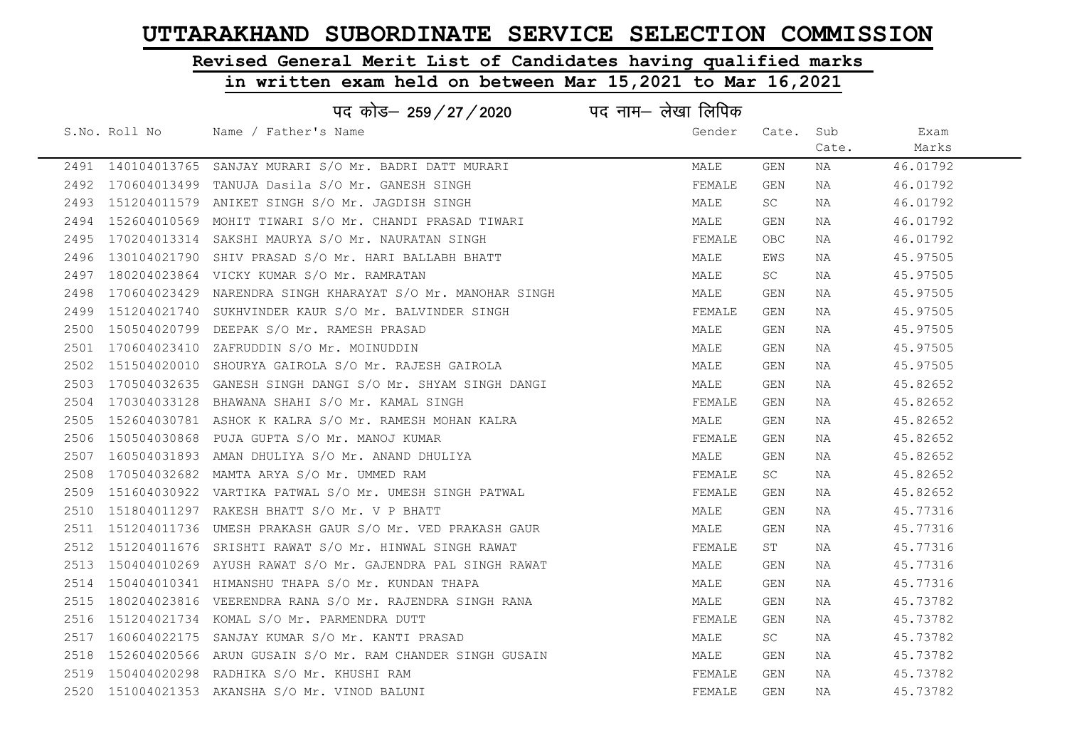# Revised General Merit List of Candidates having qualified marks

#### in written exam held on between Mar 15,2021 to Mar 16,2021

|      |               | पद कोड– 259/27/2020                                            | पद नाम– लेखा लिपिक |       |       |          |
|------|---------------|----------------------------------------------------------------|--------------------|-------|-------|----------|
|      | S.No. Roll No | Name / Father's Name                                           | Gender             | Cate. | Sub   | Exam     |
|      |               |                                                                |                    |       | Cate. | Marks    |
|      |               | 2491 140104013765 SANJAY MURARI S/O Mr. BADRI DATT MURARI      | MALE               | GEN   | NA    | 46.01792 |
| 2492 | 170604013499  | TANUJA Dasila S/O Mr. GANESH SINGH                             | FEMALE             | GEN   | NA    | 46.01792 |
| 2493 |               | 151204011579 ANIKET SINGH S/O Mr. JAGDISH SINGH                | MALE               | SC    | NA    | 46.01792 |
| 2494 |               | 152604010569 MOHIT TIWARI S/O Mr. CHANDI PRASAD TIWARI         | MALE               | GEN   | NA    | 46.01792 |
| 2495 | 170204013314  | SAKSHI MAURYA S/O Mr. NAURATAN SINGH                           | FEMALE             | OBC.  | NA    | 46.01792 |
| 2496 | 130104021790  | SHIV PRASAD S/O Mr. HARI BALLABH BHATT                         | MALE               | EWS   | NA    | 45.97505 |
| 2497 |               | 180204023864 VICKY KUMAR S/O Mr. RAMRATAN                      | MALE               | SC    | NA    | 45.97505 |
| 2498 |               | 170604023429 NARENDRA SINGH KHARAYAT S/O Mr. MANOHAR SINGH     | MALE               | GEN   | NA    | 45.97505 |
| 2499 | 151204021740  | SUKHVINDER KAUR S/O Mr. BALVINDER SINGH                        | FEMALE             | GEN   | NA    | 45.97505 |
| 2500 |               | 150504020799 DEEPAK S/O Mr. RAMESH PRASAD                      | MALE               | GEN   | NA    | 45.97505 |
| 2501 |               | 170604023410 ZAFRUDDIN S/O Mr. MOINUDDIN                       | MALE               | GEN   | NA    | 45.97505 |
| 2502 |               | 151504020010 SHOURYA GAIROLA S/O Mr. RAJESH GAIROLA            | MALE               | GEN   | NA    | 45.97505 |
| 2503 |               | 170504032635 GANESH SINGH DANGI S/O Mr. SHYAM SINGH DANGI      | MALE               | GEN   | NA    | 45.82652 |
| 2504 |               | 170304033128 BHAWANA SHAHI S/O Mr. KAMAL SINGH                 | FEMALE             | GEN   | NA    | 45.82652 |
| 2505 |               | 152604030781 ASHOK K KALRA S/O Mr. RAMESH MOHAN KALRA          | MALE               | GEN   | NA    | 45.82652 |
| 2506 |               | 150504030868 PUJA GUPTA S/O Mr. MANOJ KUMAR                    | FEMALE             | GEN   | NA    | 45.82652 |
| 2507 |               | 160504031893 AMAN DHULIYA S/O Mr. ANAND DHULIYA                | MALE               | GEN   | NA    | 45.82652 |
| 2508 | 170504032682  | MAMTA ARYA S/O Mr. UMMED RAM                                   | FEMALE             | SC    | ΝA    | 45.82652 |
| 2509 |               | 151604030922 VARTIKA PATWAL S/O Mr. UMESH SINGH PATWAL         | FEMALE             | GEN   | NA    | 45.82652 |
| 2510 |               | 151804011297 RAKESH BHATT S/O Mr. V P BHATT                    | MALE               | GEN   | NA    | 45.77316 |
| 2511 |               | 151204011736 UMESH PRAKASH GAUR S/O Mr. VED PRAKASH GAUR       | MALE               | GEN   | NA    | 45.77316 |
| 2512 |               | 151204011676 SRISHTI RAWAT S/O Mr. HINWAL SINGH RAWAT          | FEMALE             | ST    | NA    | 45.77316 |
|      |               | 2513 150404010269 AYUSH RAWAT S/O Mr. GAJENDRA PAL SINGH RAWAT | MALE               | GEN   | NA    | 45.77316 |
| 2514 |               | 150404010341 HIMANSHU THAPA S/O Mr. KUNDAN THAPA               | MALE               | GEN   | NA    | 45.77316 |
| 2515 |               | 180204023816 VEERENDRA RANA S/O Mr. RAJENDRA SINGH RANA        | MALE               | GEN   | NA    | 45.73782 |
| 2516 |               | 151204021734 KOMAL S/O Mr. PARMENDRA DUTT                      | FEMALE             | GEN   | NA    | 45.73782 |
| 2517 |               | 160604022175 SANJAY KUMAR S/O Mr. KANTI PRASAD                 | MALE               | SC    | NA    | 45.73782 |
| 2518 |               | 152604020566 ARUN GUSAIN S/O Mr. RAM CHANDER SINGH GUSAIN      | MALE               | GEN   | NA    | 45.73782 |
| 2519 |               | 150404020298 RADHIKA S/O Mr. KHUSHI RAM                        | FEMALE             | GEN   | NA    | 45.73782 |
|      |               | 2520 151004021353 AKANSHA S/O Mr. VINOD BALUNI                 | FEMALE             | GEN   | NA    | 45.73782 |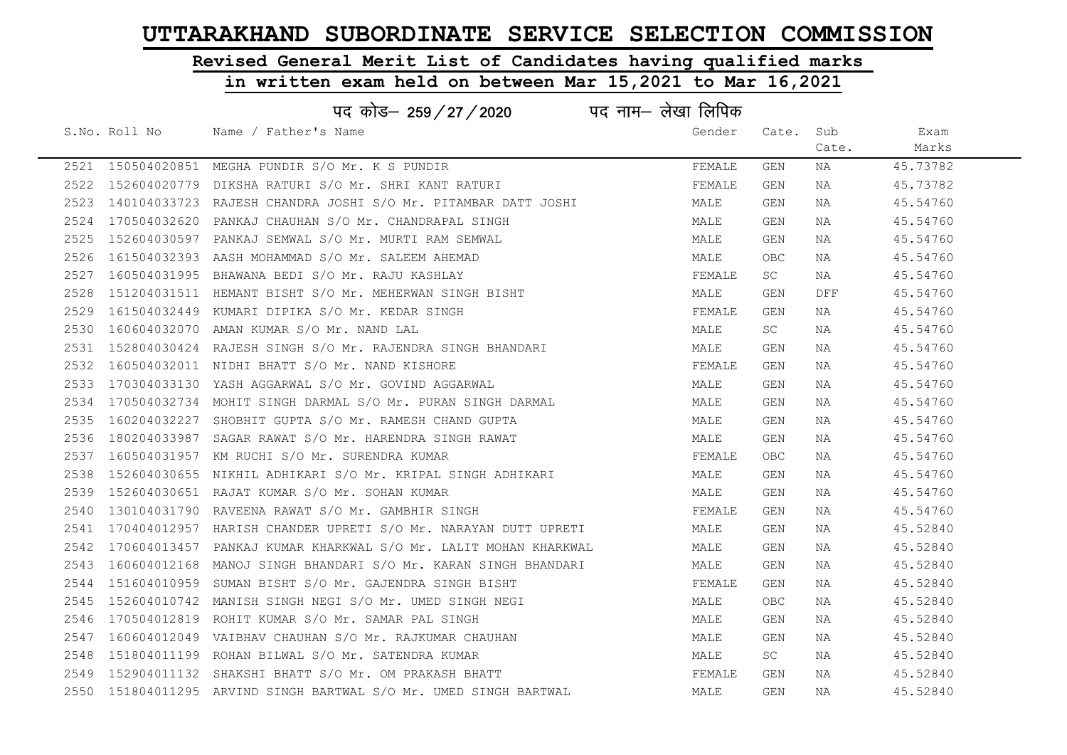# Revised General Merit List of Candidates having qualified marks

#### in written exam held on between Mar 15,2021 to Mar 16,2021

|      |               | पद कोड– 259/27/2020 पद नाम– लेखा लिपिक                            |        |       |       |          |
|------|---------------|-------------------------------------------------------------------|--------|-------|-------|----------|
|      | S.No. Roll No | Name / Father's Name                                              | Gender | Cate. | Sub   | Exam     |
|      |               |                                                                   |        |       | Cate. | Marks    |
|      |               | 2521 150504020851 MEGHA PUNDIR S/O Mr. K S PUNDIR                 | FEMALE | GEN   | NA    | 45.73782 |
| 2522 | 152604020779  | DIKSHA RATURI S/O Mr. SHRI KANT RATURI                            | FEMALE | GEN   | NA    | 45.73782 |
| 2523 |               | 140104033723 RAJESH CHANDRA JOSHI S/O Mr. PITAMBAR DATT JOSHI     | MALE   | GEN   | NA    | 45.54760 |
| 2524 | 170504032620  | PANKAJ CHAUHAN S/O Mr. CHANDRAPAL SINGH                           | MALE   | GEN   | NA    | 45.54760 |
| 2525 | 152604030597  | PANKAJ SEMWAL S/O Mr. MURTI RAM SEMWAL                            | MALE   | GEN   | NA    | 45.54760 |
| 2526 |               | 161504032393 AASH MOHAMMAD S/O Mr. SALEEM AHEMAD                  | MALE   | OBC   | NA    | 45.54760 |
| 2527 |               | 160504031995 BHAWANA BEDI S/O Mr. RAJU KASHLAY                    | FEMALE | SC    | NA    | 45.54760 |
| 2528 |               | 151204031511 HEMANT BISHT S/O Mr. MEHERWAN SINGH BISHT            | MALE   | GEN   | DFF   | 45.54760 |
| 2529 | 161504032449  | KUMARI DIPIKA S/O Mr. KEDAR SINGH                                 | FEMALE | GEN   | NA    | 45.54760 |
| 2530 | 160604032070  | AMAN KUMAR S/O Mr. NAND LAL                                       | MALE   | SC    | NA    | 45.54760 |
| 2531 |               | 152804030424  RAJESH SINGH S/O Mr. RAJENDRA SINGH BHANDARI        | MALE   | GEN   | NA    | 45.54760 |
| 2532 |               | 160504032011 NIDHI BHATT S/O Mr. NAND KISHORE                     | FEMALE | GEN   | NA    | 45.54760 |
| 2533 |               | 170304033130 YASH AGGARWAL S/O Mr. GOVIND AGGARWAL                | MALE   | GEN   | NA    | 45.54760 |
| 2534 |               | 170504032734 MOHIT SINGH DARMAL S/O Mr. PURAN SINGH DARMAL        | MALE   | GEN   | NA    | 45.54760 |
| 2535 |               | 160204032227 SHOBHIT GUPTA S/O Mr. RAMESH CHAND GUPTA             | MALE   | GEN   | NA    | 45.54760 |
| 2536 | 180204033987  | SAGAR RAWAT S/O Mr. HARENDRA SINGH RAWAT                          | MALE   | GEN   | NA    | 45.54760 |
| 2537 |               | 160504031957 KM RUCHI S/O Mr. SURENDRA KUMAR                      | FEMALE | OBC   | NA    | 45.54760 |
| 2538 | 152604030655  | NIKHIL ADHIKARI S/O Mr. KRIPAL SINGH ADHIKARI                     | MALE   | GEN   | NA    | 45.54760 |
| 2539 |               | 152604030651 RAJAT KUMAR S/O Mr. SOHAN KUMAR                      | MALE   | GEN   | NA    | 45.54760 |
| 2540 |               | 130104031790 RAVEENA RAWAT S/O Mr. GAMBHIR SINGH                  | FEMALE | GEN   | NA    | 45.54760 |
| 2541 |               | 170404012957 HARISH CHANDER UPRETI S/O Mr. NARAYAN DUTT UPRETI    | MALE   | GEN   | NA    | 45.52840 |
| 2542 | 170604013457  | PANKAJ KUMAR KHARKWAL S/O Mr. LALIT MOHAN KHARKWAL                | MALE   | GEN   | NA    | 45.52840 |
| 2543 |               | 160604012168  MANOJ SINGH BHANDARI S/O Mr. KARAN SINGH BHANDARI   | MALE   | GEN   | NA    | 45.52840 |
| 2544 | 151604010959  | SUMAN BISHT S/O Mr. GAJENDRA SINGH BISHT                          | FEMALE | GEN   | NA    | 45.52840 |
| 2545 | 152604010742  | MANISH SINGH NEGI S/O Mr. UMED SINGH NEGI                         | MALE   | OBC   | NA    | 45.52840 |
| 2546 | 170504012819  | ROHIT KUMAR S/O Mr. SAMAR PAL SINGH                               | MALE   | GEN   | NA    | 45.52840 |
| 2547 |               | 160604012049 VAIBHAV CHAUHAN S/O Mr. RAJKUMAR CHAUHAN             | MALE   | GEN   | NA    | 45.52840 |
| 2548 | 151804011199  | ROHAN BILWAL S/O Mr. SATENDRA KUMAR                               | MALE   | SC    | NA    | 45.52840 |
| 2549 | 152904011132  | SHAKSHI BHATT S/O Mr. OM PRAKASH BHATT                            | FEMALE | GEN   | NA    | 45.52840 |
|      |               | 2550 151804011295 ARVIND SINGH BARTWAL S/O Mr. UMED SINGH BARTWAL | MALE   | GEN   | NA    | 45.52840 |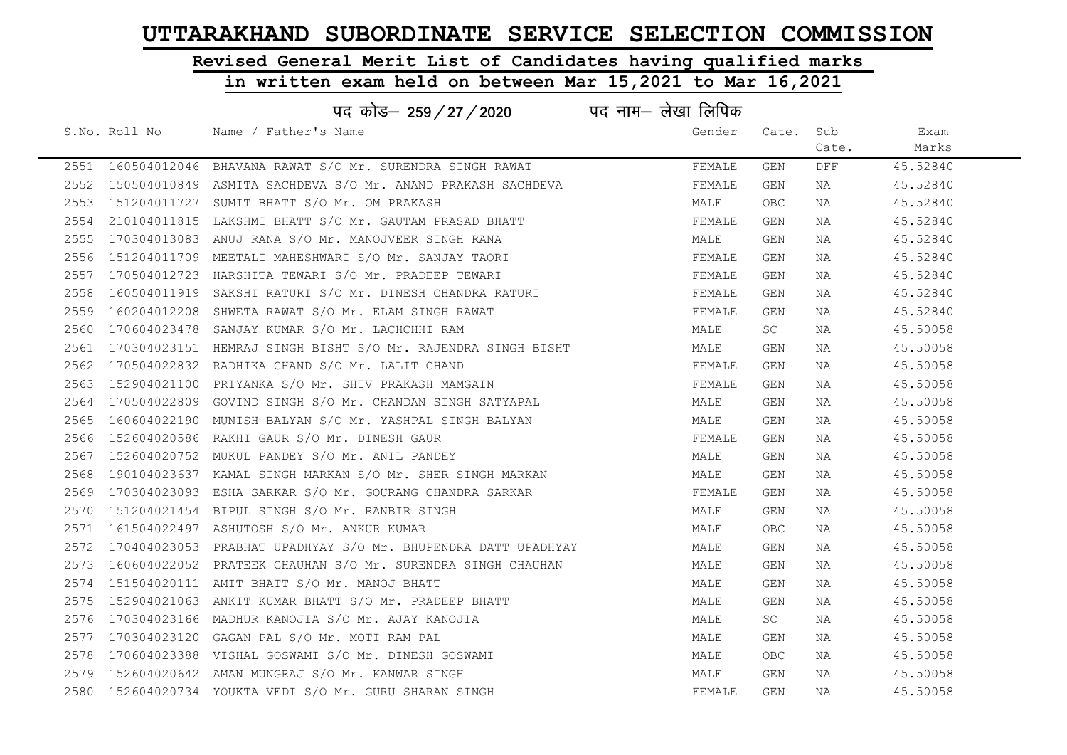# Revised General Merit List of Candidates having qualified marks

|      |               | पद नाम– लेखा लिपिक<br>पद कोड– 259 / 27 / 2020                    |        |            |            |          |
|------|---------------|------------------------------------------------------------------|--------|------------|------------|----------|
|      | S.No. Roll No | Name / Father's Name                                             | Gender | Cate.      | Sub        | Exam     |
|      |               |                                                                  |        |            | Cate.      | Marks    |
|      |               | 2551 160504012046 BHAVANA RAWAT S/O Mr. SURENDRA SINGH RAWAT     | FEMALE | GEN        | <b>DFF</b> | 45.52840 |
|      |               | 2552 150504010849 ASMITA SACHDEVA S/O Mr. ANAND PRAKASH SACHDEVA | FEMALE | GEN        | NA         | 45.52840 |
| 2553 |               | 151204011727 SUMIT BHATT S/O Mr. OM PRAKASH                      | MALE   | OBC        | NA         | 45.52840 |
| 2554 |               | 210104011815 LAKSHMI BHATT S/O Mr. GAUTAM PRASAD BHATT           | FEMALE | GEN        | NA         | 45.52840 |
| 2555 |               | 170304013083 ANUJ RANA S/O Mr. MANOJVEER SINGH RANA              | MALE   | GEN        | NA         | 45.52840 |
|      |               | 2556 151204011709 MEETALI MAHESHWARI S/O Mr. SANJAY TAORI        | FEMALE | GEN        | NA         | 45.52840 |
| 2557 |               | 170504012723 HARSHITA TEWARI S/O Mr. PRADEEP TEWARI              | FEMALE | GEN        | NA         | 45.52840 |
| 2558 |               | 160504011919 SAKSHI RATURI S/O Mr. DINESH CHANDRA RATURI         | FEMALE | GEN        | NA         | 45.52840 |
| 2559 | 160204012208  | SHWETA RAWAT S/O Mr. ELAM SINGH RAWAT                            | FEMALE | GEN        | NA         | 45.52840 |
| 2560 |               | 170604023478 SANJAY KUMAR S/O Mr. LACHCHHI RAM                   | MALE   | SC         | NA         | 45.50058 |
| 2561 |               | 170304023151 HEMRAJ SINGH BISHT S/O Mr. RAJENDRA SINGH BISHT     | MALE   | GEN        | NA         | 45.50058 |
| 2562 |               | 170504022832 RADHIKA CHAND S/O Mr. LALIT CHAND                   | FEMALE | GEN        | NA         | 45.50058 |
|      |               | 2563 152904021100 PRIYANKA S/O Mr. SHIV PRAKASH MAMGAIN          | FEMALE | GEN        | NA         | 45.50058 |
|      |               | 2564 170504022809 GOVIND SINGH S/O Mr. CHANDAN SINGH SATYAPAL    | MALE   | GEN        | NA         | 45.50058 |
| 2565 |               | 160604022190 MUNISH BALYAN S/O Mr. YASHPAL SINGH BALYAN          | MALE   | GEN        | NA         | 45.50058 |
| 2566 | 152604020586  | RAKHI GAUR S/O Mr. DINESH GAUR                                   | FEMALE | GEN        | NA         | 45.50058 |
|      |               | 2567 152604020752 MUKUL PANDEY S/O Mr. ANIL PANDEY               | MALE   | GEN        | NA         | 45.50058 |
| 2568 |               | 190104023637 KAMAL SINGH MARKAN S/O Mr. SHER SINGH MARKAN        | MALE   | GEN        | NA         | 45.50058 |
| 2569 |               | 170304023093 ESHA SARKAR S/O Mr. GOURANG CHANDRA SARKAR          | FEMALE | GEN        | NA         | 45.50058 |
| 2570 |               | 151204021454 BIPUL SINGH S/O Mr. RANBIR SINGH                    | MALE   | GEN        | NA         | 45.50058 |
|      |               | 2571 161504022497 ASHUTOSH S/O Mr. ANKUR KUMAR                   | MALE   | OBC        | NA         | 45.50058 |
| 2572 |               | 170404023053 PRABHAT UPADHYAY S/O Mr. BHUPENDRA DATT UPADHYAY    | MALE   | GEN        | NA         | 45.50058 |
| 2573 |               | 160604022052 PRATEEK CHAUHAN S/O Mr. SURENDRA SINGH CHAUHAN      | MALE   | GEN        | NA         | 45.50058 |
| 2574 |               | 151504020111 AMIT BHATT S/O Mr. MANOJ BHATT                      | MALE   | GEN        | NA         | 45.50058 |
| 2575 |               | 152904021063 ANKIT KUMAR BHATT S/O Mr. PRADEEP BHATT             | MALE   | GEN        | NA         | 45.50058 |
| 2576 |               | 170304023166 MADHUR KANOJIA S/O Mr. AJAY KANOJIA                 | MALE   | SC         | NA         | 45.50058 |
| 2577 |               | 170304023120 GAGAN PAL S/O Mr. MOTI RAM PAL                      | MALE   | GEN        | NA         | 45.50058 |
| 2578 |               | 170604023388 VISHAL GOSWAMI S/O Mr. DINESH GOSWAMI               | MALE   | <b>OBC</b> | NA         | 45.50058 |
|      |               | 2579 152604020642 AMAN MUNGRAJ S/O Mr. KANWAR SINGH              | MALE   | GEN        | NA         | 45.50058 |
|      |               | 2580 152604020734 YOUKTA VEDI S/O Mr. GURU SHARAN SINGH          | FEMALE | GEN        | NA         | 45.50058 |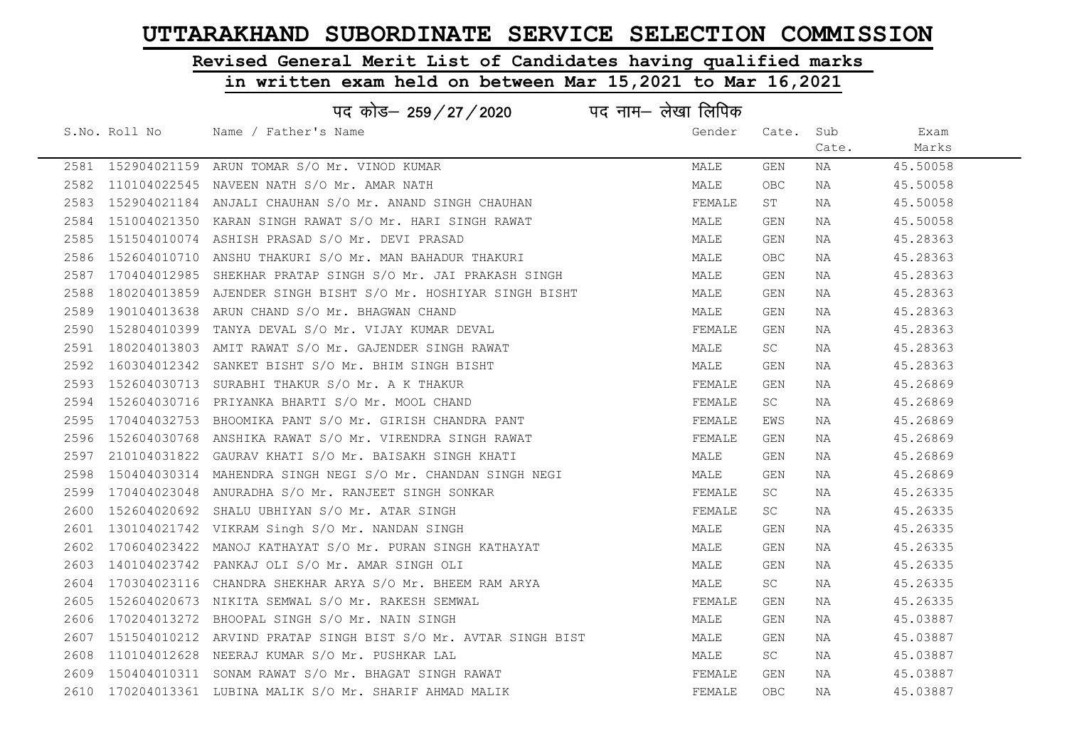# Revised General Merit List of Candidates having qualified marks

|      |               | पद कोड– 259/27/2020                                            | पद नाम– लेखा लिपिक |            |       |          |
|------|---------------|----------------------------------------------------------------|--------------------|------------|-------|----------|
|      | S.No. Roll No | Name / Father's Name                                           | Gender             | Cate. Sub  |       | Exam     |
|      |               |                                                                |                    |            | Cate. | Marks    |
|      |               | 2581 152904021159 ARUN TOMAR S/O Mr. VINOD KUMAR               | MALE               | GEN        | NA    | 45.50058 |
|      |               | 2582 110104022545 NAVEEN NATH S/O Mr. AMAR NATH                | MALE               | <b>OBC</b> | NA    | 45.50058 |
|      |               | 2583 152904021184 ANJALI CHAUHAN S/O Mr. ANAND SINGH CHAUHAN   | FEMALE             | ST         | NA    | 45.50058 |
| 2584 |               | 151004021350 KARAN SINGH RAWAT S/O Mr. HARI SINGH RAWAT        | MALE               | GEN        | NA    | 45.50058 |
| 2585 |               | 151504010074 ASHISH PRASAD S/O Mr. DEVI PRASAD                 | MALE               | GEN        | NA    | 45.28363 |
|      |               | 2586 152604010710 ANSHU THAKURI S/O Mr. MAN BAHADUR THAKURI    | MALE               | OBC        | NA    | 45.28363 |
| 2587 |               | 170404012985 SHEKHAR PRATAP SINGH S/O Mr. JAI PRAKASH SINGH    | MALE               | GEN        | NA    | 45.28363 |
| 2588 |               | 180204013859 AJENDER SINGH BISHT S/O Mr. HOSHIYAR SINGH BISHT  | MALE               | <b>GEN</b> | NA    | 45.28363 |
| 2589 |               | 190104013638 ARUN CHAND S/O Mr. BHAGWAN CHAND                  | MALE               | GEN        | NA    | 45.28363 |
| 2590 |               | 152804010399 TANYA DEVAL S/O Mr. VIJAY KUMAR DEVAL             | FEMALE             | GEN        | NA    | 45.28363 |
| 2591 |               | 180204013803 AMIT RAWAT S/O Mr. GAJENDER SINGH RAWAT           | MALE               | SC         | NA    | 45.28363 |
|      |               | 2592 160304012342 SANKET BISHT S/O Mr. BHIM SINGH BISHT        | MALE               | GEN        | NA    | 45.28363 |
|      |               | 2593 152604030713 SURABHI THAKUR S/O Mr. A K THAKUR            | FEMALE             | GEN        | NA    | 45.26869 |
|      |               | 2594 152604030716 PRIYANKA BHARTI S/O Mr. MOOL CHAND           | FEMALE             | SC         | NA    | 45.26869 |
| 2595 |               | 170404032753 BHOOMIKA PANT S/O Mr. GIRISH CHANDRA PANT         | FEMALE             | EWS        | NA    | 45.26869 |
| 2596 |               | 152604030768 ANSHIKA RAWAT S/O Mr. VIRENDRA SINGH RAWAT        | FEMALE             | GEN        | NA    | 45.26869 |
| 2597 |               | 210104031822 GAURAV KHATI S/O Mr. BAISAKH SINGH KHATI          | MALE               | GEN        | NA    | 45.26869 |
| 2598 |               | 150404030314 MAHENDRA SINGH NEGI S/O Mr. CHANDAN SINGH NEGI    | MALE               | GEN        | NA    | 45.26869 |
| 2599 |               | 170404023048 ANURADHA S/O Mr. RANJEET SINGH SONKAR             | FEMALE             | SC         | NA    | 45.26335 |
|      |               | 2600 152604020692 SHALU UBHIYAN S/O Mr. ATAR SINGH             | FEMALE             | <b>SC</b>  | NA    | 45.26335 |
| 2601 |               | 130104021742 VIKRAM Singh S/O Mr. NANDAN SINGH                 | MALE               | GEN        | NA    | 45.26335 |
|      |               | 2602 170604023422 MANOJ KATHAYAT S/O Mr. PURAN SINGH KATHAYAT  | MALE               | GEN        | NA    | 45.26335 |
| 2603 |               | 140104023742 PANKAJ OLI S/O Mr. AMAR SINGH OLI                 | MALE               | GEN        | NA    | 45.26335 |
| 2604 |               | 170304023116 CHANDRA SHEKHAR ARYA S/O Mr. BHEEM RAM ARYA       | MALE               | SC         | NA    | 45.26335 |
| 2605 |               | 152604020673 NIKITA SEMWAL S/O Mr. RAKESH SEMWAL               | FEMALE             | GEN        | NA    | 45.26335 |
|      |               | 2606 170204013272 BHOOPAL SINGH S/O Mr. NAIN SINGH             | MALE               | GEN        | NA    | 45.03887 |
| 2607 |               | 151504010212 ARVIND PRATAP SINGH BIST S/O Mr. AVTAR SINGH BIST | MALE               | GEN        | NA    | 45.03887 |
|      |               | 2608 110104012628 NEERAJ KUMAR S/O Mr. PUSHKAR LAL             | MALE               | SC         | NA    | 45.03887 |
| 2609 |               | 150404010311 SONAM RAWAT S/O Mr. BHAGAT SINGH RAWAT            | FEMALE             | GEN        | NA    | 45.03887 |
|      |               | 2610 170204013361 LUBINA MALIK S/O Mr. SHARIF AHMAD MALIK      | FEMALE             | <b>OBC</b> | NA    | 45.03887 |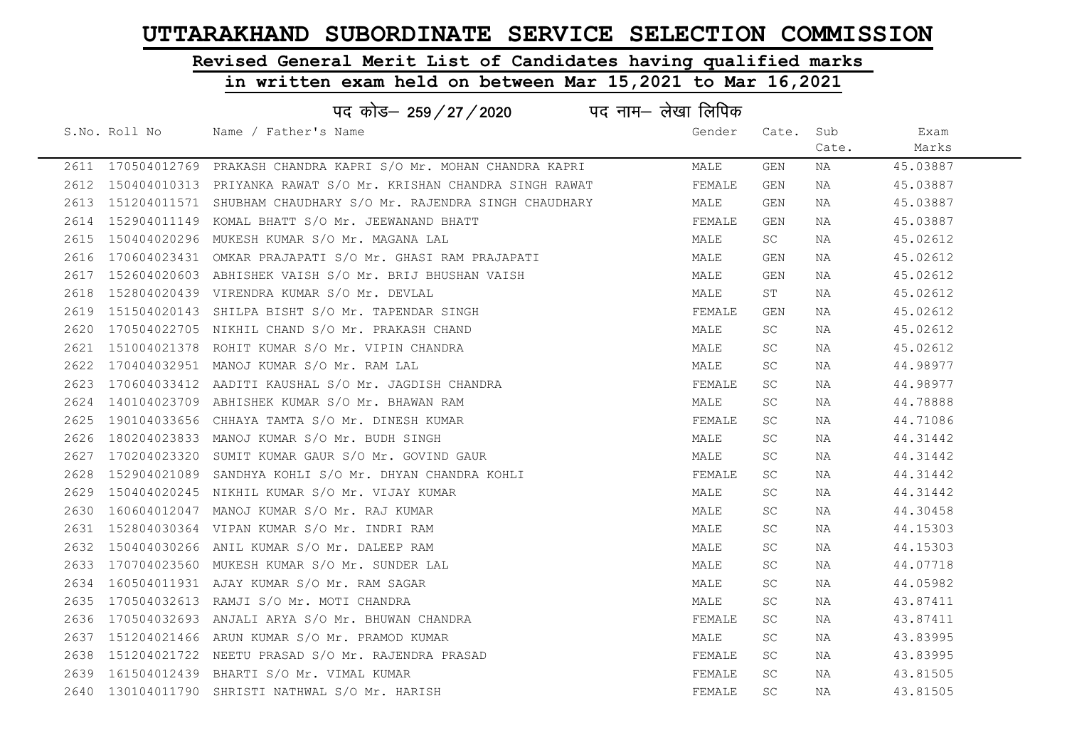# Revised General Merit List of Candidates having qualified marks

| पद नाम— लेखा लिपिक<br>पद कोड– 259/27/2020 |               |                                                                      |        |           |       |          |  |
|-------------------------------------------|---------------|----------------------------------------------------------------------|--------|-----------|-------|----------|--|
|                                           | S.No. Roll No | Name / Father's Name                                                 | Gender | Cate. Sub |       | Exam     |  |
|                                           |               |                                                                      |        |           | Cate. | Marks    |  |
|                                           |               | 2611 170504012769 PRAKASH CHANDRA KAPRI S/O Mr. MOHAN CHANDRA KAPRI  | MALE   | GEN       | NA    | 45.03887 |  |
|                                           |               | 2612 150404010313 PRIYANKA RAWAT S/O Mr. KRISHAN CHANDRA SINGH RAWAT | FEMALE | GEN       | ΝA    | 45.03887 |  |
|                                           |               | 2613 151204011571 SHUBHAM CHAUDHARY S/O Mr. RAJENDRA SINGH CHAUDHARY | MALE   | GEN       | ΝA    | 45.03887 |  |
|                                           |               | 2614 152904011149 KOMAL BHATT S/O Mr. JEEWANAND BHATT                | FEMALE | GEN       | NA    | 45.03887 |  |
| 2615                                      |               | 150404020296 MUKESH KUMAR S/O Mr. MAGANA LAL                         | MALE   | SC        | NA    | 45.02612 |  |
| 2616                                      |               | 170604023431 OMKAR PRAJAPATI S/O Mr. GHASI RAM PRAJAPATI             | MALE   | GEN       | ΝA    | 45.02612 |  |
|                                           |               | 2617 152604020603 ABHISHEK VAISH S/O Mr. BRIJ BHUSHAN VAISH          | MALE   | GEN       | NA    | 45.02612 |  |
| 2618                                      |               | 152804020439 VIRENDRA KUMAR S/O Mr. DEVLAL                           | MALE   | ST        | ΝA    | 45.02612 |  |
| 2619                                      |               | 151504020143 SHILPA BISHT S/O Mr. TAPENDAR SINGH                     | FEMALE | GEN       | ΝA    | 45.02612 |  |
| 2620                                      |               | 170504022705 NIKHIL CHAND S/O Mr. PRAKASH CHAND                      | MALE   | SC        | NA    | 45.02612 |  |
| 2621                                      |               | 151004021378 ROHIT KUMAR S/O Mr. VIPIN CHANDRA                       | MALE   | SC        | NA    | 45.02612 |  |
| 2622                                      |               | 170404032951 MANOJ KUMAR S/O Mr. RAM LAL                             | MALE   | SC.       | NA    | 44.98977 |  |
|                                           |               | 2623 170604033412 AADITI KAUSHAL S/O Mr. JAGDISH CHANDRA             | FEMALE | SC        | NA    | 44.98977 |  |
|                                           |               | 2624 140104023709 ABHISHEK KUMAR S/O Mr. BHAWAN RAM                  | MALE   | SC        | NA    | 44.78888 |  |
| 2625                                      |               | 190104033656 CHHAYA TAMTA S/O Mr. DINESH KUMAR                       | FEMALE | SC        | NA    | 44.71086 |  |
| 2626                                      |               | 180204023833 MANOJ KUMAR S/O Mr. BUDH SINGH                          | MALE   | SC        | NA    | 44.31442 |  |
| 2627                                      | 170204023320  | SUMIT KUMAR GAUR S/O Mr. GOVIND GAUR                                 | MALE   | <b>SC</b> | NA    | 44.31442 |  |
| 2628                                      |               | 152904021089 SANDHYA KOHLI S/O Mr. DHYAN CHANDRA KOHLI               | FEMALE | SC        | NA    | 44.31442 |  |
| 2629                                      |               | 150404020245 NIKHIL KUMAR S/O Mr. VIJAY KUMAR                        | MALE   | SC        | ΝA    | 44.31442 |  |
| 2630                                      |               | 160604012047 MANOJ KUMAR S/O Mr. RAJ KUMAR                           | MALE   | SC        | NA    | 44.30458 |  |
|                                           |               | 2631 152804030364 VIPAN KUMAR S/O Mr. INDRI RAM                      | MALE   | SC        | NA    | 44.15303 |  |
|                                           |               | 2632 150404030266 ANIL KUMAR S/O Mr. DALEEP RAM                      | MALE   | SC.       | NA    | 44.15303 |  |
|                                           |               | 2633 170704023560 MUKESH KUMAR S/O Mr. SUNDER LAL                    | MALE   | SC.       | NA    | 44.07718 |  |
| 2634                                      |               | 160504011931 AJAY KUMAR S/O Mr. RAM SAGAR                            | MALE   | SC        | ΝA    | 44.05982 |  |
| 2635                                      |               | 170504032613 RAMJI S/O Mr. MOTI CHANDRA                              | MALE   | SC        | NA    | 43.87411 |  |
| 2636                                      |               | 170504032693 ANJALI ARYA S/O Mr. BHUWAN CHANDRA                      | FEMALE | SC        | NA    | 43.87411 |  |
| 2637                                      |               | 151204021466 ARUN KUMAR S/O Mr. PRAMOD KUMAR                         | MALE   | SC        | ΝA    | 43.83995 |  |
| 2638                                      |               | 151204021722 NEETU PRASAD S/O Mr. RAJENDRA PRASAD                    | FEMALE | SC        | ΝA    | 43.83995 |  |
| 2639                                      |               | 161504012439 BHARTI S/O Mr. VIMAL KUMAR                              | FEMALE | SC        | NA    | 43.81505 |  |
|                                           |               | 2640 130104011790 SHRISTI NATHWAL S/O Mr. HARISH                     | FEMALE | SC        | NA    | 43.81505 |  |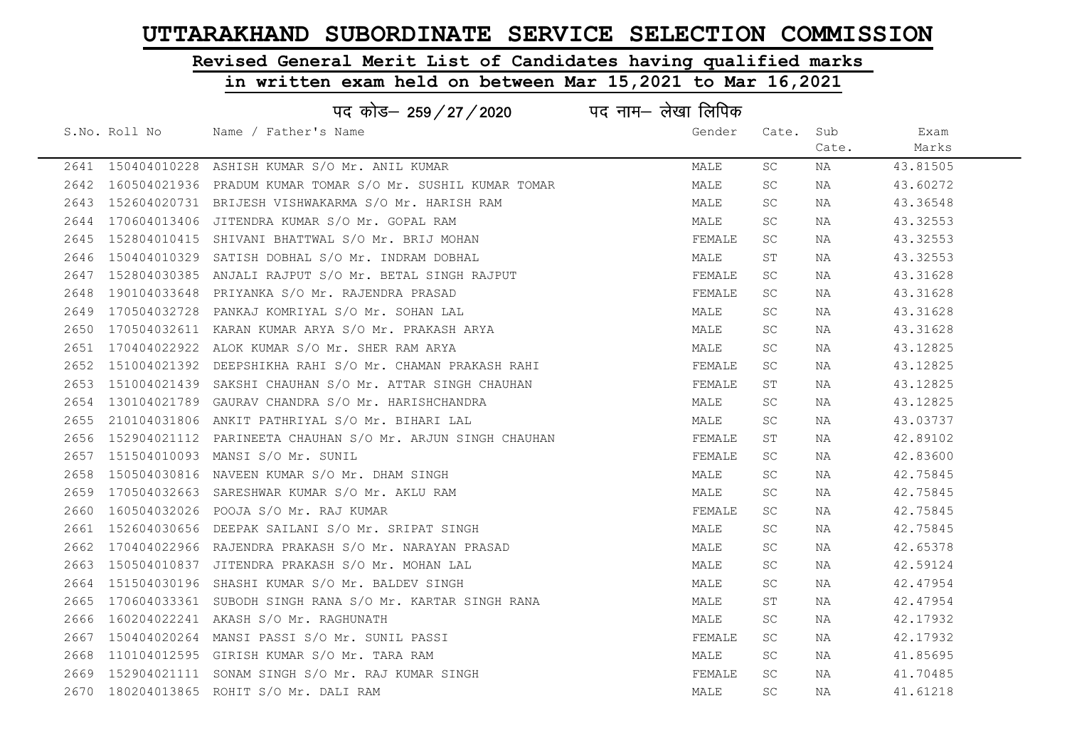# Revised General Merit List of Candidates having qualified marks

|      |               | पद कोड– 259/27/2020                                     | पद नाम— लेखा लिपिक |           |       |          |
|------|---------------|---------------------------------------------------------|--------------------|-----------|-------|----------|
|      | S.No. Roll No | Name / Father's Name                                    | Gender             | Cate.     | Sub   | Exam     |
|      |               |                                                         |                    |           | Cate. | Marks    |
|      |               | 2641 150404010228 ASHISH KUMAR S/O Mr. ANIL KUMAR       | MALE               | SC        | NA    | 43.81505 |
| 2642 | 160504021936  | PRADUM KUMAR TOMAR S/O Mr. SUSHIL KUMAR TOMAR           | MALE               | SC        | NA    | 43.60272 |
| 2643 |               | 152604020731 BRIJESH VISHWAKARMA S/O Mr. HARISH RAM     | MALE               | SC.       | NA    | 43.36548 |
| 2644 |               | 170604013406 JITENDRA KUMAR S/O Mr. GOPAL RAM           | MALE               | SC.       | NA    | 43.32553 |
| 2645 |               | 152804010415 SHIVANI BHATTWAL S/O Mr. BRIJ MOHAN        | FEMALE             | SC        | NA    | 43.32553 |
| 2646 |               | 150404010329 SATISH DOBHAL S/O Mr. INDRAM DOBHAL        | MALE               | ST        | NA    | 43.32553 |
| 2647 |               | 152804030385 ANJALI RAJPUT S/O Mr. BETAL SINGH RAJPUT   | FEMALE             | SC.       | NA    | 43.31628 |
| 2648 | 190104033648  | PRIYANKA S/O Mr. RAJENDRA PRASAD                        | FEMALE             | SC.       | NA    | 43.31628 |
| 2649 | 170504032728  | PANKAJ KOMRIYAL S/O Mr. SOHAN LAL                       | MALE               | SC.       | NA    | 43.31628 |
| 2650 |               | 170504032611 KARAN KUMAR ARYA S/O Mr. PRAKASH ARYA      | MALE               | SC        | NA    | 43.31628 |
| 2651 |               | 170404022922 ALOK KUMAR S/O Mr. SHER RAM ARYA           | MALE               | SC.       | NA    | 43.12825 |
| 2652 | 151004021392  | DEEPSHIKHA RAHI S/O Mr. CHAMAN PRAKASH RAHI             | FEMALE             | SC        | NA    | 43.12825 |
| 2653 |               | 151004021439 SAKSHI CHAUHAN S/O Mr. ATTAR SINGH CHAUHAN | FEMALE             | ST        | NA    | 43.12825 |
| 2654 |               | 130104021789 GAURAV CHANDRA S/O Mr. HARISHCHANDRA       | MALE               | SC.       | NA    | 43.12825 |
| 2655 |               | 210104031806 ANKIT PATHRIYAL S/O Mr. BIHARI LAL         | MALE               | SC        | NA    | 43.03737 |
| 2656 | 152904021112  | PARINEETA CHAUHAN S/O Mr. ARJUN SINGH CHAUHAN           | FEMALE             | ST        | NA    | 42.89102 |
| 2657 |               | 151504010093 MANSI S/O Mr. SUNIL                        | FEMALE             | SC        | NA    | 42.83600 |
| 2658 |               | 150504030816 NAVEEN KUMAR S/O Mr. DHAM SINGH            | MALE               | SC.       | NA    | 42.75845 |
| 2659 |               | 170504032663 SARESHWAR KUMAR S/O Mr. AKLU RAM           | MALE               | SC.       | NA    | 42.75845 |
| 2660 |               | 160504032026 POOJA S/O Mr. RAJ KUMAR                    | FEMALE             | SC.       | NA    | 42.75845 |
| 2661 |               | 152604030656 DEEPAK SAILANI S/O Mr. SRIPAT SINGH        | MALE               | SC        | NA    | 42.75845 |
| 2662 |               | 170404022966 RAJENDRA PRAKASH S/O Mr. NARAYAN PRASAD    | MALE               | SC        | NA    | 42.65378 |
| 2663 |               | 150504010837 JITENDRA PRAKASH S/O Mr. MOHAN LAL         | MALE               | <b>SC</b> | NA    | 42.59124 |
| 2664 | 151504030196  | SHASHI KUMAR S/O Mr. BALDEV SINGH                       | MALE               | SC        | NA    | 42.47954 |
| 2665 | 170604033361  | SUBODH SINGH RANA S/O Mr. KARTAR SINGH RANA             | MALE               | ST        | NA    | 42.47954 |
| 2666 |               | 160204022241 AKASH S/O Mr. RAGHUNATH                    | MALE               | SC        | NA    | 42.17932 |
| 2667 |               | 150404020264 MANSI PASSI S/O Mr. SUNIL PASSI            | FEMALE             | SC        | NA    | 42.17932 |
| 2668 |               | 110104012595 GIRISH KUMAR S/O Mr. TARA RAM              | MALE               | SC        | NA    | 41.85695 |
| 2669 | 152904021111  | SONAM SINGH S/O Mr. RAJ KUMAR SINGH                     | FEMALE             | SC        | NA    | 41.70485 |
|      |               | 2670 180204013865 ROHIT S/O Mr. DALI RAM                | MALE               | SC        | NA    | 41.61218 |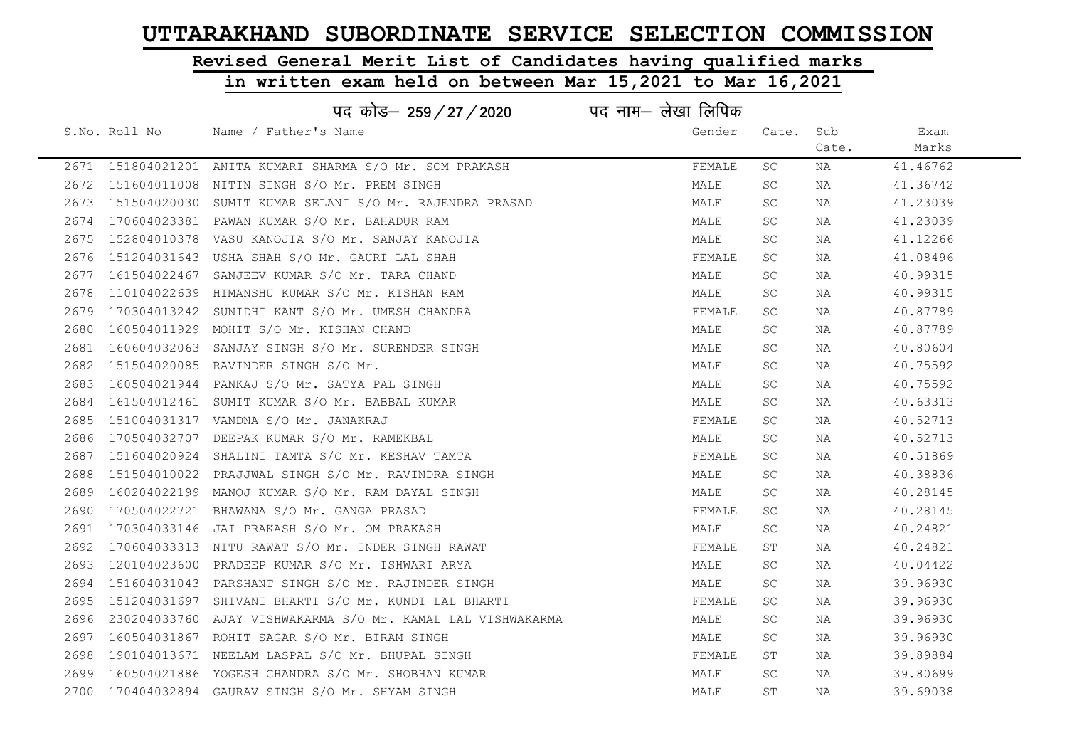# Revised General Merit List of Candidates having qualified marks

#### in written exam held on between Mar 15,2021 to Mar 16,2021

|      |               | पद कोड– 259/27/2020                                         | पद नाम— लेखा लिपिक |           |       |          |
|------|---------------|-------------------------------------------------------------|--------------------|-----------|-------|----------|
|      | S.No. Roll No | Name / Father's Name                                        | Gender             | Cate.     | Sub   | Exam     |
|      |               |                                                             |                    |           | Cate. | Marks    |
|      |               | 2671 151804021201 ANITA KUMARI SHARMA S/O Mr. SOM PRAKASH   | FEMALE             | SC        | NA    | 41.46762 |
| 2672 | 151604011008  | NITIN SINGH S/O Mr. PREM SINGH                              | MALE               | <b>SC</b> | NA    | 41.36742 |
| 2673 | 151504020030  | SUMIT KUMAR SELANI S/O Mr. RAJENDRA PRASAD                  | MALE               | <b>SC</b> | NA    | 41.23039 |
| 2674 |               | 170604023381 PAWAN KUMAR S/O Mr. BAHADUR RAM                | MALE               | SC.       | NA    | 41.23039 |
| 2675 |               | 152804010378 VASU KANOJIA S/O Mr. SANJAY KANOJIA            | MALE               | SC.       | NA    | 41.12266 |
| 2676 |               | 151204031643 USHA SHAH S/O Mr. GAURI LAL SHAH               | FEMALE             | SC.       | NA    | 41.08496 |
| 2677 | 161504022467  | SANJEEV KUMAR S/O Mr. TARA CHAND                            | MALE               | <b>SC</b> | NA    | 40.99315 |
| 2678 |               | 110104022639 HIMANSHU KUMAR S/O Mr. KISHAN RAM              | MALE               | SC        | NA    | 40.99315 |
| 2679 | 170304013242  | SUNIDHI KANT S/O Mr. UMESH CHANDRA                          | FEMALE             | SC.       | NA    | 40.87789 |
| 2680 |               | 160504011929 MOHIT S/O Mr. KISHAN CHAND                     | MALE               | SC.       | NA    | 40.87789 |
| 2681 | 160604032063  | SANJAY SINGH S/O Mr. SURENDER SINGH                         | MALE               | SC.       | NA    | 40.80604 |
| 2682 | 151504020085  | RAVINDER SINGH S/O Mr.                                      | MALE               | SC.       | NA    | 40.75592 |
| 2683 | 160504021944  | PANKAJ S/O Mr. SATYA PAL SINGH                              | MALE               | SC.       | NA    | 40.75592 |
| 2684 |               | 161504012461 SUMIT KUMAR S/O Mr. BABBAL KUMAR               | MALE               | SC.       | NA    | 40.63313 |
| 2685 |               |                                                             | FEMALE             | SC        | NA    | 40.52713 |
| 2686 | 170504032707  | DEEPAK KUMAR S/O Mr. RAMEKBAL                               | MALE               | <b>SC</b> | NA    | 40.52713 |
| 2687 | 151604020924  | SHALINI TAMTA S/O Mr. KESHAV TAMTA                          | FEMALE             | SC.       | NA    | 40.51869 |
| 2688 | 151504010022  | PRAJJWAL SINGH S/O Mr. RAVINDRA SINGH                       | MALE               | SC.       | NA    | 40.38836 |
| 2689 | 160204022199  | MANOJ KUMAR S/O Mr. RAM DAYAL SINGH                         | MALE               | SC        | NA    | 40.28145 |
| 2690 |               | 170504022721 BHAWANA S/O Mr. GANGA PRASAD                   | FEMALE             | SC        | NA    | 40.28145 |
| 2691 | 170304033146  | JAI PRAKASH S/O Mr. OM PRAKASH                              | MALE               | SC        | NA    | 40.24821 |
| 2692 |               | 170604033313 NITU RAWAT S/O Mr. INDER SINGH RAWAT           | FEMALE             | ST        | NA    | 40.24821 |
| 2693 |               | 120104023600 PRADEEP KUMAR S/O Mr. ISHWARI ARYA             | MALE               | SC        | NA    | 40.04422 |
| 2694 | 151604031043  | PARSHANT SINGH S/O Mr. RAJINDER SINGH                       | MALE               | <b>SC</b> | NA    | 39.96930 |
| 2695 | 151204031697  | SHIVANI BHARTI S/O Mr. KUNDI LAL BHARTI                     | FEMALE             | SC.       | NA    | 39.96930 |
| 2696 |               | 230204033760 AJAY VISHWAKARMA S/O Mr. KAMAL LAL VISHWAKARMA | MALE               | SC.       | NA    | 39.96930 |
| 2697 |               | 160504031867 ROHIT SAGAR S/O Mr. BIRAM SINGH                | MALE               | SC.       | NA    | 39.96930 |
| 2698 |               | 190104013671 NEELAM LASPAL S/O Mr. BHUPAL SINGH             | FEMALE             | ST        | NA    | 39.89884 |
| 2699 |               | 160504021886 YOGESH CHANDRA S/O Mr. SHOBHAN KUMAR           | MALE               | SC.       | NA    | 39.80699 |
| 2700 |               | 170404032894 GAURAV SINGH S/O Mr. SHYAM SINGH               | MALE               | ST        | NA    | 39.69038 |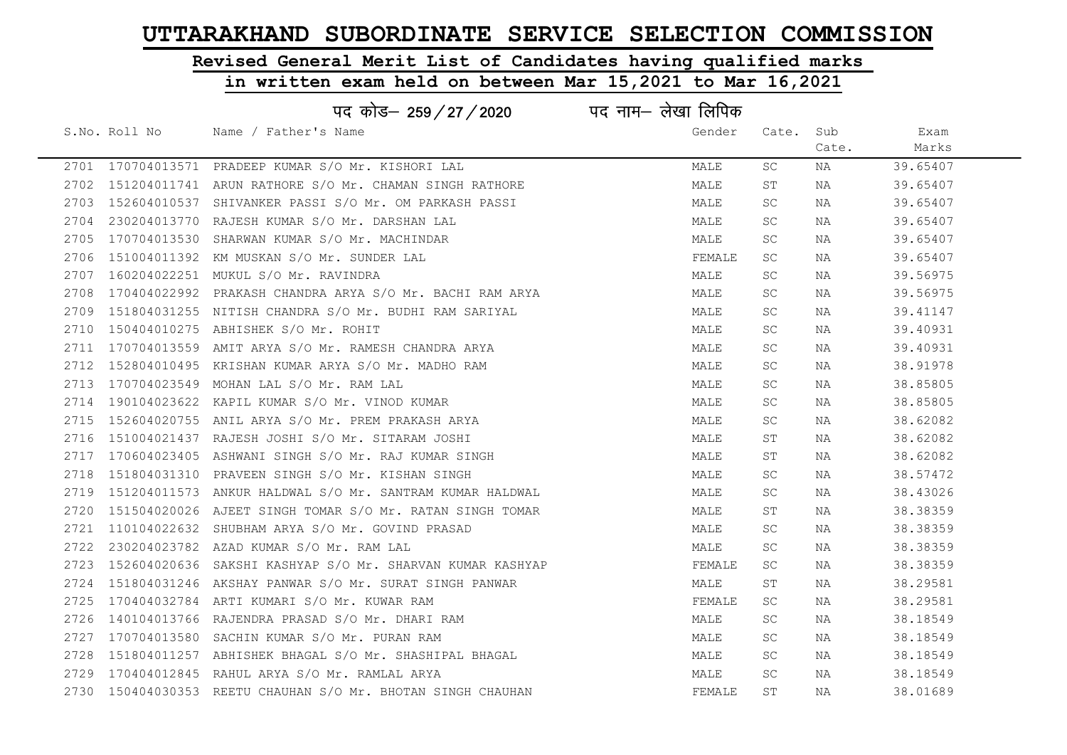# Revised General Merit List of Candidates having qualified marks

|      |               | पद कोड– 259/27/2020                                         | पद नाम– लेखा लिपिक |           |       |          |
|------|---------------|-------------------------------------------------------------|--------------------|-----------|-------|----------|
|      | S.No. Roll No | Name / Father's Name                                        | Gender             | Cate. Sub |       | Exam     |
|      |               |                                                             |                    |           | Cate. | Marks    |
|      |               | 2701 170704013571 PRADEEP KUMAR S/O Mr. KISHORI LAL         | MALE               | SC        | NA    | 39.65407 |
|      |               | 2702 151204011741 ARUN RATHORE S/O Mr. CHAMAN SINGH RATHORE | MALE               | ST        | NA    | 39.65407 |
| 2703 |               | 152604010537 SHIVANKER PASSI S/O Mr. OM PARKASH PASSI       | MALE               | SC.       | NA    | 39.65407 |
| 2704 |               | 230204013770 RAJESH KUMAR S/O Mr. DARSHAN LAL               | MALE               | SC        | NA    | 39.65407 |
| 2705 |               | 170704013530 SHARWAN KUMAR S/O Mr. MACHINDAR                | MALE               | SC.       | NA    | 39.65407 |
|      |               | 2706 151004011392 KM MUSKAN S/O Mr. SUNDER LAL              | FEMALE             | SC.       | NA    | 39.65407 |
| 2707 |               | 160204022251 MUKUL S/O Mr. RAVINDRA                         | MALE               | SC.       | NA    | 39.56975 |
| 2708 |               | 170404022992 PRAKASH CHANDRA ARYA S/O Mr. BACHI RAM ARYA    | MALE               | SC.       | NA    | 39.56975 |
| 2709 |               | 151804031255 NITISH CHANDRA S/O Mr. BUDHI RAM SARIYAL       | MALE               | SC.       | NA    | 39.41147 |
| 2710 |               | 150404010275 ABHISHEK S/O Mr. ROHIT                         | MALE               | SC.       | NA    | 39.40931 |
| 2711 |               | 170704013559 AMIT ARYA S/O Mr. RAMESH CHANDRA ARYA          | MALE               | SC.       | NA    | 39.40931 |
|      |               | 2712 152804010495 KRISHAN KUMAR ARYA S/O Mr. MADHO RAM      | MALE               | SC.       | NA    | 38.91978 |
|      |               | 2713 170704023549 MOHAN LAL S/O Mr. RAM LAL                 | MALE               | SC.       | NA    | 38.85805 |
| 2714 |               | 190104023622 KAPIL KUMAR S/O Mr. VINOD KUMAR                | MALE               | SC.       | NA    | 38.85805 |
|      |               | 2715 152604020755 ANIL ARYA S/O Mr. PREM PRAKASH ARYA       | MALE               | SC.       | NA    | 38.62082 |
| 2716 |               | 151004021437 RAJESH JOSHI S/O Mr. SITARAM JOSHI             | MALE               | ST        | NA    | 38.62082 |
| 2717 |               | 170604023405 ASHWANI SINGH S/O Mr. RAJ KUMAR SINGH          | MALE               | ST        | NA    | 38.62082 |
| 2718 |               | 151804031310 PRAVEEN SINGH S/O Mr. KISHAN SINGH             | MALE               | <b>SC</b> | NA    | 38.57472 |
| 2719 |               | 151204011573 ANKUR HALDWAL S/O Mr. SANTRAM KUMAR HALDWAL    | MALE               | SC.       | NA    | 38.43026 |
| 2720 |               | 151504020026 AJEET SINGH TOMAR S/O Mr. RATAN SINGH TOMAR    | MALE               | ST        | NA    | 38.38359 |
| 2721 |               | 110104022632 SHUBHAM ARYA S/O Mr. GOVIND PRASAD             | MALE               | SC        | NA    | 38.38359 |
| 2722 |               | 230204023782 AZAD KUMAR S/O Mr. RAM LAL                     | MALE               | SC        | NA    | 38.38359 |
| 2723 |               | 152604020636 SAKSHI KASHYAP S/O Mr. SHARVAN KUMAR KASHYAP   | FEMALE             | SC        | NA    | 38.38359 |
| 2724 |               | 151804031246 AKSHAY PANWAR S/O Mr. SURAT SINGH PANWAR       | MALE               | SΤ        | NA    | 38.29581 |
| 2725 |               | 170404032784 ARTI KUMARI S/O Mr. KUWAR RAM                  | FEMALE             | SC        | NA    | 38.29581 |
| 2726 |               | 140104013766 RAJENDRA PRASAD S/O Mr. DHARI RAM              | MALE               | SC.       | NA    | 38.18549 |
| 2727 |               | 170704013580 SACHIN KUMAR S/O Mr. PURAN RAM                 | MALE               | SC.       | NA    | 38.18549 |
| 2728 |               | 151804011257 ABHISHEK BHAGAL S/O Mr. SHASHIPAL BHAGAL       | MALE               | SC        | NA    | 38.18549 |
|      |               | 2729 170404012845 RAHUL ARYA S/O Mr. RAMLAL ARYA            | MALE               | SC        | NA    | 38.18549 |
| 2730 |               | 150404030353 REETU CHAUHAN S/O Mr. BHOTAN SINGH CHAUHAN     | FEMALE             | ST        | NA    | 38.01689 |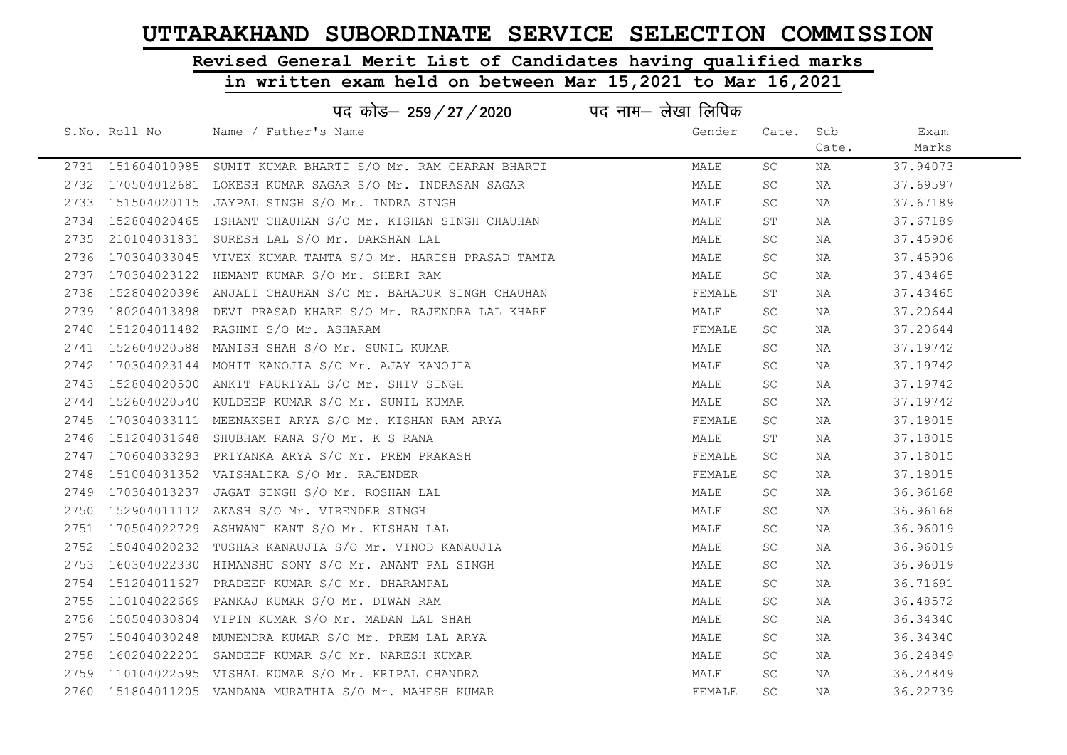## Revised General Merit List of Candidates having qualified marks

|      |               | पद कोड– 259/27/2020                                             | पद नाम– लेखा लिपिक |           |       |          |
|------|---------------|-----------------------------------------------------------------|--------------------|-----------|-------|----------|
|      | S.No. Roll No | Name / Father's Name                                            | Gender             | Cate. Sub |       | Exam     |
|      |               |                                                                 |                    |           | Cate. | Marks    |
|      |               | 2731 151604010985 SUMIT KUMAR BHARTI S/O Mr. RAM CHARAN BHARTI  | MALE               | SC        | NA    | 37.94073 |
|      |               | 2732 170504012681 LOKESH KUMAR SAGAR S/O Mr. INDRASAN SAGAR     | MALE               | SC        | NA    | 37.69597 |
|      |               | 2733 151504020115 JAYPAL SINGH S/O Mr. INDRA SINGH              | MALE               | SC.       | NA    | 37.67189 |
|      |               | 2734 152804020465 ISHANT CHAUHAN S/O Mr. KISHAN SINGH CHAUHAN   | MALE               | ST        | NA    | 37.67189 |
| 2735 |               | 210104031831 SURESH LAL S/O Mr. DARSHAN LAL                     | MALE               | SC.       | NA    | 37.45906 |
|      |               | 2736 170304033045 VIVEK KUMAR TAMTA S/O Mr. HARISH PRASAD TAMTA | MALE               | SC        | NA    | 37.45906 |
|      |               | 2737 170304023122 HEMANT KUMAR S/O Mr. SHERI RAM                | MALE               | SC.       | NA    | 37.43465 |
| 2738 |               | 152804020396 ANJALI CHAUHAN S/O Mr. BAHADUR SINGH CHAUHAN       | FEMALE             | SΤ        | NA    | 37.43465 |
|      |               | 2739 180204013898 DEVI PRASAD KHARE S/O Mr. RAJENDRA LAL KHARE  | MALE               | SC        | ΝA    | 37.20644 |
| 2740 |               | 151204011482 RASHMI S/O Mr. ASHARAM                             | FEMALE             | SC.       | NA    | 37.20644 |
|      |               | 2741 152604020588 MANISH SHAH S/O Mr. SUNIL KUMAR               | MALE               | SC        | NA    | 37.19742 |
|      |               | 2742 170304023144 MOHIT KANOJIA S/O Mr. AJAY KANOJIA            | MALE               | SC.       | NA    | 37.19742 |
|      |               | 2743 152804020500 ANKIT PAURIYAL S/O Mr. SHIV SINGH             | MALE               | SC.       | NA    | 37.19742 |
|      |               | 2744 152604020540 KULDEEP KUMAR S/O Mr. SUNIL KUMAR             | MALE               | SC.       | NA    | 37.19742 |
|      |               | 2745 170304033111 MEENAKSHI ARYA S/O Mr. KISHAN RAM ARYA        | FEMALE             | SC.       | ΝA    | 37.18015 |
| 2746 |               | 151204031648 SHUBHAM RANA S/O Mr. K S RANA                      | MALE               | ST        | NA    | 37.18015 |
|      |               | 2747 170604033293 PRIYANKA ARYA S/O Mr. PREM PRAKASH            | FEMALE             | SC        | NA    | 37.18015 |
| 2748 |               | 151004031352 VAISHALIKA S/O Mr. RAJENDER                        | FEMALE             | SC.       | ΝA    | 37.18015 |
| 2749 |               | 170304013237 JAGAT SINGH S/O Mr. ROSHAN LAL                     | MALE               | SC        | NA    | 36.96168 |
| 2750 |               | 152904011112 AKASH S/O Mr. VIRENDER SINGH                       | MALE               | SC        | NA    | 36.96168 |
|      |               | 2751 170504022729 ASHWANI KANT S/O Mr. KISHAN LAL               | MALE               | SC.       | NA    | 36.96019 |
|      |               | 2752 150404020232 TUSHAR KANAUJIA S/O Mr. VINOD KANAUJIA        | MALE               | SC        | NA    | 36.96019 |
|      |               | 2753 160304022330 HIMANSHU SONY S/O Mr. ANANT PAL SINGH         | MALE               | SC        | NA    | 36.96019 |
| 2754 |               | 151204011627 PRADEEP KUMAR S/O Mr. DHARAMPAL                    | MALE               | SC        | ΝA    | 36.71691 |
| 2755 |               | 110104022669 PANKAJ KUMAR S/O Mr. DIWAN RAM                     | MALE               | SC        | ΝA    | 36.48572 |
| 2756 |               | 150504030804 VIPIN KUMAR S/O Mr. MADAN LAL SHAH                 | MALE               | SC        | ΝA    | 36.34340 |
|      |               | 2757 150404030248 MUNENDRA KUMAR S/O Mr. PREM LAL ARYA          | MALE               | SC        | NA    | 36.34340 |
| 2758 |               | 160204022201 SANDEEP KUMAR S/O Mr. NARESH KUMAR                 | MALE               | SC        | NA    | 36.24849 |
|      |               | 2759 110104022595 VISHAL KUMAR S/O Mr. KRIPAL CHANDRA           | MALE               | SC        | NA    | 36.24849 |
|      |               | 2760 151804011205 VANDANA MURATHIA S/O Mr. MAHESH KUMAR         | FEMALE             | SC        | NA    | 36.22739 |